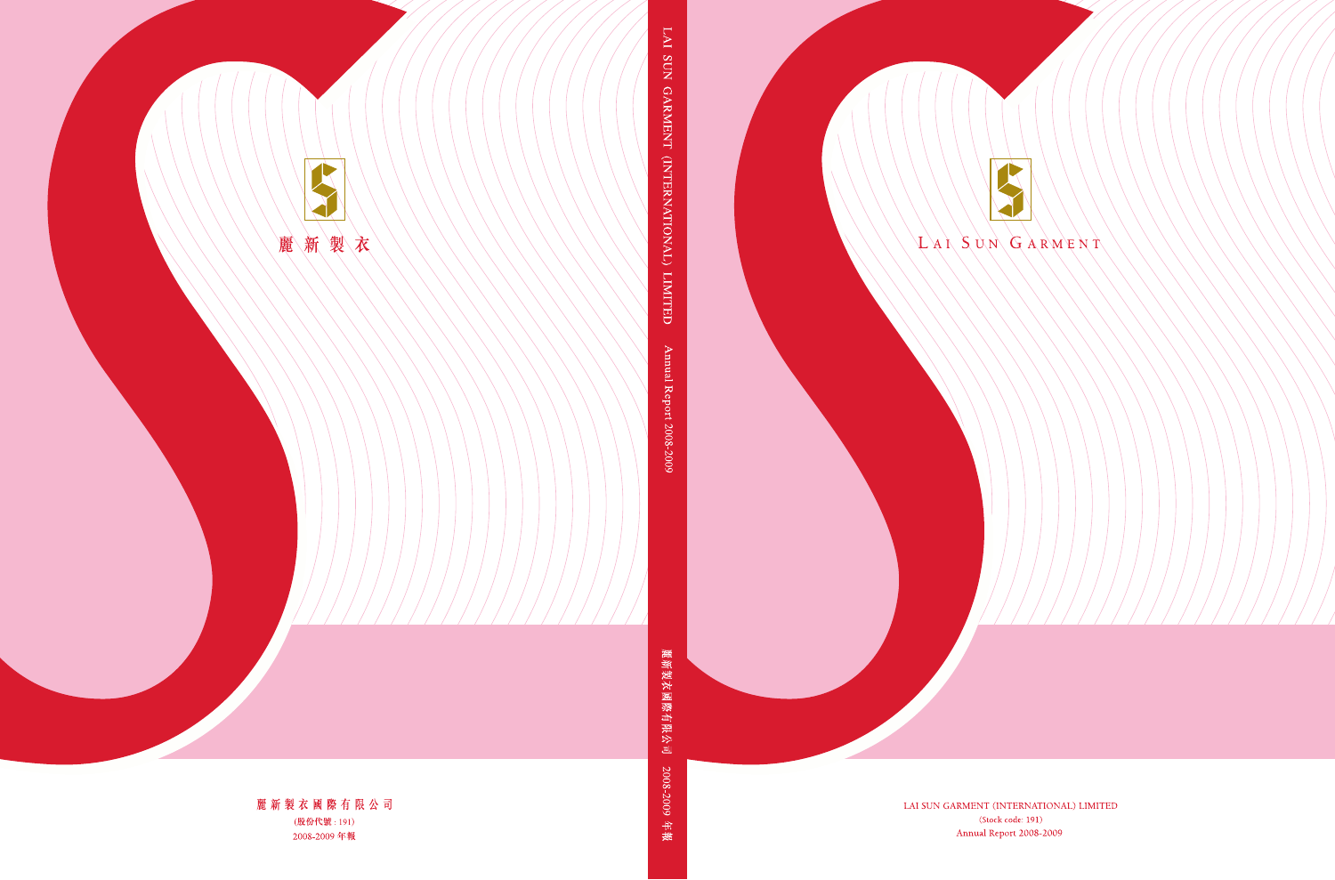

LAI SUN GARMENT (INTERNATIONAL) LIMITED (Stock code: 191) Annual Report 2008-2009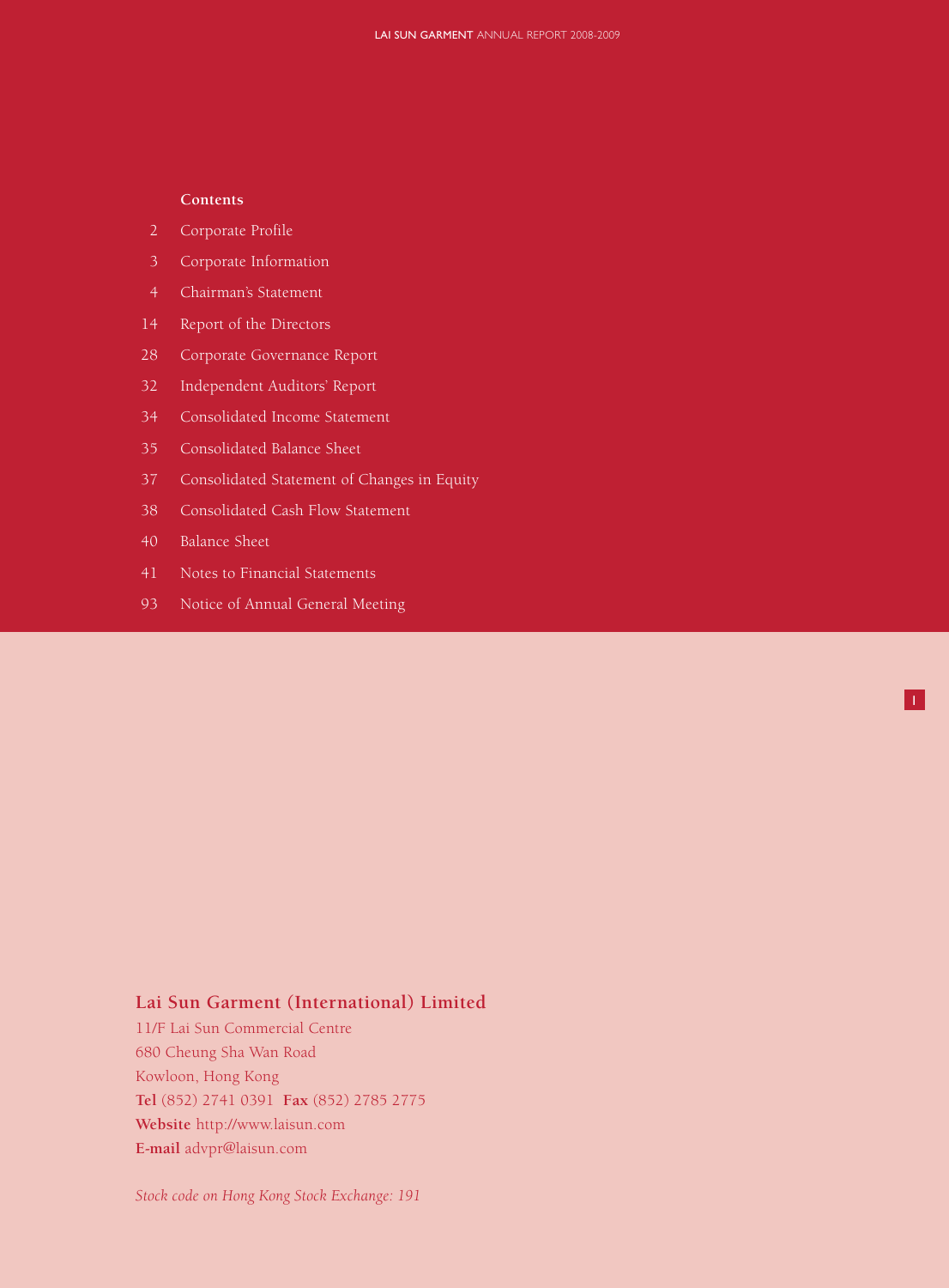#### **Contents**

- 2 Corporate Profile
- 3 Corporate Information
- 4 Chairman's Statement
- 14 Report of the Directors
- 28 Corporate Governance Report
- 32 Independent Auditors' Report
- 34 Consolidated Income Statement
- 35 Consolidated Balance Sheet
- 37 Consolidated Statement of Changes in Equity
- 38 Consolidated Cash Flow Statement
- 40 Balance Sheet
- 41 Notes to Financial Statements
- 93 Notice of Annual General Meeting

### **Lai Sun Garment (International) Limited**

11/F Lai Sun Commercial Centre 680 Cheung Sha Wan Road Kowloon, Hong Kong **Tel** (852) 2741 0391 **Fax** (852) 2785 2775 **Website** http://www.laisun.com **E-mail** advpr@laisun.com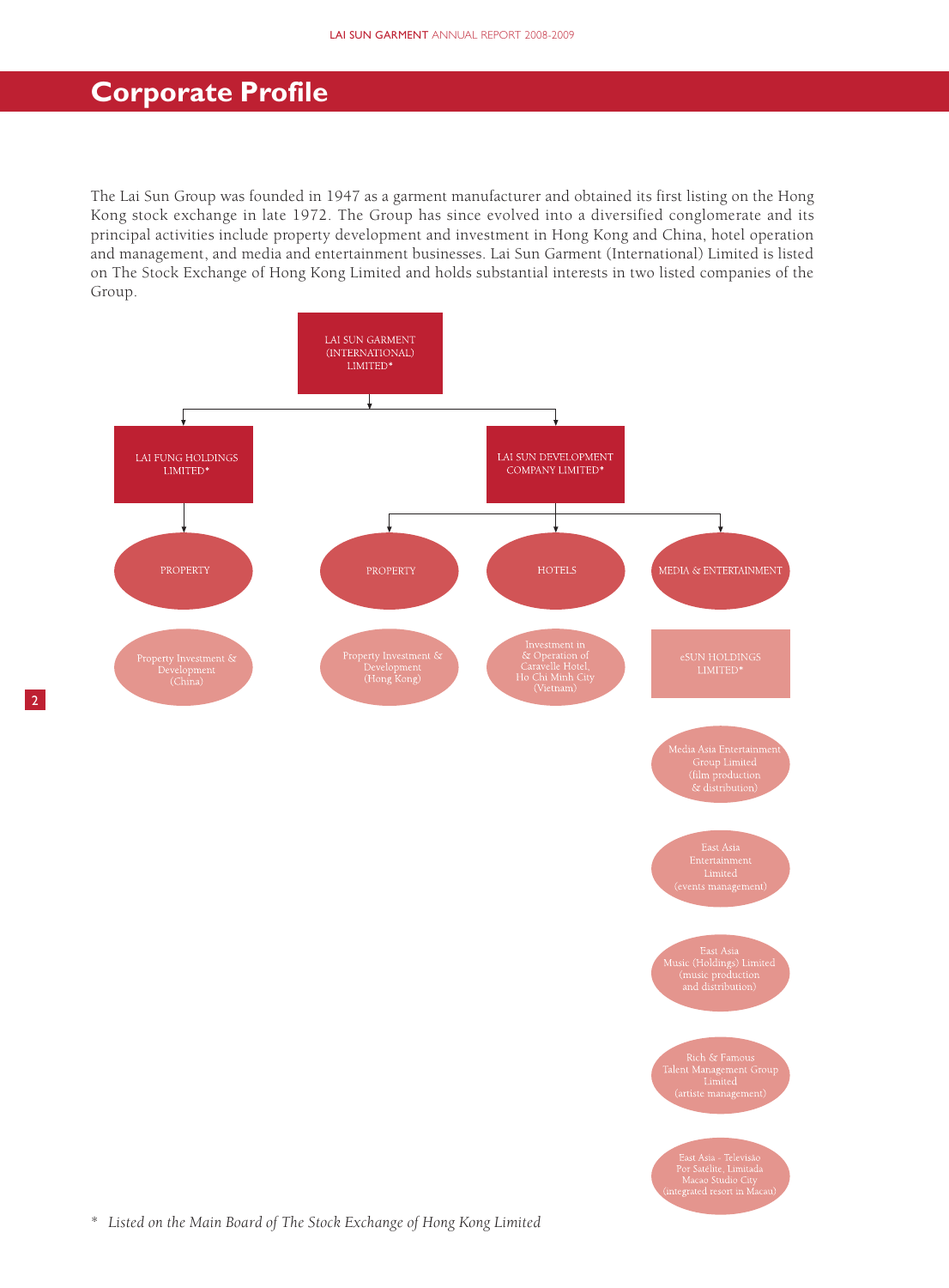# **Corporate Profile**

The Lai Sun Group was founded in 1947 as a garment manufacturer and obtained its first listing on the Hong Kong stock exchange in late 1972. The Group has since evolved into a diversified conglomerate and its principal activities include property development and investment in Hong Kong and China, hotel operation and management, and media and entertainment businesses. Lai Sun Garment (International) Limited is listed on The Stock Exchange of Hong Kong Limited and holds substantial interests in two listed companies of the Group.

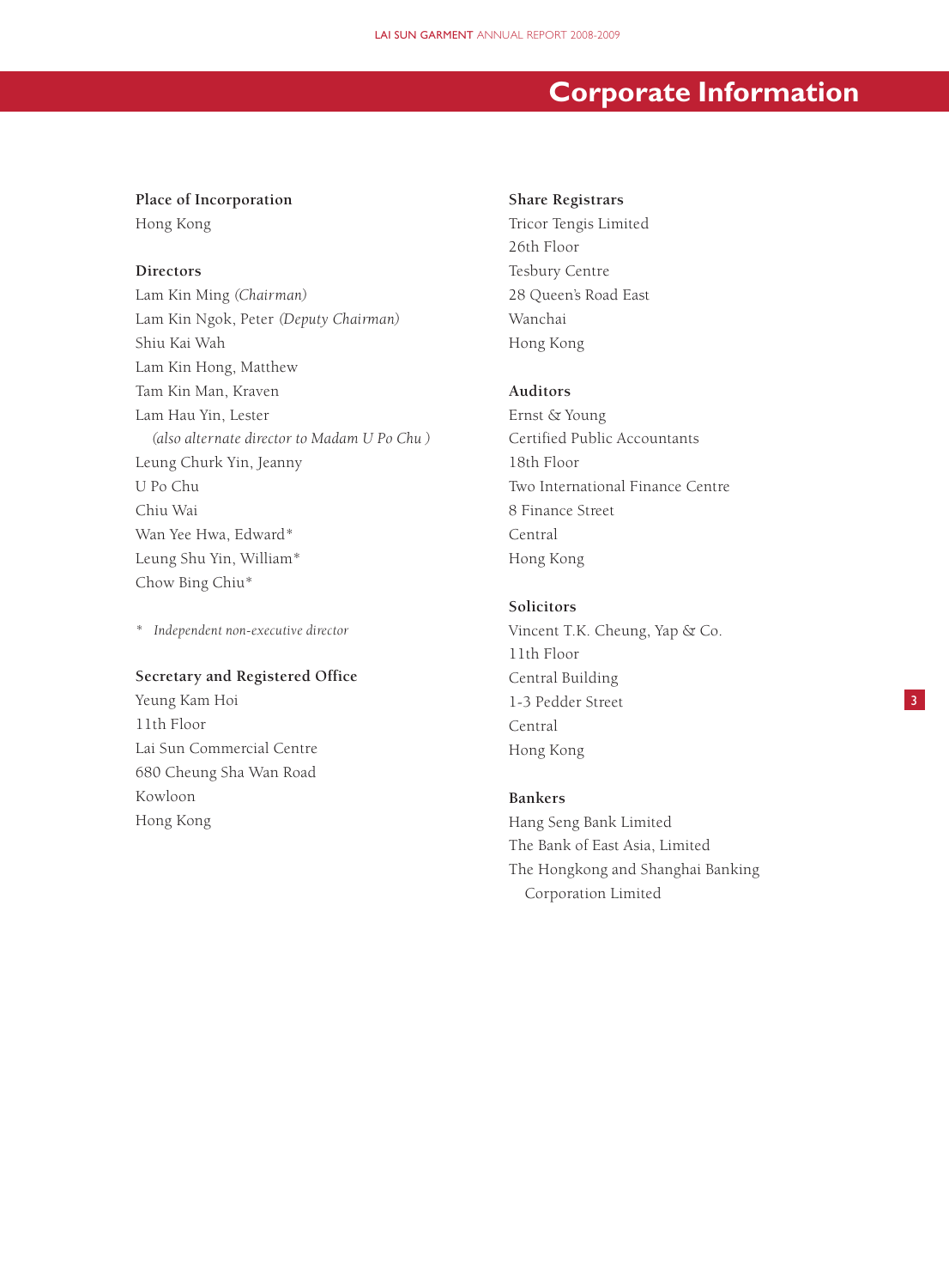# **Corporate Information**

# **Place of Incorporation**

Hong Kong

### **Directors**

Lam Kin Ming *(Chairman)* Lam Kin Ngok, Peter *(Deputy Chairman)* Shiu Kai Wah Lam Kin Hong, Matthew Tam Kin Man, Kraven Lam Hau Yin, Lester *(also alternate director to Madam U Po Chu )* Leung Churk Yin, Jeanny U Po Chu Chiu Wai Wan Yee Hwa, Edward\* Leung Shu Yin, William\* Chow Bing Chiu\*

*\* Independent non-executive director*

### **Secretary and Registered Office**

Yeung Kam Hoi 11th Floor Lai Sun Commercial Centre 680 Cheung Sha Wan Road Kowloon Hong Kong

#### **Share Registrars**

Tricor Tengis Limited 26th Floor Tesbury Centre 28 Queen's Road East Wanchai Hong Kong

#### **Auditors**

Ernst & Young Certified Public Accountants 18th Floor Two International Finance Centre 8 Finance Street Central Hong Kong

#### **Solicitors**

Vincent T.K. Cheung, Yap & Co. 11th Floor Central Building 1-3 Pedder Street Central Hong Kong

#### **Bankers**

Hang Seng Bank Limited The Bank of East Asia, Limited The Hongkong and Shanghai Banking Corporation Limited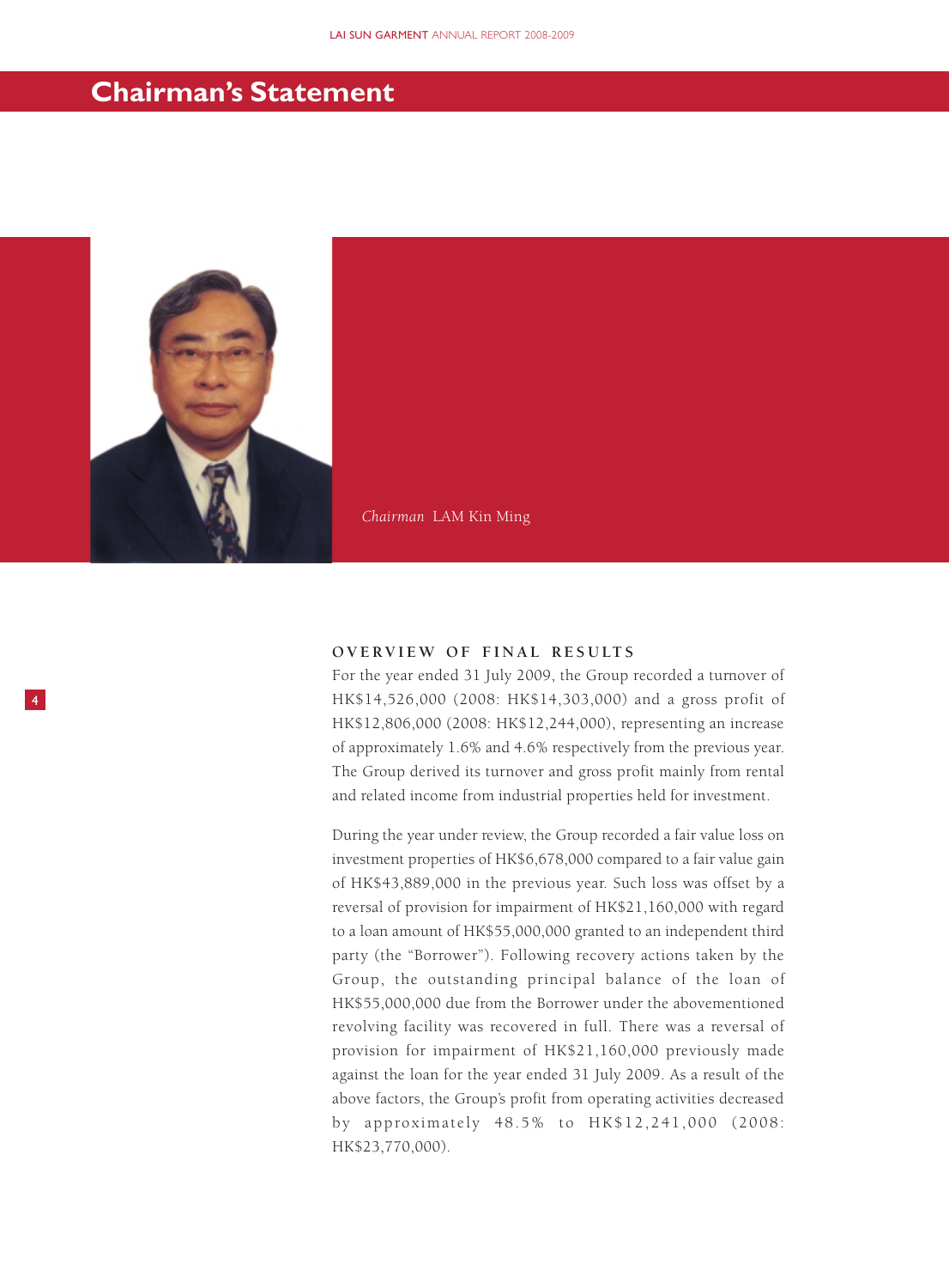# **Chairman's Statement**



*Chairman* LAM Kin Ming

#### **OVERVIEW OF FINAL RESULTS**

For the year ended 31 July 2009, the Group recorded a turnover of HK\$14,526,000 (2008: HK\$14,303,000) and a gross profit of HK\$12,806,000 (2008: HK\$12,244,000), representing an increase of approximately 1.6% and 4.6% respectively from the previous year. The Group derived its turnover and gross profit mainly from rental and related income from industrial properties held for investment.

During the year under review, the Group recorded a fair value loss on investment properties of HK\$6,678,000 compared to a fair value gain of HK\$43,889,000 in the previous year. Such loss was offset by a reversal of provision for impairment of HK\$21,160,000 with regard to a loan amount of HK\$55,000,000 granted to an independent third party (the "Borrower"). Following recovery actions taken by the Group, the outstanding principal balance of the loan of HK\$55,000,000 due from the Borrower under the abovementioned revolving facility was recovered in full. There was a reversal of provision for impairment of HK\$21,160,000 previously made against the loan for the year ended 31 July 2009. As a result of the above factors, the Group's profit from operating activities decreased by approximately 48.5% to HK\$12,241,000 (2008: HK\$23,770,000).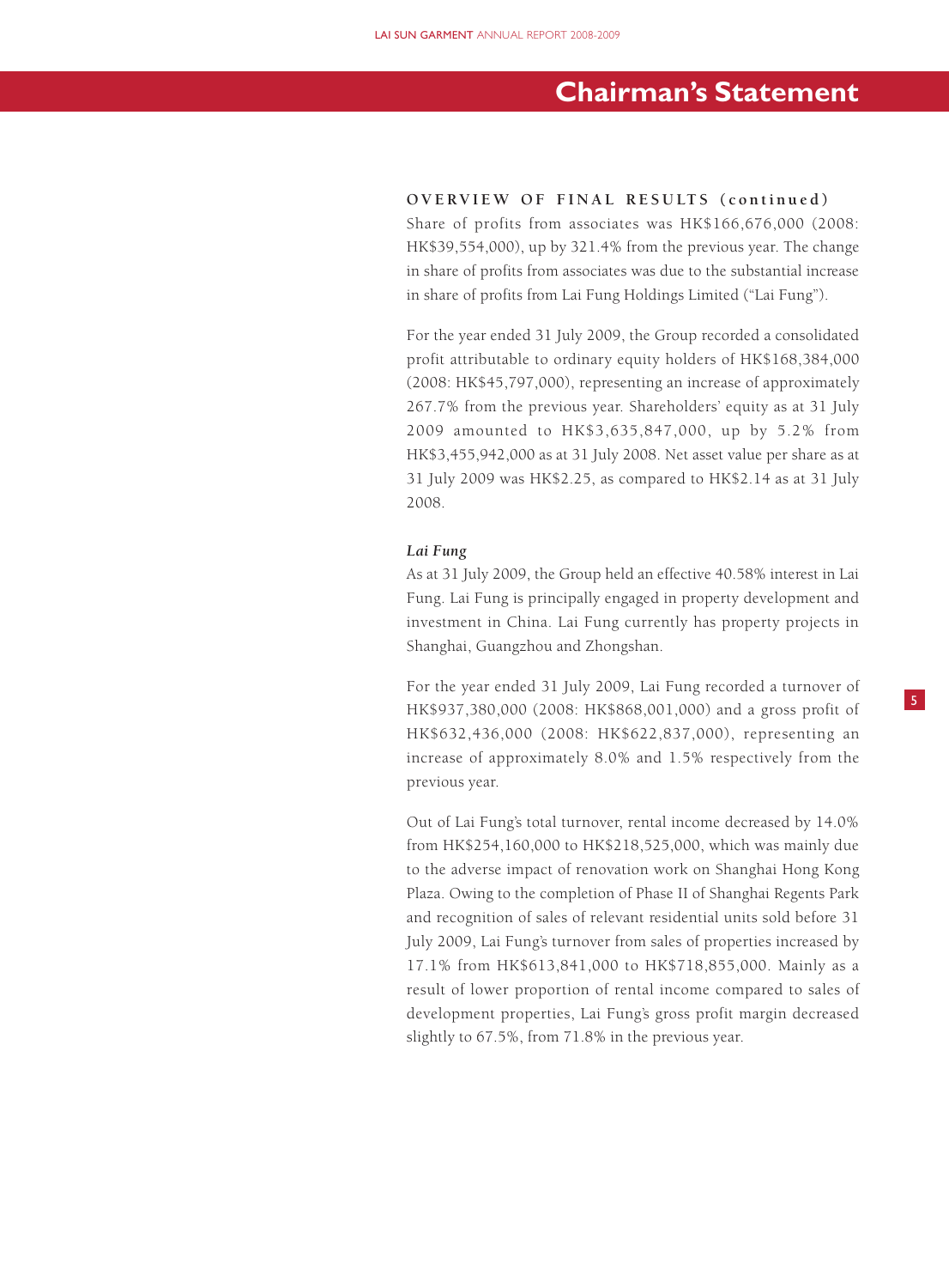# **Chairman's Statement**

#### **OVERVIEW OF FINAL RESULTS (continued)**

Share of profits from associates was HK\$166,676,000 (2008: HK\$39,554,000), up by 321.4% from the previous year. The change in share of profits from associates was due to the substantial increase in share of profits from Lai Fung Holdings Limited ("Lai Fung").

For the year ended 31 July 2009, the Group recorded a consolidated profit attributable to ordinary equity holders of HK\$168,384,000 (2008: HK\$45,797,000), representing an increase of approximately 267.7% from the previous year. Shareholders' equity as at 31 July 2009 amounted to HK\$3,635,847,000, up by 5.2% from HK\$3,455,942,000 as at 31 July 2008. Net asset value per share as at 31 July 2009 was HK\$2.25, as compared to HK\$2.14 as at 31 July 2008.

#### *Lai Fung*

As at 31 July 2009, the Group held an effective 40.58% interest in Lai Fung. Lai Fung is principally engaged in property development and investment in China. Lai Fung currently has property projects in Shanghai, Guangzhou and Zhongshan.

For the year ended 31 July 2009, Lai Fung recorded a turnover of HK\$937,380,000 (2008: HK\$868,001,000) and a gross profit of HK\$632,436,000 (2008: HK\$622,837,000), representing an increase of approximately 8.0% and 1.5% respectively from the previous year.

Out of Lai Fung's total turnover, rental income decreased by 14.0% from HK\$254,160,000 to HK\$218,525,000, which was mainly due to the adverse impact of renovation work on Shanghai Hong Kong Plaza. Owing to the completion of Phase II of Shanghai Regents Park and recognition of sales of relevant residential units sold before 31 July 2009, Lai Fung's turnover from sales of properties increased by 17.1% from HK\$613,841,000 to HK\$718,855,000. Mainly as a result of lower proportion of rental income compared to sales of development properties, Lai Fung's gross profit margin decreased slightly to 67.5%, from 71.8% in the previous year.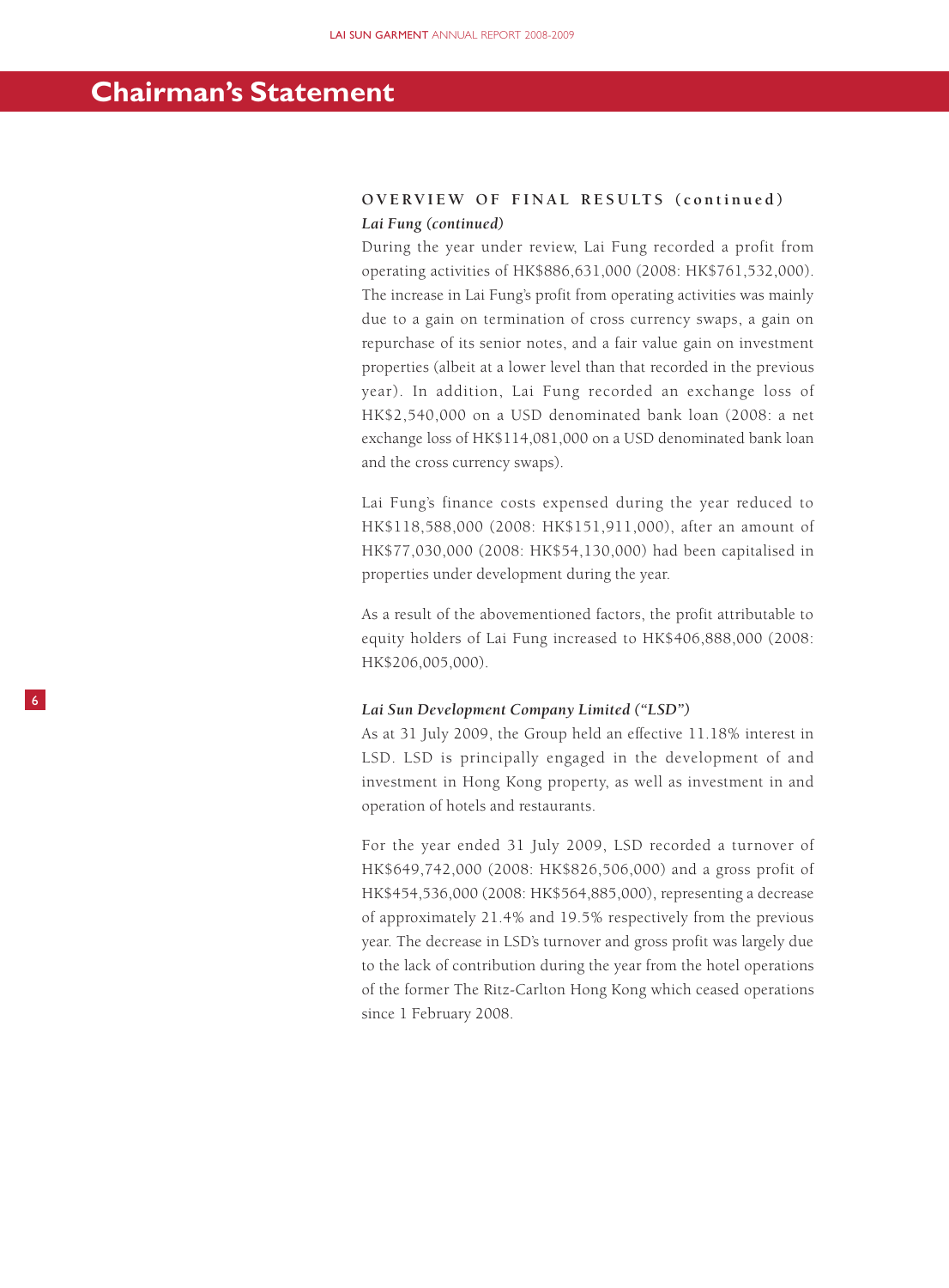## **OVERVIEW OF FINAL RESULTS (continued)** *Lai Fung (continued)*

During the year under review, Lai Fung recorded a profit from operating activities of HK\$886,631,000 (2008: HK\$761,532,000). The increase in Lai Fung's profit from operating activities was mainly due to a gain on termination of cross currency swaps, a gain on repurchase of its senior notes, and a fair value gain on investment properties (albeit at a lower level than that recorded in the previous year). In addition, Lai Fung recorded an exchange loss of HK\$2,540,000 on a USD denominated bank loan (2008: a net exchange loss of HK\$114,081,000 on a USD denominated bank loan and the cross currency swaps).

Lai Fung's finance costs expensed during the year reduced to HK\$118,588,000 (2008: HK\$151,911,000), after an amount of HK\$77,030,000 (2008: HK\$54,130,000) had been capitalised in properties under development during the year.

As a result of the abovementioned factors, the profit attributable to equity holders of Lai Fung increased to HK\$406,888,000 (2008: HK\$206,005,000).

### *Lai Sun Development Company Limited ("LSD")*

As at 31 July 2009, the Group held an effective 11.18% interest in LSD. LSD is principally engaged in the development of and investment in Hong Kong property, as well as investment in and operation of hotels and restaurants.

For the year ended 31 July 2009, LSD recorded a turnover of HK\$649,742,000 (2008: HK\$826,506,000) and a gross profit of HK\$454,536,000 (2008: HK\$564,885,000), representing a decrease of approximately 21.4% and 19.5% respectively from the previous year. The decrease in LSD's turnover and gross profit was largely due to the lack of contribution during the year from the hotel operations of the former The Ritz-Carlton Hong Kong which ceased operations since 1 February 2008.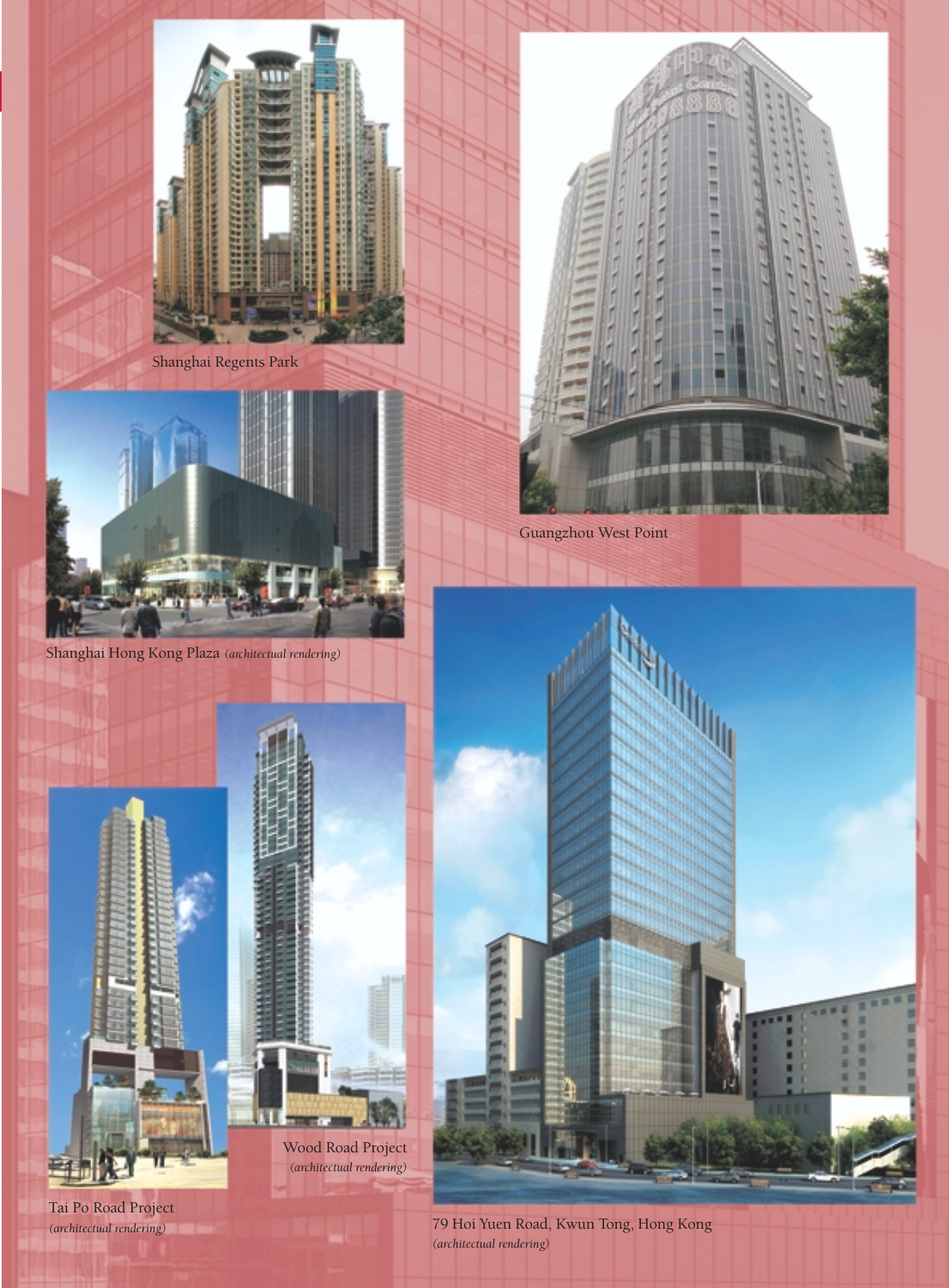

Tai Po Road Project<br>(architectual rendering)

*(architectual rendering)* 79 Hoi Yuen Road, Kwun Tong, Hong Kong *(architectual rendering)*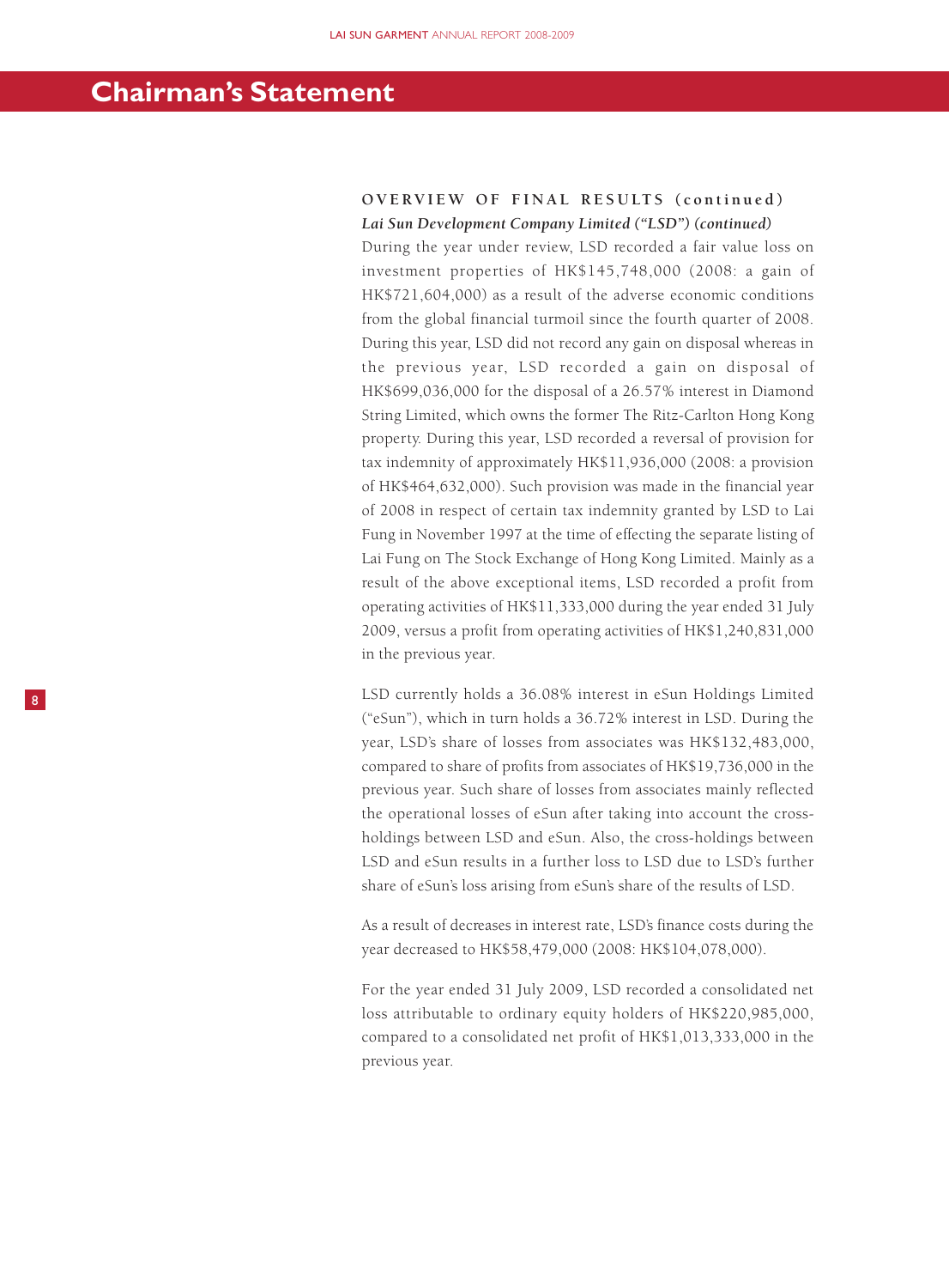## **OVERVIEW OF FINAL RESULTS (continued)** *Lai Sun Development Company Limited ("LSD") (continued)*

During the year under review, LSD recorded a fair value loss on investment properties of HK\$145,748,000 (2008: a gain of HK\$721,604,000) as a result of the adverse economic conditions from the global financial turmoil since the fourth quarter of 2008. During this year, LSD did not record any gain on disposal whereas in the previous year, LSD recorded a gain on disposal of HK\$699,036,000 for the disposal of a 26.57% interest in Diamond String Limited, which owns the former The Ritz-Carlton Hong Kong property. During this year, LSD recorded a reversal of provision for tax indemnity of approximately HK\$11,936,000 (2008: a provision of HK\$464,632,000). Such provision was made in the financial year of 2008 in respect of certain tax indemnity granted by LSD to Lai Fung in November 1997 at the time of effecting the separate listing of Lai Fung on The Stock Exchange of Hong Kong Limited. Mainly as a result of the above exceptional items, LSD recorded a profit from operating activities of HK\$11,333,000 during the year ended 31 July 2009, versus a profit from operating activities of HK\$1,240,831,000 in the previous year.

LSD currently holds a 36.08% interest in eSun Holdings Limited ("eSun"), which in turn holds a 36.72% interest in LSD. During the year, LSD's share of losses from associates was HK\$132,483,000, compared to share of profits from associates of HK\$19,736,000 in the previous year. Such share of losses from associates mainly reflected the operational losses of eSun after taking into account the crossholdings between LSD and eSun. Also, the cross-holdings between LSD and eSun results in a further loss to LSD due to LSD's further share of eSun's loss arising from eSun's share of the results of LSD.

As a result of decreases in interest rate, LSD's finance costs during the year decreased to HK\$58,479,000 (2008: HK\$104,078,000).

For the year ended 31 July 2009, LSD recorded a consolidated net loss attributable to ordinary equity holders of HK\$220,985,000, compared to a consolidated net profit of HK\$1,013,333,000 in the previous year.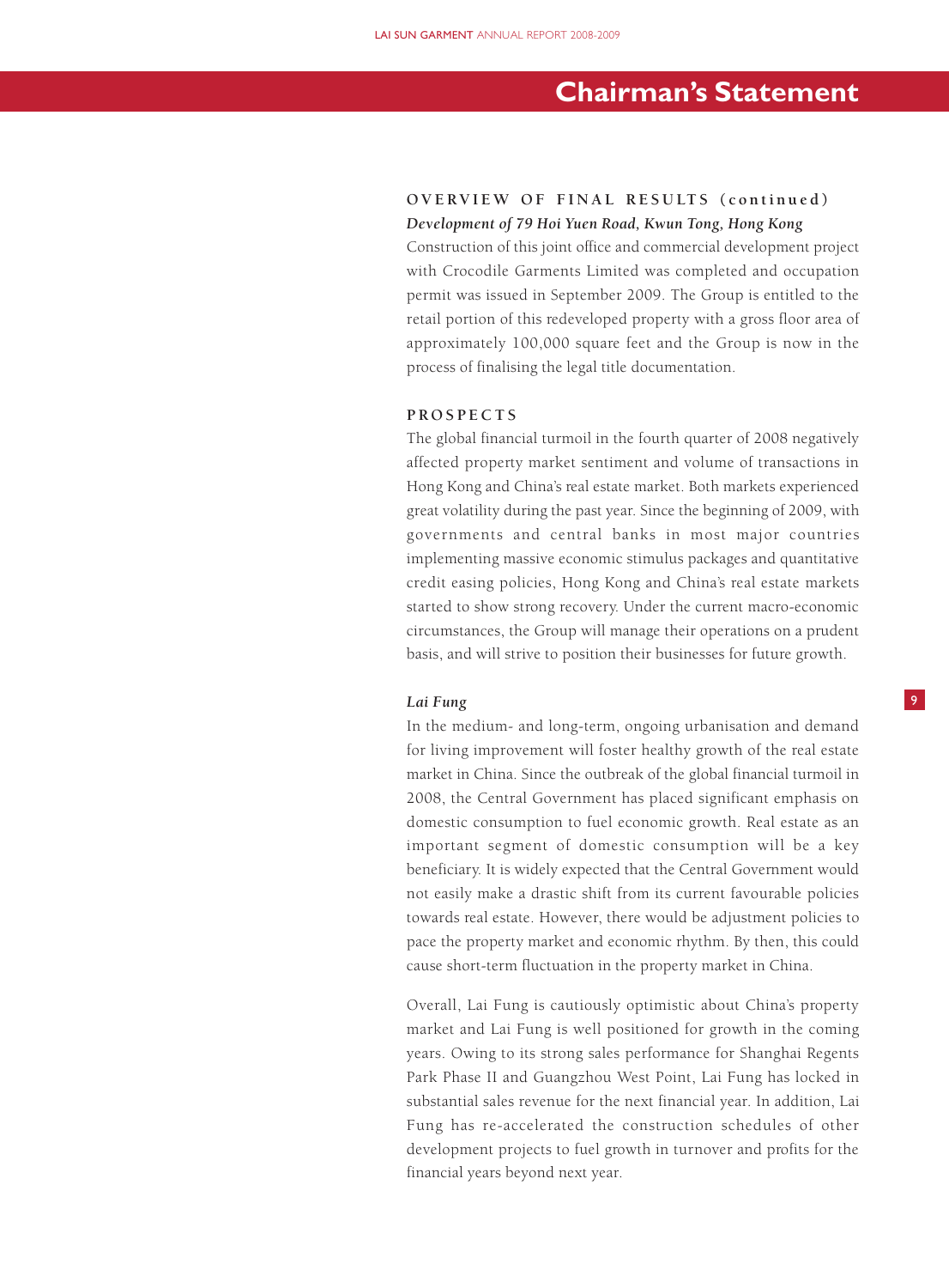## **OVERVIEW OF FINAL RESULTS (continued)** *Development of 79 Hoi Yuen Road, Kwun Tong, Hong Kong*

Construction of this joint office and commercial development project with Crocodile Garments Limited was completed and occupation permit was issued in September 2009. The Group is entitled to the retail portion of this redeveloped property with a gross floor area of approximately 100,000 square feet and the Group is now in the process of finalising the legal title documentation.

### **PROSPECTS**

The global financial turmoil in the fourth quarter of 2008 negatively affected property market sentiment and volume of transactions in Hong Kong and China's real estate market. Both markets experienced great volatility during the past year. Since the beginning of 2009, with governments and central banks in most major countries implementing massive economic stimulus packages and quantitative credit easing policies, Hong Kong and China's real estate markets started to show strong recovery. Under the current macro-economic circumstances, the Group will manage their operations on a prudent basis, and will strive to position their businesses for future growth.

#### *Lai Fung*

In the medium- and long-term, ongoing urbanisation and demand for living improvement will foster healthy growth of the real estate market in China. Since the outbreak of the global financial turmoil in 2008, the Central Government has placed significant emphasis on domestic consumption to fuel economic growth. Real estate as an important segment of domestic consumption will be a key beneficiary. It is widely expected that the Central Government would not easily make a drastic shift from its current favourable policies towards real estate. However, there would be adjustment policies to pace the property market and economic rhythm. By then, this could cause short-term fluctuation in the property market in China.

Overall, Lai Fung is cautiously optimistic about China's property market and Lai Fung is well positioned for growth in the coming years. Owing to its strong sales performance for Shanghai Regents Park Phase II and Guangzhou West Point, Lai Fung has locked in substantial sales revenue for the next financial year. In addition, Lai Fung has re-accelerated the construction schedules of other development projects to fuel growth in turnover and profits for the financial years beyond next year.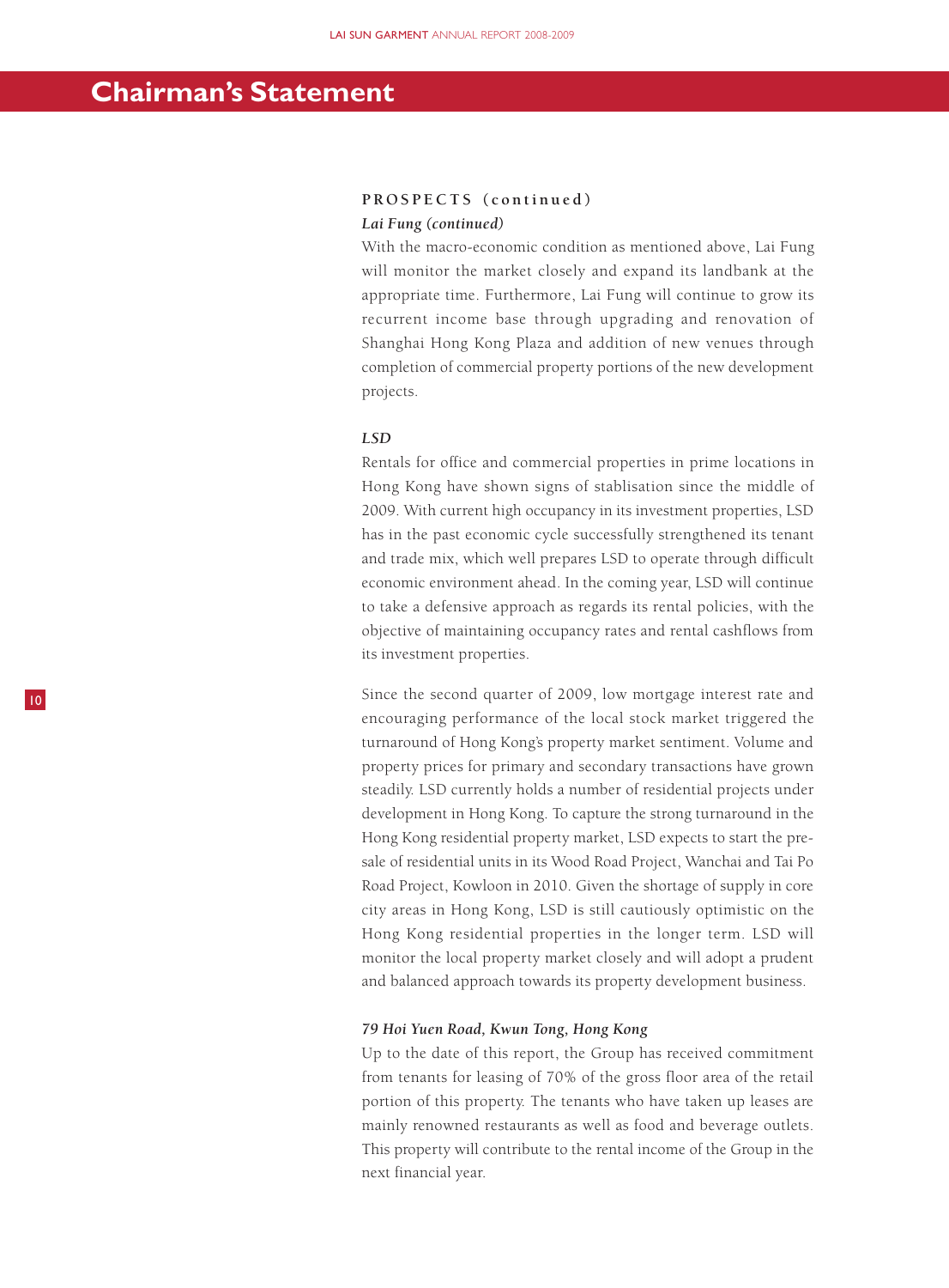### **PROSPECTS (continued)** *Lai Fung (continued)*

With the macro-economic condition as mentioned above, Lai Fung will monitor the market closely and expand its landbank at the appropriate time. Furthermore, Lai Fung will continue to grow its recurrent income base through upgrading and renovation of Shanghai Hong Kong Plaza and addition of new venues through completion of commercial property portions of the new development projects.

#### *LSD*

Rentals for office and commercial properties in prime locations in Hong Kong have shown signs of stablisation since the middle of 2009. With current high occupancy in its investment properties, LSD has in the past economic cycle successfully strengthened its tenant and trade mix, which well prepares LSD to operate through difficult economic environment ahead. In the coming year, LSD will continue to take a defensive approach as regards its rental policies, with the objective of maintaining occupancy rates and rental cashflows from its investment properties.

Since the second quarter of 2009, low mortgage interest rate and encouraging performance of the local stock market triggered the turnaround of Hong Kong's property market sentiment. Volume and property prices for primary and secondary transactions have grown steadily. LSD currently holds a number of residential projects under development in Hong Kong. To capture the strong turnaround in the Hong Kong residential property market, LSD expects to start the presale of residential units in its Wood Road Project, Wanchai and Tai Po Road Project, Kowloon in 2010. Given the shortage of supply in core city areas in Hong Kong, LSD is still cautiously optimistic on the Hong Kong residential properties in the longer term. LSD will monitor the local property market closely and will adopt a prudent and balanced approach towards its property development business.

#### *79 Hoi Yuen Road, Kwun Tong, Hong Kong*

Up to the date of this report, the Group has received commitment from tenants for leasing of 70% of the gross floor area of the retail portion of this property. The tenants who have taken up leases are mainly renowned restaurants as well as food and beverage outlets. This property will contribute to the rental income of the Group in the next financial year.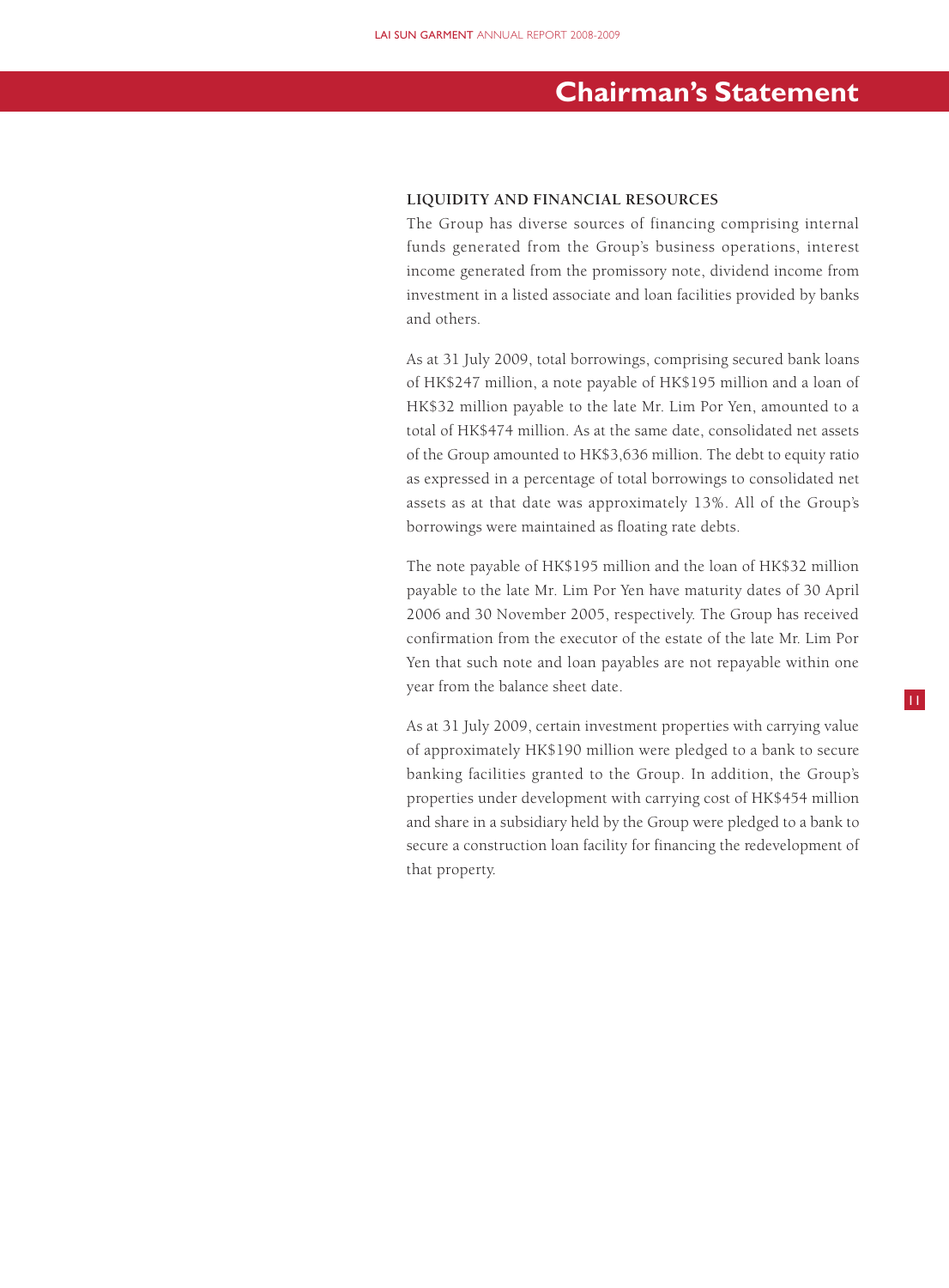# **Chairman's Statement**

#### **LIQUIDITY AND FINANCIAL RESOURCES**

The Group has diverse sources of financing comprising internal funds generated from the Group's business operations, interest income generated from the promissory note, dividend income from investment in a listed associate and loan facilities provided by banks and others.

As at 31 July 2009, total borrowings, comprising secured bank loans of HK\$247 million, a note payable of HK\$195 million and a loan of HK\$32 million payable to the late Mr. Lim Por Yen, amounted to a total of HK\$474 million. As at the same date, consolidated net assets of the Group amounted to HK\$3,636 million. The debt to equity ratio as expressed in a percentage of total borrowings to consolidated net assets as at that date was approximately 13%. All of the Group's borrowings were maintained as floating rate debts.

The note payable of HK\$195 million and the loan of HK\$32 million payable to the late Mr. Lim Por Yen have maturity dates of 30 April 2006 and 30 November 2005, respectively. The Group has received confirmation from the executor of the estate of the late Mr. Lim Por Yen that such note and loan payables are not repayable within one year from the balance sheet date.

As at 31 July 2009, certain investment properties with carrying value of approximately HK\$190 million were pledged to a bank to secure banking facilities granted to the Group. In addition, the Group's properties under development with carrying cost of HK\$454 million and share in a subsidiary held by the Group were pledged to a bank to secure a construction loan facility for financing the redevelopment of that property.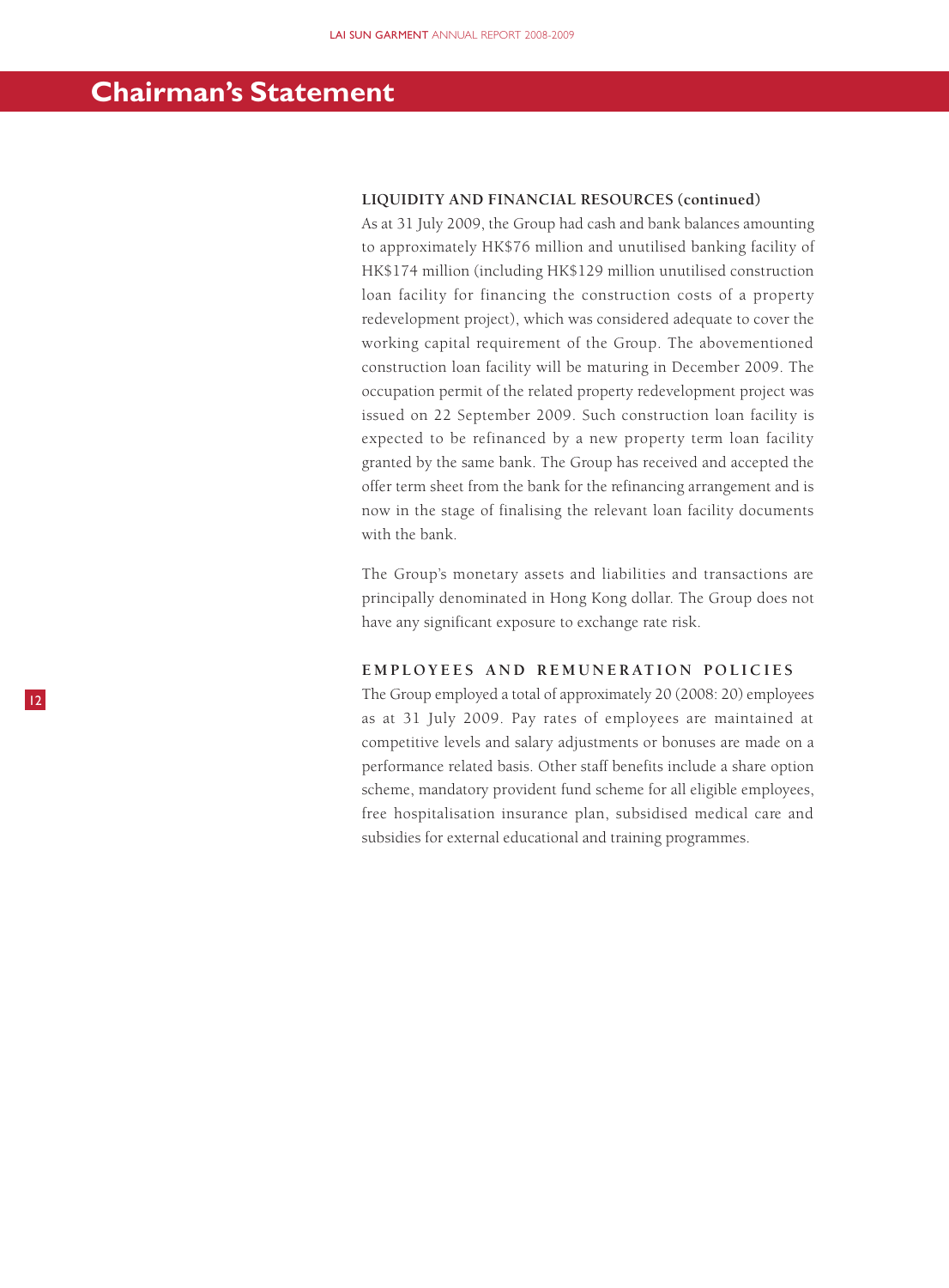#### **LIQUIDITY AND FINANCIAL RESOURCES (continued)**

As at 31 July 2009, the Group had cash and bank balances amounting to approximately HK\$76 million and unutilised banking facility of HK\$174 million (including HK\$129 million unutilised construction loan facility for financing the construction costs of a property redevelopment project), which was considered adequate to cover the working capital requirement of the Group. The abovementioned construction loan facility will be maturing in December 2009. The occupation permit of the related property redevelopment project was issued on 22 September 2009. Such construction loan facility is expected to be refinanced by a new property term loan facility granted by the same bank. The Group has received and accepted the offer term sheet from the bank for the refinancing arrangement and is now in the stage of finalising the relevant loan facility documents with the bank.

The Group's monetary assets and liabilities and transactions are principally denominated in Hong Kong dollar. The Group does not have any significant exposure to exchange rate risk.

# **EMPLOYEES AND REMUNERATION POLICIES**

The Group employed a total of approximately 20 (2008: 20) employees as at 31 July 2009. Pay rates of employees are maintained at competitive levels and salary adjustments or bonuses are made on a performance related basis. Other staff benefits include a share option scheme, mandatory provident fund scheme for all eligible employees, free hospitalisation insurance plan, subsidised medical care and subsidies for external educational and training programmes.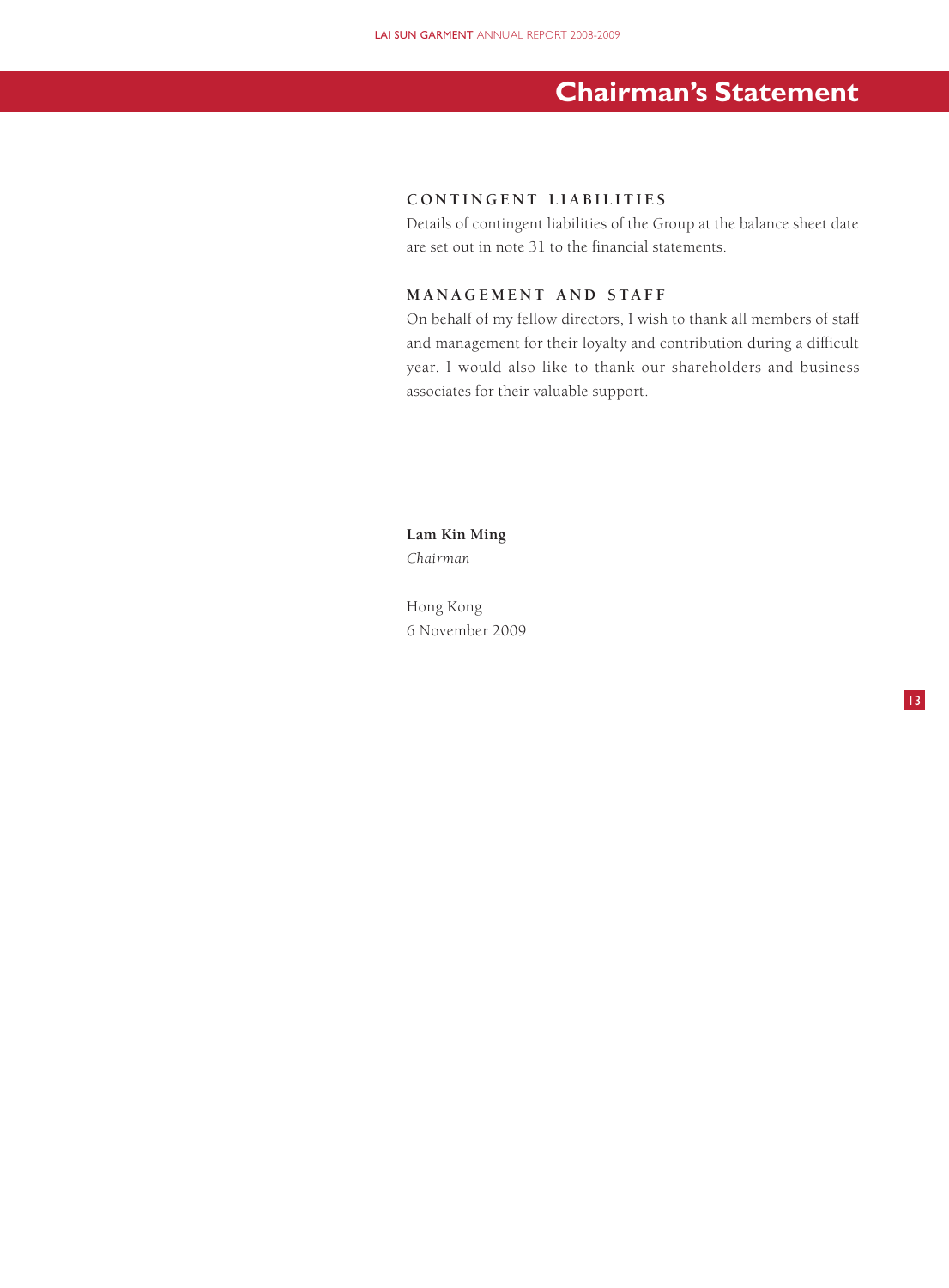# **Chairman's Statement**

### **CONTINGENT LIABILITIES**

Details of contingent liabilities of the Group at the balance sheet date are set out in note 31 to the financial statements.

## **MANAGEMENT AND STAFF**

On behalf of my fellow directors, I wish to thank all members of staff and management for their loyalty and contribution during a difficult year. I would also like to thank our shareholders and business associates for their valuable support.

**Lam Kin Ming** *Chairman*

Hong Kong 6 November 2009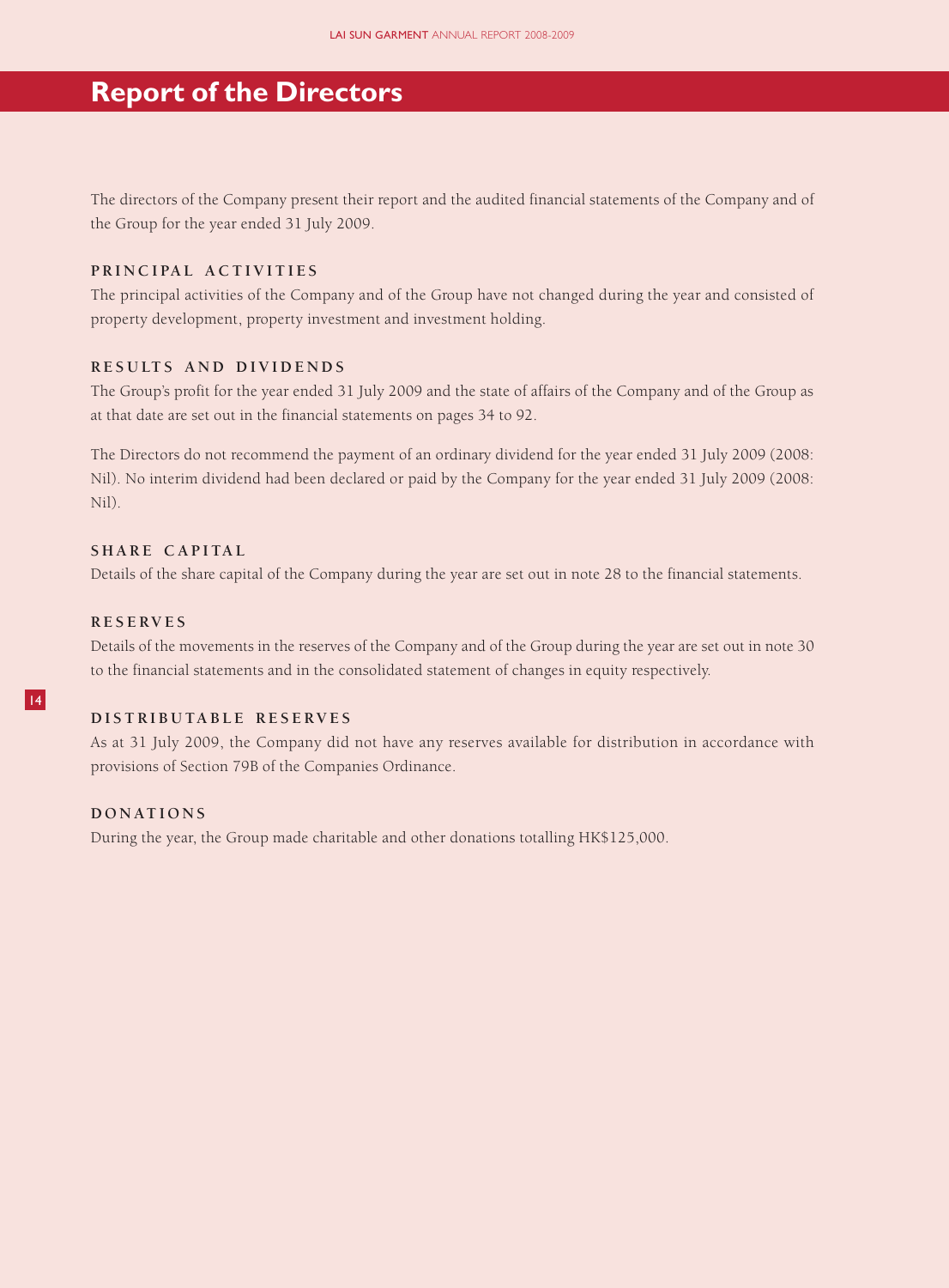The directors of the Company present their report and the audited financial statements of the Company and of the Group for the year ended 31 July 2009.

### **PRINCIPAL ACTIVITIES**

The principal activities of the Company and of the Group have not changed during the year and consisted of property development, property investment and investment holding.

### **RESULTS AND DIVIDENDS**

The Group's profit for the year ended 31 July 2009 and the state of affairs of the Company and of the Group as at that date are set out in the financial statements on pages 34 to 92.

The Directors do not recommend the payment of an ordinary dividend for the year ended 31 July 2009 (2008: Nil). No interim dividend had been declared or paid by the Company for the year ended 31 July 2009 (2008: Nil).

#### **SHARE CAPITAL**

Details of the share capital of the Company during the year are set out in note 28 to the financial statements.

#### **RESERVES**

Details of the movements in the reserves of the Company and of the Group during the year are set out in note 30 to the financial statements and in the consolidated statement of changes in equity respectively.

### **DISTRIBUTABLE RESERVES**

As at 31 July 2009, the Company did not have any reserves available for distribution in accordance with provisions of Section 79B of the Companies Ordinance.

#### **DONATIONS**

During the year, the Group made charitable and other donations totalling HK\$125,000.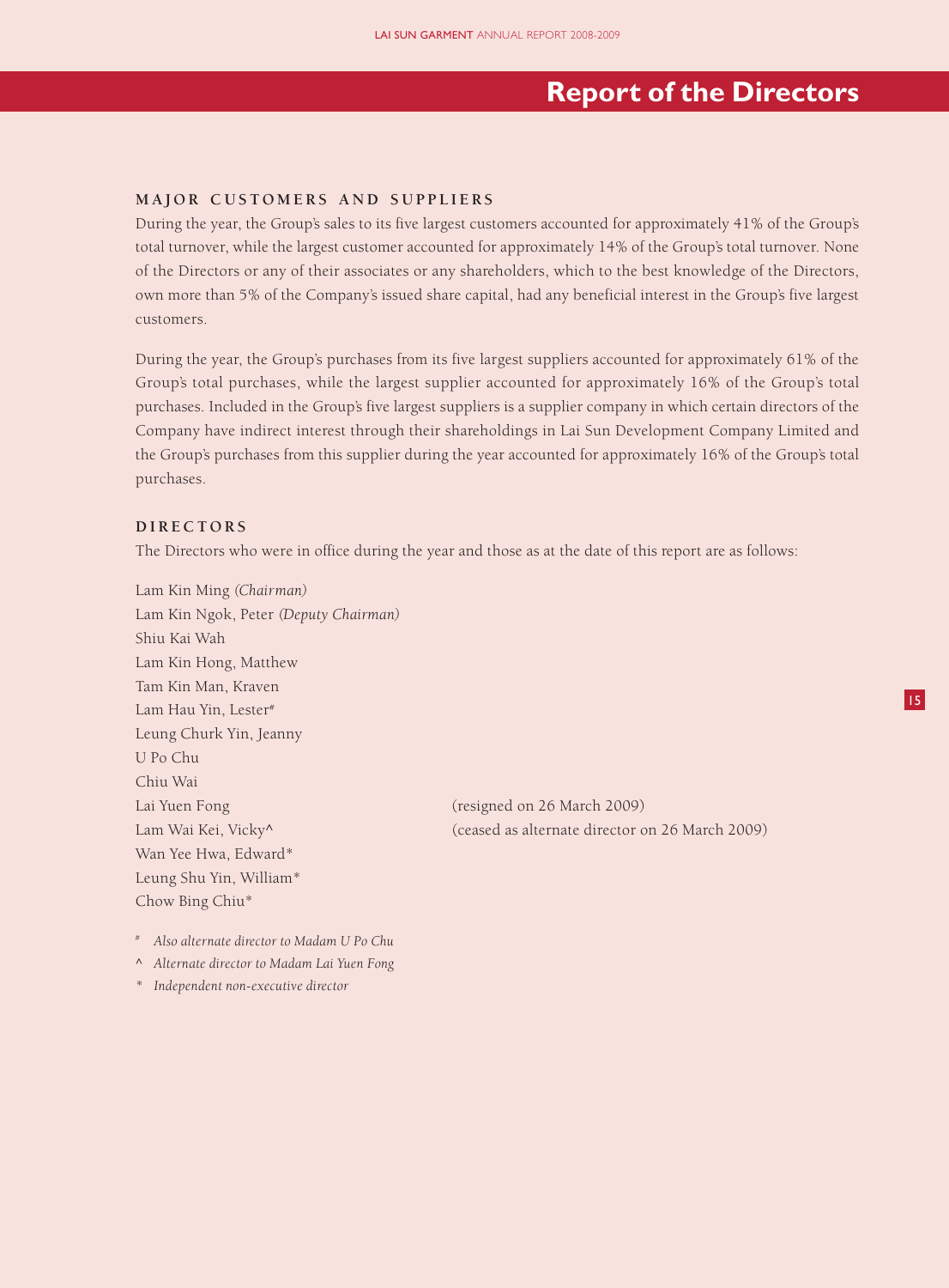#### **MAJOR CUSTOMERS AND SUPPLIERS**

During the year, the Group's sales to its five largest customers accounted for approximately 41% of the Group's total turnover, while the largest customer accounted for approximately 14% of the Group's total turnover. None of the Directors or any of their associates or any shareholders, which to the best knowledge of the Directors, own more than 5% of the Company's issued share capital, had any beneficial interest in the Group's five largest customers.

During the year, the Group's purchases from its five largest suppliers accounted for approximately 61% of the Group's total purchases, while the largest supplier accounted for approximately 16% of the Group's total purchases. Included in the Group's five largest suppliers is a supplier company in which certain directors of the Company have indirect interest through their shareholdings in Lai Sun Development Company Limited and the Group's purchases from this supplier during the year accounted for approximately 16% of the Group's total purchases.

#### **DIRECTORS**

The Directors who were in office during the year and those as at the date of this report are as follows:

Lam Kin Ming *(Chairman)* Lam Kin Ngok, Peter *(Deputy Chairman)* Shiu Kai Wah Lam Kin Hong, Matthew Tam Kin Man, Kraven Lam Hau Yin, Lester# Leung Churk Yin, Jeanny U Po Chu Chiu Wai Lai Yuen Fong (resigned on 26 March 2009) Wan Yee Hwa, Edward\* Leung Shu Yin, William\* Chow Bing Chiu\*

Lam Wai Kei, Vicky<sup>^</sup> (ceased as alternate director on 26 March 2009)

15

*# Also alternate director to Madam U Po Chu*

*^ Alternate director to Madam Lai Yuen Fong*

*\* Independent non-executive director*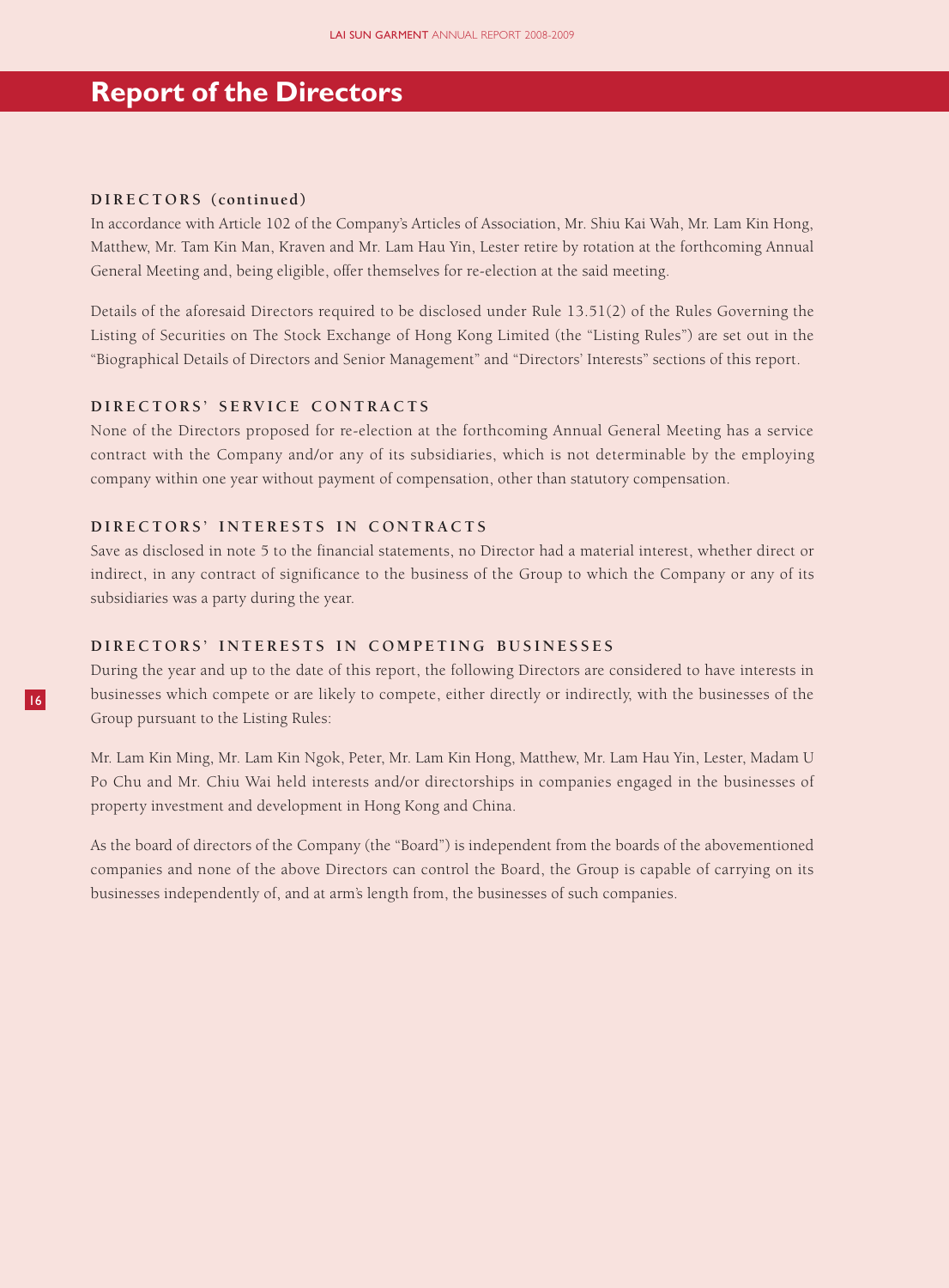#### **DIRECTORS (continued)**

In accordance with Article 102 of the Company's Articles of Association, Mr. Shiu Kai Wah, Mr. Lam Kin Hong, Matthew, Mr. Tam Kin Man, Kraven and Mr. Lam Hau Yin, Lester retire by rotation at the forthcoming Annual General Meeting and, being eligible, offer themselves for re-election at the said meeting.

Details of the aforesaid Directors required to be disclosed under Rule 13.51(2) of the Rules Governing the Listing of Securities on The Stock Exchange of Hong Kong Limited (the "Listing Rules") are set out in the "Biographical Details of Directors and Senior Management" and "Directors' Interests" sections of this report.

#### **DIRECTORS' SERVICE CONTRACTS**

None of the Directors proposed for re-election at the forthcoming Annual General Meeting has a service contract with the Company and/or any of its subsidiaries, which is not determinable by the employing company within one year without payment of compensation, other than statutory compensation.

#### **DIRECTORS' INTERESTS IN CONTRACTS**

Save as disclosed in note 5 to the financial statements, no Director had a material interest, whether direct or indirect, in any contract of significance to the business of the Group to which the Company or any of its subsidiaries was a party during the year.

#### **DIRECTORS' INTERESTS IN COMPETING BUSINESSES**

During the year and up to the date of this report, the following Directors are considered to have interests in businesses which compete or are likely to compete, either directly or indirectly, with the businesses of the Group pursuant to the Listing Rules:

Mr. Lam Kin Ming, Mr. Lam Kin Ngok, Peter, Mr. Lam Kin Hong, Matthew, Mr. Lam Hau Yin, Lester, Madam U Po Chu and Mr. Chiu Wai held interests and/or directorships in companies engaged in the businesses of property investment and development in Hong Kong and China.

As the board of directors of the Company (the "Board") is independent from the boards of the abovementioned companies and none of the above Directors can control the Board, the Group is capable of carrying on its businesses independently of, and at arm's length from, the businesses of such companies.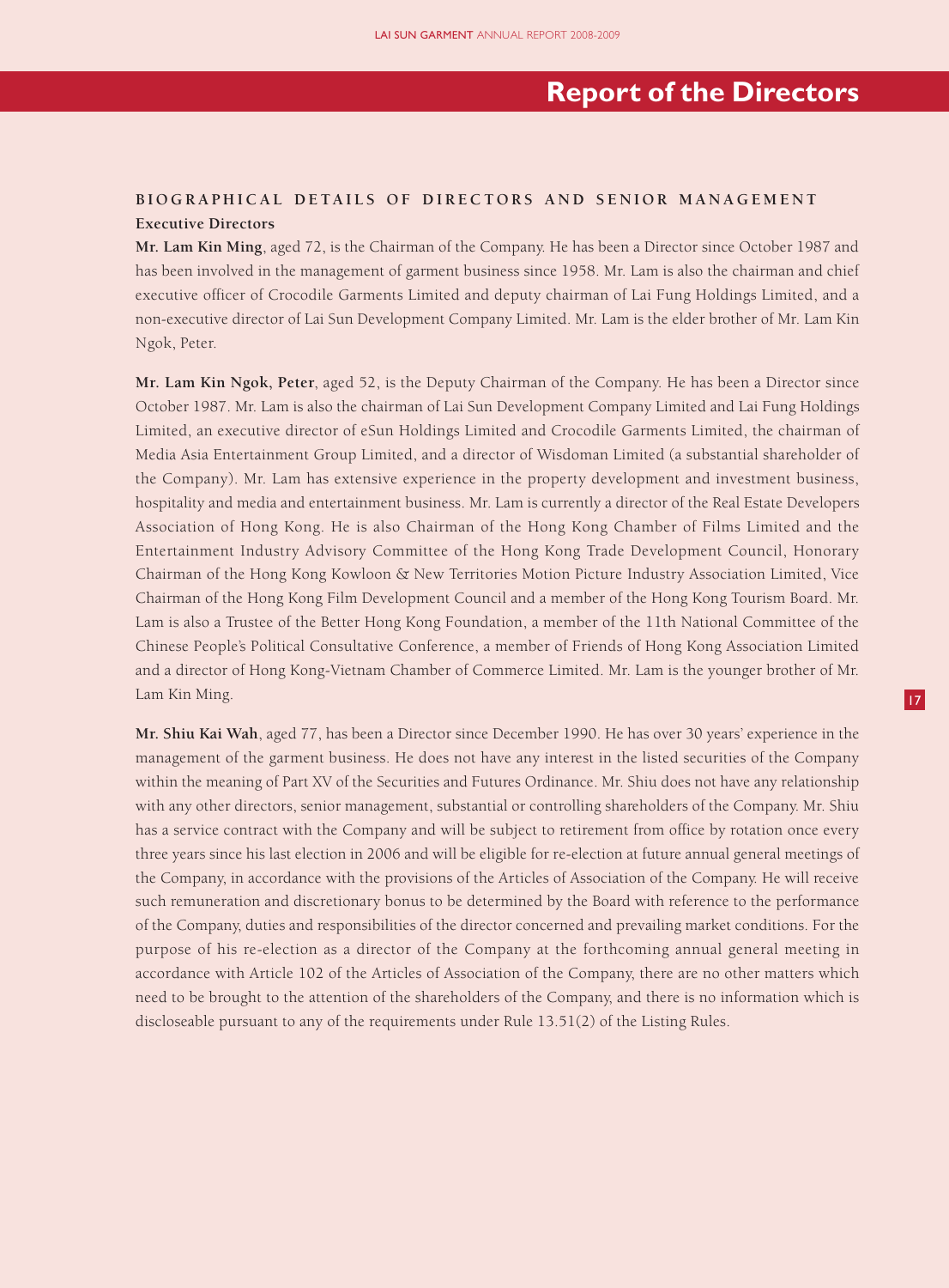# **BIOGRAPHICAL DETAILS OF DIRECTORS AND SENIOR MANAGEMENT Executive Directors**

**Mr. Lam Kin Ming**, aged 72, is the Chairman of the Company. He has been a Director since October 1987 and has been involved in the management of garment business since 1958. Mr. Lam is also the chairman and chief executive officer of Crocodile Garments Limited and deputy chairman of Lai Fung Holdings Limited, and a non-executive director of Lai Sun Development Company Limited. Mr. Lam is the elder brother of Mr. Lam Kin Ngok, Peter.

**Mr. Lam Kin Ngok, Peter**, aged 52, is the Deputy Chairman of the Company. He has been a Director since October 1987. Mr. Lam is also the chairman of Lai Sun Development Company Limited and Lai Fung Holdings Limited, an executive director of eSun Holdings Limited and Crocodile Garments Limited, the chairman of Media Asia Entertainment Group Limited, and a director of Wisdoman Limited (a substantial shareholder of the Company). Mr. Lam has extensive experience in the property development and investment business, hospitality and media and entertainment business. Mr. Lam is currently a director of the Real Estate Developers Association of Hong Kong. He is also Chairman of the Hong Kong Chamber of Films Limited and the Entertainment Industry Advisory Committee of the Hong Kong Trade Development Council, Honorary Chairman of the Hong Kong Kowloon & New Territories Motion Picture Industry Association Limited, Vice Chairman of the Hong Kong Film Development Council and a member of the Hong Kong Tourism Board. Mr. Lam is also a Trustee of the Better Hong Kong Foundation, a member of the 11th National Committee of the Chinese People's Political Consultative Conference, a member of Friends of Hong Kong Association Limited and a director of Hong Kong-Vietnam Chamber of Commerce Limited. Mr. Lam is the younger brother of Mr. Lam Kin Ming.

**Mr. Shiu Kai Wah**, aged 77, has been a Director since December 1990. He has over 30 years' experience in the management of the garment business. He does not have any interest in the listed securities of the Company within the meaning of Part XV of the Securities and Futures Ordinance. Mr. Shiu does not have any relationship with any other directors, senior management, substantial or controlling shareholders of the Company. Mr. Shiu has a service contract with the Company and will be subject to retirement from office by rotation once every three years since his last election in 2006 and will be eligible for re-election at future annual general meetings of the Company, in accordance with the provisions of the Articles of Association of the Company. He will receive such remuneration and discretionary bonus to be determined by the Board with reference to the performance of the Company, duties and responsibilities of the director concerned and prevailing market conditions. For the purpose of his re-election as a director of the Company at the forthcoming annual general meeting in accordance with Article 102 of the Articles of Association of the Company, there are no other matters which need to be brought to the attention of the shareholders of the Company, and there is no information which is discloseable pursuant to any of the requirements under Rule 13.51(2) of the Listing Rules.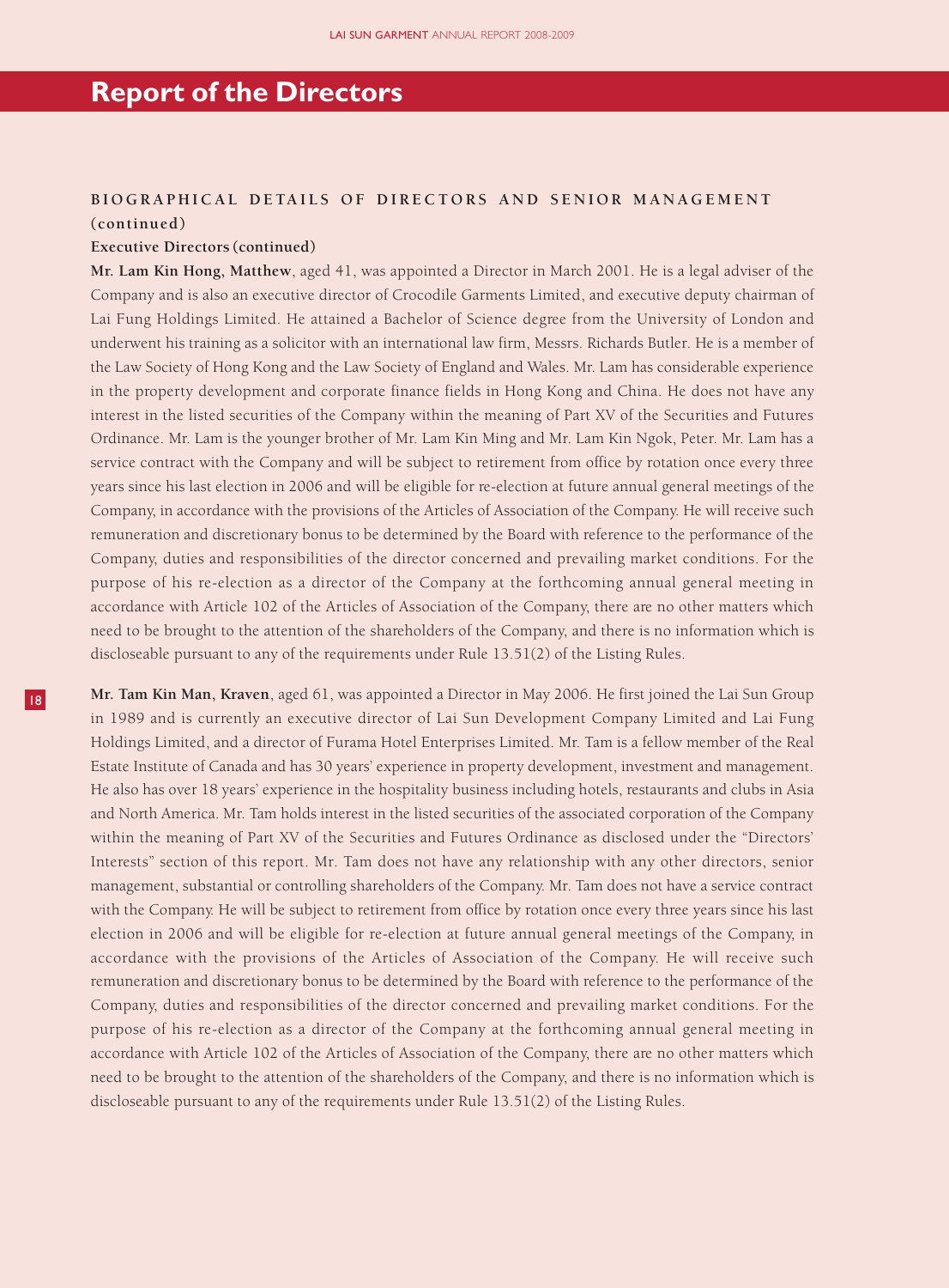## **BIOGRAPHICAL DETAILS OF DIRECTORS AND SENIOR MANAGEMENT (continued)**

#### **Executive Directors (continued)**

**Mr. Lam Kin Hong, Matthew**, aged 41, was appointed a Director in March 2001. He is a legal adviser of the Company and is also an executive director of Crocodile Garments Limited, and executive deputy chairman of Lai Fung Holdings Limited. He attained a Bachelor of Science degree from the University of London and underwent his training as a solicitor with an international law firm, Messrs. Richards Butler. He is a member of the Law Society of Hong Kong and the Law Society of England and Wales. Mr. Lam has considerable experience in the property development and corporate finance fields in Hong Kong and China. He does not have any interest in the listed securities of the Company within the meaning of Part XV of the Securities and Futures Ordinance. Mr. Lam is the younger brother of Mr. Lam Kin Ming and Mr. Lam Kin Ngok, Peter. Mr. Lam has a service contract with the Company and will be subject to retirement from office by rotation once every three years since his last election in 2006 and will be eligible for re-election at future annual general meetings of the Company, in accordance with the provisions of the Articles of Association of the Company. He will receive such remuneration and discretionary bonus to be determined by the Board with reference to the performance of the Company, duties and responsibilities of the director concerned and prevailing market conditions. For the purpose of his re-election as a director of the Company at the forthcoming annual general meeting in accordance with Article 102 of the Articles of Association of the Company, there are no other matters which need to be brought to the attention of the shareholders of the Company, and there is no information which is discloseable pursuant to any of the requirements under Rule 13.51(2) of the Listing Rules.

**Mr. Tam Kin Man, Kraven**, aged 61, was appointed a Director in May 2006. He first joined the Lai Sun Group in 1989 and is currently an executive director of Lai Sun Development Company Limited and Lai Fung Holdings Limited, and a director of Furama Hotel Enterprises Limited. Mr. Tam is a fellow member of the Real Estate Institute of Canada and has 30 years' experience in property development, investment and management. He also has over 18 years' experience in the hospitality business including hotels, restaurants and clubs in Asia and North America. Mr. Tam holds interest in the listed securities of the associated corporation of the Company within the meaning of Part XV of the Securities and Futures Ordinance as disclosed under the "Directors' Interests" section of this report. Mr. Tam does not have any relationship with any other directors, senior management, substantial or controlling shareholders of the Company. Mr. Tam does not have a service contract with the Company. He will be subject to retirement from office by rotation once every three years since his last election in 2006 and will be eligible for re-election at future annual general meetings of the Company, in accordance with the provisions of the Articles of Association of the Company. He will receive such remuneration and discretionary bonus to be determined by the Board with reference to the performance of the Company, duties and responsibilities of the director concerned and prevailing market conditions. For the purpose of his re-election as a director of the Company at the forthcoming annual general meeting in accordance with Article 102 of the Articles of Association of the Company, there are no other matters which need to be brought to the attention of the shareholders of the Company, and there is no information which is discloseable pursuant to any of the requirements under Rule 13.51(2) of the Listing Rules.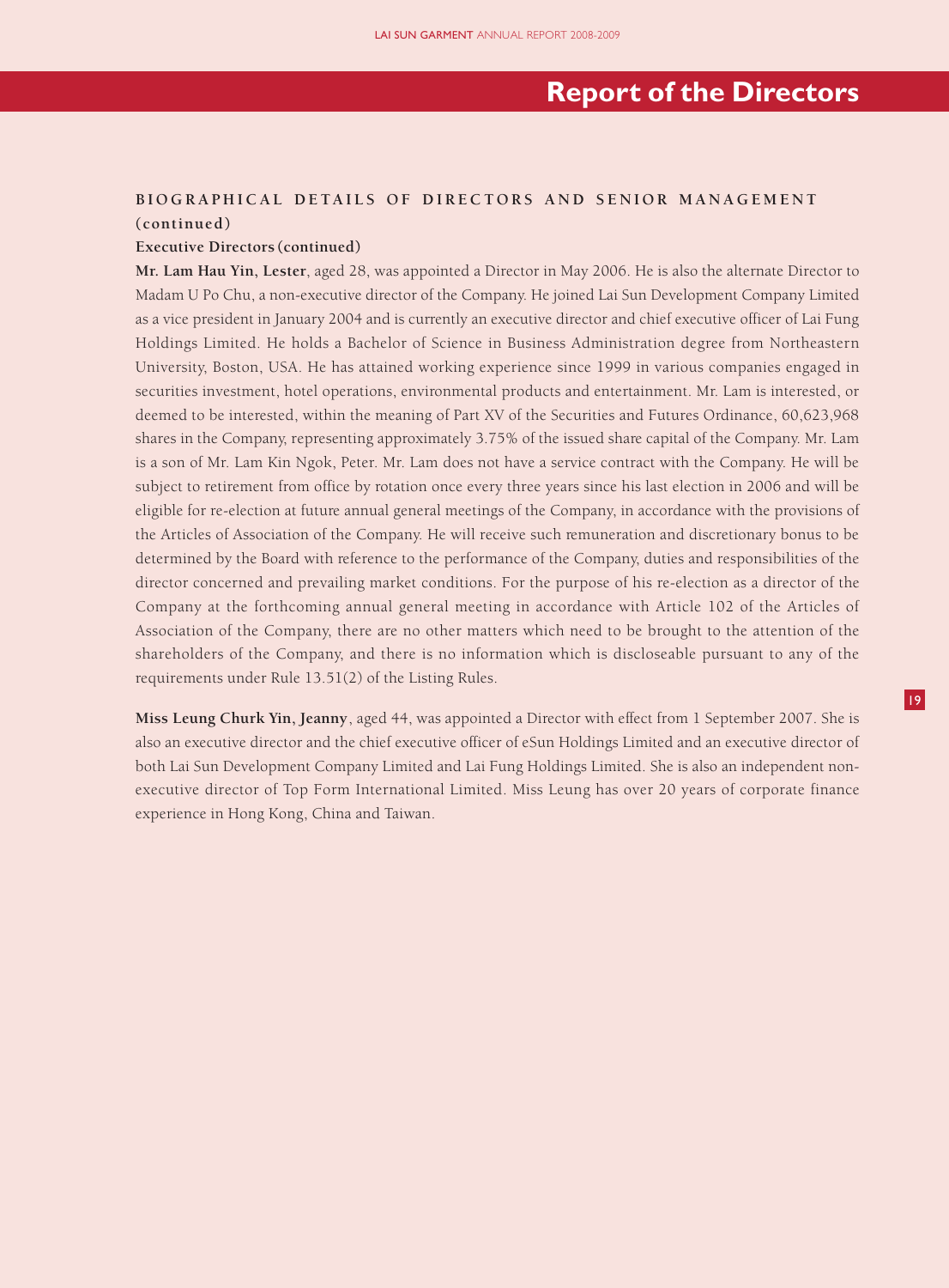# **BIOGRAPHICAL DETAILS OF DIRECTORS AND SENIOR MANAGEMENT (continued)**

#### **Executive Directors (continued)**

**Mr. Lam Hau Yin, Lester**, aged 28, was appointed a Director in May 2006. He is also the alternate Director to Madam U Po Chu, a non-executive director of the Company. He joined Lai Sun Development Company Limited as a vice president in January 2004 and is currently an executive director and chief executive officer of Lai Fung Holdings Limited. He holds a Bachelor of Science in Business Administration degree from Northeastern University, Boston, USA. He has attained working experience since 1999 in various companies engaged in securities investment, hotel operations, environmental products and entertainment. Mr. Lam is interested, or deemed to be interested, within the meaning of Part XV of the Securities and Futures Ordinance, 60,623,968 shares in the Company, representing approximately 3.75% of the issued share capital of the Company. Mr. Lam is a son of Mr. Lam Kin Ngok, Peter. Mr. Lam does not have a service contract with the Company. He will be subject to retirement from office by rotation once every three years since his last election in 2006 and will be eligible for re-election at future annual general meetings of the Company, in accordance with the provisions of the Articles of Association of the Company. He will receive such remuneration and discretionary bonus to be determined by the Board with reference to the performance of the Company, duties and responsibilities of the director concerned and prevailing market conditions. For the purpose of his re-election as a director of the Company at the forthcoming annual general meeting in accordance with Article 102 of the Articles of Association of the Company, there are no other matters which need to be brought to the attention of the shareholders of the Company, and there is no information which is discloseable pursuant to any of the requirements under Rule 13.51(2) of the Listing Rules.

**Miss Leung Churk Yin, Jeanny**, aged 44, was appointed a Director with effect from 1 September 2007. She is also an executive director and the chief executive officer of eSun Holdings Limited and an executive director of both Lai Sun Development Company Limited and Lai Fung Holdings Limited. She is also an independent nonexecutive director of Top Form International Limited. Miss Leung has over 20 years of corporate finance experience in Hong Kong, China and Taiwan.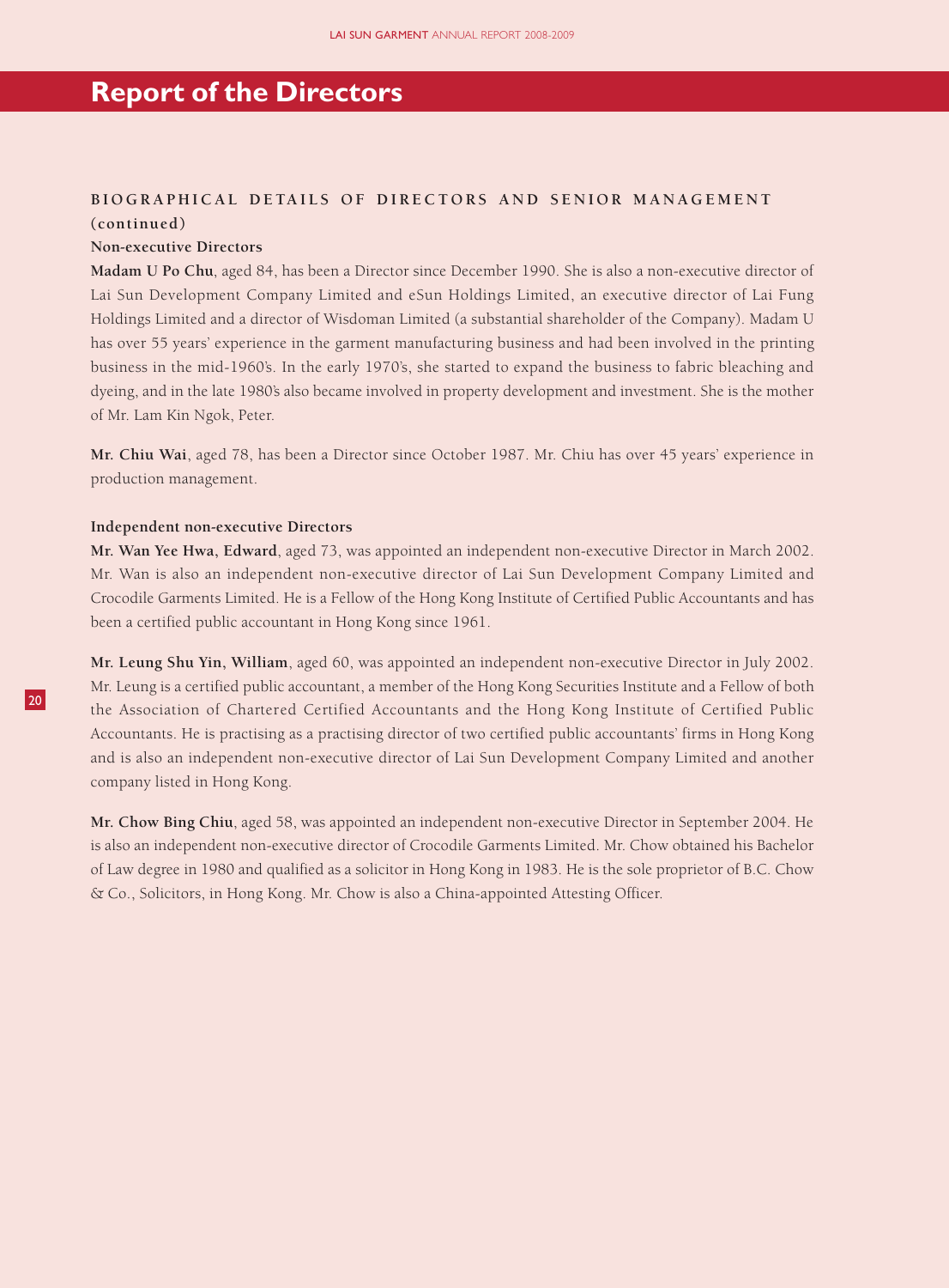### **BIOGRAPHICAL DETAILS OF DIRECTORS AND SENIOR MANAGEMENT (continued)**

#### **Non-executive Directors**

**Madam U Po Chu**, aged 84, has been a Director since December 1990. She is also a non-executive director of Lai Sun Development Company Limited and eSun Holdings Limited, an executive director of Lai Fung Holdings Limited and a director of Wisdoman Limited (a substantial shareholder of the Company). Madam U has over 55 years' experience in the garment manufacturing business and had been involved in the printing business in the mid-1960's. In the early 1970's, she started to expand the business to fabric bleaching and dyeing, and in the late 1980's also became involved in property development and investment. She is the mother of Mr. Lam Kin Ngok, Peter.

**Mr. Chiu Wai**, aged 78, has been a Director since October 1987. Mr. Chiu has over 45 years' experience in production management.

#### **Independent non-executive Directors**

**Mr. Wan Yee Hwa, Edward**, aged 73, was appointed an independent non-executive Director in March 2002. Mr. Wan is also an independent non-executive director of Lai Sun Development Company Limited and Crocodile Garments Limited. He is a Fellow of the Hong Kong Institute of Certified Public Accountants and has been a certified public accountant in Hong Kong since 1961.

**Mr. Leung Shu Yin, William**, aged 60, was appointed an independent non-executive Director in July 2002. Mr. Leung is a certified public accountant, a member of the Hong Kong Securities Institute and a Fellow of both the Association of Chartered Certified Accountants and the Hong Kong Institute of Certified Public Accountants. He is practising as a practising director of two certified public accountants' firms in Hong Kong and is also an independent non-executive director of Lai Sun Development Company Limited and another company listed in Hong Kong.

**Mr. Chow Bing Chiu**, aged 58, was appointed an independent non-executive Director in September 2004. He is also an independent non-executive director of Crocodile Garments Limited. Mr. Chow obtained his Bachelor of Law degree in 1980 and qualified as a solicitor in Hong Kong in 1983. He is the sole proprietor of B.C. Chow & Co., Solicitors, in Hong Kong. Mr. Chow is also a China-appointed Attesting Officer.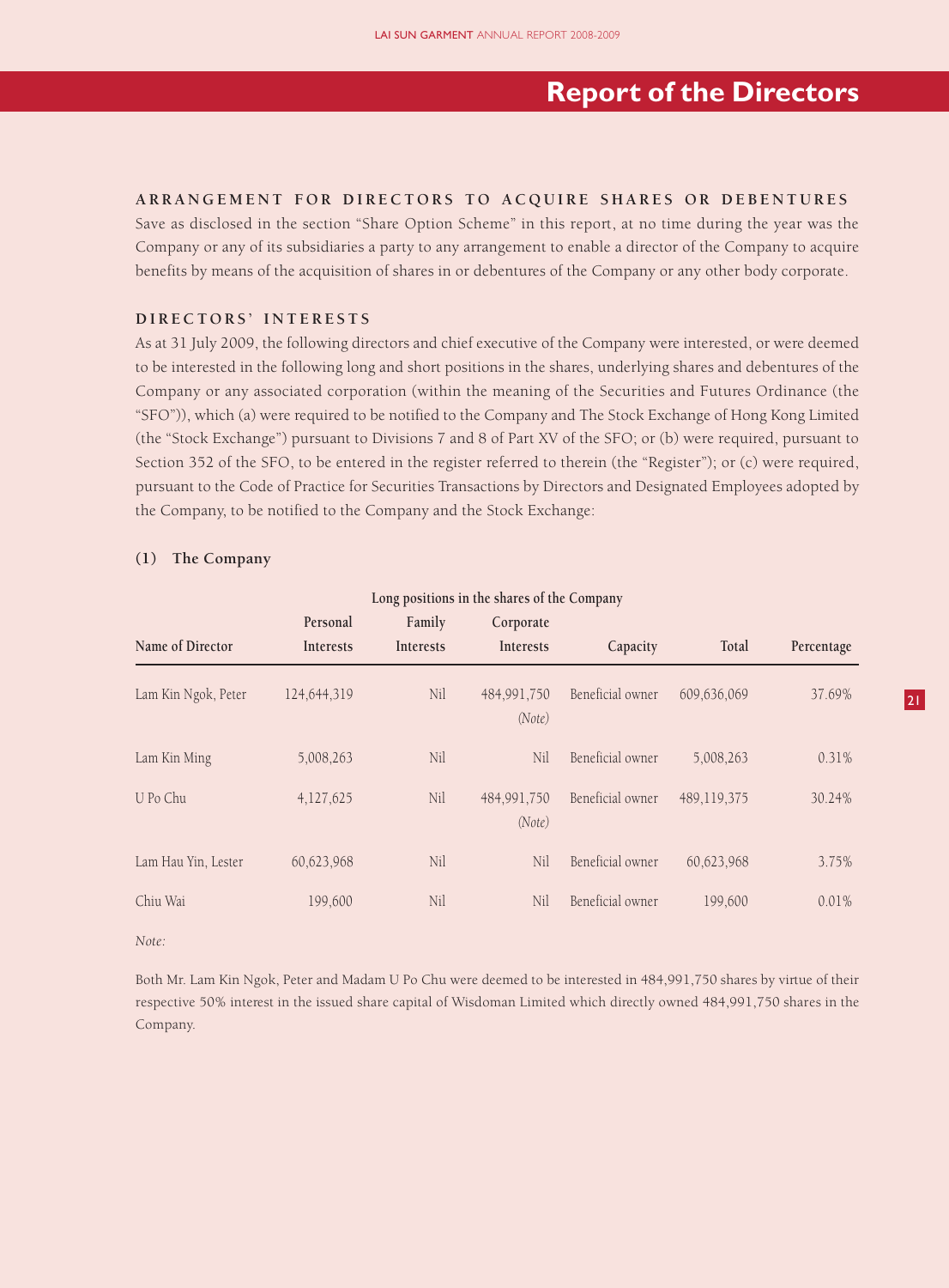#### **ARRANGEMENT FOR DIRECTORS TO ACQUIRE SHARES OR DEBENTURES**

Save as disclosed in the section "Share Option Scheme" in this report, at no time during the year was the Company or any of its subsidiaries a party to any arrangement to enable a director of the Company to acquire benefits by means of the acquisition of shares in or debentures of the Company or any other body corporate.

#### **DIRECTORS' INTERESTS**

As at 31 July 2009, the following directors and chief executive of the Company were interested, or were deemed to be interested in the following long and short positions in the shares, underlying shares and debentures of the Company or any associated corporation (within the meaning of the Securities and Futures Ordinance (the "SFO")), which (a) were required to be notified to the Company and The Stock Exchange of Hong Kong Limited (the "Stock Exchange") pursuant to Divisions 7 and 8 of Part XV of the SFO; or (b) were required, pursuant to Section 352 of the SFO, to be entered in the register referred to therein (the "Register"); or (c) were required, pursuant to the Code of Practice for Securities Transactions by Directors and Designated Employees adopted by the Company, to be notified to the Company and the Stock Exchange:

### **(1) The Company**

|                     | Personal    | Family    | Corporate             |                  |             |            |
|---------------------|-------------|-----------|-----------------------|------------------|-------------|------------|
| Name of Director    | Interests   | Interests | Interests             | Capacity         | Total       | Percentage |
| Lam Kin Ngok, Peter | 124,644,319 | Nil       | 484,991,750<br>(Note) | Beneficial owner | 609,636,069 | 37.69%     |
| Lam Kin Ming        | 5,008,263   | Nil       | Nil                   | Beneficial owner | 5,008,263   | 0.31%      |
| U Po Chu            | 4,127,625   | Nil       | 484,991,750<br>(Note) | Beneficial owner | 489,119,375 | 30.24%     |
| Lam Hau Yin, Lester | 60,623,968  | Nil       | Nil                   | Beneficial owner | 60,623,968  | 3.75%      |
| Chiu Wai            | 199,600     | Nil       | Nil                   | Beneficial owner | 199,600     | 0.01%      |

**Long positions in the shares of the Company**

*Note:*

Both Mr. Lam Kin Ngok, Peter and Madam U Po Chu were deemed to be interested in 484,991,750 shares by virtue of their respective 50% interest in the issued share capital of Wisdoman Limited which directly owned 484,991,750 shares in the Company.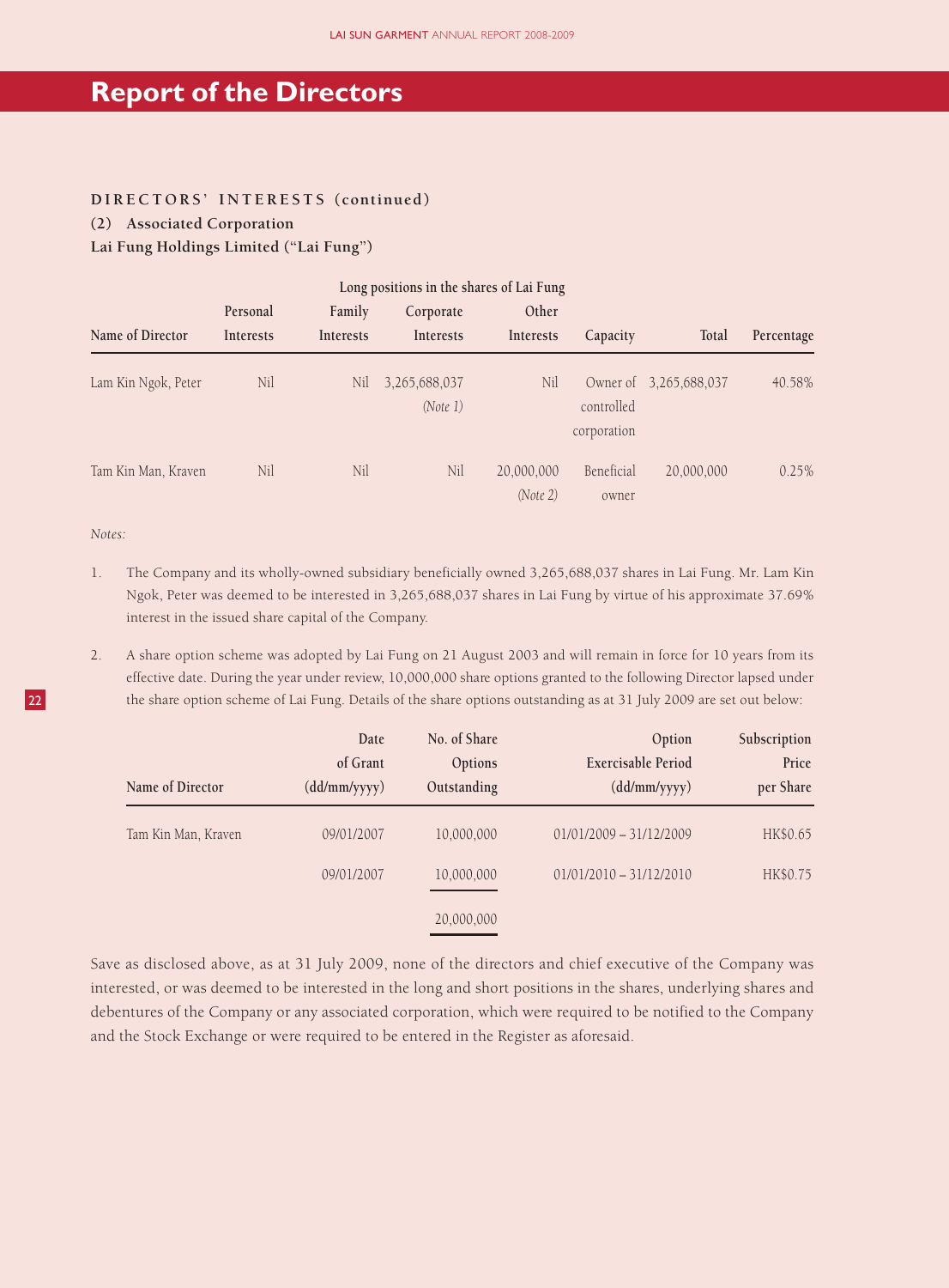#### **DIRECTORS' INTERESTS (continued)**

#### **(2) Associated Corporation**

### **Lai Fung Holdings Limited ("Lai Fung")**

| Name of Director    | Personal<br>Interests | Family<br>Interests | Corporate<br>Interests    | Other<br>Interests     | Capacity                  | Total                  | Percentage |
|---------------------|-----------------------|---------------------|---------------------------|------------------------|---------------------------|------------------------|------------|
| Lam Kin Ngok, Peter | Nil                   | Nil                 | 3,265,688,037<br>(Note 1) | Nil                    | controlled<br>corporation | Owner of 3,265,688,037 | 40.58%     |
| Tam Kin Man, Kraven | Nil                   | Nil                 | Nil                       | 20,000,000<br>(Note 2) | Beneficial<br>owner       | 20,000,000             | 0.25%      |

*Notes:*

- 1. The Company and its wholly-owned subsidiary beneficially owned 3,265,688,037 shares in Lai Fung. Mr. Lam Kin Ngok, Peter was deemed to be interested in 3,265,688,037 shares in Lai Fung by virtue of his approximate 37.69% interest in the issued share capital of the Company.
- 2. A share option scheme was adopted by Lai Fung on 21 August 2003 and will remain in force for 10 years from its effective date. During the year under review, 10,000,000 share options granted to the following Director lapsed under the share option scheme of Lai Fung. Details of the share options outstanding as at 31 July 2009 are set out below:

| Name of Director    | Date<br>of Grant<br>$(dd/\text{mm/yyy})$ | No. of Share<br>Options<br>Outstanding | Option<br>Exercisable Period<br>$(dd/\text{mm/yyy})$ | Subscription<br>Price<br>per Share |
|---------------------|------------------------------------------|----------------------------------------|------------------------------------------------------|------------------------------------|
| Tam Kin Man, Kraven | 09/01/2007                               | 10,000,000                             | $01/01/2009 - 31/12/2009$                            | HK\$0.65                           |
|                     | 09/01/2007                               | 10,000,000                             | $01/01/2010 - 31/12/2010$                            | HK\$0.75                           |
|                     |                                          | 20,000,000                             |                                                      |                                    |

Save as disclosed above, as at 31 July 2009, none of the directors and chief executive of the Company was interested, or was deemed to be interested in the long and short positions in the shares, underlying shares and debentures of the Company or any associated corporation, which were required to be notified to the Company and the Stock Exchange or were required to be entered in the Register as aforesaid.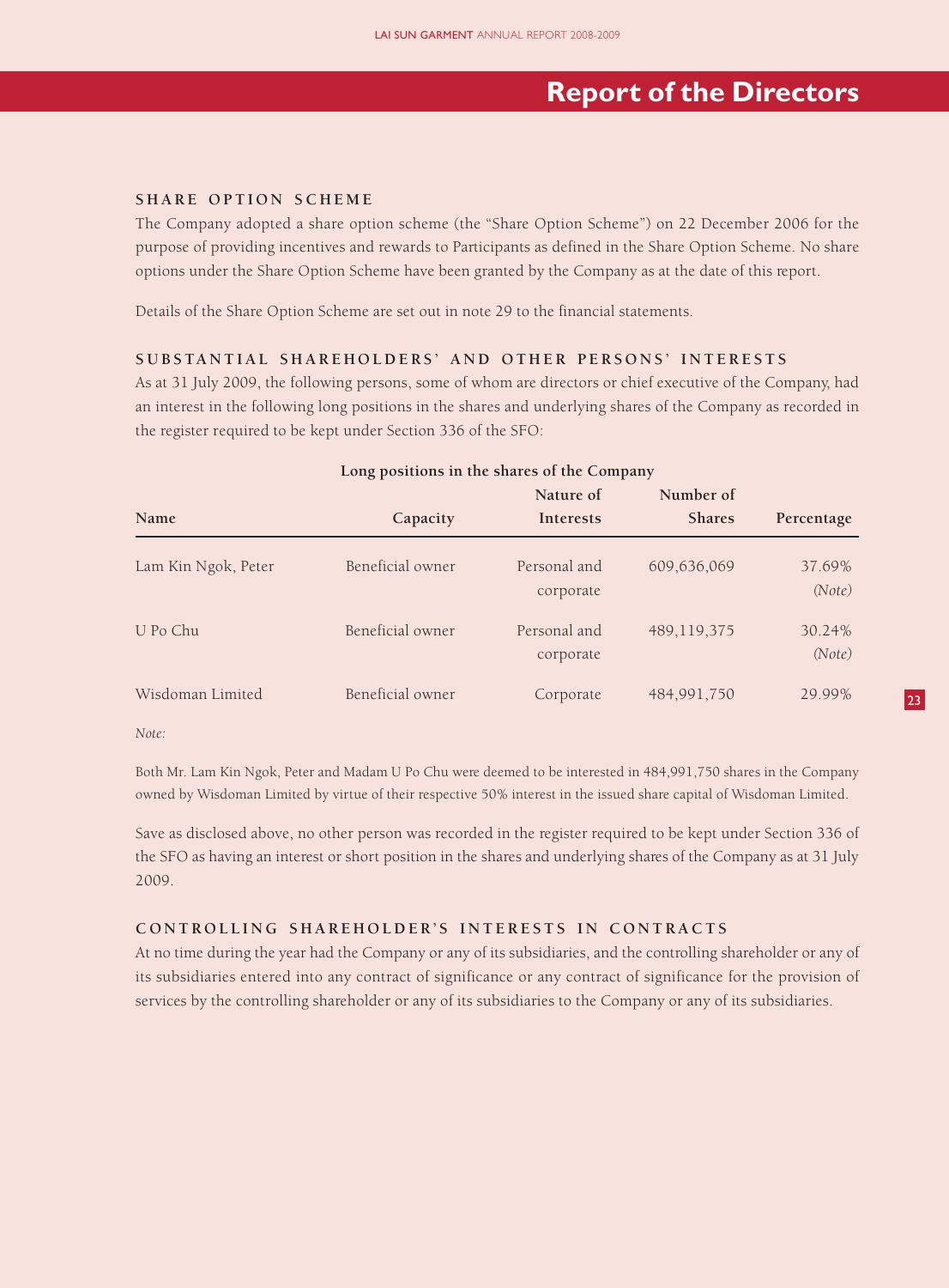#### **SHARE OPTION SCHEME**

The Company adopted a share option scheme (the "Share Option Scheme") on 22 December 2006 for the purpose of providing incentives and rewards to Participants as defined in the Share Option Scheme. No share options under the Share Option Scheme have been granted by the Company as at the date of this report.

Details of the Share Option Scheme are set out in note 29 to the financial statements.

### **SUBSTANTIAL SHAREHOLDERS' AND OTHER PERSONS' INTERESTS**

As at 31 July 2009, the following persons, some of whom are directors or chief executive of the Company, had an interest in the following long positions in the shares and underlying shares of the Company as recorded in the register required to be kept under Section 336 of the SFO:

| Name                | Capacity         | Nature of<br><b>Interests</b> | Number of<br><b>Shares</b> | Percentage       |
|---------------------|------------------|-------------------------------|----------------------------|------------------|
| Lam Kin Ngok, Peter | Beneficial owner | Personal and<br>corporate     | 609,636,069                | 37.69%<br>(Note) |
| U Po Chu            | Beneficial owner | Personal and<br>corporate     | 489,119,375                | 30.24%<br>(Note) |
| Wisdoman Limited    | Beneficial owner | Corporate                     | 484,991,750                | 29.99%           |

### **Long positions in the shares of the Company**

*Note:*

Both Mr. Lam Kin Ngok, Peter and Madam U Po Chu were deemed to be interested in 484,991,750 shares in the Company owned by Wisdoman Limited by virtue of their respective 50% interest in the issued share capital of Wisdoman Limited.

Save as disclosed above, no other person was recorded in the register required to be kept under Section 336 of the SFO as having an interest or short position in the shares and underlying shares of the Company as at 31 July 2009.

### **CONTROLLING SHAREHOLDER'S INTERESTS IN CONTRACTS**

At no time during the year had the Company or any of its subsidiaries, and the controlling shareholder or any of its subsidiaries entered into any contract of significance or any contract of significance for the provision of services by the controlling shareholder or any of its subsidiaries to the Company or any of its subsidiaries.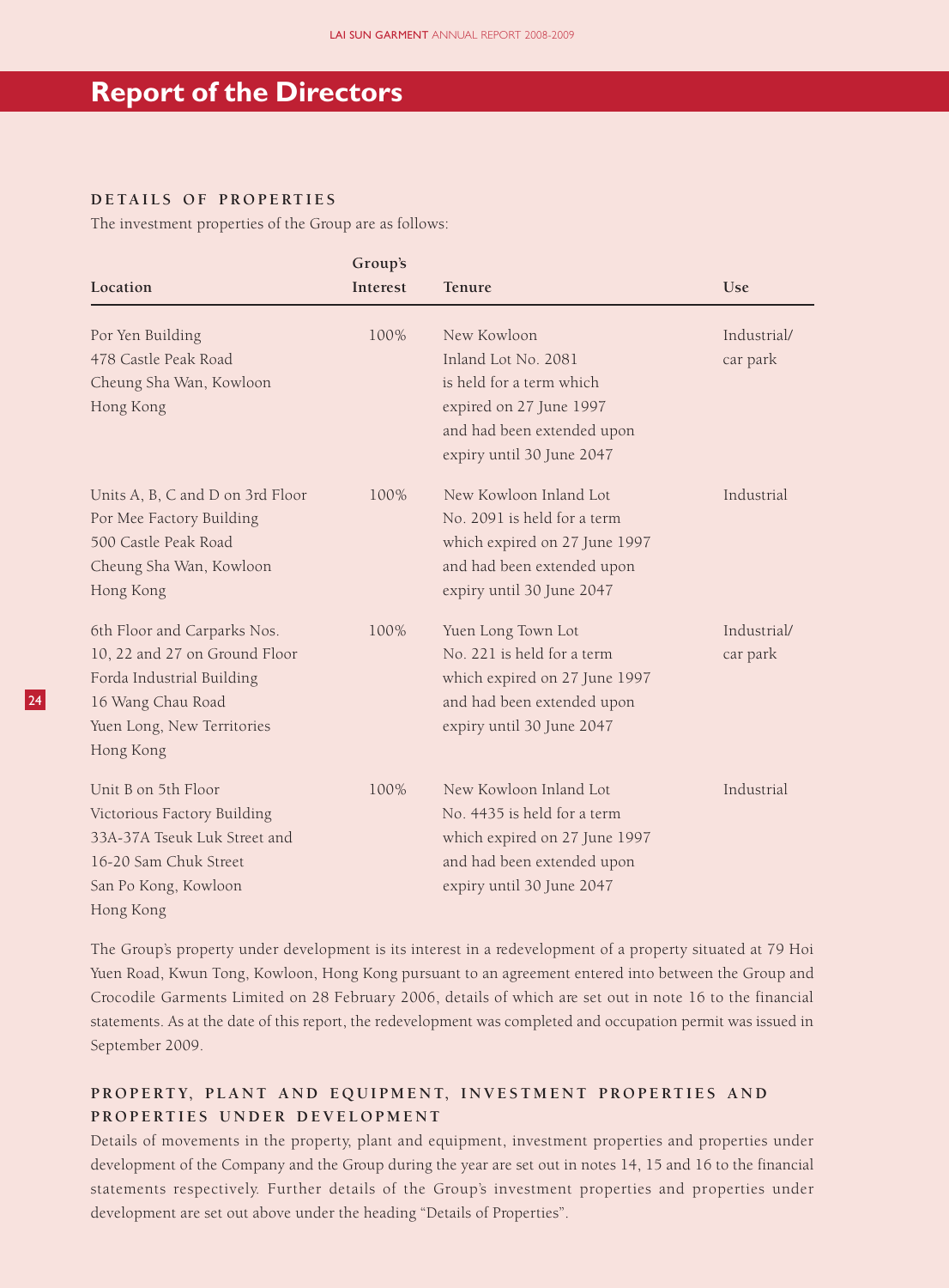#### **DETAILS OF PROPERTIES**

The investment properties of the Group are as follows:

| Location                         | Group's<br>Interest | <b>Tenure</b>                 | Use         |
|----------------------------------|---------------------|-------------------------------|-------------|
|                                  |                     |                               |             |
| Por Yen Building                 | 100%                | New Kowloon                   | Industrial/ |
| 478 Castle Peak Road             |                     | Inland Lot No. 2081           | car park    |
| Cheung Sha Wan, Kowloon          |                     | is held for a term which      |             |
| Hong Kong                        |                     | expired on 27 June 1997       |             |
|                                  |                     | and had been extended upon    |             |
|                                  |                     | expiry until 30 June 2047     |             |
| Units A, B, C and D on 3rd Floor | 100%                | New Kowloon Inland Lot        | Industrial  |
| Por Mee Factory Building         |                     | No. 2091 is held for a term   |             |
| 500 Castle Peak Road             |                     | which expired on 27 June 1997 |             |
| Cheung Sha Wan, Kowloon          |                     | and had been extended upon    |             |
| Hong Kong                        |                     | expiry until 30 June 2047     |             |
| 6th Floor and Carparks Nos.      | 100%                | Yuen Long Town Lot            | Industrial/ |
| 10, 22 and 27 on Ground Floor    |                     | No. 221 is held for a term    | car park    |
| Forda Industrial Building        |                     | which expired on 27 June 1997 |             |
| 16 Wang Chau Road                |                     | and had been extended upon    |             |
| Yuen Long, New Territories       |                     | expiry until 30 June 2047     |             |
| Hong Kong                        |                     |                               |             |
| Unit B on 5th Floor              | 100%                | New Kowloon Inland Lot        | Industrial  |
| Victorious Factory Building      |                     | No. 4435 is held for a term   |             |
| 33A-37A Tseuk Luk Street and     |                     | which expired on 27 June 1997 |             |
| 16-20 Sam Chuk Street            |                     | and had been extended upon    |             |
| San Po Kong, Kowloon             |                     | expiry until 30 June 2047     |             |
| Hong Kong                        |                     |                               |             |

The Group's property under development is its interest in a redevelopment of a property situated at 79 Hoi Yuen Road, Kwun Tong, Kowloon, Hong Kong pursuant to an agreement entered into between the Group and Crocodile Garments Limited on 28 February 2006, details of which are set out in note 16 to the financial statements. As at the date of this report, the redevelopment was completed and occupation permit was issued in September 2009.

# **PROPERTY, PLANT AND EQUIPMENT, INVESTMENT PROPERTIES AND PROPERTIES UNDER DEVELOPMENT**

Details of movements in the property, plant and equipment, investment properties and properties under development of the Company and the Group during the year are set out in notes 14, 15 and 16 to the financial statements respectively. Further details of the Group's investment properties and properties under development are set out above under the heading "Details of Properties".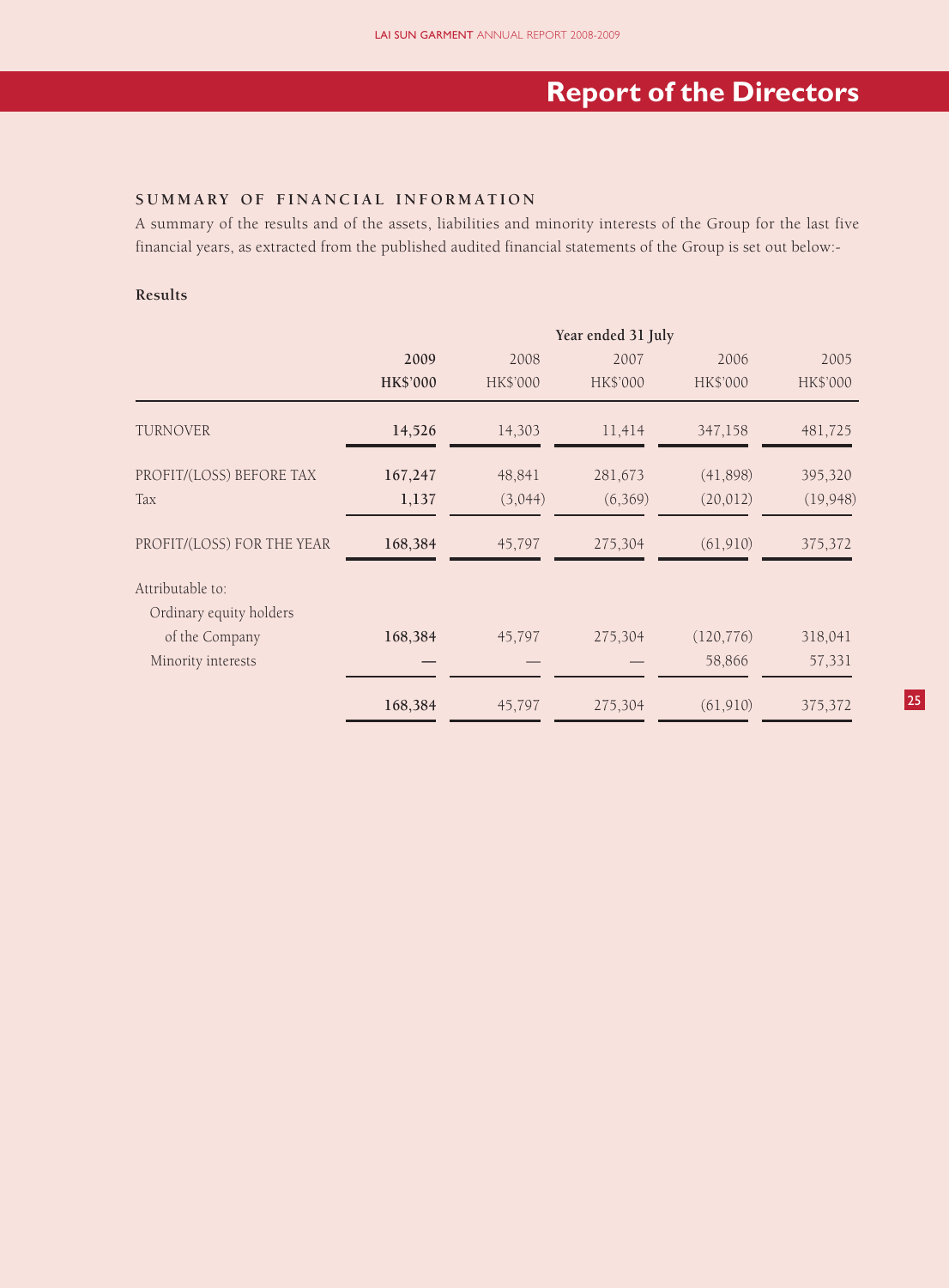### **SUMMARY OF FINANCIAL INFORMATION**

A summary of the results and of the assets, liabilities and minority interests of the Group for the last five financial years, as extracted from the published audited financial statements of the Group is set out below:-

### **Results**

|                            | Year ended 31 July |          |          |            |           |  |  |
|----------------------------|--------------------|----------|----------|------------|-----------|--|--|
|                            | 2009               | 2008     | 2007     | 2006       | 2005      |  |  |
|                            | <b>HK\$'000</b>    | HK\$'000 | HK\$'000 | HK\$'000   | HK\$'000  |  |  |
| <b>TURNOVER</b>            | 14,526             | 14,303   | 11,414   | 347,158    | 481,725   |  |  |
| PROFIT/(LOSS) BEFORE TAX   | 167,247            | 48,841   | 281,673  | (41,898)   | 395,320   |  |  |
| Tax                        | 1,137              | (3,044)  | (6,369)  | (20, 012)  | (19, 948) |  |  |
| PROFIT/(LOSS) FOR THE YEAR | 168,384            | 45,797   | 275,304  | (61, 910)  | 375,372   |  |  |
| Attributable to:           |                    |          |          |            |           |  |  |
| Ordinary equity holders    |                    |          |          |            |           |  |  |
| of the Company             | 168,384            | 45,797   | 275,304  | (120, 776) | 318,041   |  |  |
| Minority interests         |                    |          |          | 58,866     | 57,331    |  |  |
|                            | 168,384            | 45,797   | 275,304  | (61, 910)  | 375,372   |  |  |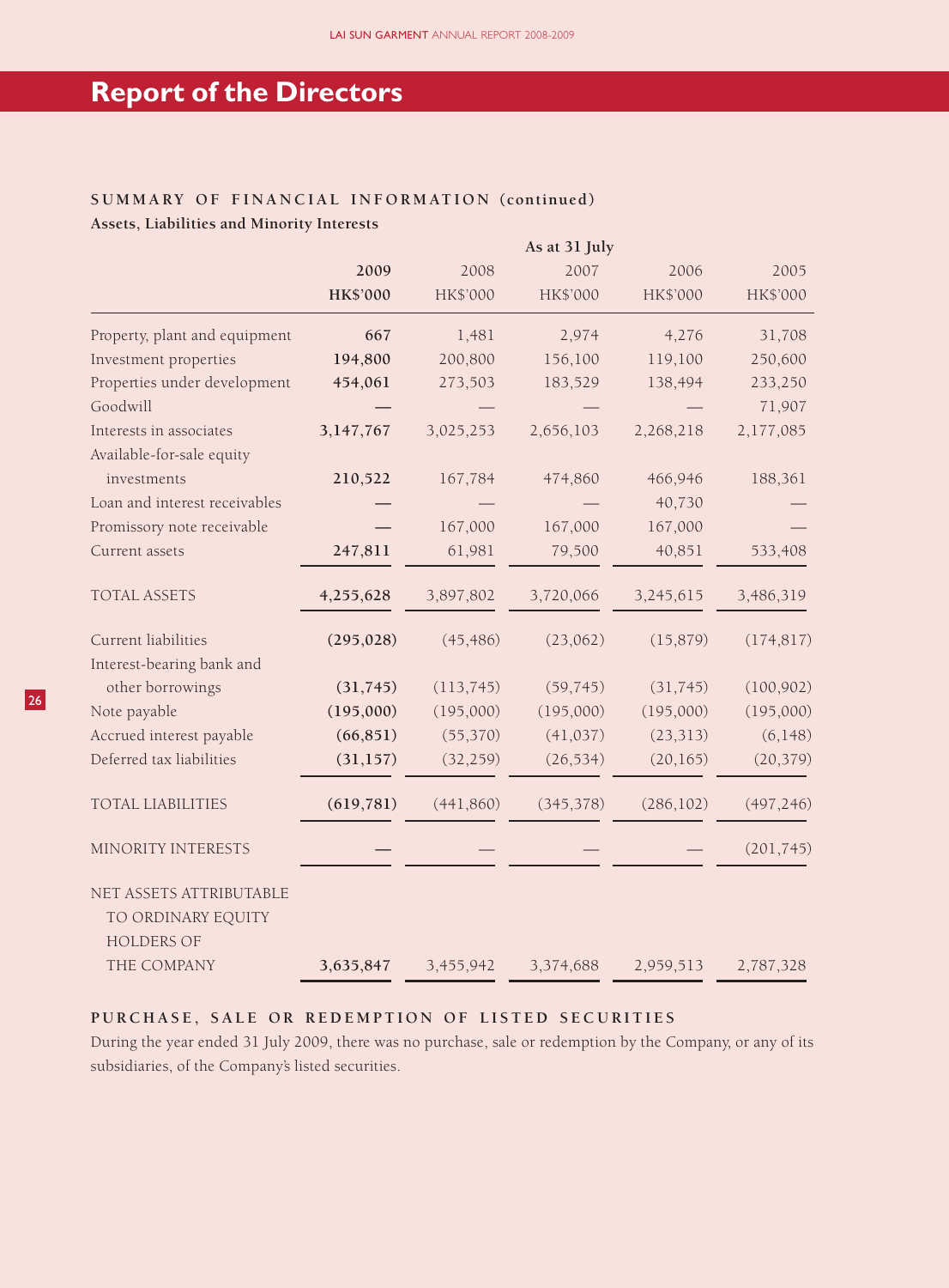## **SUMMARY OF FINANCIAL INFORMATION (continued)**

**Assets, Liabilities and Minority Interests**

|                               |                 |            | As at 31 July |            |            |
|-------------------------------|-----------------|------------|---------------|------------|------------|
|                               | 2009            | 2008       | 2007          | 2006       | 2005       |
|                               | <b>HK\$'000</b> | HK\$'000   | HK\$'000      | HK\$'000   | HK\$'000   |
| Property, plant and equipment | 667             | 1,481      | 2,974         | 4,276      | 31,708     |
| Investment properties         | 194,800         | 200,800    | 156,100       | 119,100    | 250,600    |
| Properties under development  | 454,061         | 273,503    | 183,529       | 138,494    | 233,250    |
| Goodwill                      |                 |            |               |            | 71,907     |
| Interests in associates       | 3,147,767       | 3,025,253  | 2,656,103     | 2,268,218  | 2,177,085  |
| Available-for-sale equity     |                 |            |               |            |            |
| investments                   | 210,522         | 167,784    | 474,860       | 466,946    | 188,361    |
| Loan and interest receivables |                 |            |               | 40,730     |            |
| Promissory note receivable    |                 | 167,000    | 167,000       | 167,000    |            |
| Current assets                | 247,811         | 61,981     | 79,500        | 40,851     | 533,408    |
| <b>TOTAL ASSETS</b>           | 4,255,628       | 3,897,802  | 3,720,066     | 3,245,615  | 3,486,319  |
| Current liabilities           | (295, 028)      | (45, 486)  | (23,062)      | (15, 879)  | (174, 817) |
| Interest-bearing bank and     |                 |            |               |            |            |
| other borrowings              | (31, 745)       | (113, 745) | (59, 745)     | (31, 745)  | (100, 902) |
| Note payable                  | (195,000)       | (195,000)  | (195,000)     | (195,000)  | (195,000)  |
| Accrued interest payable      | (66, 851)       | (55, 370)  | (41, 037)     | (23, 313)  | (6,148)    |
| Deferred tax liabilities      | (31, 157)       | (32, 259)  | (26, 534)     | (20, 165)  | (20, 379)  |
| <b>TOTAL LIABILITIES</b>      | (619, 781)      | (441, 860) | (345,378)     | (286, 102) | (497, 246) |
| MINORITY INTERESTS            |                 |            |               |            | (201, 745) |
| NET ASSETS ATTRIBUTABLE       |                 |            |               |            |            |
| TO ORDINARY EQUITY            |                 |            |               |            |            |
| <b>HOLDERS OF</b>             |                 |            |               |            |            |
| THE COMPANY                   | 3,635,847       | 3,455,942  | 3,374,688     | 2,959,513  | 2,787,328  |

# **PURCHASE, SALE OR REDEMPTION OF LISTED SECURITIES**

During the year ended 31 July 2009, there was no purchase, sale or redemption by the Company, or any of its subsidiaries, of the Company's listed securities.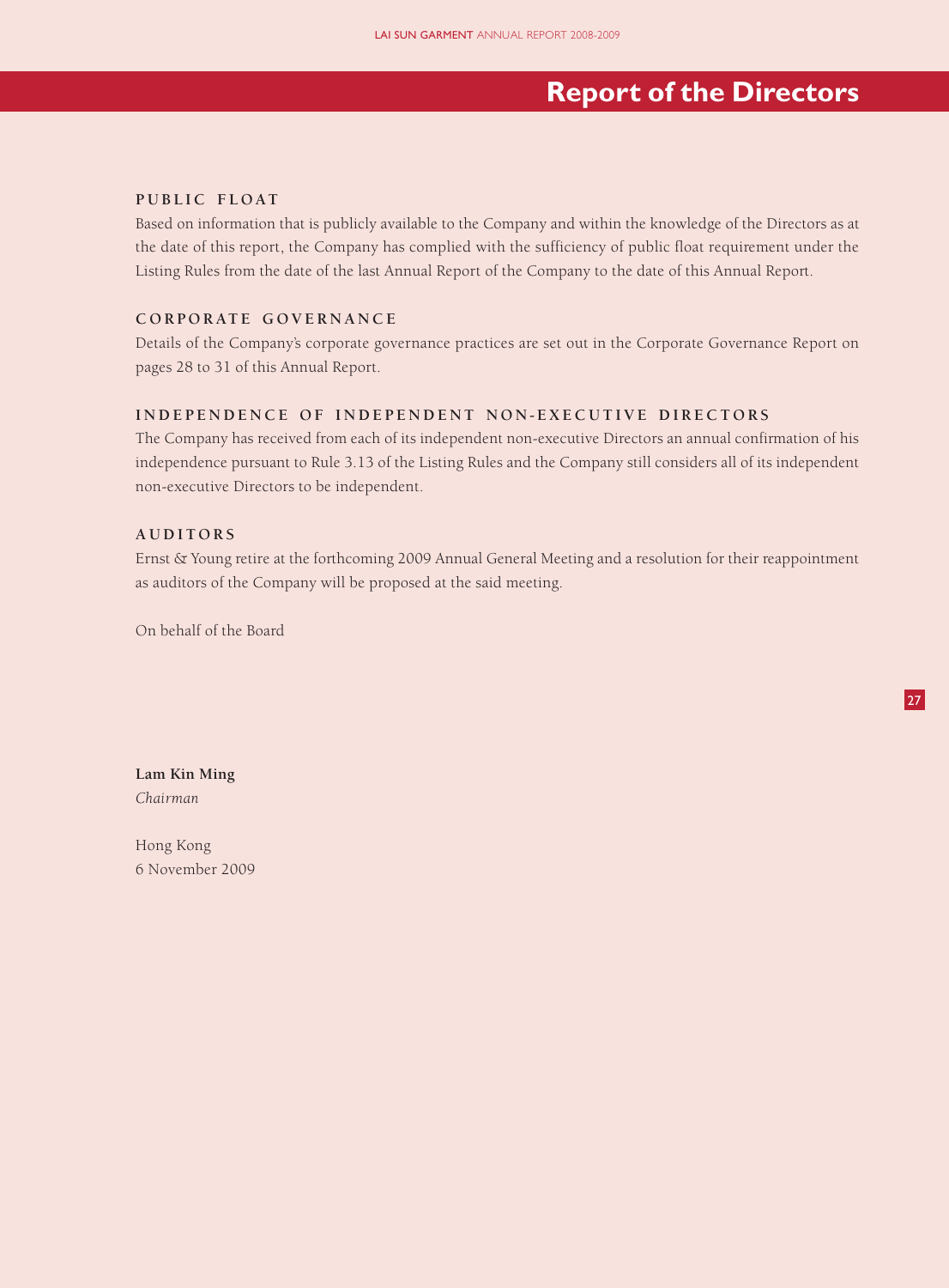#### **PUBLIC FLOAT**

Based on information that is publicly available to the Company and within the knowledge of the Directors as at the date of this report, the Company has complied with the sufficiency of public float requirement under the Listing Rules from the date of the last Annual Report of the Company to the date of this Annual Report.

#### **CORPORATE GOVERNANCE**

Details of the Company's corporate governance practices are set out in the Corporate Governance Report on pages 28 to 31 of this Annual Report.

### **INDEPENDENCE OF INDEPENDENT NON-EXECUTIVE DIRECTORS**

The Company has received from each of its independent non-executive Directors an annual confirmation of his independence pursuant to Rule 3.13 of the Listing Rules and the Company still considers all of its independent non-executive Directors to be independent.

#### **AUDITORS**

Ernst & Young retire at the forthcoming 2009 Annual General Meeting and a resolution for their reappointment as auditors of the Company will be proposed at the said meeting.

On behalf of the Board

**Lam Kin Ming** *Chairman*

Hong Kong 6 November 2009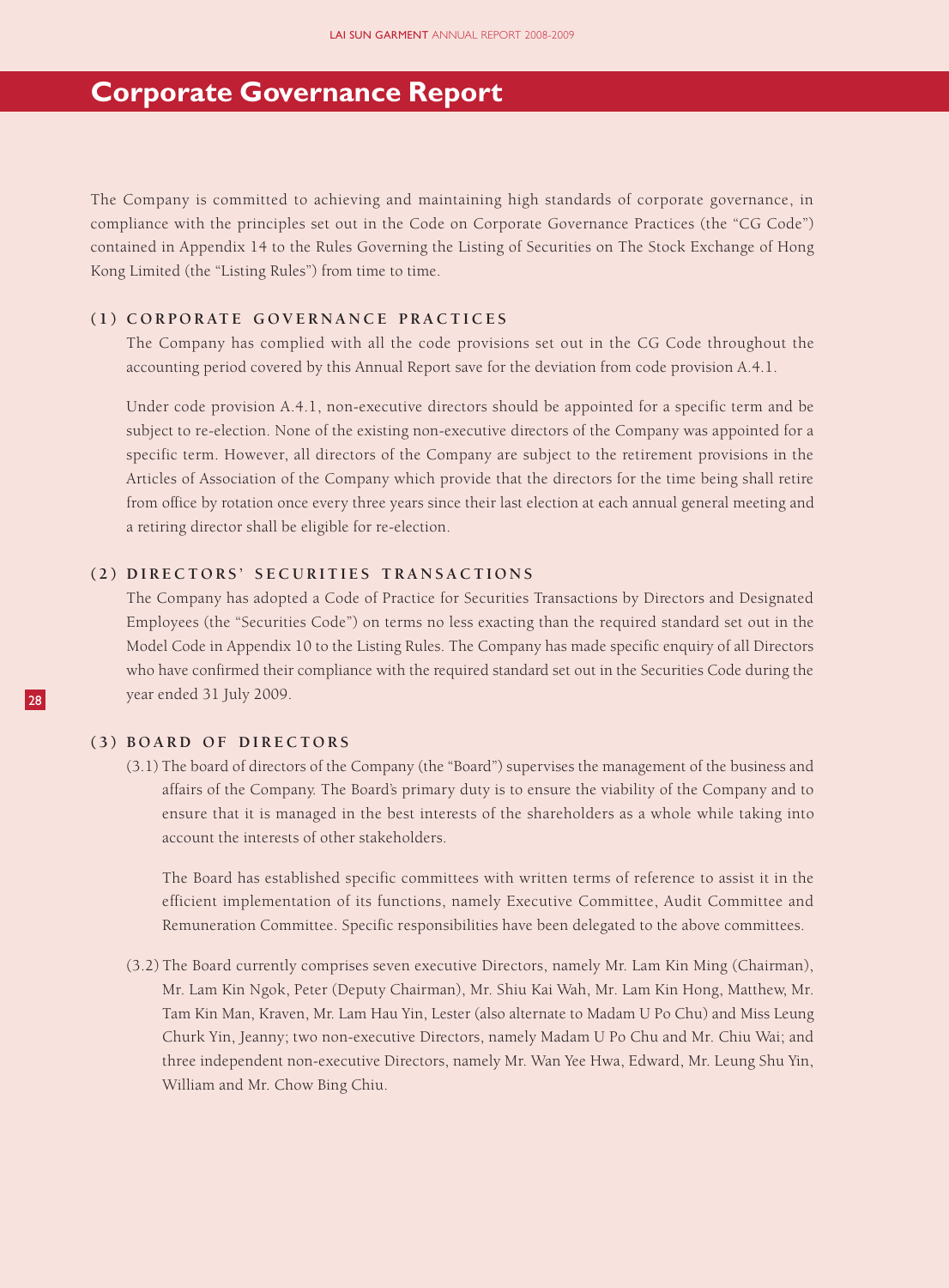The Company is committed to achieving and maintaining high standards of corporate governance, in compliance with the principles set out in the Code on Corporate Governance Practices (the "CG Code") contained in Appendix 14 to the Rules Governing the Listing of Securities on The Stock Exchange of Hong Kong Limited (the "Listing Rules") from time to time.

### **(1) CORPORATE GOVERNANCE PRACTICES**

The Company has complied with all the code provisions set out in the CG Code throughout the accounting period covered by this Annual Report save for the deviation from code provision A.4.1.

Under code provision A.4.1, non-executive directors should be appointed for a specific term and be subject to re-election. None of the existing non-executive directors of the Company was appointed for a specific term. However, all directors of the Company are subject to the retirement provisions in the Articles of Association of the Company which provide that the directors for the time being shall retire from office by rotation once every three years since their last election at each annual general meeting and a retiring director shall be eligible for re-election.

#### **(2) DIRECTORS ' SECURITIES TRANSACTIONS**

The Company has adopted a Code of Practice for Securities Transactions by Directors and Designated Employees (the "Securities Code") on terms no less exacting than the required standard set out in the Model Code in Appendix 10 to the Listing Rules. The Company has made specific enquiry of all Directors who have confirmed their compliance with the required standard set out in the Securities Code during the year ended 31 July 2009.

### **(3) BOARD OF DIRECTORS**

(3.1) The board of directors of the Company (the "Board") supervises the management of the business and affairs of the Company. The Board's primary duty is to ensure the viability of the Company and to ensure that it is managed in the best interests of the shareholders as a whole while taking into account the interests of other stakeholders.

The Board has established specific committees with written terms of reference to assist it in the efficient implementation of its functions, namely Executive Committee, Audit Committee and Remuneration Committee. Specific responsibilities have been delegated to the above committees.

(3.2) The Board currently comprises seven executive Directors, namely Mr. Lam Kin Ming (Chairman), Mr. Lam Kin Ngok, Peter (Deputy Chairman), Mr. Shiu Kai Wah, Mr. Lam Kin Hong, Matthew, Mr. Tam Kin Man, Kraven, Mr. Lam Hau Yin, Lester (also alternate to Madam U Po Chu) and Miss Leung Churk Yin, Jeanny; two non-executive Directors, namely Madam U Po Chu and Mr. Chiu Wai; and three independent non-executive Directors, namely Mr. Wan Yee Hwa, Edward, Mr. Leung Shu Yin, William and Mr. Chow Bing Chiu.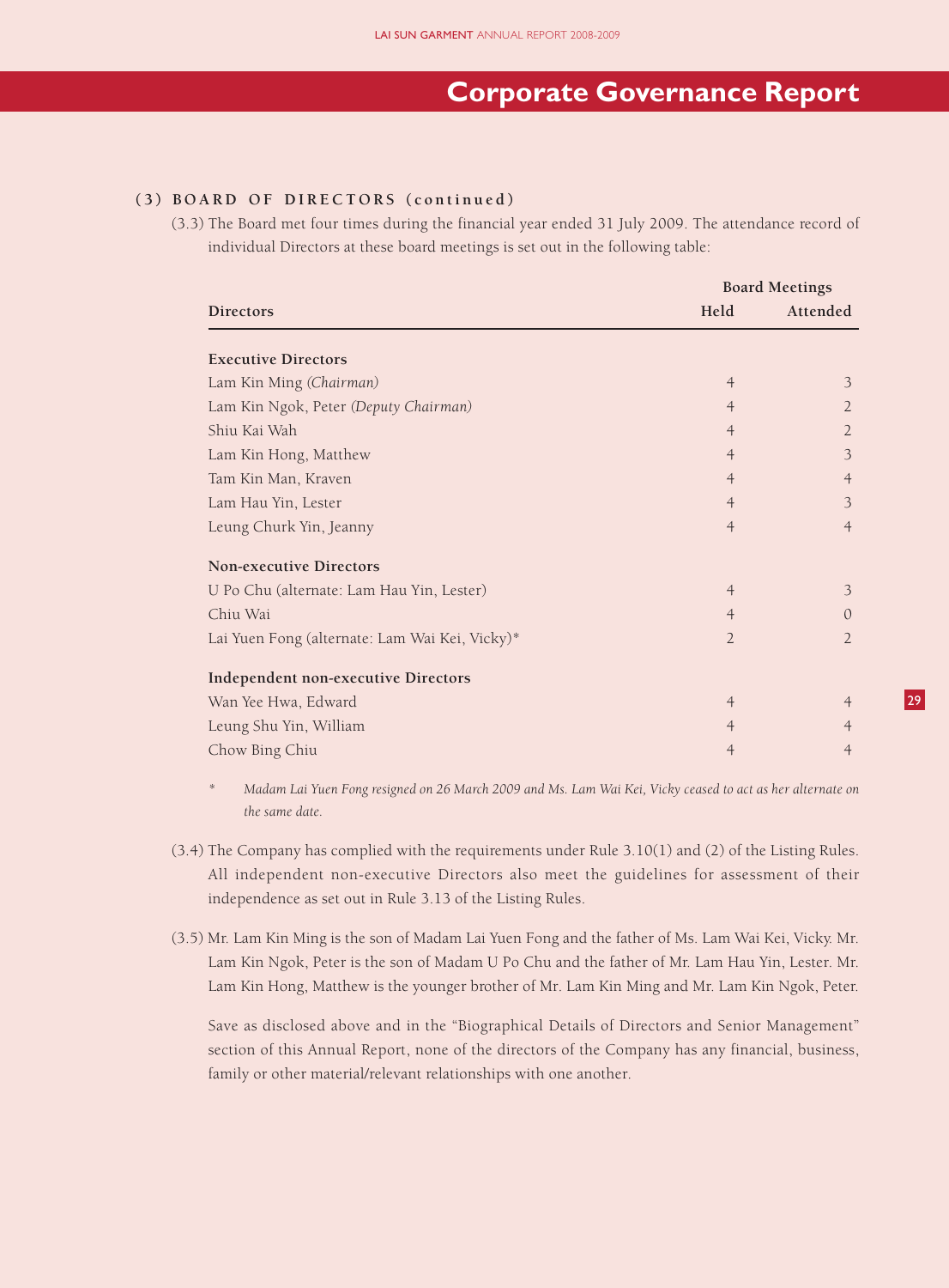#### **(3) BOARD OF DIRECTORS (continued)**

(3.3) The Board met four times during the financial year ended 31 July 2009. The attendance record of individual Directors at these board meetings is set out in the following table:

|                                                | <b>Board Meetings</b> |                |  |
|------------------------------------------------|-----------------------|----------------|--|
| <b>Directors</b>                               | Held                  | Attended       |  |
| <b>Executive Directors</b>                     |                       |                |  |
|                                                |                       |                |  |
| Lam Kin Ming (Chairman)                        | $\overline{4}$        | 3              |  |
| Lam Kin Ngok, Peter (Deputy Chairman)          | $\overline{4}$        | $\overline{2}$ |  |
| Shiu Kai Wah                                   | $\overline{4}$        | $\overline{2}$ |  |
| Lam Kin Hong, Matthew                          | $\overline{4}$        | 3              |  |
| Tam Kin Man, Kraven                            | $\overline{4}$        | $\overline{4}$ |  |
| Lam Hau Yin, Lester                            | $\overline{4}$        | 3              |  |
| Leung Churk Yin, Jeanny                        | $\overline{4}$        | $\overline{4}$ |  |
| <b>Non-executive Directors</b>                 |                       |                |  |
| U Po Chu (alternate: Lam Hau Yin, Lester)      | $\overline{4}$        | 3              |  |
| Chiu Wai                                       | $\overline{4}$        | $\Omega$       |  |
| Lai Yuen Fong (alternate: Lam Wai Kei, Vicky)* | $\overline{2}$        | $\overline{2}$ |  |
| <b>Independent non-executive Directors</b>     |                       |                |  |
| Wan Yee Hwa, Edward                            | $\overline{4}$        | $\overline{4}$ |  |
| Leung Shu Yin, William                         | $\overline{4}$        | $\overline{4}$ |  |
| Chow Bing Chiu                                 | 4                     | $\overline{4}$ |  |

*\* Madam Lai Yuen Fong resigned on 26 March 2009 and Ms. Lam Wai Kei, Vicky ceased to act as her alternate on the same date.*

- (3.4) The Company has complied with the requirements under Rule 3.10(1) and (2) of the Listing Rules. All independent non-executive Directors also meet the guidelines for assessment of their independence as set out in Rule 3.13 of the Listing Rules.
- (3.5) Mr. Lam Kin Ming is the son of Madam Lai Yuen Fong and the father of Ms. Lam Wai Kei, Vicky. Mr. Lam Kin Ngok, Peter is the son of Madam U Po Chu and the father of Mr. Lam Hau Yin, Lester. Mr. Lam Kin Hong, Matthew is the younger brother of Mr. Lam Kin Ming and Mr. Lam Kin Ngok, Peter.

Save as disclosed above and in the "Biographical Details of Directors and Senior Management" section of this Annual Report, none of the directors of the Company has any financial, business, family or other material/relevant relationships with one another.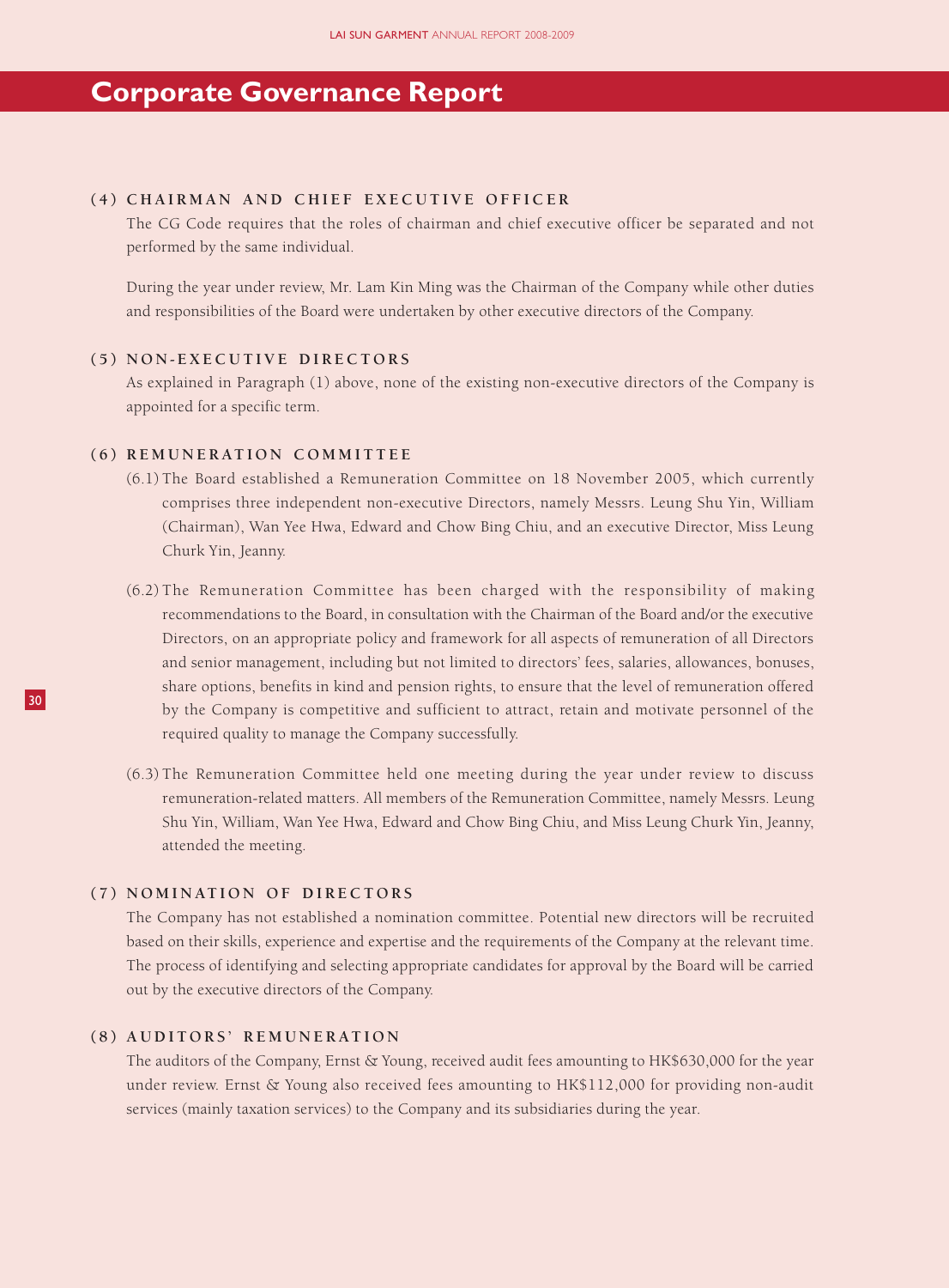#### **(4) CHAIRMAN AND CHIEF EXECUTIVE OFFICER**

The CG Code requires that the roles of chairman and chief executive officer be separated and not performed by the same individual.

During the year under review, Mr. Lam Kin Ming was the Chairman of the Company while other duties and responsibilities of the Board were undertaken by other executive directors of the Company.

#### **(5) NON-EXECUTIVE DIRECTORS**

As explained in Paragraph (1) above, none of the existing non-executive directors of the Company is appointed for a specific term.

#### **(6) REMUNERATION COMMITTEE**

- (6.1) The Board established a Remuneration Committee on 18 November 2005, which currently comprises three independent non-executive Directors, namely Messrs. Leung Shu Yin, William (Chairman), Wan Yee Hwa, Edward and Chow Bing Chiu, and an executive Director, Miss Leung Churk Yin, Jeanny.
- (6.2) The Remuneration Committee has been charged with the responsibility of making recommendations to the Board, in consultation with the Chairman of the Board and/or the executive Directors, on an appropriate policy and framework for all aspects of remuneration of all Directors and senior management, including but not limited to directors' fees, salaries, allowances, bonuses, share options, benefits in kind and pension rights, to ensure that the level of remuneration offered by the Company is competitive and sufficient to attract, retain and motivate personnel of the required quality to manage the Company successfully.
- (6.3) The Remuneration Committee held one meeting during the year under review to discuss remuneration-related matters. All members of the Remuneration Committee, namely Messrs. Leung Shu Yin, William, Wan Yee Hwa, Edward and Chow Bing Chiu, and Miss Leung Churk Yin, Jeanny, attended the meeting.

#### **(7) NOMINATION OF DIRECTORS**

The Company has not established a nomination committee. Potential new directors will be recruited based on their skills, experience and expertise and the requirements of the Company at the relevant time. The process of identifying and selecting appropriate candidates for approval by the Board will be carried out by the executive directors of the Company.

#### **(8) AUDITORS ' REMUNERATION**

The auditors of the Company, Ernst & Young, received audit fees amounting to HK\$630,000 for the year under review. Ernst & Young also received fees amounting to HK\$112,000 for providing non-audit services (mainly taxation services) to the Company and its subsidiaries during the year.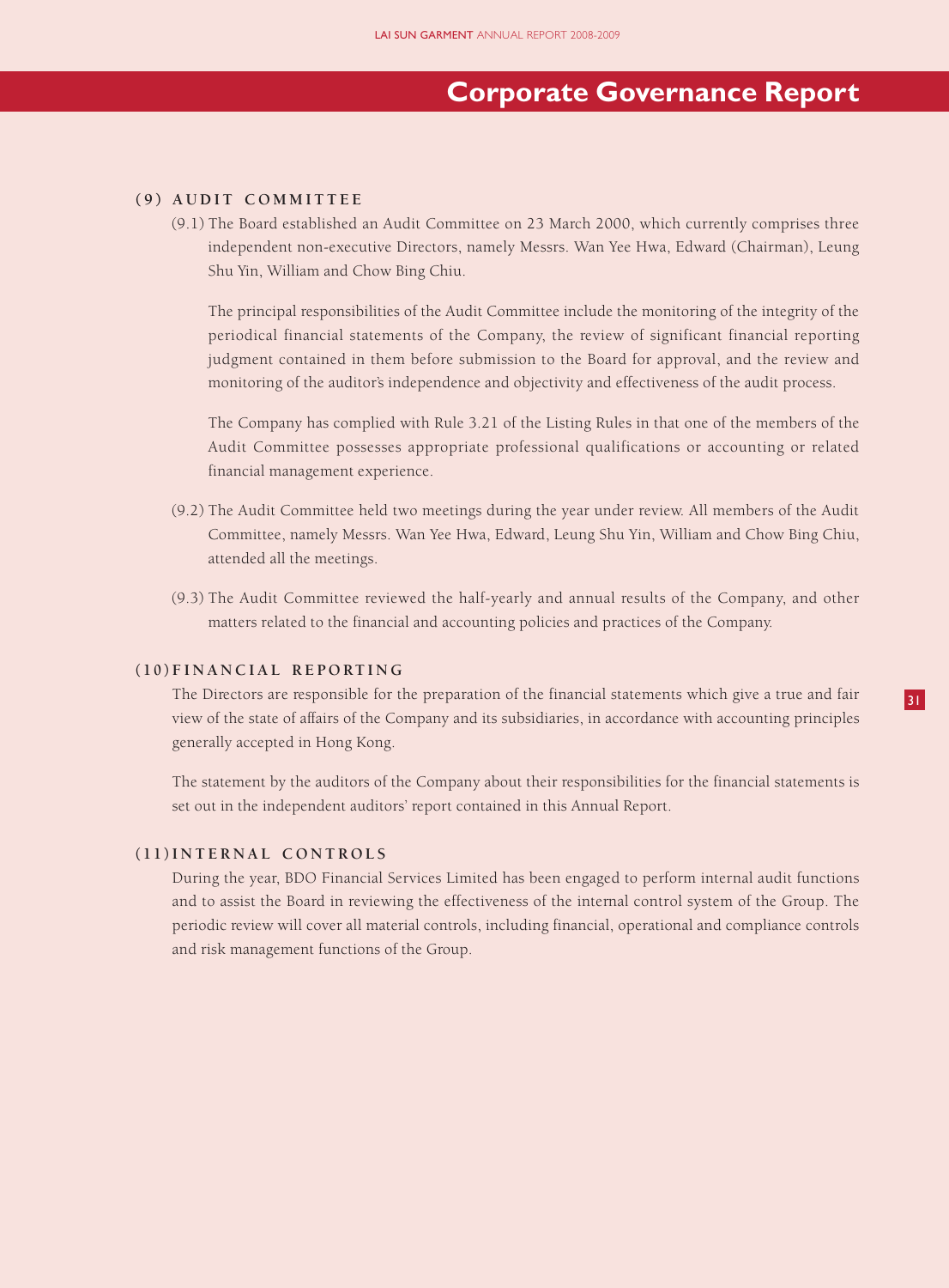#### **(9) AUDIT COMMITTEE**

(9.1) The Board established an Audit Committee on 23 March 2000, which currently comprises three independent non-executive Directors, namely Messrs. Wan Yee Hwa, Edward (Chairman), Leung Shu Yin, William and Chow Bing Chiu.

The principal responsibilities of the Audit Committee include the monitoring of the integrity of the periodical financial statements of the Company, the review of significant financial reporting judgment contained in them before submission to the Board for approval, and the review and monitoring of the auditor's independence and objectivity and effectiveness of the audit process.

The Company has complied with Rule 3.21 of the Listing Rules in that one of the members of the Audit Committee possesses appropriate professional qualifications or accounting or related financial management experience.

- (9.2) The Audit Committee held two meetings during the year under review. All members of the Audit Committee, namely Messrs. Wan Yee Hwa, Edward, Leung Shu Yin, William and Chow Bing Chiu, attended all the meetings.
- (9.3) The Audit Committee reviewed the half-yearly and annual results of the Company, and other matters related to the financial and accounting policies and practices of the Company.

### **(10) FINANCIAL REPORTING**

The Directors are responsible for the preparation of the financial statements which give a true and fair view of the state of affairs of the Company and its subsidiaries, in accordance with accounting principles generally accepted in Hong Kong.

The statement by the auditors of the Company about their responsibilities for the financial statements is set out in the independent auditors' report contained in this Annual Report.

### **(11) INTERNAL CONTROLS**

During the year, BDO Financial Services Limited has been engaged to perform internal audit functions and to assist the Board in reviewing the effectiveness of the internal control system of the Group. The periodic review will cover all material controls, including financial, operational and compliance controls and risk management functions of the Group.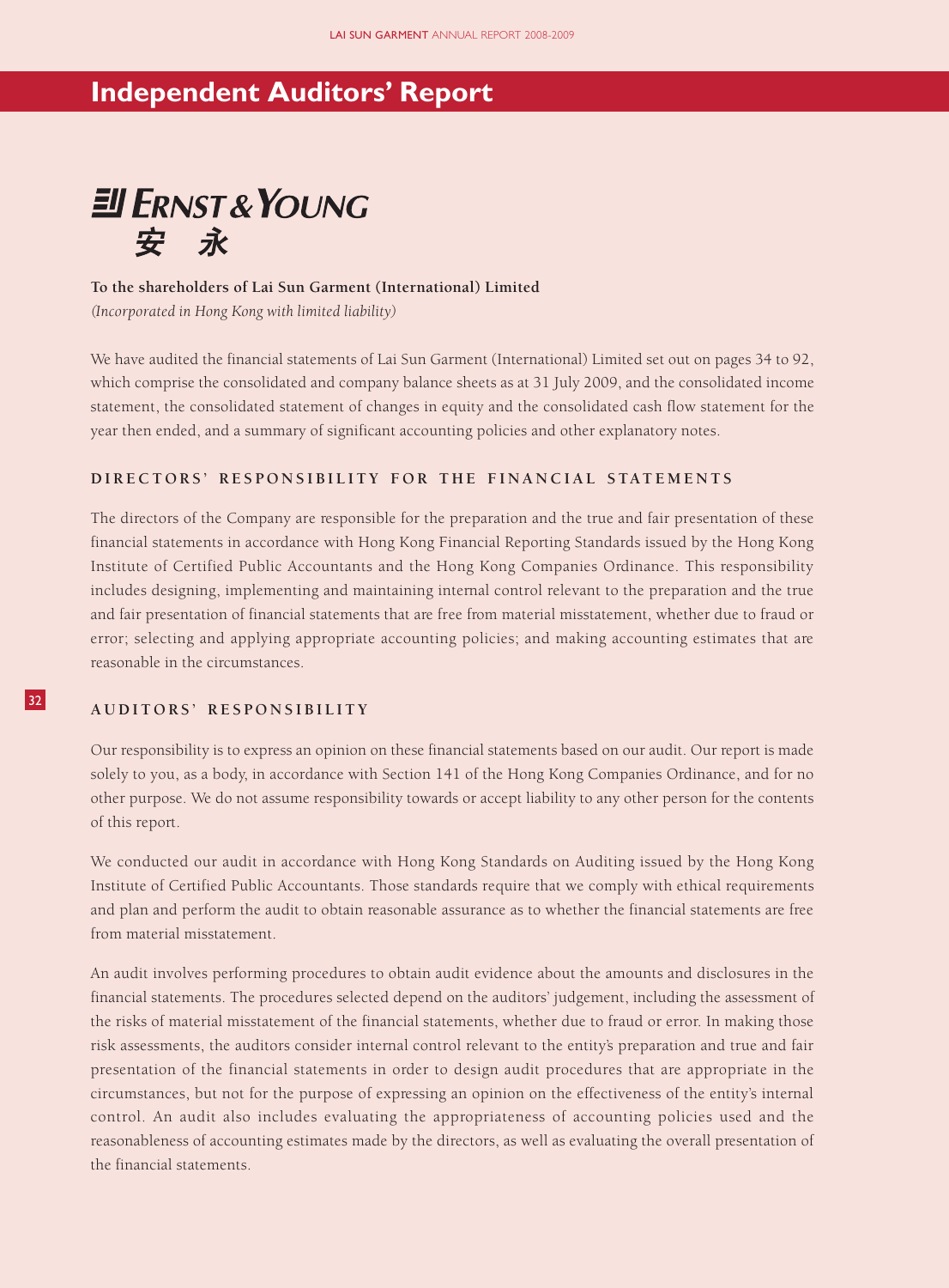# **Independent Auditors' Report**



#### **To the shareholders of Lai Sun Garment (International) Limited**

*(Incorporated in Hong Kong with limited liability)*

We have audited the financial statements of Lai Sun Garment (International) Limited set out on pages 34 to 92, which comprise the consolidated and company balance sheets as at 31 July 2009, and the consolidated income statement, the consolidated statement of changes in equity and the consolidated cash flow statement for the year then ended, and a summary of significant accounting policies and other explanatory notes.

### **DIRECTORS ' RESPONSIBILITY FOR THE FINANCIAL STATEMENTS**

The directors of the Company are responsible for the preparation and the true and fair presentation of these financial statements in accordance with Hong Kong Financial Reporting Standards issued by the Hong Kong Institute of Certified Public Accountants and the Hong Kong Companies Ordinance. This responsibility includes designing, implementing and maintaining internal control relevant to the preparation and the true and fair presentation of financial statements that are free from material misstatement, whether due to fraud or error; selecting and applying appropriate accounting policies; and making accounting estimates that are reasonable in the circumstances.

### **AUDITORS ' RESPONSIBILITY**

Our responsibility is to express an opinion on these financial statements based on our audit. Our report is made solely to you, as a body, in accordance with Section 141 of the Hong Kong Companies Ordinance, and for no other purpose. We do not assume responsibility towards or accept liability to any other person for the contents of this report.

We conducted our audit in accordance with Hong Kong Standards on Auditing issued by the Hong Kong Institute of Certified Public Accountants. Those standards require that we comply with ethical requirements and plan and perform the audit to obtain reasonable assurance as to whether the financial statements are free from material misstatement.

An audit involves performing procedures to obtain audit evidence about the amounts and disclosures in the financial statements. The procedures selected depend on the auditors' judgement, including the assessment of the risks of material misstatement of the financial statements, whether due to fraud or error. In making those risk assessments, the auditors consider internal control relevant to the entity's preparation and true and fair presentation of the financial statements in order to design audit procedures that are appropriate in the circumstances, but not for the purpose of expressing an opinion on the effectiveness of the entity's internal control. An audit also includes evaluating the appropriateness of accounting policies used and the reasonableness of accounting estimates made by the directors, as well as evaluating the overall presentation of the financial statements.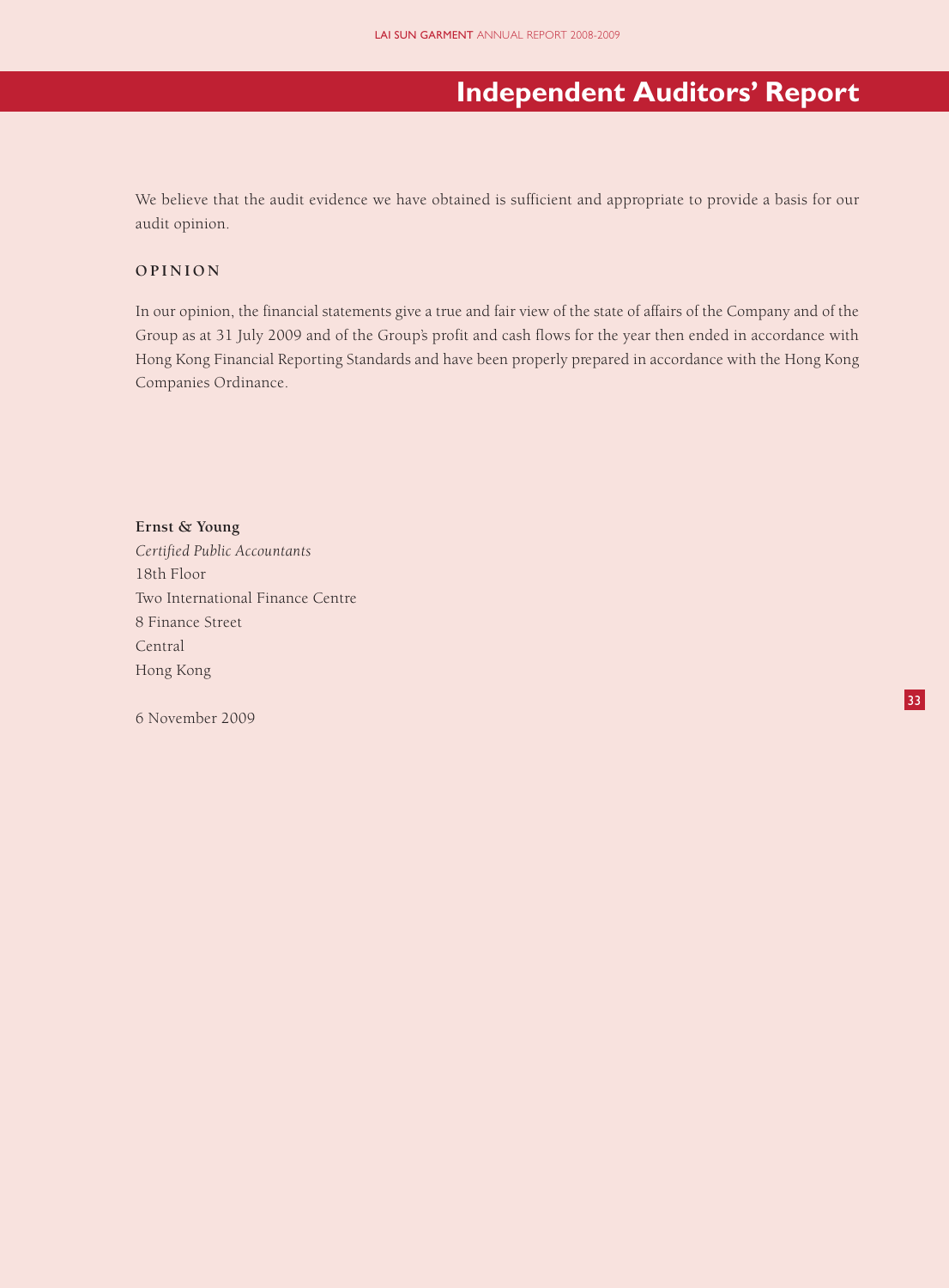# **Independent Auditors' Report**

We believe that the audit evidence we have obtained is sufficient and appropriate to provide a basis for our audit opinion.

### **OPINION**

In our opinion, the financial statements give a true and fair view of the state of affairs of the Company and of the Group as at 31 July 2009 and of the Group's profit and cash flows for the year then ended in accordance with Hong Kong Financial Reporting Standards and have been properly prepared in accordance with the Hong Kong Companies Ordinance.

**Ernst & Young** *Certified Public Accountants* 18th Floor Two International Finance Centre 8 Finance Street Central Hong Kong

6 November 2009

33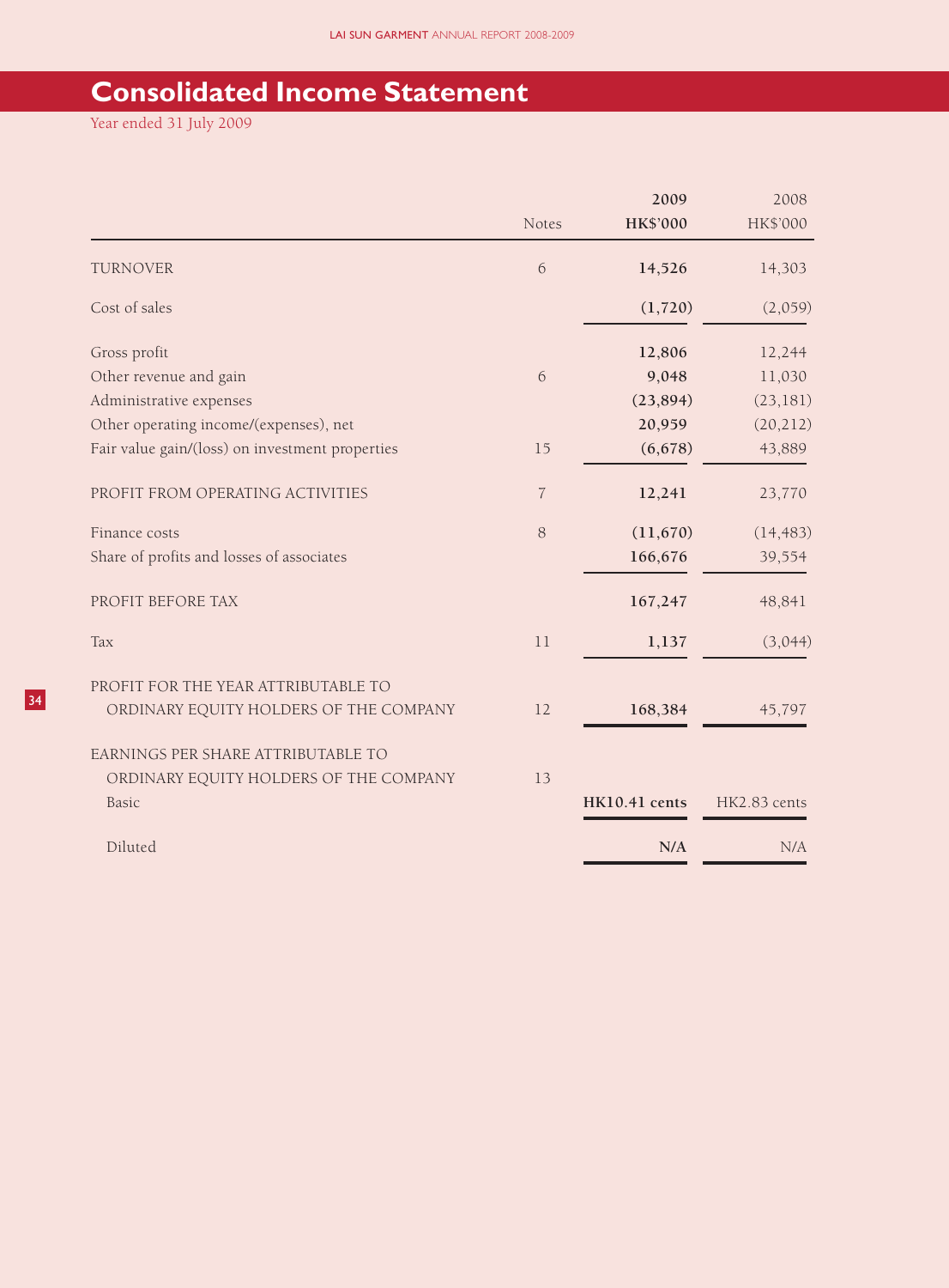# **Consolidated Income Statement**

Year ended 31 July 2009

|                                                 |                | 2009            | 2008         |
|-------------------------------------------------|----------------|-----------------|--------------|
|                                                 | Notes          | <b>HK\$'000</b> | HK\$'000     |
| <b>TURNOVER</b>                                 | 6              | 14,526          | 14,303       |
| Cost of sales                                   |                | (1,720)         | (2,059)      |
| Gross profit                                    |                | 12,806          | 12,244       |
| Other revenue and gain                          | 6              | 9,048           | 11,030       |
| Administrative expenses                         |                | (23, 894)       | (23, 181)    |
| Other operating income/(expenses), net          |                | 20,959          | (20, 212)    |
| Fair value gain/(loss) on investment properties | 15             | (6,678)         | 43,889       |
| PROFIT FROM OPERATING ACTIVITIES                | $\overline{7}$ | 12,241          | 23,770       |
| Finance costs                                   | 8              | (11,670)        | (14, 483)    |
| Share of profits and losses of associates       |                | 166,676         | 39,554       |
| PROFIT BEFORE TAX                               |                | 167,247         | 48,841       |
| Tax                                             | 11             | 1,137           | (3,044)      |
| PROFIT FOR THE YEAR ATTRIBUTABLE TO             |                |                 |              |
| ORDINARY EQUITY HOLDERS OF THE COMPANY          | 12             | 168,384         | 45,797       |
| EARNINGS PER SHARE ATTRIBUTABLE TO              |                |                 |              |
| ORDINARY EQUITY HOLDERS OF THE COMPANY          | 13             |                 |              |
| Basic                                           |                | HK10.41 cents   | HK2.83 cents |
| Diluted                                         |                | N/A             | N/A          |
|                                                 |                |                 |              |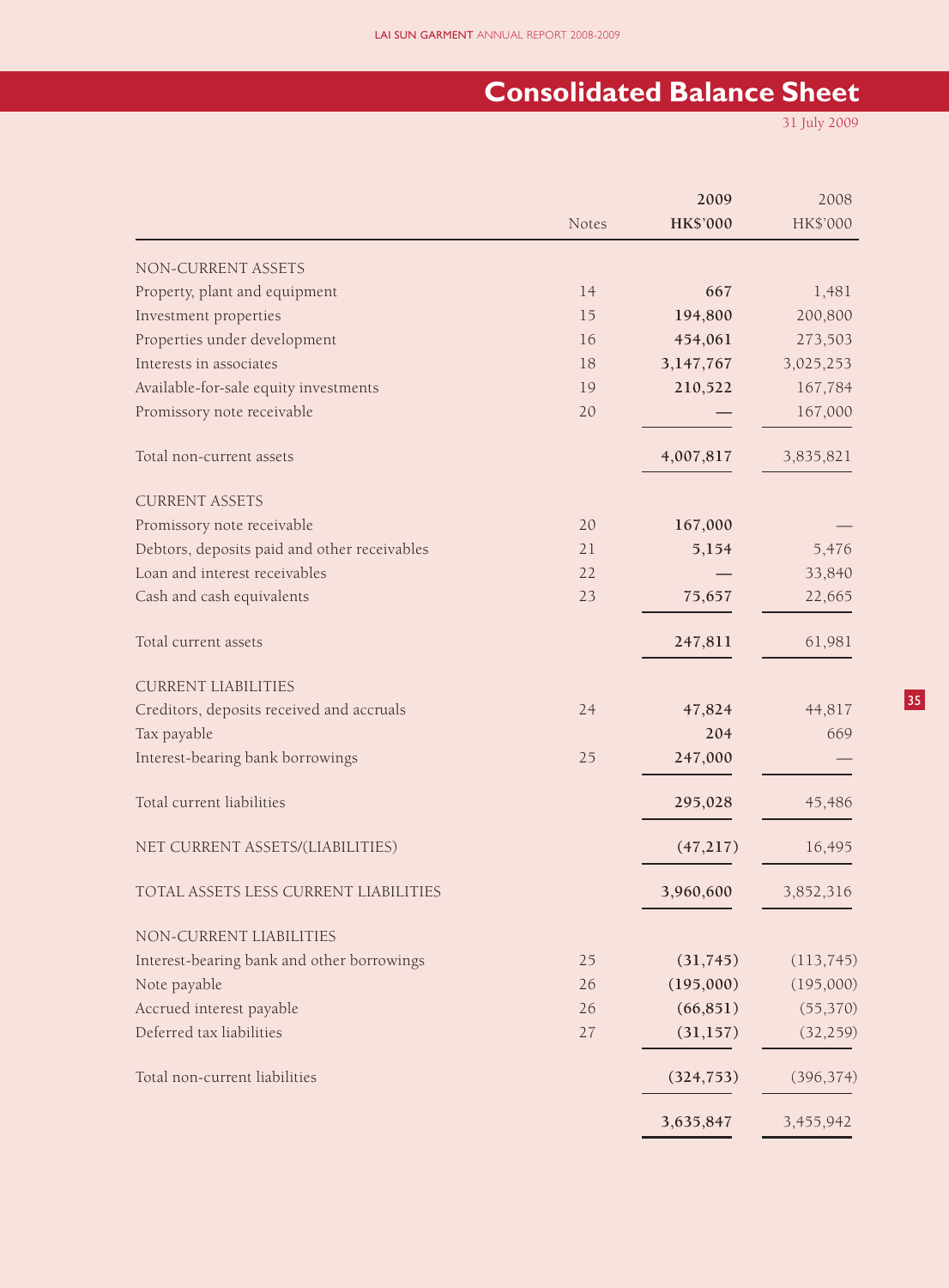# **Consolidated Balance Sheet**

31 July 2009

|                                              |       | 2009            | 2008       |
|----------------------------------------------|-------|-----------------|------------|
|                                              | Notes | <b>HK\$'000</b> | HK\$'000   |
| NON-CURRENT ASSETS                           |       |                 |            |
| Property, plant and equipment                | 14    | 667             | 1,481      |
| Investment properties                        | 15    | 194,800         | 200,800    |
| Properties under development                 | 16    | 454,061         | 273,503    |
| Interests in associates                      | 18    | 3,147,767       | 3,025,253  |
| Available-for-sale equity investments        | 19    | 210,522         | 167,784    |
| Promissory note receivable                   | 20    |                 | 167,000    |
| Total non-current assets                     |       | 4,007,817       | 3,835,821  |
| <b>CURRENT ASSETS</b>                        |       |                 |            |
| Promissory note receivable                   | 20    | 167,000         |            |
| Debtors, deposits paid and other receivables | 21    | 5,154           | 5,476      |
| Loan and interest receivables                | 22    |                 | 33,840     |
| Cash and cash equivalents                    | 23    | 75,657          | 22,665     |
| Total current assets                         |       | 247,811         | 61,981     |
| <b>CURRENT LIABILITIES</b>                   |       |                 |            |
| Creditors, deposits received and accruals    | 24    | 47,824          | 44,817     |
| Tax payable                                  |       | 204             | 669        |
| Interest-bearing bank borrowings             | 25    | 247,000         |            |
| Total current liabilities                    |       | 295,028         | 45,486     |
| NET CURRENT ASSETS/(LIABILITIES)             |       | (47,217)        | 16,495     |
| TOTAL ASSETS LESS CURRENT LIABILITIES        |       | 3,960,600       | 3,852,316  |
| NON-CURRENT LIABILITIES                      |       |                 |            |
| Interest-bearing bank and other borrowings   | 25    | (31, 745)       | (113, 745) |
| Note payable                                 | 26    | (195,000)       | (195,000)  |
| Accrued interest payable                     | 26    | (66, 851)       | (55, 370)  |
| Deferred tax liabilities                     | 27    | (31, 157)       | (32, 259)  |
| Total non-current liabilities                |       | (324, 753)      | (396, 374) |
|                                              |       | 3,635,847       | 3,455,942  |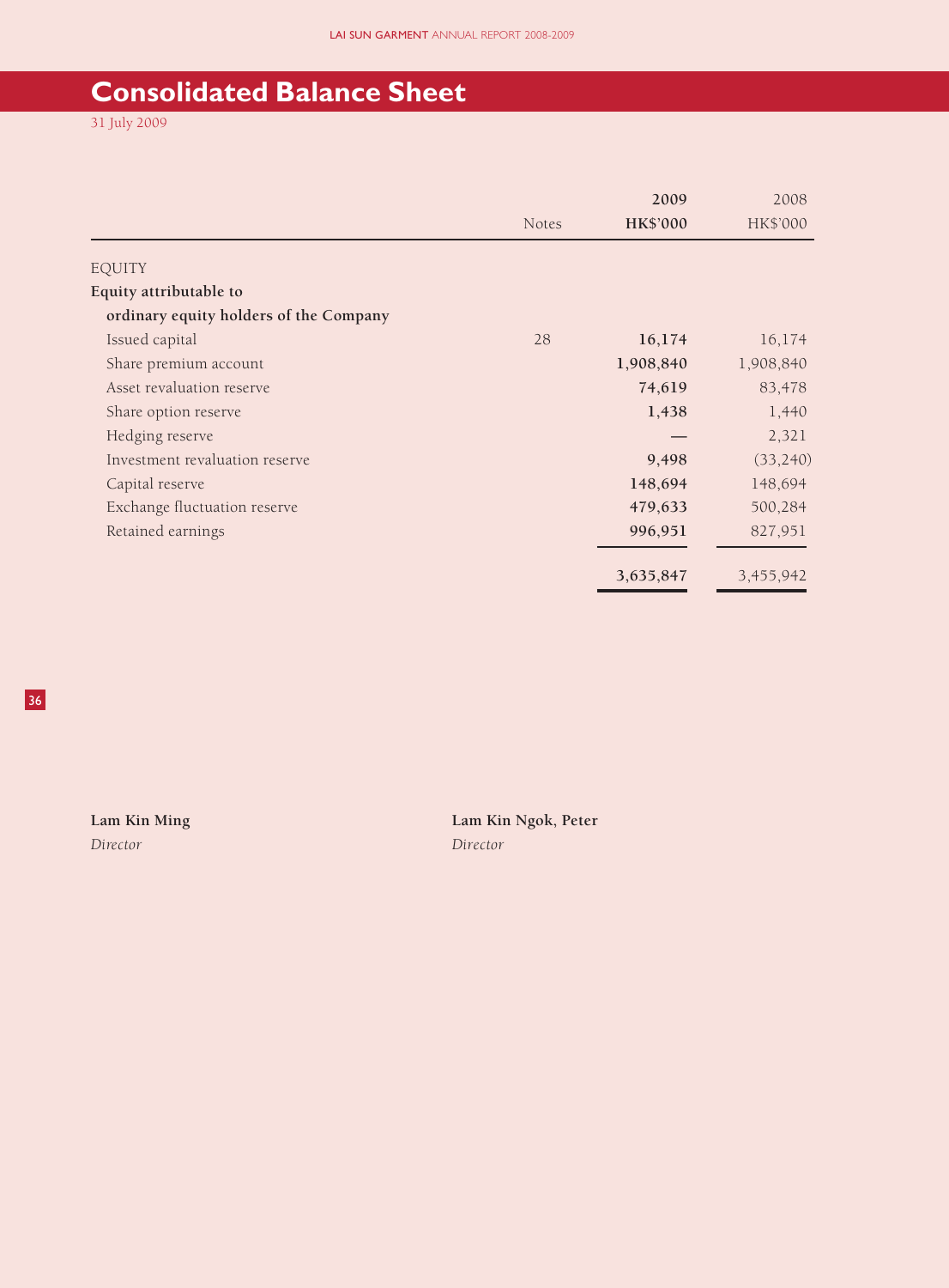# **Consolidated Balance Sheet**

31 July 2009

|                                        |       | 2009            | 2008      |
|----------------------------------------|-------|-----------------|-----------|
|                                        | Notes | <b>HK\$'000</b> | HK\$'000  |
| <b>EQUITY</b>                          |       |                 |           |
| Equity attributable to                 |       |                 |           |
| ordinary equity holders of the Company |       |                 |           |
| Issued capital                         | 28    | 16,174          | 16,174    |
| Share premium account                  |       | 1,908,840       | 1,908,840 |
| Asset revaluation reserve              |       | 74,619          | 83,478    |
| Share option reserve                   |       | 1,438           | 1,440     |
| Hedging reserve                        |       |                 | 2,321     |
| Investment revaluation reserve         |       | 9,498           | (33, 240) |
| Capital reserve                        |       | 148,694         | 148,694   |
| Exchange fluctuation reserve           |       | 479,633         | 500,284   |
| Retained earnings                      |       | 996,951         | 827,951   |
|                                        |       | 3,635,847       | 3,455,942 |

*Director Director*

**Lam Kin Ming Lam Kin Ngok, Peter**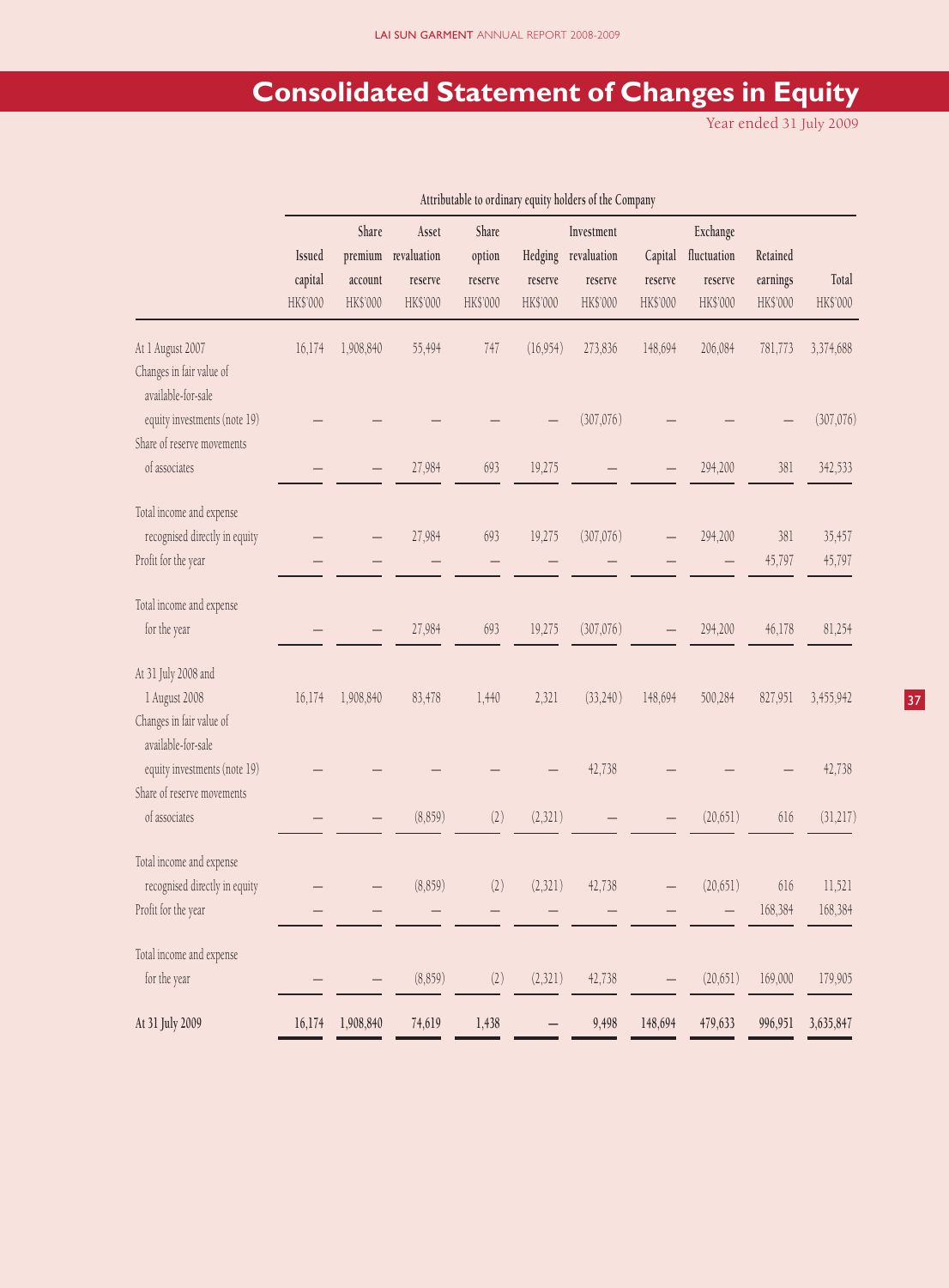# **Consolidated Statement of Changes in Equity**

Year ended 31 July 2009

|                                                                                  | Attributable to ordinary equity holders of the Company |                                         |                                             |                                        |                                |                                                  |                                |                                                |                                  |                   |
|----------------------------------------------------------------------------------|--------------------------------------------------------|-----------------------------------------|---------------------------------------------|----------------------------------------|--------------------------------|--------------------------------------------------|--------------------------------|------------------------------------------------|----------------------------------|-------------------|
|                                                                                  | Issued<br>capital<br>HK\$'000                          | Share<br>premium<br>account<br>HK\$'000 | Asset<br>revaluation<br>reserve<br>HK\$'000 | Share<br>option<br>reserve<br>HK\$'000 | Hedging<br>reserve<br>HK\$'000 | Investment<br>revaluation<br>reserve<br>HK\$'000 | Capital<br>reserve<br>HK\$'000 | Exchange<br>fluctuation<br>reserve<br>HK\$'000 | Retained<br>earnings<br>HK\$'000 | Total<br>HK\$'000 |
| At 1 August 2007<br>Changes in fair value of<br>available-for-sale               | 16,174                                                 | 1,908,840                               | 55,494                                      | 747                                    | (16,954)                       | 273,836                                          | 148,694                        | 206,084                                        | 781,773                          | 3,374,688         |
| equity investments (note 19)                                                     |                                                        |                                         |                                             |                                        |                                | (307,076)                                        |                                |                                                |                                  | (307,076)         |
| Share of reserve movements<br>of associates                                      |                                                        |                                         | 27,984                                      | 693                                    | 19,275                         |                                                  |                                | 294,200                                        | 381                              | 342,533           |
| Total income and expense<br>recognised directly in equity<br>Profit for the year |                                                        |                                         | 27,984                                      | 693                                    | 19,275                         | (307,076)                                        |                                | 294,200                                        | 381<br>45,797                    | 35,457<br>45,797  |
| Total income and expense<br>for the year                                         |                                                        |                                         | 27,984                                      | 693                                    | 19,275                         | (307,076)                                        |                                | 294,200                                        | 46,178                           | 81,254            |
| At 31 July 2008 and<br>1 August 2008<br>Changes in fair value of                 | 16,174                                                 | 1,908,840                               | 83,478                                      | 1,440                                  | 2,321                          | (33, 240)                                        | 148,694                        | 500,284                                        | 827,951                          | 3,455,942         |
| available-for-sale<br>equity investments (note 19)                               |                                                        |                                         |                                             |                                        |                                | 42,738                                           |                                |                                                |                                  | 42,738            |
| Share of reserve movements<br>of associates                                      |                                                        |                                         | (8,859)                                     | (2)                                    | (2, 321)                       |                                                  |                                | (20,651)                                       | 616                              | (31, 217)         |
| Total income and expense<br>recognised directly in equity<br>Profit for the year |                                                        |                                         | (8,859)                                     | (2)                                    | (2, 321)                       | 42,738                                           |                                | (20, 651)                                      | 616<br>168,384                   | 11,521<br>168,384 |
| Total income and expense<br>for the year                                         |                                                        |                                         | (8,859)                                     | (2)                                    | (2, 321)                       | 42,738                                           |                                | (20,651)                                       | 169,000                          | 179,905           |
| At 31 July 2009                                                                  | 16,174                                                 | 1,908,840                               | 74,619                                      | 1,438                                  |                                | 9,498                                            | 148,694                        | 479,633                                        | 996,951                          | 3,635,847         |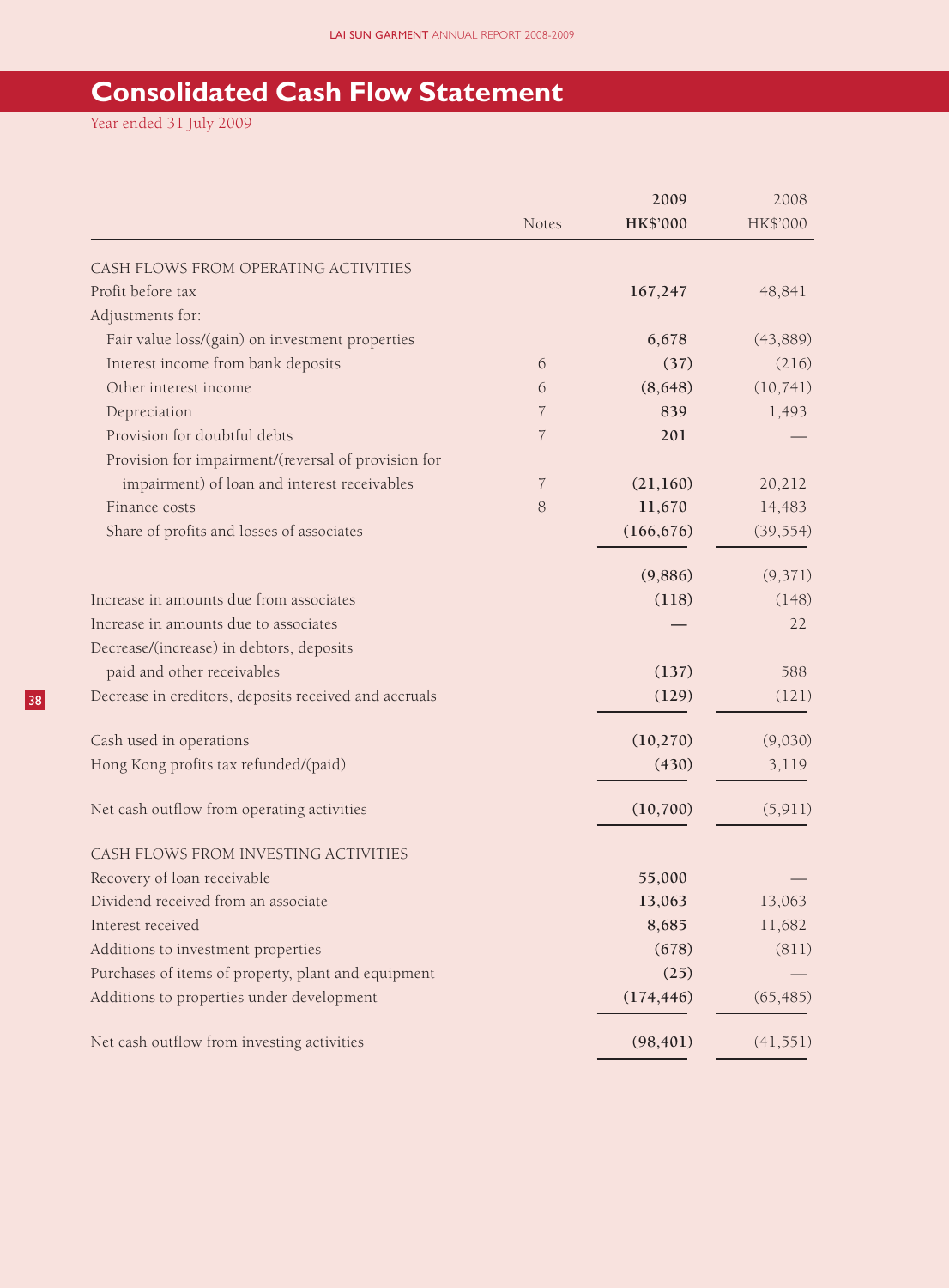# **Consolidated Cash Flow Statement**

Year ended 31 July 2009

|                                                       |       | 2009            | 2008      |
|-------------------------------------------------------|-------|-----------------|-----------|
|                                                       | Notes | <b>HK\$'000</b> | HK\$'000  |
| CASH FLOWS FROM OPERATING ACTIVITIES                  |       |                 |           |
| Profit before tax                                     |       | 167,247         | 48,841    |
| Adjustments for:                                      |       |                 |           |
| Fair value loss/(gain) on investment properties       |       | 6,678           | (43,889)  |
| Interest income from bank deposits                    | 6     | (37)            | (216)     |
| Other interest income                                 | 6     | (8,648)         | (10, 741) |
| Depreciation                                          | 7     | 839             | 1,493     |
| Provision for doubtful debts                          | 7     | 201             |           |
| Provision for impairment/(reversal of provision for   |       |                 |           |
| impairment) of loan and interest receivables          | 7     | (21,160)        | 20,212    |
| Finance costs                                         | 8     | 11,670          | 14,483    |
| Share of profits and losses of associates             |       | (166, 676)      | (39, 554) |
|                                                       |       | (9,886)         | (9,371)   |
| Increase in amounts due from associates               |       | (118)           | (148)     |
| Increase in amounts due to associates                 |       |                 | 22        |
| Decrease/(increase) in debtors, deposits              |       |                 |           |
| paid and other receivables                            |       | (137)           | 588       |
| Decrease in creditors, deposits received and accruals |       | (129)           | (121)     |
| Cash used in operations                               |       | (10, 270)       | (9,030)   |
| Hong Kong profits tax refunded/(paid)                 |       | (430)           | 3,119     |
| Net cash outflow from operating activities            |       | (10,700)        | (5, 911)  |
| CASH FLOWS FROM INVESTING ACTIVITIES                  |       |                 |           |
| Recovery of loan receivable                           |       | 55,000          |           |
| Dividend received from an associate                   |       | 13,063          | 13,063    |
| Interest received                                     |       | 8,685           | 11,682    |
| Additions to investment properties                    |       | (678)           | (811)     |
| Purchases of items of property, plant and equipment   |       | (25)            |           |
| Additions to properties under development             |       | (174, 446)      | (65, 485) |
| Net cash outflow from investing activities            |       | (98, 401)       | (41, 551) |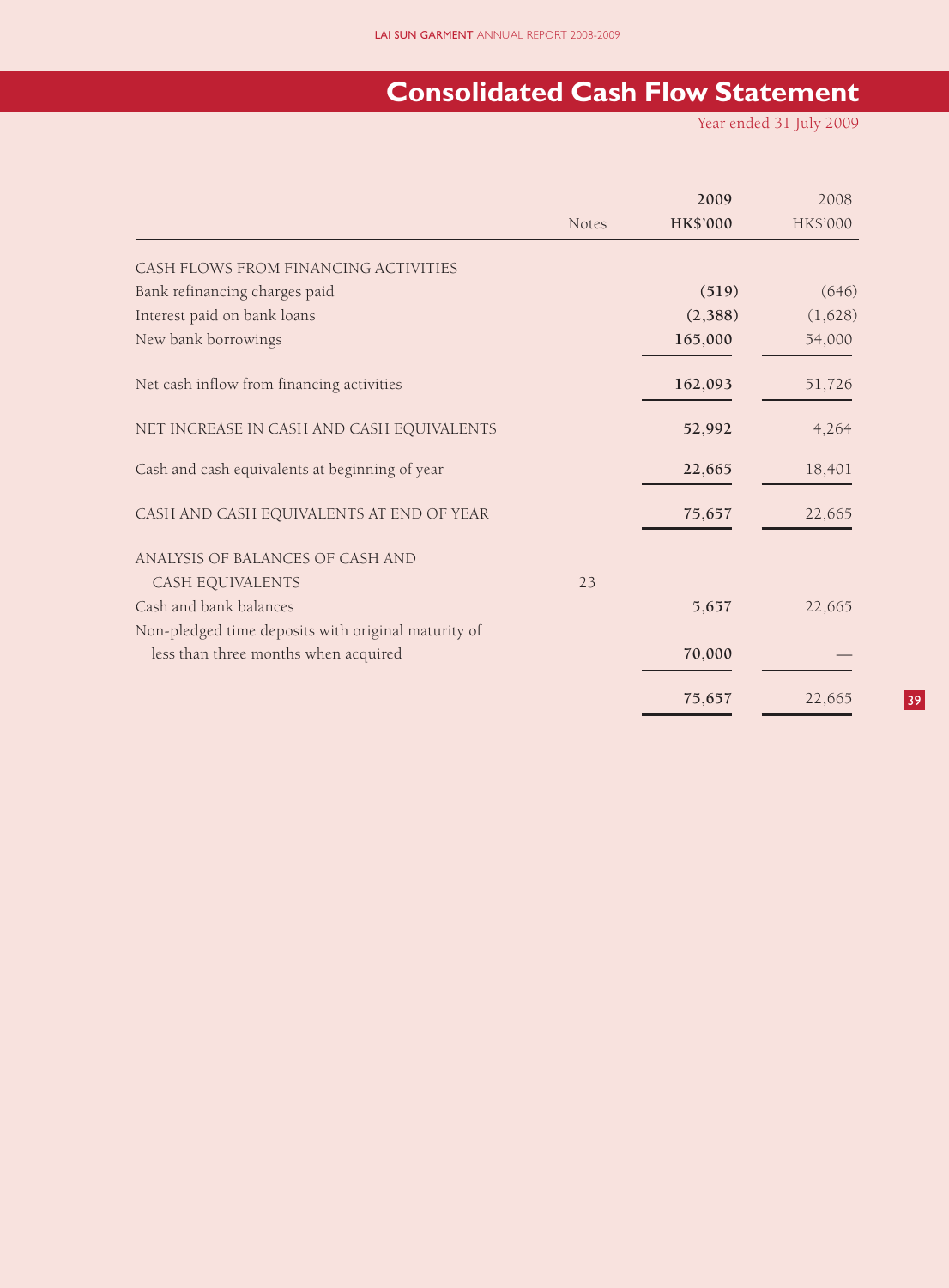# **Consolidated Cash Flow Statement**

Year ended 31 July 2009

|                                                     |       | 2009            | 2008     |
|-----------------------------------------------------|-------|-----------------|----------|
|                                                     | Notes | <b>HK\$'000</b> | HK\$'000 |
| CASH FLOWS FROM FINANCING ACTIVITIES                |       |                 |          |
| Bank refinancing charges paid                       |       | (519)           | (646)    |
| Interest paid on bank loans                         |       | (2,388)         | (1,628)  |
| New bank borrowings                                 |       | 165,000         | 54,000   |
| Net cash inflow from financing activities           |       | 162,093         | 51,726   |
| NET INCREASE IN CASH AND CASH EQUIVALENTS           |       | 52,992          | 4,264    |
| Cash and cash equivalents at beginning of year      |       | 22,665          | 18,401   |
| CASH AND CASH EQUIVALENTS AT END OF YEAR            |       | 75,657          | 22,665   |
| ANALYSIS OF BALANCES OF CASH AND                    |       |                 |          |
| <b>CASH EQUIVALENTS</b>                             | 23    |                 |          |
| Cash and bank balances                              |       | 5,657           | 22,665   |
| Non-pledged time deposits with original maturity of |       |                 |          |
| less than three months when acquired                |       | 70,000          |          |
|                                                     |       | 75,657          | 22,665   |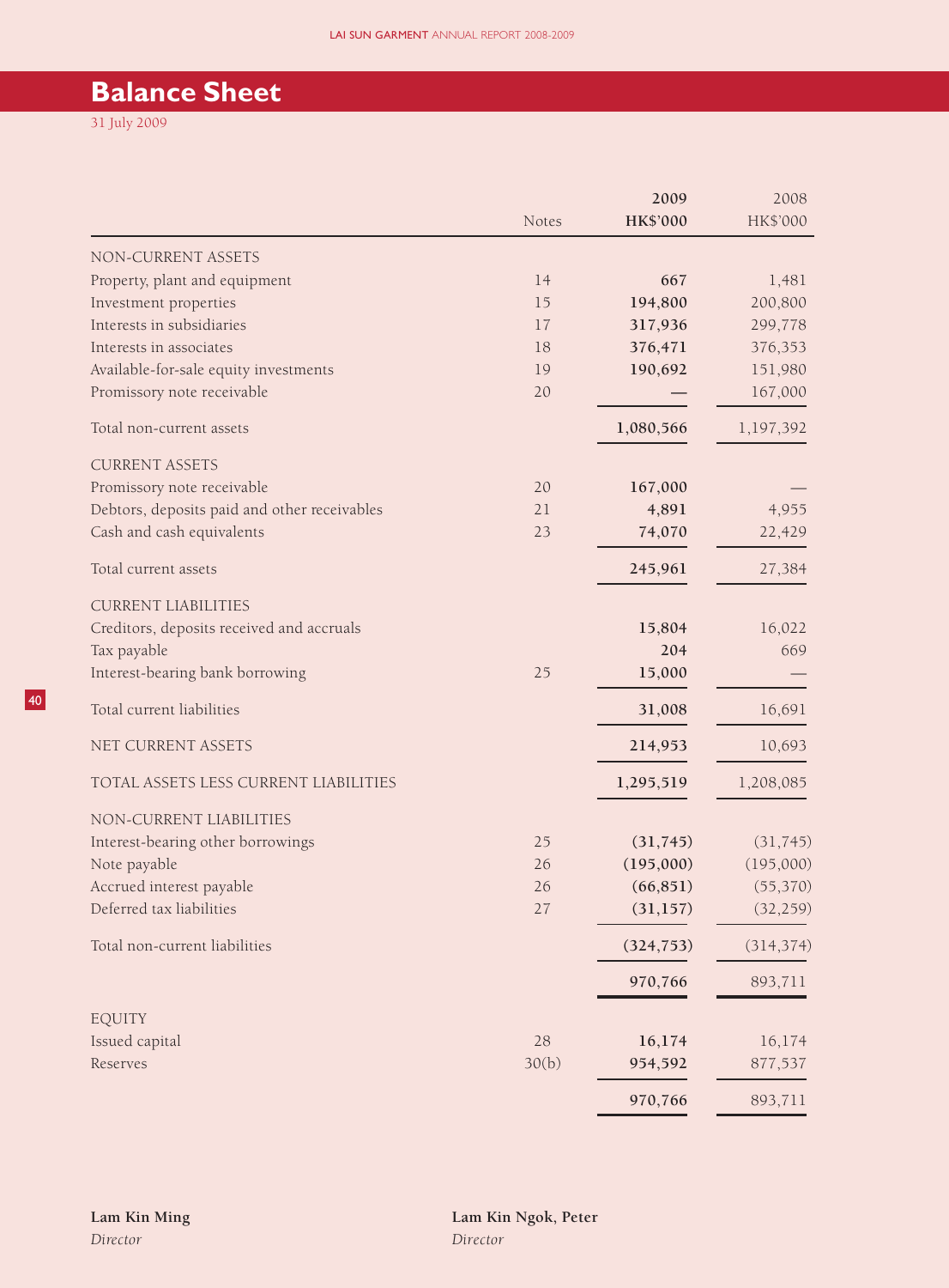# **Balance Sheet**

31 July 2009

|                                              |       | 2009            | 2008       |
|----------------------------------------------|-------|-----------------|------------|
|                                              | Notes | <b>HK\$'000</b> | HK\$'000   |
| NON-CURRENT ASSETS                           |       |                 |            |
| Property, plant and equipment                | 14    | 667             | 1,481      |
| Investment properties                        | 15    | 194,800         | 200,800    |
| Interests in subsidiaries                    | 17    | 317,936         | 299,778    |
| Interests in associates                      | 18    | 376,471         | 376,353    |
| Available-for-sale equity investments        | 19    | 190,692         | 151,980    |
| Promissory note receivable                   | 20    |                 | 167,000    |
| Total non-current assets                     |       | 1,080,566       | 1,197,392  |
| <b>CURRENT ASSETS</b>                        |       |                 |            |
| Promissory note receivable                   | 20    | 167,000         |            |
| Debtors, deposits paid and other receivables | 21    | 4,891           | 4,955      |
| Cash and cash equivalents                    | 23    | 74,070          | 22,429     |
| Total current assets                         |       | 245,961         | 27,384     |
| <b>CURRENT LIABILITIES</b>                   |       |                 |            |
| Creditors, deposits received and accruals    |       | 15,804          | 16,022     |
| Tax payable                                  |       | 204             | 669        |
| Interest-bearing bank borrowing              | 25    | 15,000          |            |
| Total current liabilities                    |       | 31,008          | 16,691     |
| NET CURRENT ASSETS                           |       | 214,953         | 10,693     |
| TOTAL ASSETS LESS CURRENT LIABILITIES        |       | 1,295,519       | 1,208,085  |
| NON-CURRENT LIABILITIES                      |       |                 |            |
| Interest-bearing other borrowings            | 25    | (31,745)        | (31, 745)  |
| Note payable                                 | 26    | (195,000)       | (195,000)  |
| Accrued interest payable                     | 26    | (66, 851)       | (55, 370)  |
| Deferred tax liabilities                     | 27    | (31, 157)       | (32, 259)  |
| Total non-current liabilities                |       | (324, 753)      | (314, 374) |
|                                              |       | 970,766         | 893,711    |
| <b>EQUITY</b>                                |       |                 |            |
| Issued capital                               | 28    | 16,174          | 16,174     |
| Reserves                                     | 30(b) | 954,592         | 877,537    |
|                                              |       | 970,766         | 893,711    |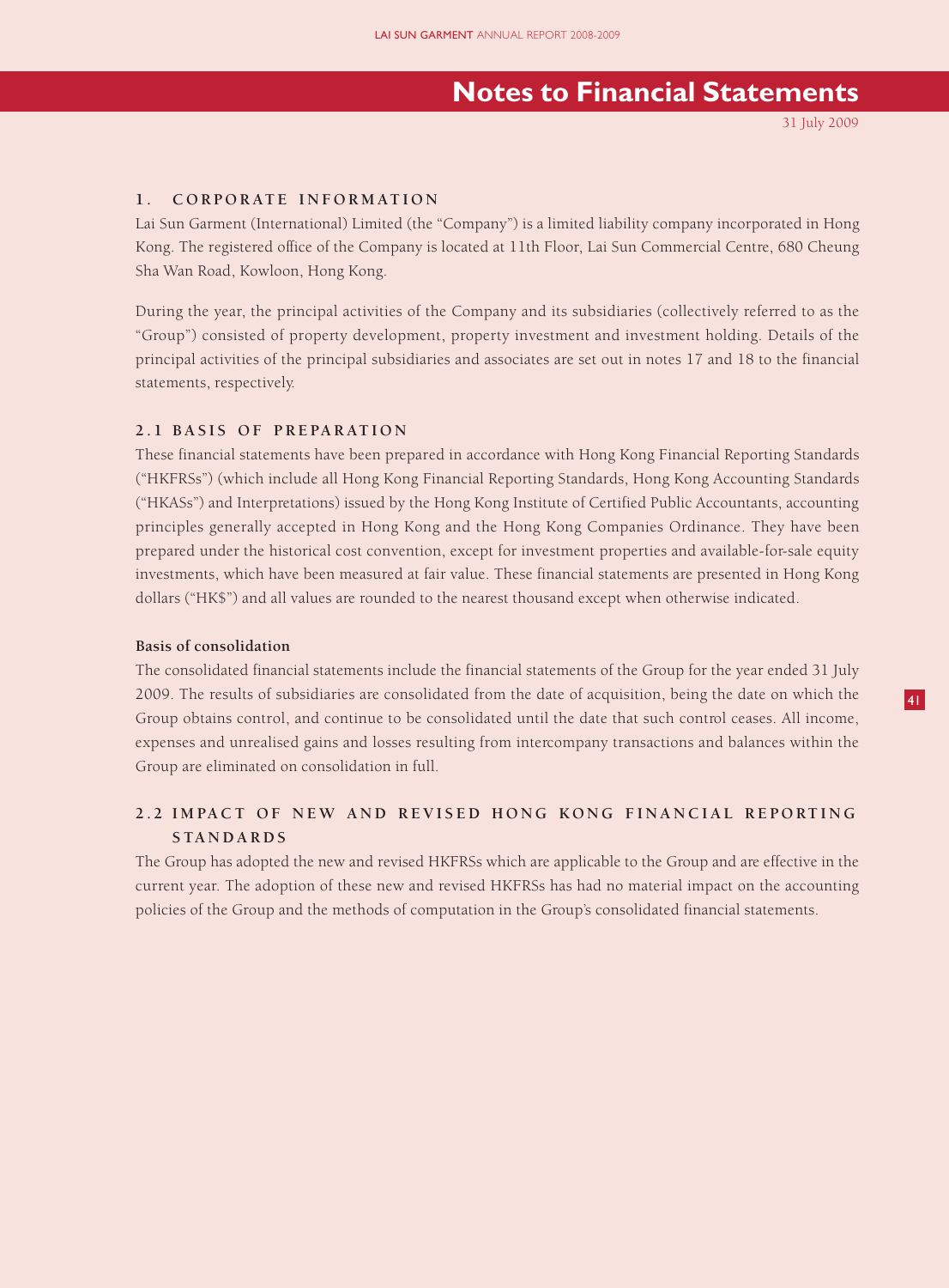31 July 2009

### **1. CORPORATE INFORMATION**

Lai Sun Garment (International) Limited (the "Company") is a limited liability company incorporated in Hong Kong. The registered office of the Company is located at 11th Floor, Lai Sun Commercial Centre, 680 Cheung Sha Wan Road, Kowloon, Hong Kong.

During the year, the principal activities of the Company and its subsidiaries (collectively referred to as the "Group") consisted of property development, property investment and investment holding. Details of the principal activities of the principal subsidiaries and associates are set out in notes 17 and 18 to the financial statements, respectively.

### **2.1 BASIS OF PREPARATION**

These financial statements have been prepared in accordance with Hong Kong Financial Reporting Standards ("HKFRSs") (which include all Hong Kong Financial Reporting Standards, Hong Kong Accounting Standards ("HKASs") and Interpretations) issued by the Hong Kong Institute of Certified Public Accountants, accounting principles generally accepted in Hong Kong and the Hong Kong Companies Ordinance. They have been prepared under the historical cost convention, except for investment properties and available-for-sale equity investments, which have been measured at fair value. These financial statements are presented in Hong Kong dollars ("HK\$") and all values are rounded to the nearest thousand except when otherwise indicated.

### **Basis of consolidation**

The consolidated financial statements include the financial statements of the Group for the year ended 31 July 2009. The results of subsidiaries are consolidated from the date of acquisition, being the date on which the Group obtains control, and continue to be consolidated until the date that such control ceases. All income, expenses and unrealised gains and losses resulting from intercompany transactions and balances within the Group are eliminated on consolidation in full.

### **2.2 IMPACT OF NEW AND REVISED HONG KONG FINANCIAL REPORTING STANDARDS**

The Group has adopted the new and revised HKFRSs which are applicable to the Group and are effective in the current year. The adoption of these new and revised HKFRSs has had no material impact on the accounting policies of the Group and the methods of computation in the Group's consolidated financial statements.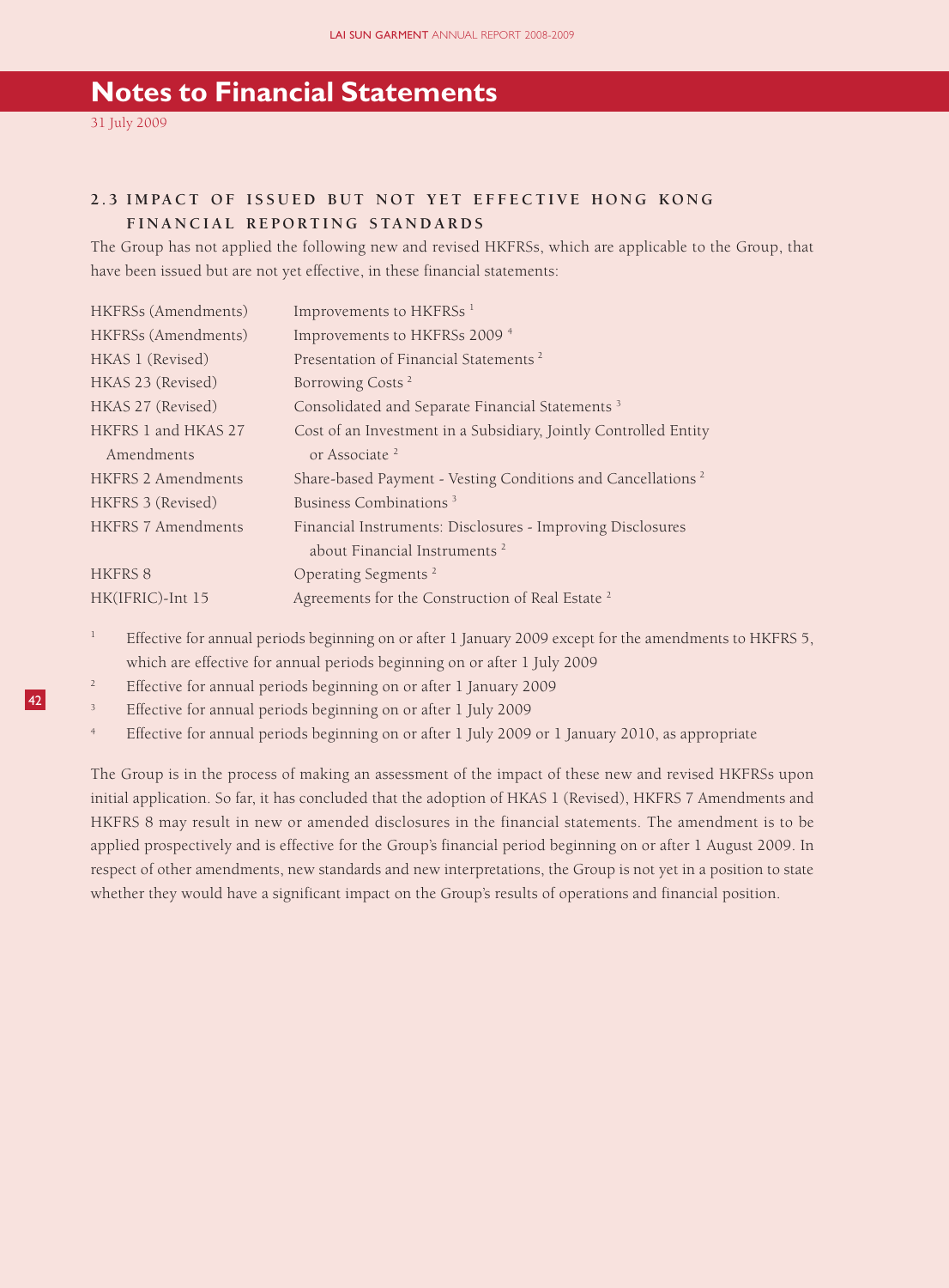31 July 2009

### **2.3 IMPACT OF ISSUED BUT NOT YET EFFECTIVE HONG KONG FINANCIAL REPORTING STANDARDS**

The Group has not applied the following new and revised HKFRSs, which are applicable to the Group, that have been issued but are not yet effective, in these financial statements:

| Improvements to HKFRSs <sup>1</sup>                                     |
|-------------------------------------------------------------------------|
| Improvements to HKFRSs 2009 <sup>4</sup>                                |
| Presentation of Financial Statements <sup>2</sup>                       |
| Borrowing Costs <sup>2</sup>                                            |
| Consolidated and Separate Financial Statements <sup>3</sup>             |
| Cost of an Investment in a Subsidiary, Jointly Controlled Entity        |
| or Associate <sup>2</sup>                                               |
| Share-based Payment - Vesting Conditions and Cancellations <sup>2</sup> |
| Business Combinations <sup>3</sup>                                      |
| Financial Instruments: Disclosures - Improving Disclosures              |
| about Financial Instruments <sup>2</sup>                                |
| Operating Segments <sup>2</sup>                                         |
| Agreements for the Construction of Real Estate <sup>2</sup>             |
|                                                                         |

<sup>1</sup> Effective for annual periods beginning on or after 1 January 2009 except for the amendments to HKFRS 5, which are effective for annual periods beginning on or after 1 July 2009

<sup>2</sup> Effective for annual periods beginning on or after 1 January 2009

<sup>3</sup> Effective for annual periods beginning on or after 1 July 2009

<sup>4</sup> Effective for annual periods beginning on or after 1 July 2009 or 1 January 2010, as appropriate

The Group is in the process of making an assessment of the impact of these new and revised HKFRSs upon initial application. So far, it has concluded that the adoption of HKAS 1 (Revised), HKFRS 7 Amendments and HKFRS 8 may result in new or amended disclosures in the financial statements. The amendment is to be applied prospectively and is effective for the Group's financial period beginning on or after 1 August 2009. In respect of other amendments, new standards and new interpretations, the Group is not yet in a position to state whether they would have a significant impact on the Group's results of operations and financial position.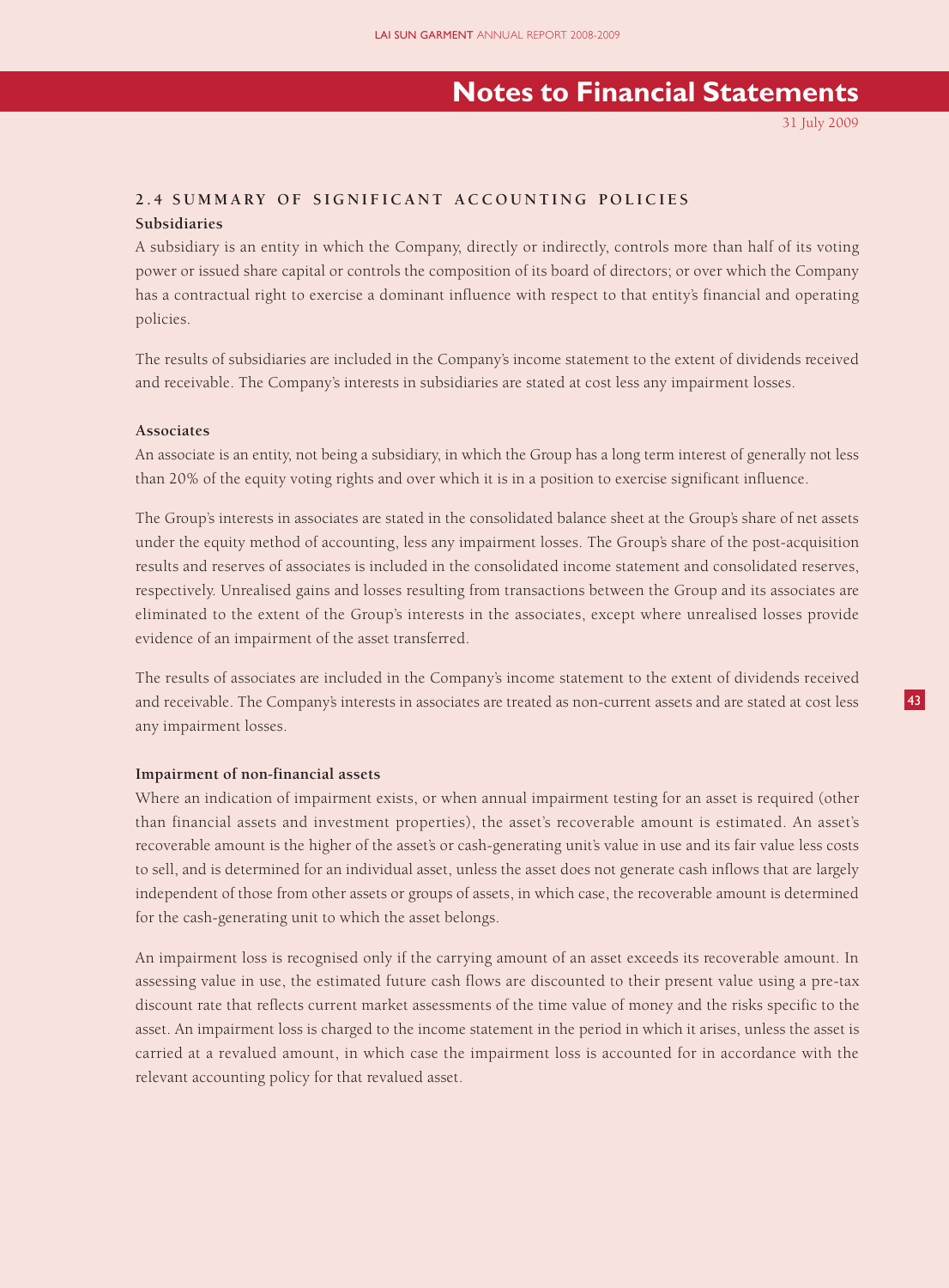31 July 2009

## **2.4 SUMMARY OF SIGNIFICANT ACCOUNTING POLICIES**

### **Subsidiaries**

A subsidiary is an entity in which the Company, directly or indirectly, controls more than half of its voting power or issued share capital or controls the composition of its board of directors; or over which the Company has a contractual right to exercise a dominant influence with respect to that entity's financial and operating policies.

The results of subsidiaries are included in the Company's income statement to the extent of dividends received and receivable. The Company's interests in subsidiaries are stated at cost less any impairment losses.

#### **Associates**

An associate is an entity, not being a subsidiary, in which the Group has a long term interest of generally not less than 20% of the equity voting rights and over which it is in a position to exercise significant influence.

The Group's interests in associates are stated in the consolidated balance sheet at the Group's share of net assets under the equity method of accounting, less any impairment losses. The Group's share of the post-acquisition results and reserves of associates is included in the consolidated income statement and consolidated reserves, respectively. Unrealised gains and losses resulting from transactions between the Group and its associates are eliminated to the extent of the Group's interests in the associates, except where unrealised losses provide evidence of an impairment of the asset transferred.

The results of associates are included in the Company's income statement to the extent of dividends received and receivable. The Company's interests in associates are treated as non-current assets and are stated at cost less any impairment losses.

#### **Impairment of non-financial assets**

Where an indication of impairment exists, or when annual impairment testing for an asset is required (other than financial assets and investment properties), the asset's recoverable amount is estimated. An asset's recoverable amount is the higher of the asset's or cash-generating unit's value in use and its fair value less costs to sell, and is determined for an individual asset, unless the asset does not generate cash inflows that are largely independent of those from other assets or groups of assets, in which case, the recoverable amount is determined for the cash-generating unit to which the asset belongs.

An impairment loss is recognised only if the carrying amount of an asset exceeds its recoverable amount. In assessing value in use, the estimated future cash flows are discounted to their present value using a pre-tax discount rate that reflects current market assessments of the time value of money and the risks specific to the asset. An impairment loss is charged to the income statement in the period in which it arises, unless the asset is carried at a revalued amount, in which case the impairment loss is accounted for in accordance with the relevant accounting policy for that revalued asset.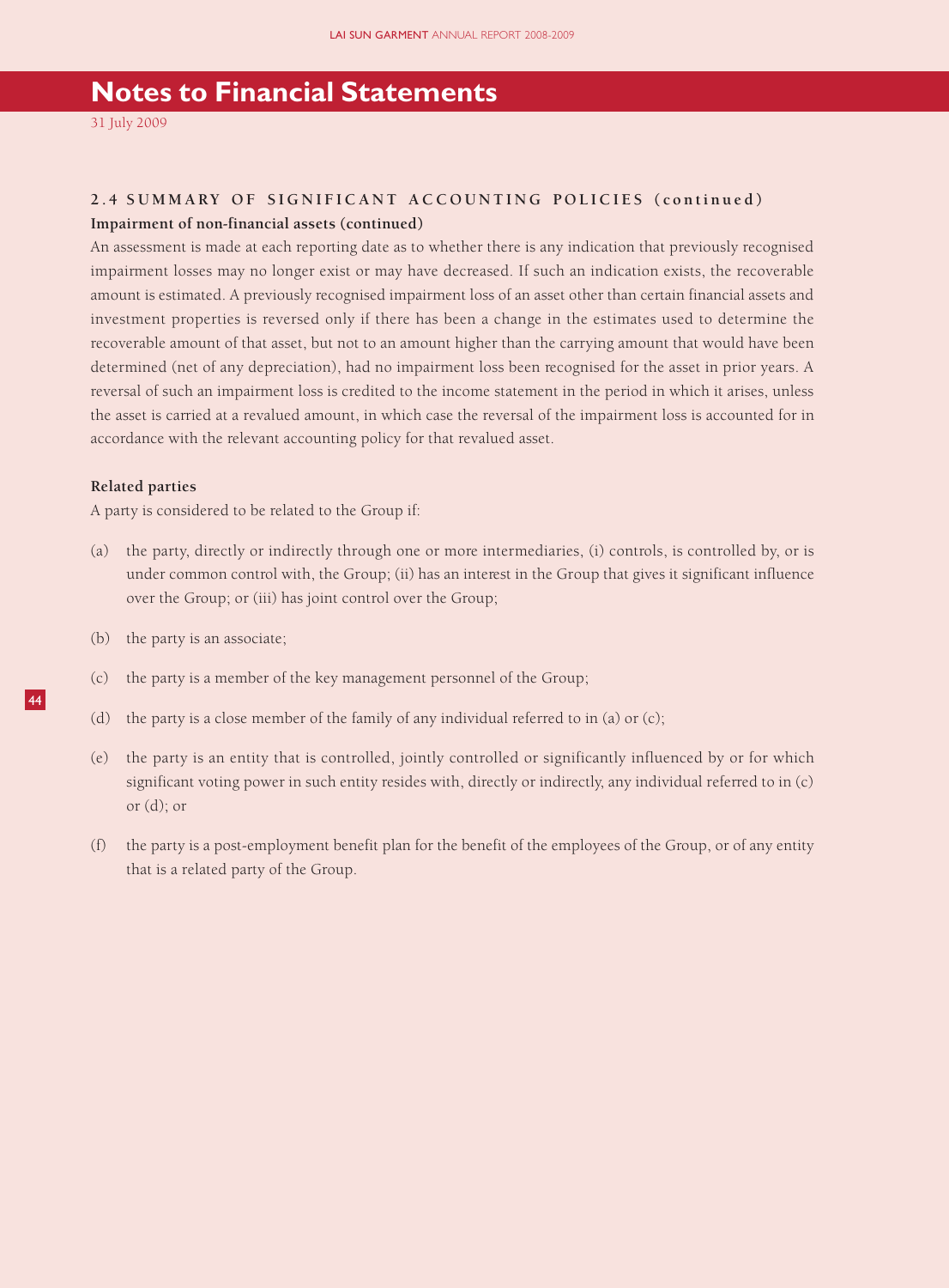31 July 2009

### **2.4 SUMMARY OF SIGNIFICANT ACCOUNTING POLICIES (continued) Impairment of non-financial assets (continued)**

An assessment is made at each reporting date as to whether there is any indication that previously recognised impairment losses may no longer exist or may have decreased. If such an indication exists, the recoverable amount is estimated. A previously recognised impairment loss of an asset other than certain financial assets and investment properties is reversed only if there has been a change in the estimates used to determine the recoverable amount of that asset, but not to an amount higher than the carrying amount that would have been determined (net of any depreciation), had no impairment loss been recognised for the asset in prior years. A reversal of such an impairment loss is credited to the income statement in the period in which it arises, unless the asset is carried at a revalued amount, in which case the reversal of the impairment loss is accounted for in accordance with the relevant accounting policy for that revalued asset.

#### **Related parties**

A party is considered to be related to the Group if:

- (a) the party, directly or indirectly through one or more intermediaries, (i) controls, is controlled by, or is under common control with, the Group; (ii) has an interest in the Group that gives it significant influence over the Group; or (iii) has joint control over the Group;
- (b) the party is an associate;
- (c) the party is a member of the key management personnel of the Group;
- (d) the party is a close member of the family of any individual referred to in (a) or (c);
- (e) the party is an entity that is controlled, jointly controlled or significantly influenced by or for which significant voting power in such entity resides with, directly or indirectly, any individual referred to in (c) or (d); or
- (f) the party is a post-employment benefit plan for the benefit of the employees of the Group, or of any entity that is a related party of the Group.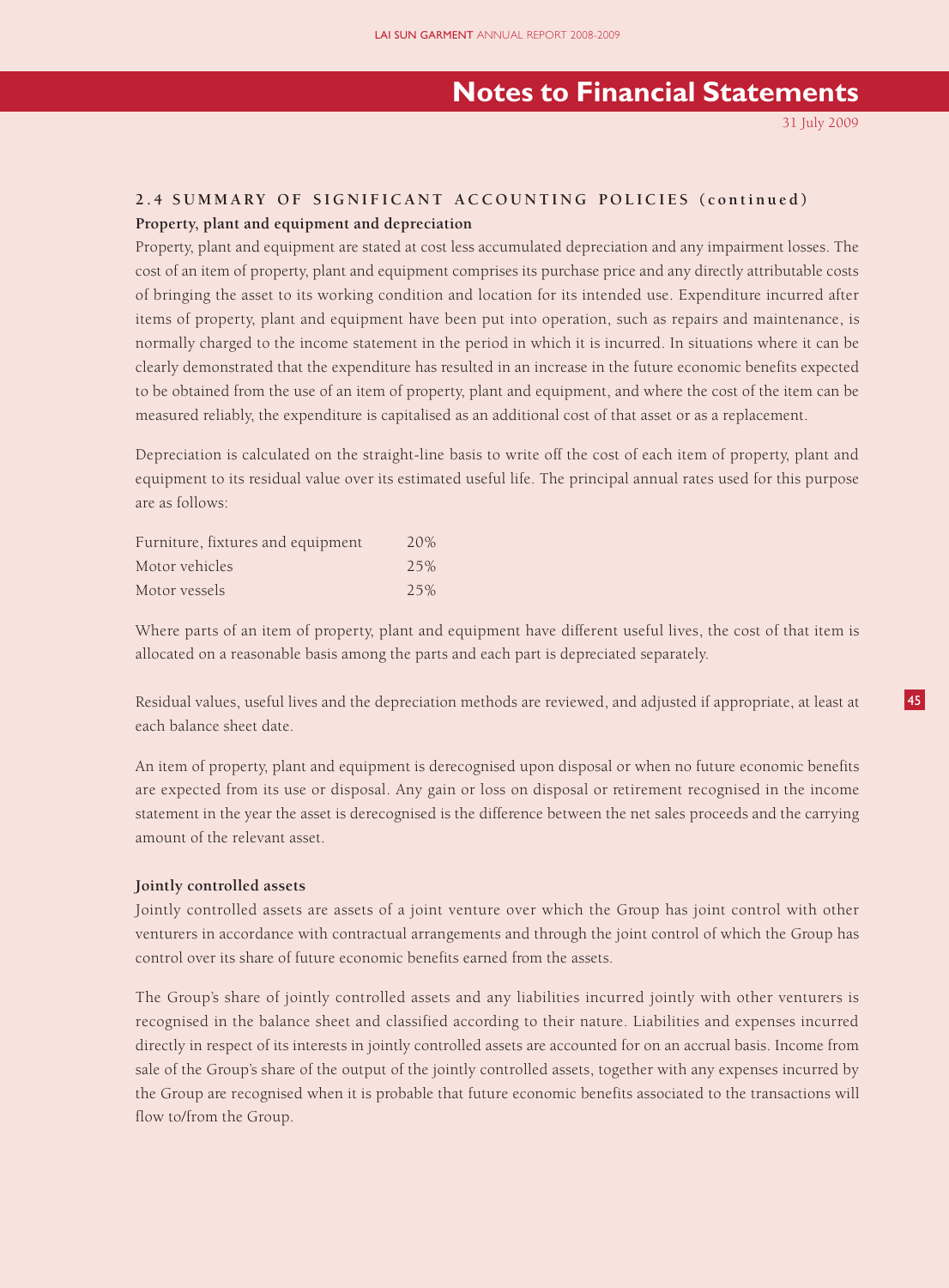31 July 2009

### **2.4 SUMMARY OF SIGNIFICANT ACCOUNTING POLICIES (continued) Property, plant and equipment and depreciation**

Property, plant and equipment are stated at cost less accumulated depreciation and any impairment losses. The cost of an item of property, plant and equipment comprises its purchase price and any directly attributable costs of bringing the asset to its working condition and location for its intended use. Expenditure incurred after items of property, plant and equipment have been put into operation, such as repairs and maintenance, is normally charged to the income statement in the period in which it is incurred. In situations where it can be clearly demonstrated that the expenditure has resulted in an increase in the future economic benefits expected to be obtained from the use of an item of property, plant and equipment, and where the cost of the item can be measured reliably, the expenditure is capitalised as an additional cost of that asset or as a replacement.

Depreciation is calculated on the straight-line basis to write off the cost of each item of property, plant and equipment to its residual value over its estimated useful life. The principal annual rates used for this purpose are as follows:

| Furniture, fixtures and equipment | 20% |
|-----------------------------------|-----|
| Motor vehicles                    | 25% |
| Motor vessels                     | 25% |

Where parts of an item of property, plant and equipment have different useful lives, the cost of that item is allocated on a reasonable basis among the parts and each part is depreciated separately.

Residual values, useful lives and the depreciation methods are reviewed, and adjusted if appropriate, at least at each balance sheet date.

An item of property, plant and equipment is derecognised upon disposal or when no future economic benefits are expected from its use or disposal. Any gain or loss on disposal or retirement recognised in the income statement in the year the asset is derecognised is the difference between the net sales proceeds and the carrying amount of the relevant asset.

### **Jointly controlled assets**

Jointly controlled assets are assets of a joint venture over which the Group has joint control with other venturers in accordance with contractual arrangements and through the joint control of which the Group has control over its share of future economic benefits earned from the assets.

The Group's share of jointly controlled assets and any liabilities incurred jointly with other venturers is recognised in the balance sheet and classified according to their nature. Liabilities and expenses incurred directly in respect of its interests in jointly controlled assets are accounted for on an accrual basis. Income from sale of the Group's share of the output of the jointly controlled assets, together with any expenses incurred by the Group are recognised when it is probable that future economic benefits associated to the transactions will flow to/from the Group.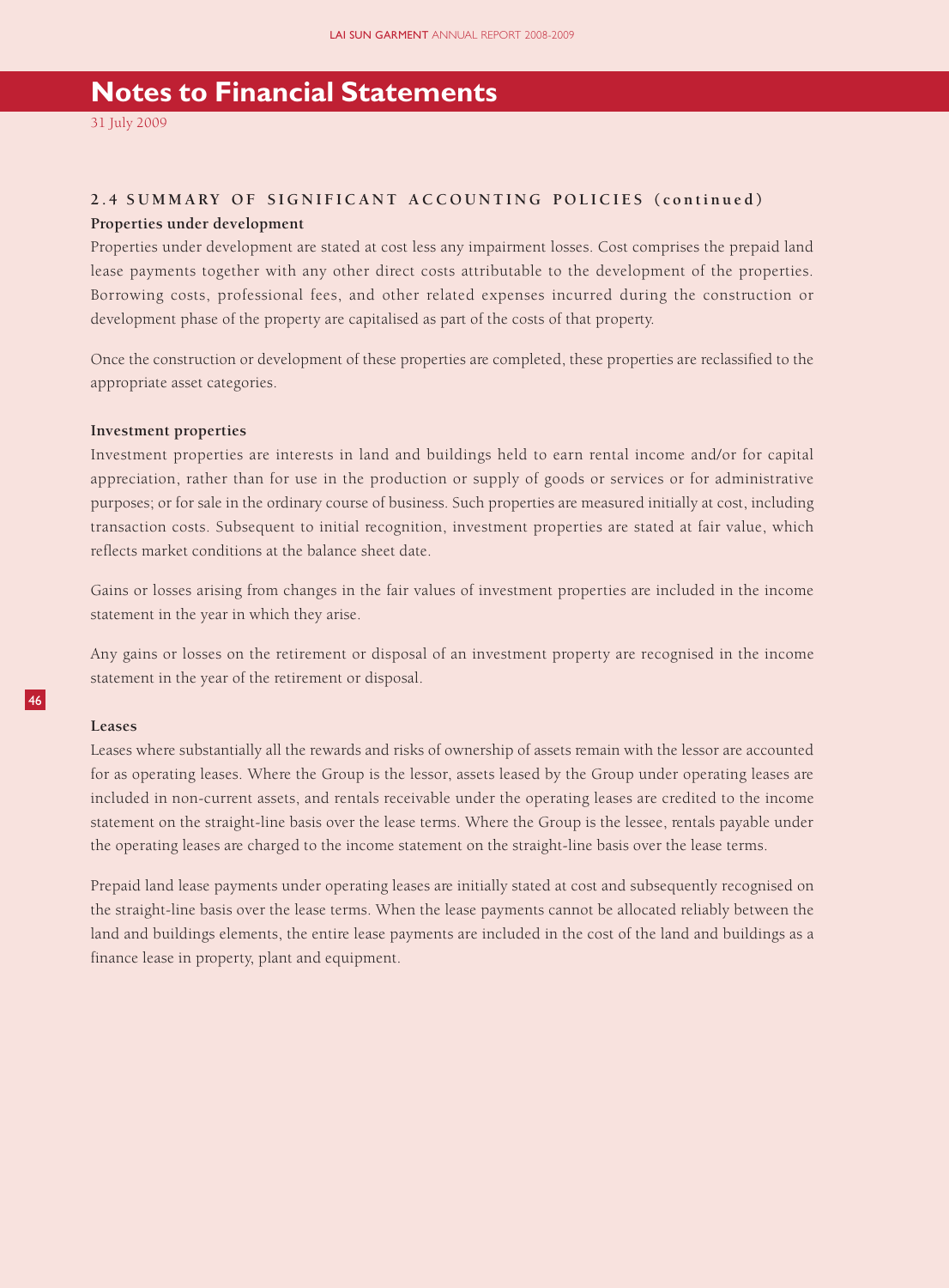31 July 2009

### **2.4 SUMMARY OF SIGNIFICANT ACCOUNTING POLICIES (continued) Properties under development**

Properties under development are stated at cost less any impairment losses. Cost comprises the prepaid land lease payments together with any other direct costs attributable to the development of the properties. Borrowing costs, professional fees, and other related expenses incurred during the construction or development phase of the property are capitalised as part of the costs of that property.

Once the construction or development of these properties are completed, these properties are reclassified to the appropriate asset categories.

#### **Investment properties**

Investment properties are interests in land and buildings held to earn rental income and/or for capital appreciation, rather than for use in the production or supply of goods or services or for administrative purposes; or for sale in the ordinary course of business. Such properties are measured initially at cost, including transaction costs. Subsequent to initial recognition, investment properties are stated at fair value, which reflects market conditions at the balance sheet date.

Gains or losses arising from changes in the fair values of investment properties are included in the income statement in the year in which they arise.

Any gains or losses on the retirement or disposal of an investment property are recognised in the income statement in the year of the retirement or disposal.

#### **Leases**

Leases where substantially all the rewards and risks of ownership of assets remain with the lessor are accounted for as operating leases. Where the Group is the lessor, assets leased by the Group under operating leases are included in non-current assets, and rentals receivable under the operating leases are credited to the income statement on the straight-line basis over the lease terms. Where the Group is the lessee, rentals payable under the operating leases are charged to the income statement on the straight-line basis over the lease terms.

Prepaid land lease payments under operating leases are initially stated at cost and subsequently recognised on the straight-line basis over the lease terms. When the lease payments cannot be allocated reliably between the land and buildings elements, the entire lease payments are included in the cost of the land and buildings as a finance lease in property, plant and equipment.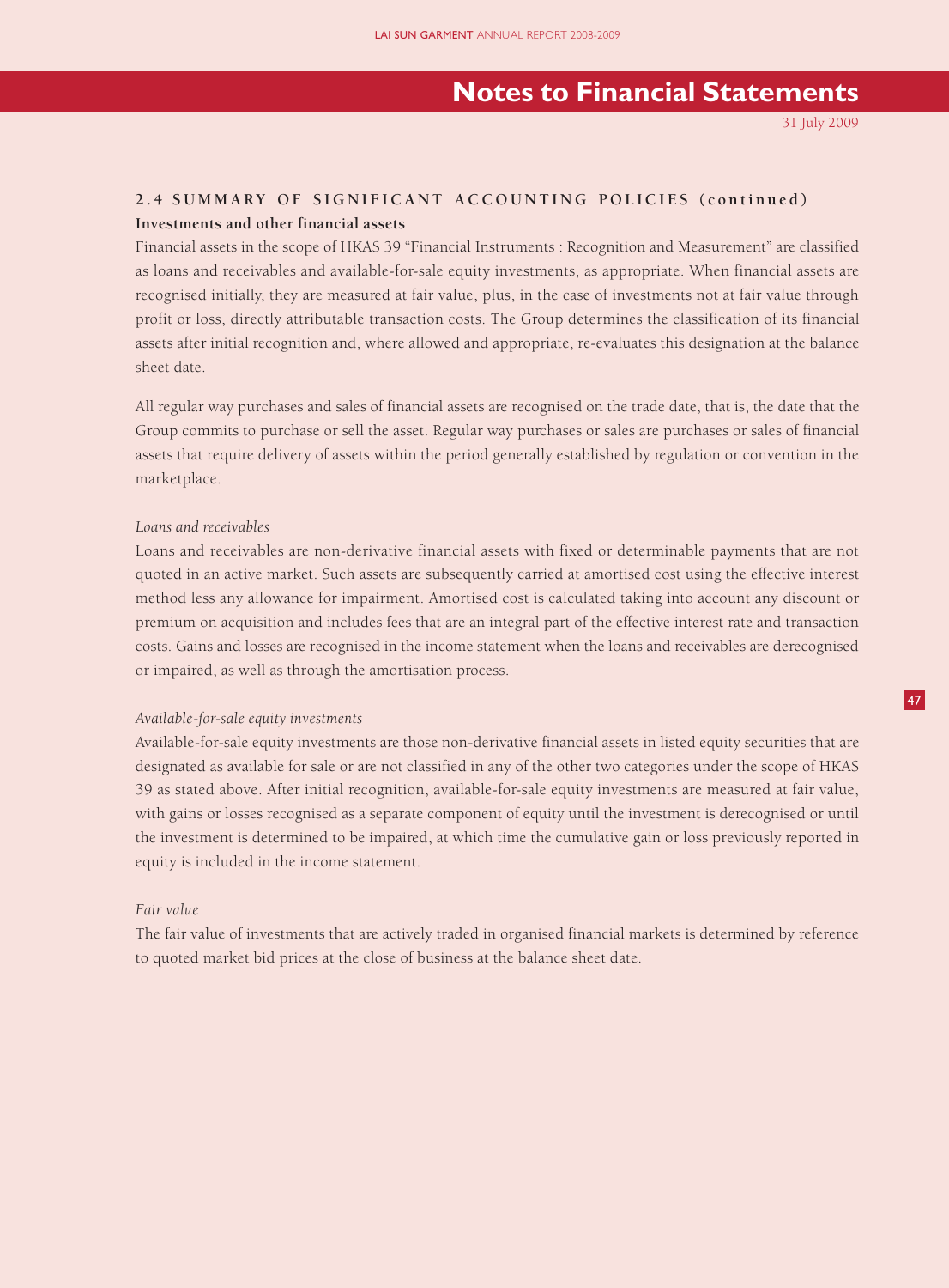31 July 2009

### **2.4 SUMMARY OF SIGNIFICANT ACCOUNTING POLICIES (continued) Investments and other financial assets**

Financial assets in the scope of HKAS 39 "Financial Instruments : Recognition and Measurement" are classified as loans and receivables and available-for-sale equity investments, as appropriate. When financial assets are recognised initially, they are measured at fair value, plus, in the case of investments not at fair value through profit or loss, directly attributable transaction costs. The Group determines the classification of its financial assets after initial recognition and, where allowed and appropriate, re-evaluates this designation at the balance sheet date.

All regular way purchases and sales of financial assets are recognised on the trade date, that is, the date that the Group commits to purchase or sell the asset. Regular way purchases or sales are purchases or sales of financial assets that require delivery of assets within the period generally established by regulation or convention in the marketplace.

#### *Loans and receivables*

Loans and receivables are non-derivative financial assets with fixed or determinable payments that are not quoted in an active market. Such assets are subsequently carried at amortised cost using the effective interest method less any allowance for impairment. Amortised cost is calculated taking into account any discount or premium on acquisition and includes fees that are an integral part of the effective interest rate and transaction costs. Gains and losses are recognised in the income statement when the loans and receivables are derecognised or impaired, as well as through the amortisation process.

#### *Available-for-sale equity investments*

Available-for-sale equity investments are those non-derivative financial assets in listed equity securities that are designated as available for sale or are not classified in any of the other two categories under the scope of HKAS 39 as stated above. After initial recognition, available-for-sale equity investments are measured at fair value, with gains or losses recognised as a separate component of equity until the investment is derecognised or until the investment is determined to be impaired, at which time the cumulative gain or loss previously reported in equity is included in the income statement.

#### *Fair value*

The fair value of investments that are actively traded in organised financial markets is determined by reference to quoted market bid prices at the close of business at the balance sheet date.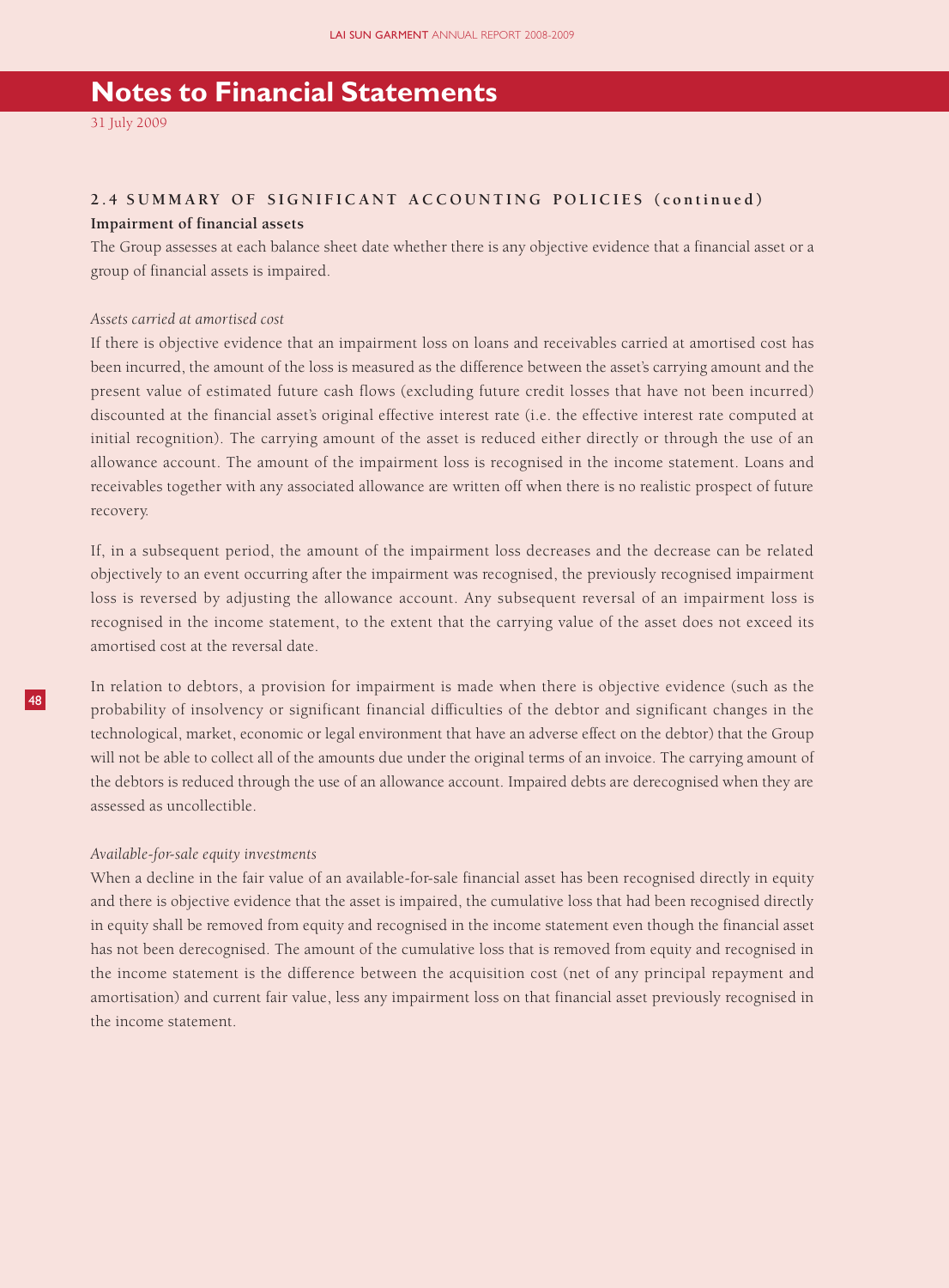31 July 2009

### **2.4 SUMMARY OF SIGNIFICANT ACCOUNTING POLICIES (continued) Impairment of financial assets**

The Group assesses at each balance sheet date whether there is any objective evidence that a financial asset or a group of financial assets is impaired.

#### *Assets carried at amortised cost*

If there is objective evidence that an impairment loss on loans and receivables carried at amortised cost has been incurred, the amount of the loss is measured as the difference between the asset's carrying amount and the present value of estimated future cash flows (excluding future credit losses that have not been incurred) discounted at the financial asset's original effective interest rate (i.e. the effective interest rate computed at initial recognition). The carrying amount of the asset is reduced either directly or through the use of an allowance account. The amount of the impairment loss is recognised in the income statement. Loans and receivables together with any associated allowance are written off when there is no realistic prospect of future recovery.

If, in a subsequent period, the amount of the impairment loss decreases and the decrease can be related objectively to an event occurring after the impairment was recognised, the previously recognised impairment loss is reversed by adjusting the allowance account. Any subsequent reversal of an impairment loss is recognised in the income statement, to the extent that the carrying value of the asset does not exceed its amortised cost at the reversal date.

In relation to debtors, a provision for impairment is made when there is objective evidence (such as the probability of insolvency or significant financial difficulties of the debtor and significant changes in the technological, market, economic or legal environment that have an adverse effect on the debtor) that the Group will not be able to collect all of the amounts due under the original terms of an invoice. The carrying amount of the debtors is reduced through the use of an allowance account. Impaired debts are derecognised when they are assessed as uncollectible.

#### *Available-for-sale equity investments*

When a decline in the fair value of an available-for-sale financial asset has been recognised directly in equity and there is objective evidence that the asset is impaired, the cumulative loss that had been recognised directly in equity shall be removed from equity and recognised in the income statement even though the financial asset has not been derecognised. The amount of the cumulative loss that is removed from equity and recognised in the income statement is the difference between the acquisition cost (net of any principal repayment and amortisation) and current fair value, less any impairment loss on that financial asset previously recognised in the income statement.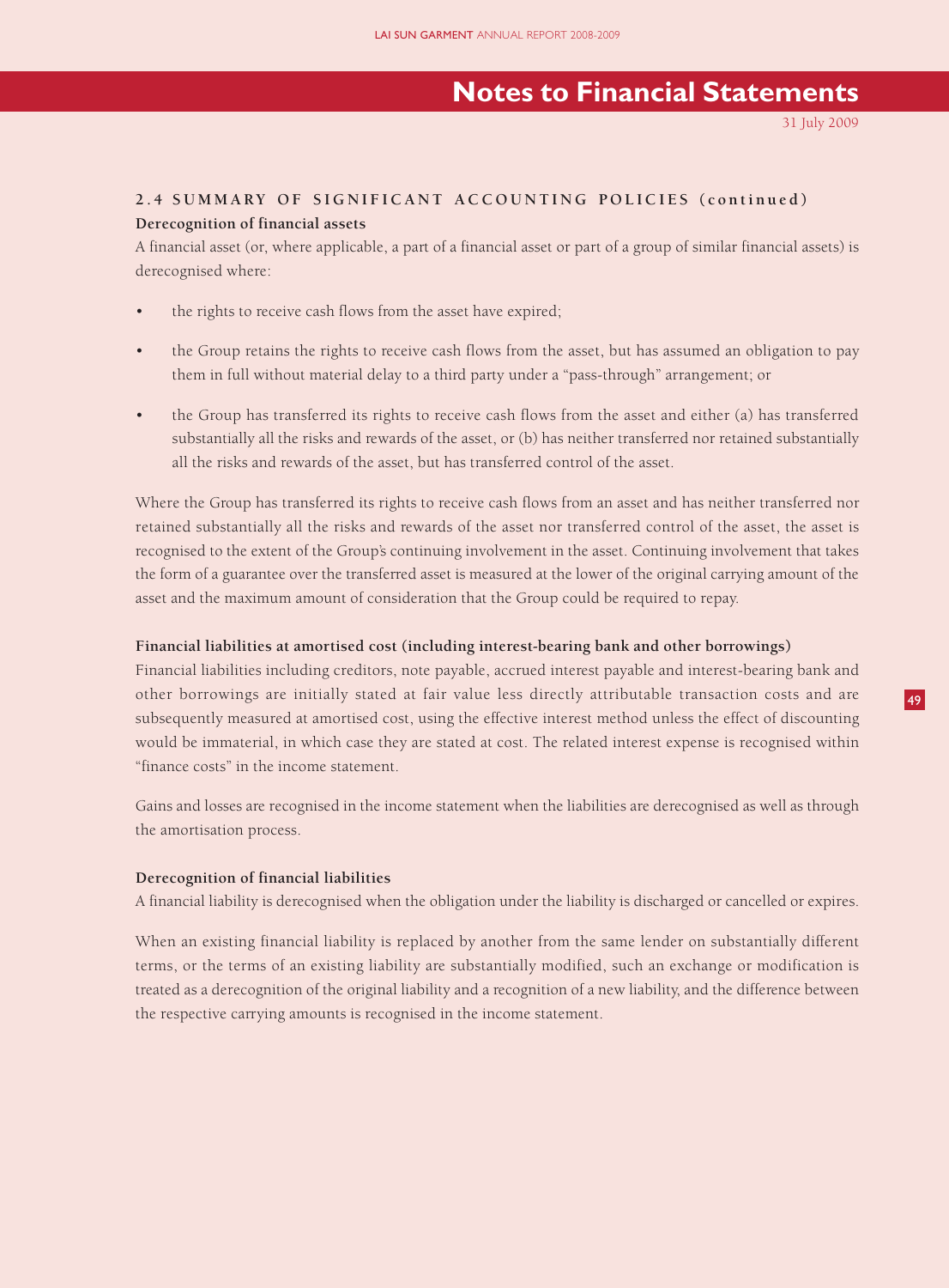31 July 2009

### **2.4 SUMMARY OF SIGNIFICANT ACCOUNTING POLICIES (continued) Derecognition of financial assets**

A financial asset (or, where applicable, a part of a financial asset or part of a group of similar financial assets) is derecognised where:

- the rights to receive cash flows from the asset have expired;
- the Group retains the rights to receive cash flows from the asset, but has assumed an obligation to pay them in full without material delay to a third party under a "pass-through" arrangement; or
- the Group has transferred its rights to receive cash flows from the asset and either (a) has transferred substantially all the risks and rewards of the asset, or (b) has neither transferred nor retained substantially all the risks and rewards of the asset, but has transferred control of the asset.

Where the Group has transferred its rights to receive cash flows from an asset and has neither transferred nor retained substantially all the risks and rewards of the asset nor transferred control of the asset, the asset is recognised to the extent of the Group's continuing involvement in the asset. Continuing involvement that takes the form of a guarantee over the transferred asset is measured at the lower of the original carrying amount of the asset and the maximum amount of consideration that the Group could be required to repay.

#### **Financial liabilities at amortised cost (including interest-bearing bank and other borrowings)**

Financial liabilities including creditors, note payable, accrued interest payable and interest-bearing bank and other borrowings are initially stated at fair value less directly attributable transaction costs and are subsequently measured at amortised cost, using the effective interest method unless the effect of discounting would be immaterial, in which case they are stated at cost. The related interest expense is recognised within "finance costs" in the income statement.

Gains and losses are recognised in the income statement when the liabilities are derecognised as well as through the amortisation process.

#### **Derecognition of financial liabilities**

A financial liability is derecognised when the obligation under the liability is discharged or cancelled or expires.

When an existing financial liability is replaced by another from the same lender on substantially different terms, or the terms of an existing liability are substantially modified, such an exchange or modification is treated as a derecognition of the original liability and a recognition of a new liability, and the difference between the respective carrying amounts is recognised in the income statement.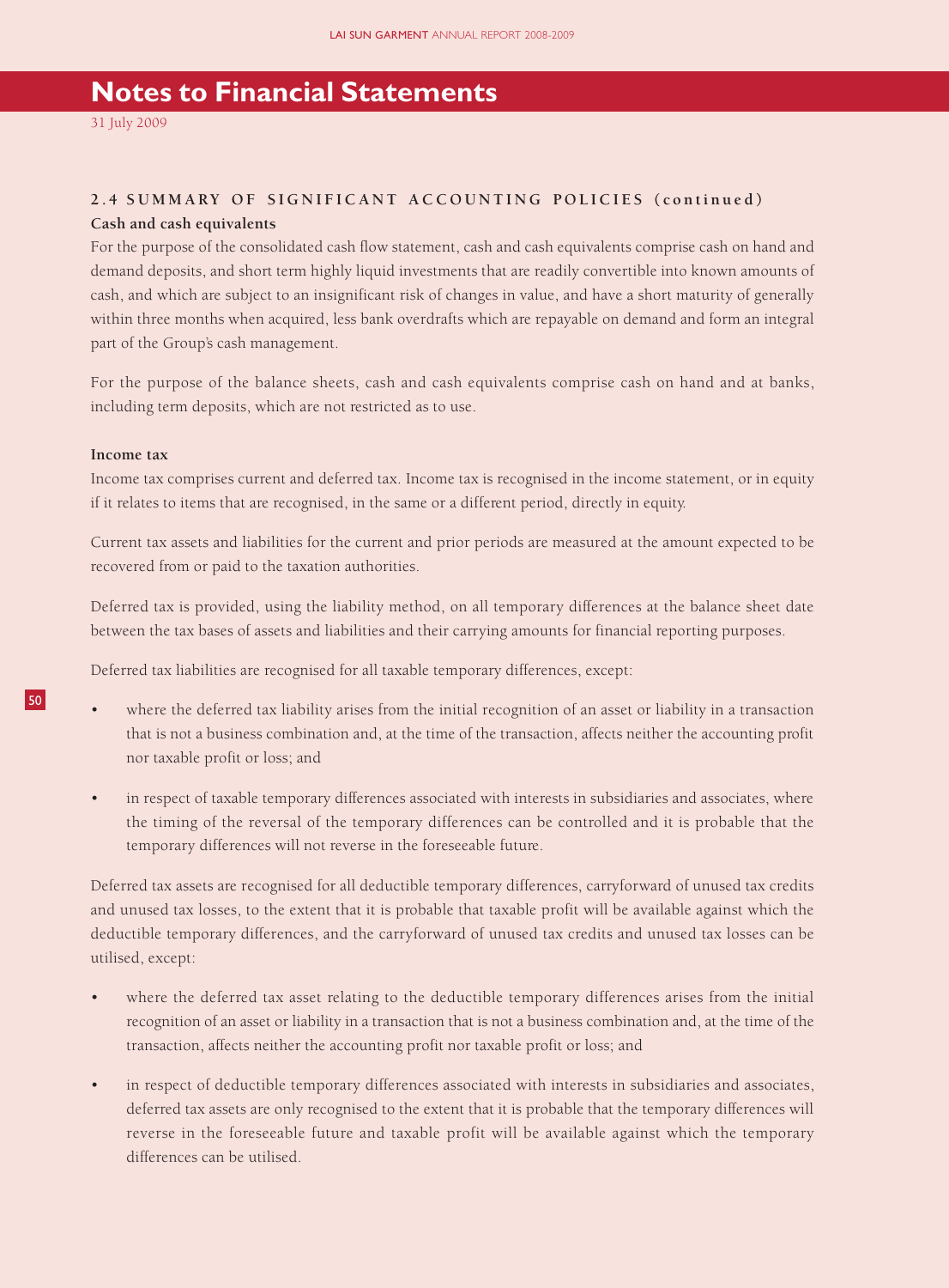31 July 2009

### **2.4 SUMMARY OF SIGNIFICANT ACCOUNTING POLICIES (continued) Cash and cash equivalents**

For the purpose of the consolidated cash flow statement, cash and cash equivalents comprise cash on hand and demand deposits, and short term highly liquid investments that are readily convertible into known amounts of cash, and which are subject to an insignificant risk of changes in value, and have a short maturity of generally within three months when acquired, less bank overdrafts which are repayable on demand and form an integral part of the Group's cash management.

For the purpose of the balance sheets, cash and cash equivalents comprise cash on hand and at banks, including term deposits, which are not restricted as to use.

#### **Income tax**

Income tax comprises current and deferred tax. Income tax is recognised in the income statement, or in equity if it relates to items that are recognised, in the same or a different period, directly in equity.

Current tax assets and liabilities for the current and prior periods are measured at the amount expected to be recovered from or paid to the taxation authorities.

Deferred tax is provided, using the liability method, on all temporary differences at the balance sheet date between the tax bases of assets and liabilities and their carrying amounts for financial reporting purposes.

Deferred tax liabilities are recognised for all taxable temporary differences, except:

- where the deferred tax liability arises from the initial recognition of an asset or liability in a transaction that is not a business combination and, at the time of the transaction, affects neither the accounting profit nor taxable profit or loss; and
- in respect of taxable temporary differences associated with interests in subsidiaries and associates, where the timing of the reversal of the temporary differences can be controlled and it is probable that the temporary differences will not reverse in the foreseeable future.

Deferred tax assets are recognised for all deductible temporary differences, carryforward of unused tax credits and unused tax losses, to the extent that it is probable that taxable profit will be available against which the deductible temporary differences, and the carryforward of unused tax credits and unused tax losses can be utilised, except:

- where the deferred tax asset relating to the deductible temporary differences arises from the initial recognition of an asset or liability in a transaction that is not a business combination and, at the time of the transaction, affects neither the accounting profit nor taxable profit or loss; and
- in respect of deductible temporary differences associated with interests in subsidiaries and associates, deferred tax assets are only recognised to the extent that it is probable that the temporary differences will reverse in the foreseeable future and taxable profit will be available against which the temporary differences can be utilised.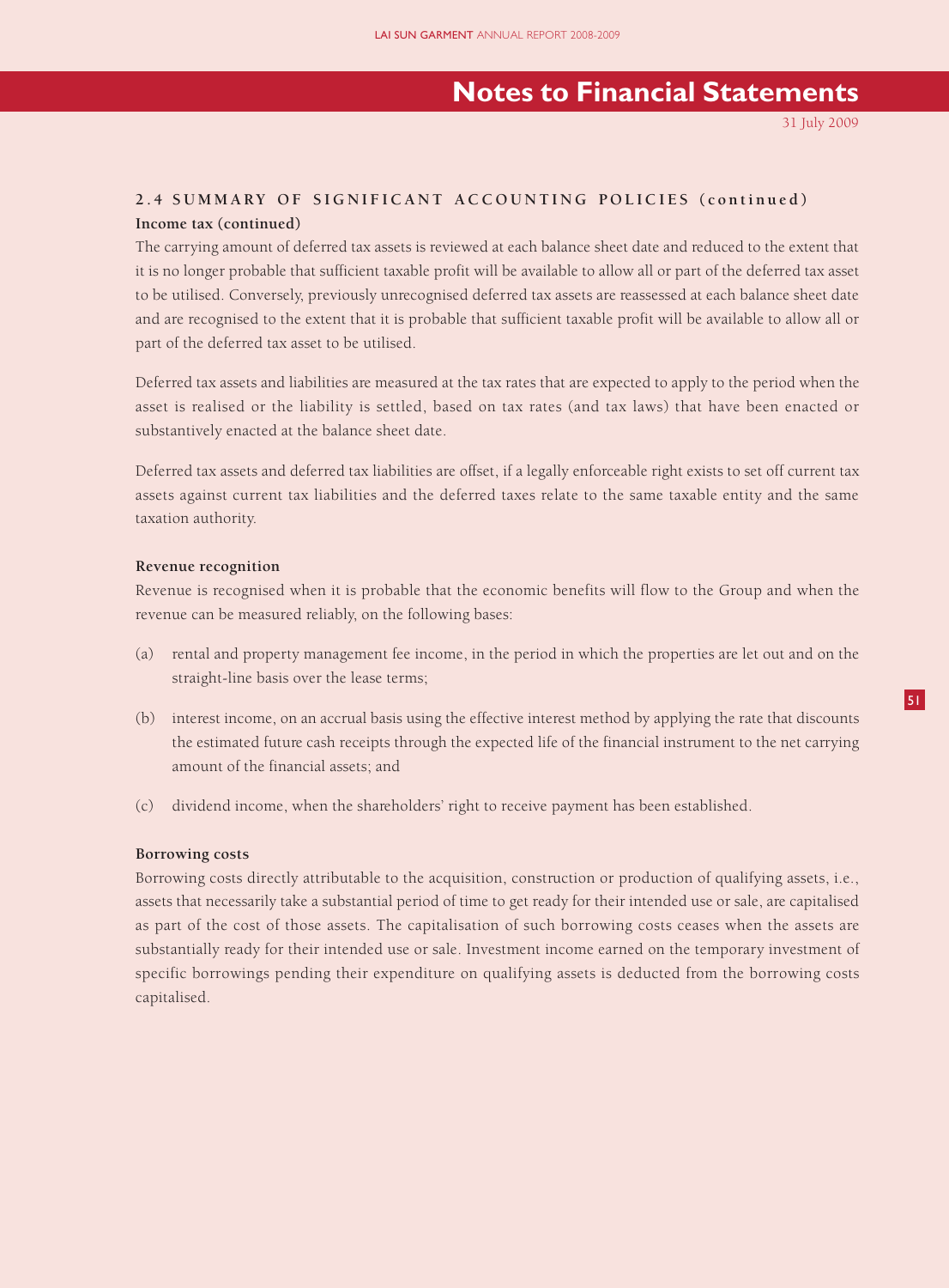31 July 2009

### **2.4 SUMMARY OF SIGNIFICANT ACCOUNTING POLICIES (continued) Income tax (continued)**

The carrying amount of deferred tax assets is reviewed at each balance sheet date and reduced to the extent that it is no longer probable that sufficient taxable profit will be available to allow all or part of the deferred tax asset to be utilised. Conversely, previously unrecognised deferred tax assets are reassessed at each balance sheet date and are recognised to the extent that it is probable that sufficient taxable profit will be available to allow all or part of the deferred tax asset to be utilised.

Deferred tax assets and liabilities are measured at the tax rates that are expected to apply to the period when the asset is realised or the liability is settled, based on tax rates (and tax laws) that have been enacted or substantively enacted at the balance sheet date.

Deferred tax assets and deferred tax liabilities are offset, if a legally enforceable right exists to set off current tax assets against current tax liabilities and the deferred taxes relate to the same taxable entity and the same taxation authority.

#### **Revenue recognition**

Revenue is recognised when it is probable that the economic benefits will flow to the Group and when the revenue can be measured reliably, on the following bases:

- (a) rental and property management fee income, in the period in which the properties are let out and on the straight-line basis over the lease terms;
- (b) interest income, on an accrual basis using the effective interest method by applying the rate that discounts the estimated future cash receipts through the expected life of the financial instrument to the net carrying amount of the financial assets; and
- (c) dividend income, when the shareholders' right to receive payment has been established.

#### **Borrowing costs**

Borrowing costs directly attributable to the acquisition, construction or production of qualifying assets, i.e., assets that necessarily take a substantial period of time to get ready for their intended use or sale, are capitalised as part of the cost of those assets. The capitalisation of such borrowing costs ceases when the assets are substantially ready for their intended use or sale. Investment income earned on the temporary investment of specific borrowings pending their expenditure on qualifying assets is deducted from the borrowing costs capitalised.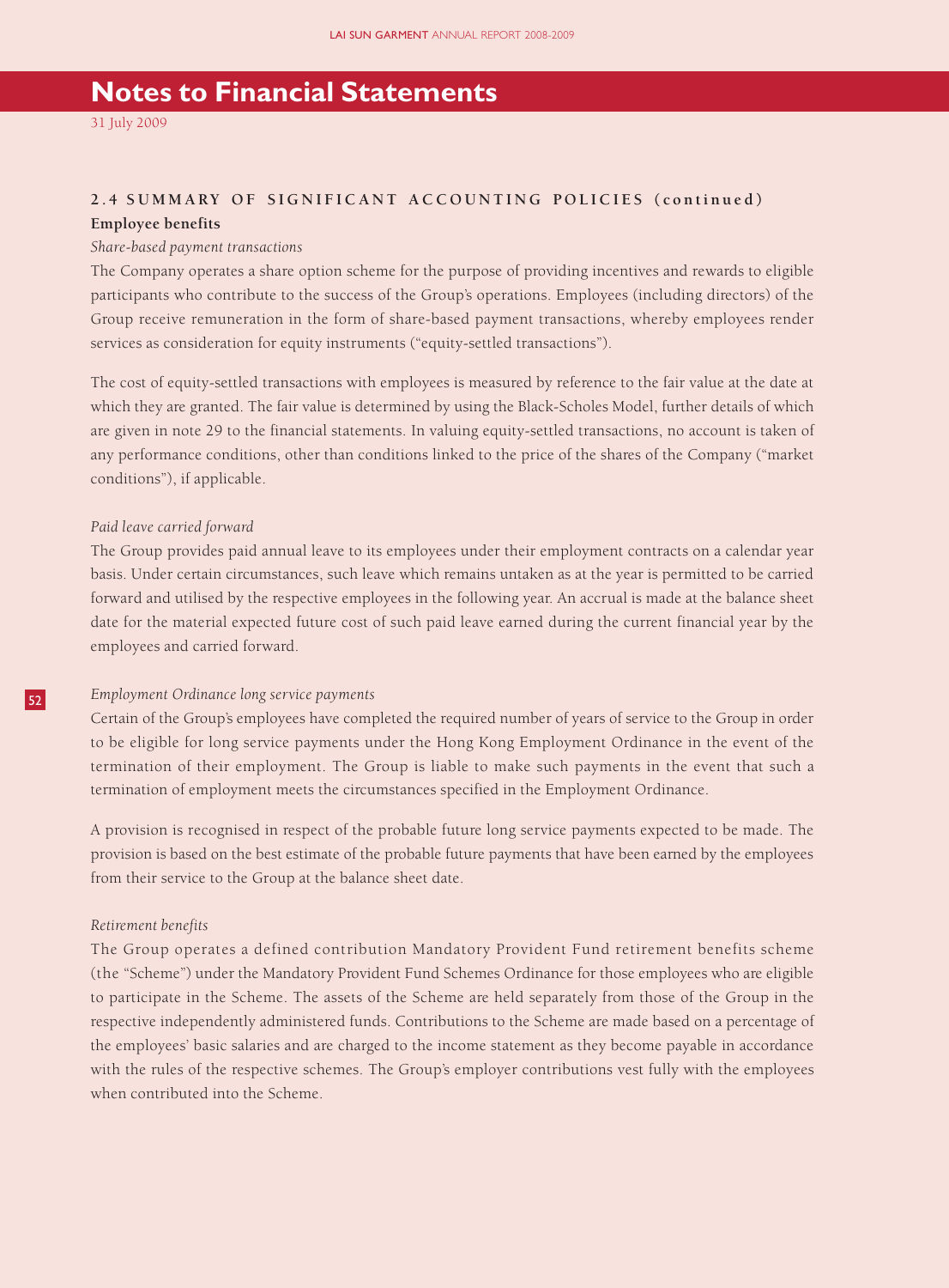31 July 2009

### **2.4 SUMMARY OF SIGNIFICANT ACCOUNTING POLICIES (continued)**

#### **Employee benefits**

#### *Share-based payment transactions*

The Company operates a share option scheme for the purpose of providing incentives and rewards to eligible participants who contribute to the success of the Group's operations. Employees (including directors) of the Group receive remuneration in the form of share-based payment transactions, whereby employees render services as consideration for equity instruments ("equity-settled transactions").

The cost of equity-settled transactions with employees is measured by reference to the fair value at the date at which they are granted. The fair value is determined by using the Black-Scholes Model, further details of which are given in note 29 to the financial statements. In valuing equity-settled transactions, no account is taken of any performance conditions, other than conditions linked to the price of the shares of the Company ("market conditions"), if applicable.

#### *Paid leave carried forward*

The Group provides paid annual leave to its employees under their employment contracts on a calendar year basis. Under certain circumstances, such leave which remains untaken as at the year is permitted to be carried forward and utilised by the respective employees in the following year. An accrual is made at the balance sheet date for the material expected future cost of such paid leave earned during the current financial year by the employees and carried forward.

### *Employment Ordinance long service payments*

Certain of the Group's employees have completed the required number of years of service to the Group in order to be eligible for long service payments under the Hong Kong Employment Ordinance in the event of the termination of their employment. The Group is liable to make such payments in the event that such a termination of employment meets the circumstances specified in the Employment Ordinance.

A provision is recognised in respect of the probable future long service payments expected to be made. The provision is based on the best estimate of the probable future payments that have been earned by the employees from their service to the Group at the balance sheet date.

#### *Retirement benefits*

The Group operates a defined contribution Mandatory Provident Fund retirement benefits scheme (the "Scheme") under the Mandatory Provident Fund Schemes Ordinance for those employees who are eligible to participate in the Scheme. The assets of the Scheme are held separately from those of the Group in the respective independently administered funds. Contributions to the Scheme are made based on a percentage of the employees' basic salaries and are charged to the income statement as they become payable in accordance with the rules of the respective schemes. The Group's employer contributions vest fully with the employees when contributed into the Scheme.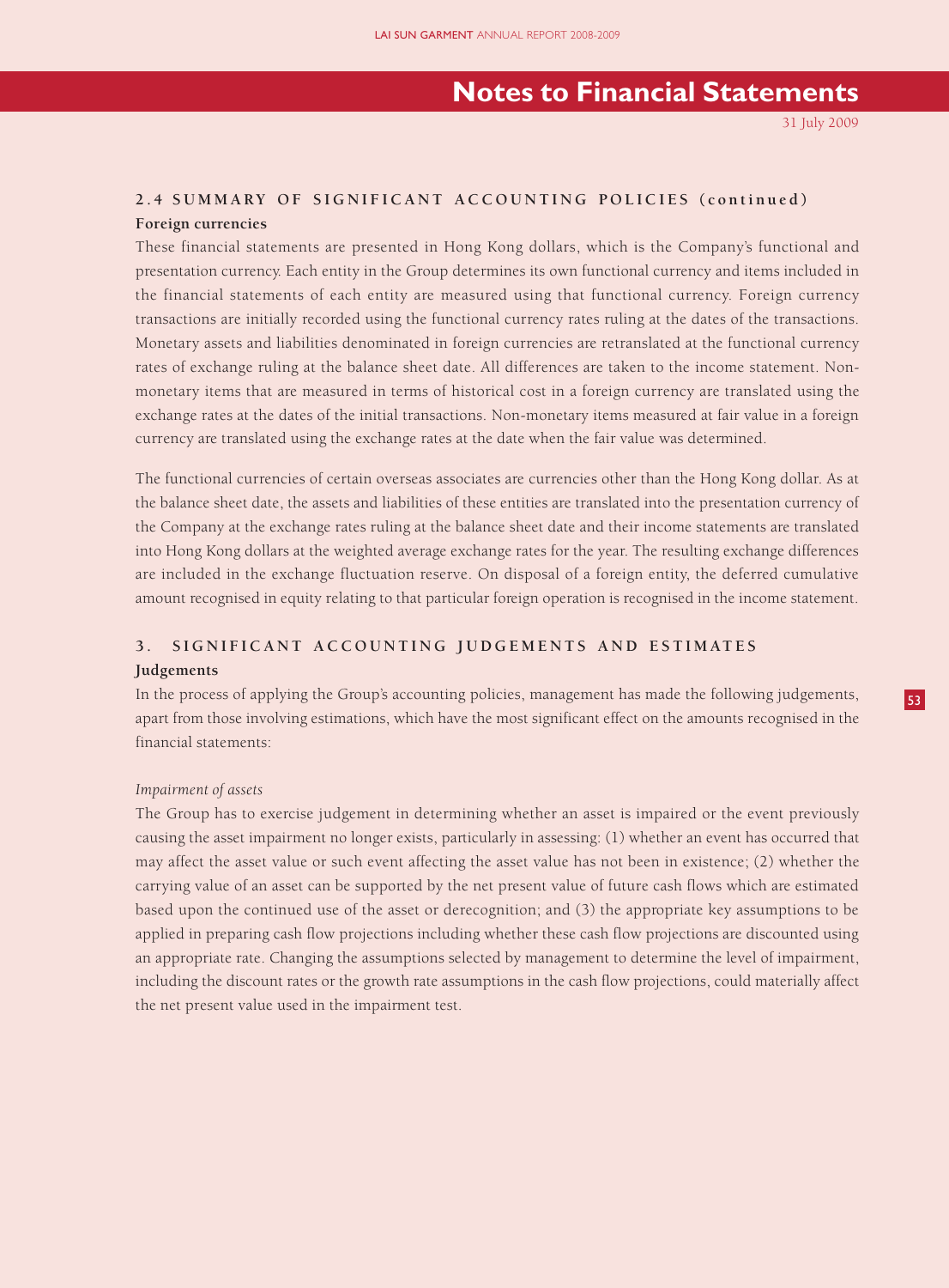31 July 2009

### **2.4 SUMMARY OF SIGNIFICANT ACCOUNTING POLICIES (continued) Foreign currencies**

These financial statements are presented in Hong Kong dollars, which is the Company's functional and presentation currency. Each entity in the Group determines its own functional currency and items included in the financial statements of each entity are measured using that functional currency. Foreign currency transactions are initially recorded using the functional currency rates ruling at the dates of the transactions. Monetary assets and liabilities denominated in foreign currencies are retranslated at the functional currency rates of exchange ruling at the balance sheet date. All differences are taken to the income statement. Nonmonetary items that are measured in terms of historical cost in a foreign currency are translated using the exchange rates at the dates of the initial transactions. Non-monetary items measured at fair value in a foreign currency are translated using the exchange rates at the date when the fair value was determined.

The functional currencies of certain overseas associates are currencies other than the Hong Kong dollar. As at the balance sheet date, the assets and liabilities of these entities are translated into the presentation currency of the Company at the exchange rates ruling at the balance sheet date and their income statements are translated into Hong Kong dollars at the weighted average exchange rates for the year. The resulting exchange differences are included in the exchange fluctuation reserve. On disposal of a foreign entity, the deferred cumulative amount recognised in equity relating to that particular foreign operation is recognised in the income statement.

### **3. SIGNIFICANT ACCOUNTING JUDGEMENTS AND ESTIMATES**

#### **Judgements**

In the process of applying the Group's accounting policies, management has made the following judgements, apart from those involving estimations, which have the most significant effect on the amounts recognised in the financial statements:

#### *Impairment of assets*

The Group has to exercise judgement in determining whether an asset is impaired or the event previously causing the asset impairment no longer exists, particularly in assessing: (1) whether an event has occurred that may affect the asset value or such event affecting the asset value has not been in existence; (2) whether the carrying value of an asset can be supported by the net present value of future cash flows which are estimated based upon the continued use of the asset or derecognition; and (3) the appropriate key assumptions to be applied in preparing cash flow projections including whether these cash flow projections are discounted using an appropriate rate. Changing the assumptions selected by management to determine the level of impairment, including the discount rates or the growth rate assumptions in the cash flow projections, could materially affect the net present value used in the impairment test.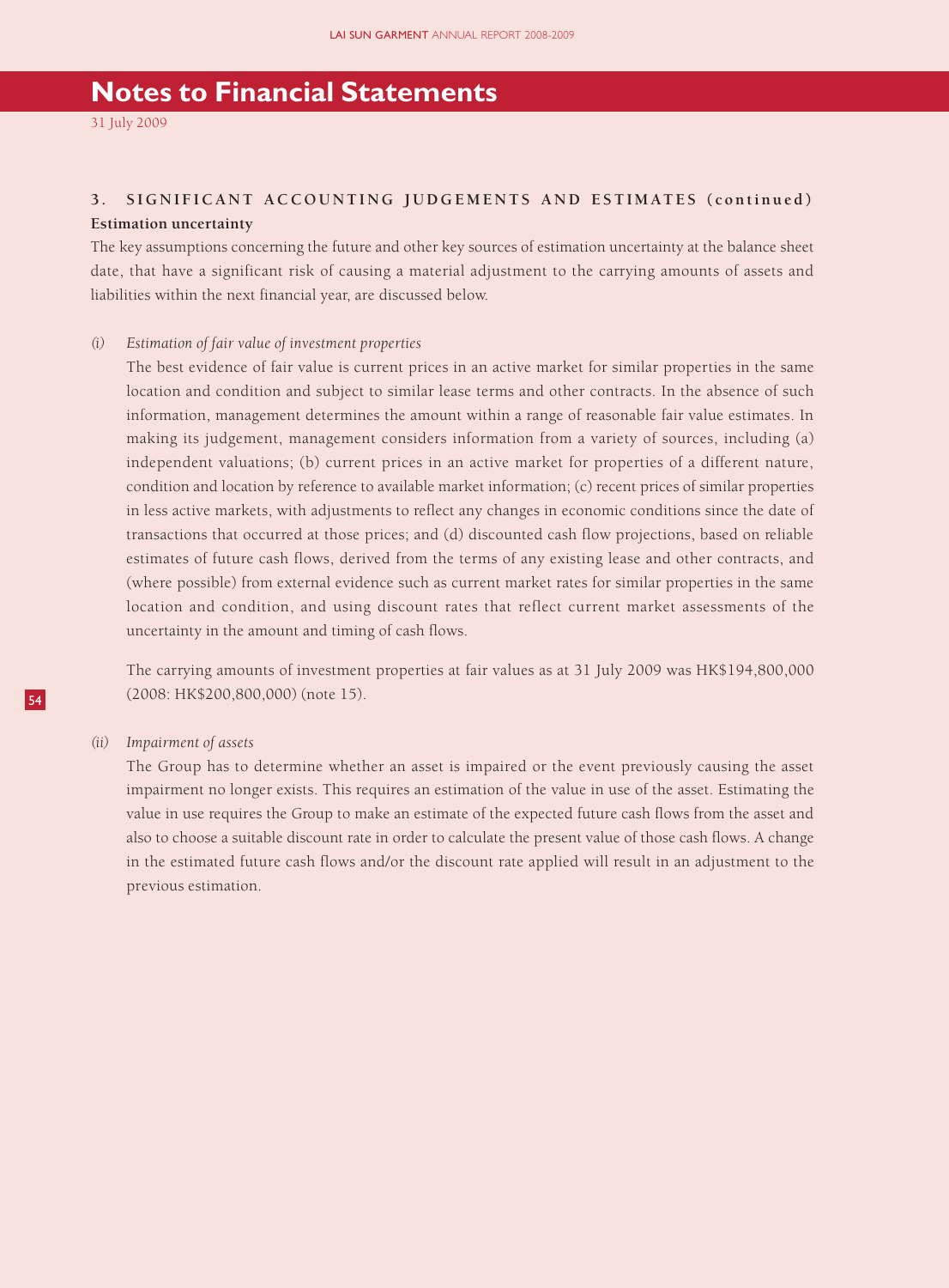31 July 2009

### **3. SIGNIFICANT ACCOUNTING JUDGEMENTS AND ESTIMATES (continued) Estimation uncertainty**

The key assumptions concerning the future and other key sources of estimation uncertainty at the balance sheet date, that have a significant risk of causing a material adjustment to the carrying amounts of assets and liabilities within the next financial year, are discussed below.

### *(i) Estimation of fair value of investment properties*

The best evidence of fair value is current prices in an active market for similar properties in the same location and condition and subject to similar lease terms and other contracts. In the absence of such information, management determines the amount within a range of reasonable fair value estimates. In making its judgement, management considers information from a variety of sources, including (a) independent valuations; (b) current prices in an active market for properties of a different nature, condition and location by reference to available market information; (c) recent prices of similar properties in less active markets, with adjustments to reflect any changes in economic conditions since the date of transactions that occurred at those prices; and (d) discounted cash flow projections, based on reliable estimates of future cash flows, derived from the terms of any existing lease and other contracts, and (where possible) from external evidence such as current market rates for similar properties in the same location and condition, and using discount rates that reflect current market assessments of the uncertainty in the amount and timing of cash flows.

The carrying amounts of investment properties at fair values as at 31 July 2009 was HK\$194,800,000 (2008: HK\$200,800,000) (note 15).

#### *(ii) Impairment of assets*

The Group has to determine whether an asset is impaired or the event previously causing the asset impairment no longer exists. This requires an estimation of the value in use of the asset. Estimating the value in use requires the Group to make an estimate of the expected future cash flows from the asset and also to choose a suitable discount rate in order to calculate the present value of those cash flows. A change in the estimated future cash flows and/or the discount rate applied will result in an adjustment to the previous estimation.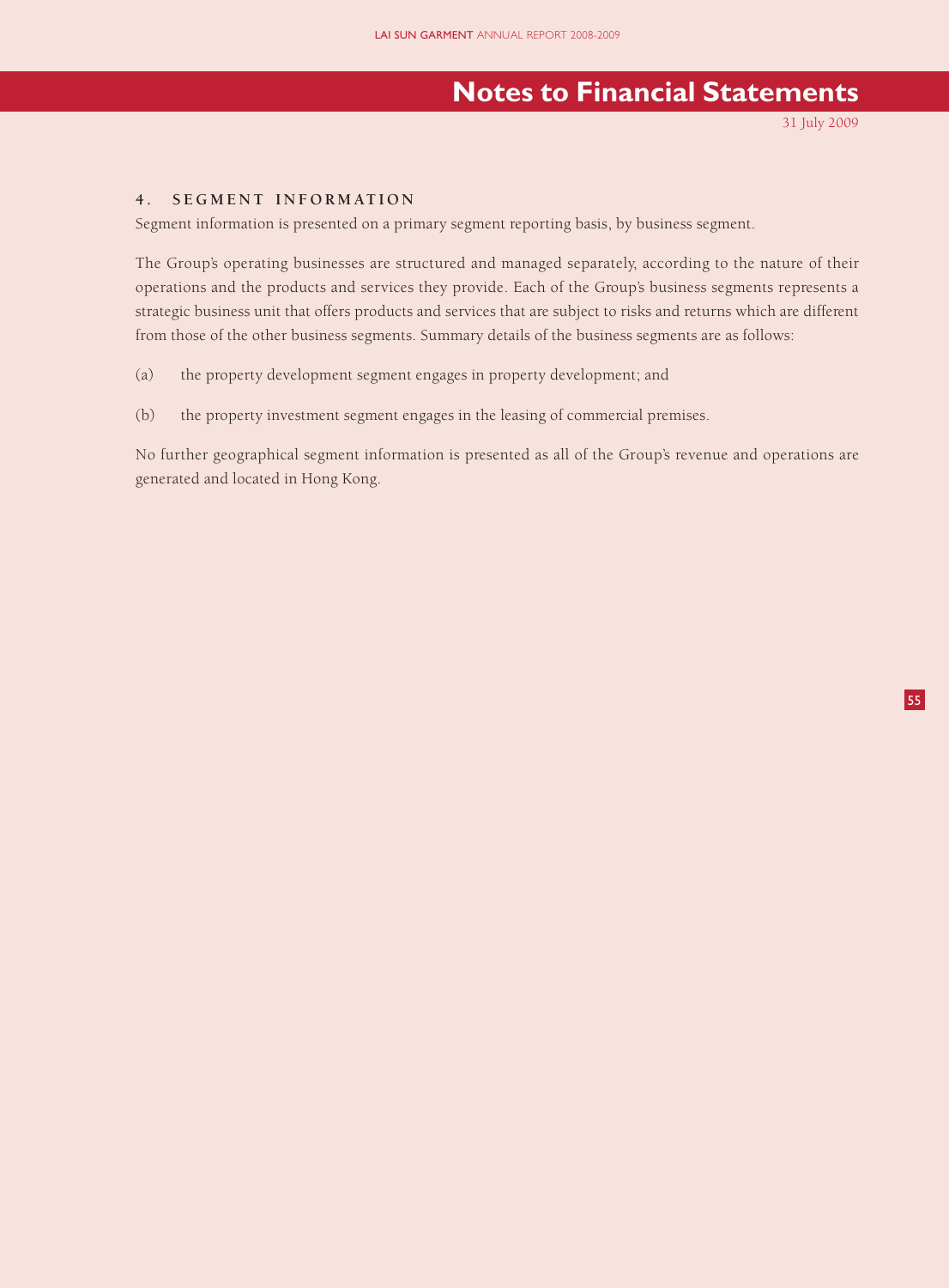31 July 2009

### **4. SEGMENT INFORMATION**

Segment information is presented on a primary segment reporting basis, by business segment.

The Group's operating businesses are structured and managed separately, according to the nature of their operations and the products and services they provide. Each of the Group's business segments represents a strategic business unit that offers products and services that are subject to risks and returns which are different from those of the other business segments. Summary details of the business segments are as follows:

- (a) the property development segment engages in property development; and
- (b) the property investment segment engages in the leasing of commercial premises.

No further geographical segment information is presented as all of the Group's revenue and operations are generated and located in Hong Kong.

55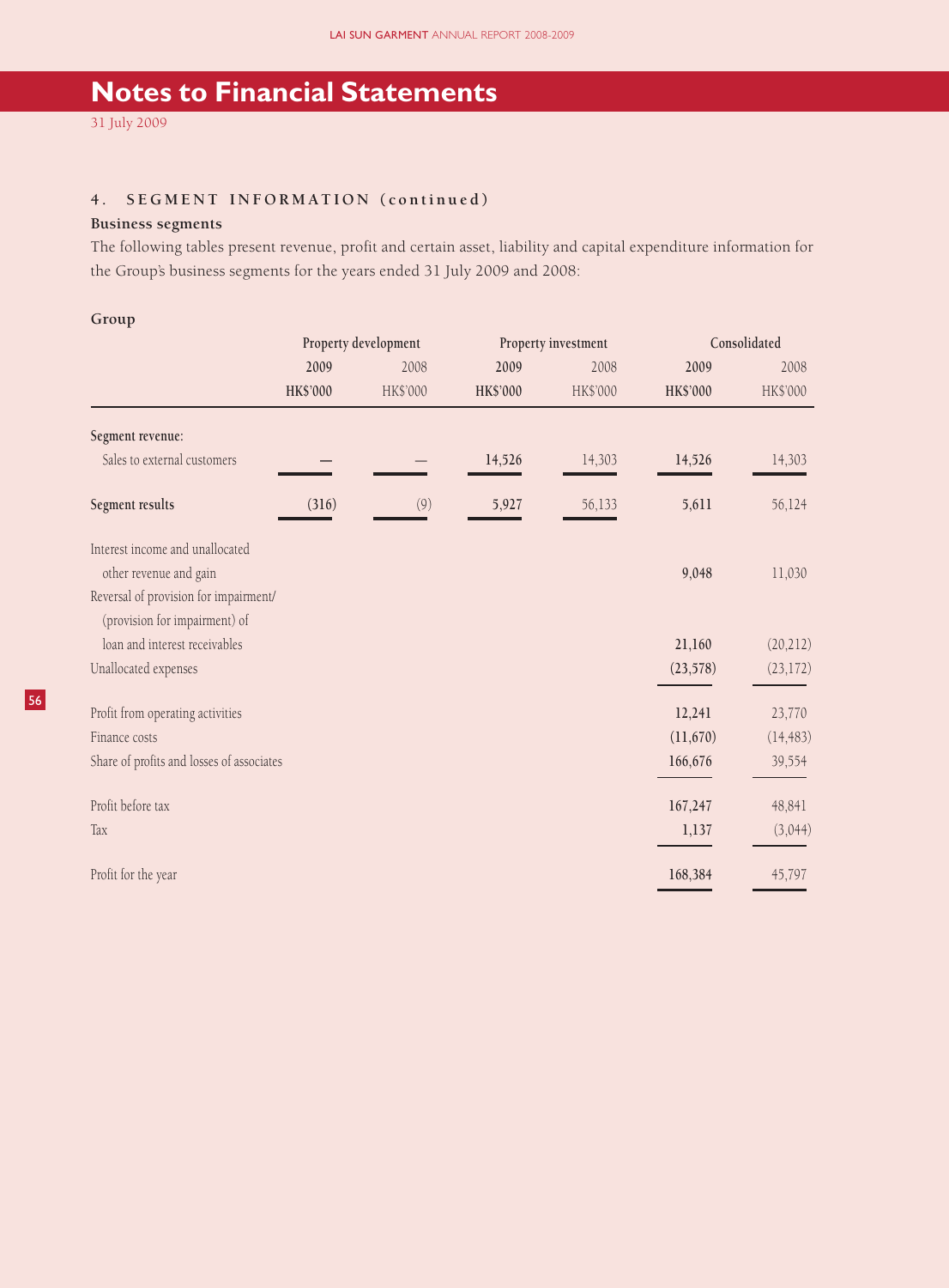31 July 2009

### **4. SEGMENT INFORMATION (continued)**

### **Business segments**

The following tables present revenue, profit and certain asset, liability and capital expenditure information for the Group's business segments for the years ended 31 July 2009 and 2008:

| Group                                                                  |                 |                      |                 |                     |                 |              |
|------------------------------------------------------------------------|-----------------|----------------------|-----------------|---------------------|-----------------|--------------|
|                                                                        |                 | Property development |                 | Property investment |                 | Consolidated |
|                                                                        | 2009            | 2008                 | 2009            | 2008                | 2009            | 2008         |
|                                                                        | <b>HK\$'000</b> | HK\$'000             | <b>HK\$'000</b> | HK\$'000            | <b>HK\$'000</b> | HK\$'000     |
| Segment revenue:                                                       |                 |                      |                 |                     |                 |              |
| Sales to external customers                                            |                 |                      | 14,526          | 14,303              | 14,526          | 14,303       |
| Segment results                                                        | (316)           | (9)                  | 5,927           | 56,133              | 5,611           | 56,124       |
| Interest income and unallocated<br>other revenue and gain              |                 |                      |                 |                     | 9,048           | 11,030       |
| Reversal of provision for impairment/<br>(provision for impairment) of |                 |                      |                 |                     |                 |              |
| loan and interest receivables                                          |                 |                      |                 |                     | 21,160          | (20, 212)    |
| Unallocated expenses                                                   |                 |                      |                 |                     | (23, 578)       | (23, 172)    |
| Profit from operating activities                                       |                 |                      |                 |                     | 12,241          | 23,770       |
| Finance costs                                                          |                 |                      |                 |                     | (11,670)        | (14, 483)    |
| Share of profits and losses of associates                              |                 |                      |                 |                     | 166,676         | 39,554       |
| Profit before tax                                                      |                 |                      |                 |                     | 167,247         | 48,841       |
| Tax                                                                    |                 |                      |                 |                     | 1,137           | (3,044)      |
| Profit for the year                                                    |                 |                      |                 |                     | 168,384         | 45,797       |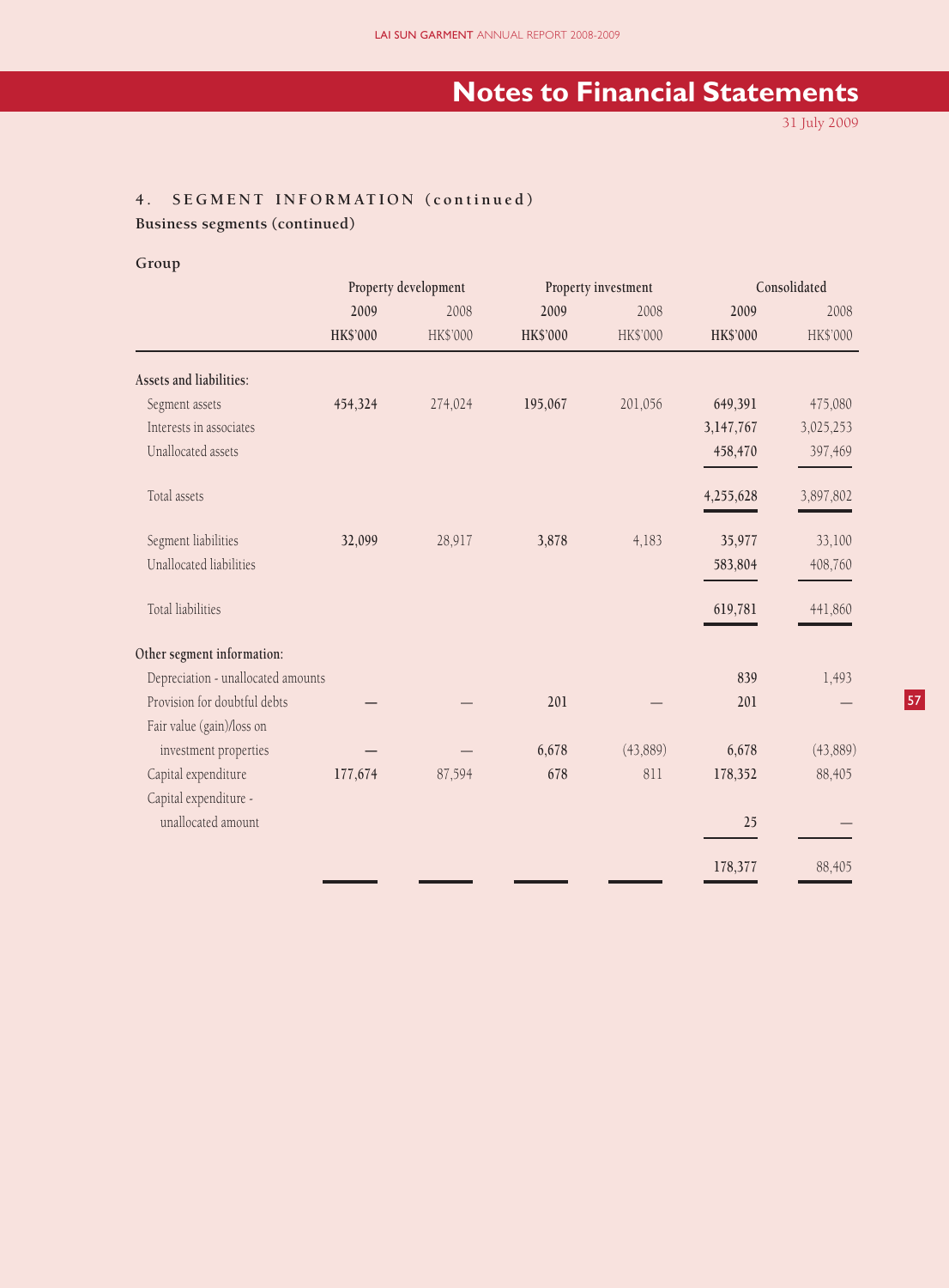31 July 2009

### **4. SEGMENT INFORMATION (continued)**

### **Business segments (continued)**

**Group**

|                                    | Property development |          |                 | Property investment | Consolidated    |           |
|------------------------------------|----------------------|----------|-----------------|---------------------|-----------------|-----------|
|                                    | 2009<br>2008         |          | 2009            | 2008                | 2009            | 2008      |
|                                    | <b>HK\$'000</b>      | HK\$'000 | <b>HK\$'000</b> | HK\$'000            | <b>HK\$'000</b> | HK\$'000  |
| Assets and liabilities:            |                      |          |                 |                     |                 |           |
| Segment assets                     | 454,324              | 274,024  | 195,067         | 201,056             | 649,391         | 475,080   |
| Interests in associates            |                      |          |                 |                     | 3,147,767       | 3,025,253 |
| Unallocated assets                 |                      |          |                 |                     | 458,470         | 397,469   |
| Total assets                       |                      |          |                 |                     | 4,255,628       | 3,897,802 |
| Segment liabilities                | 32,099               | 28,917   | 3,878           | 4,183               | 35,977          | 33,100    |
| Unallocated liabilities            |                      |          |                 |                     | 583,804         | 408,760   |
| Total liabilities                  |                      |          |                 |                     | 619,781         | 441,860   |
| Other segment information:         |                      |          |                 |                     |                 |           |
| Depreciation - unallocated amounts |                      |          |                 |                     | 839             | 1,493     |
| Provision for doubtful debts       |                      |          | 201             |                     | 201             |           |
| Fair value (gain)/loss on          |                      |          |                 |                     |                 |           |
| investment properties              |                      |          | 6,678           | (43,889)            | 6,678           | (43, 889) |
| Capital expenditure                | 177,674              | 87,594   | 678             | 811                 | 178,352         | 88,405    |
| Capital expenditure -              |                      |          |                 |                     |                 |           |
| unallocated amount                 |                      |          |                 |                     | 25              |           |
|                                    |                      |          |                 |                     | 178,377         | 88,405    |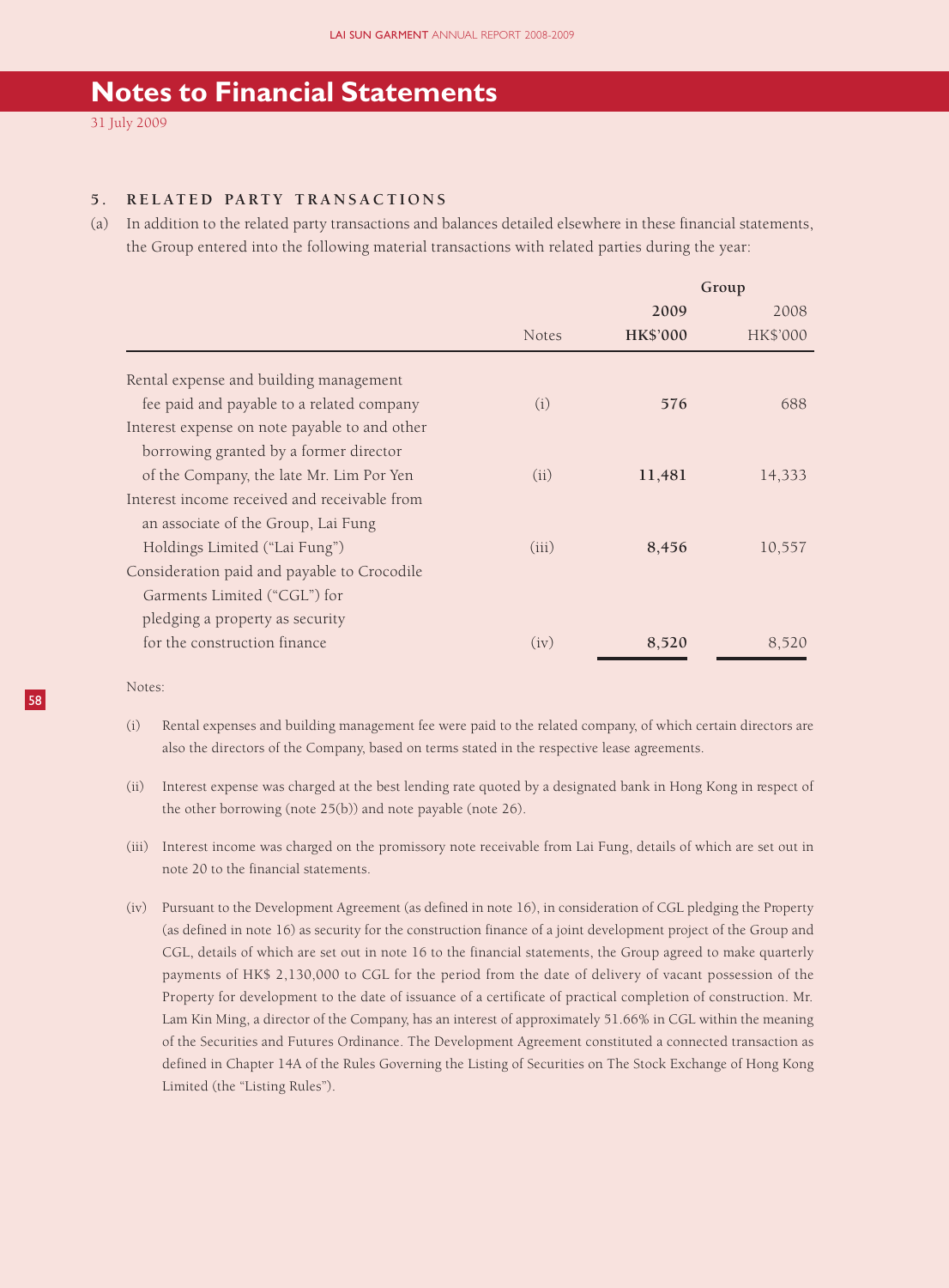31 July 2009

### **5. RELATED PARTY TRANSACTIONS**

(a) In addition to the related party transactions and balances detailed elsewhere in these financial statements, the Group entered into the following material transactions with related parties during the year:

|                                               |              |                 | Group    |
|-----------------------------------------------|--------------|-----------------|----------|
|                                               |              | 2009            | 2008     |
|                                               | <b>Notes</b> | <b>HK\$'000</b> | HK\$'000 |
| Rental expense and building management        |              |                 |          |
| fee paid and payable to a related company     | (i)          | 576             | 688      |
| Interest expense on note payable to and other |              |                 |          |
| borrowing granted by a former director        |              |                 |          |
| of the Company, the late Mr. Lim Por Yen      | (ii)         | 11,481          | 14,333   |
| Interest income received and receivable from  |              |                 |          |
| an associate of the Group, Lai Fung           |              |                 |          |
| Holdings Limited ("Lai Fung")                 | (iii)        | 8,456           | 10,557   |
| Consideration paid and payable to Crocodile   |              |                 |          |
| Garments Limited ("CGL") for                  |              |                 |          |
| pledging a property as security               |              |                 |          |
| for the construction finance                  | (iv)         | 8,520           | 8,520    |

Notes:

- (i) Rental expenses and building management fee were paid to the related company, of which certain directors are also the directors of the Company, based on terms stated in the respective lease agreements.
- (ii) Interest expense was charged at the best lending rate quoted by a designated bank in Hong Kong in respect of the other borrowing (note 25(b)) and note payable (note 26).
- (iii) Interest income was charged on the promissory note receivable from Lai Fung, details of which are set out in note 20 to the financial statements.
- (iv) Pursuant to the Development Agreement (as defined in note 16), in consideration of CGL pledging the Property (as defined in note 16) as security for the construction finance of a joint development project of the Group and CGL, details of which are set out in note 16 to the financial statements, the Group agreed to make quarterly payments of HK\$ 2,130,000 to CGL for the period from the date of delivery of vacant possession of the Property for development to the date of issuance of a certificate of practical completion of construction. Mr. Lam Kin Ming, a director of the Company, has an interest of approximately 51.66% in CGL within the meaning of the Securities and Futures Ordinance. The Development Agreement constituted a connected transaction as defined in Chapter 14A of the Rules Governing the Listing of Securities on The Stock Exchange of Hong Kong Limited (the "Listing Rules").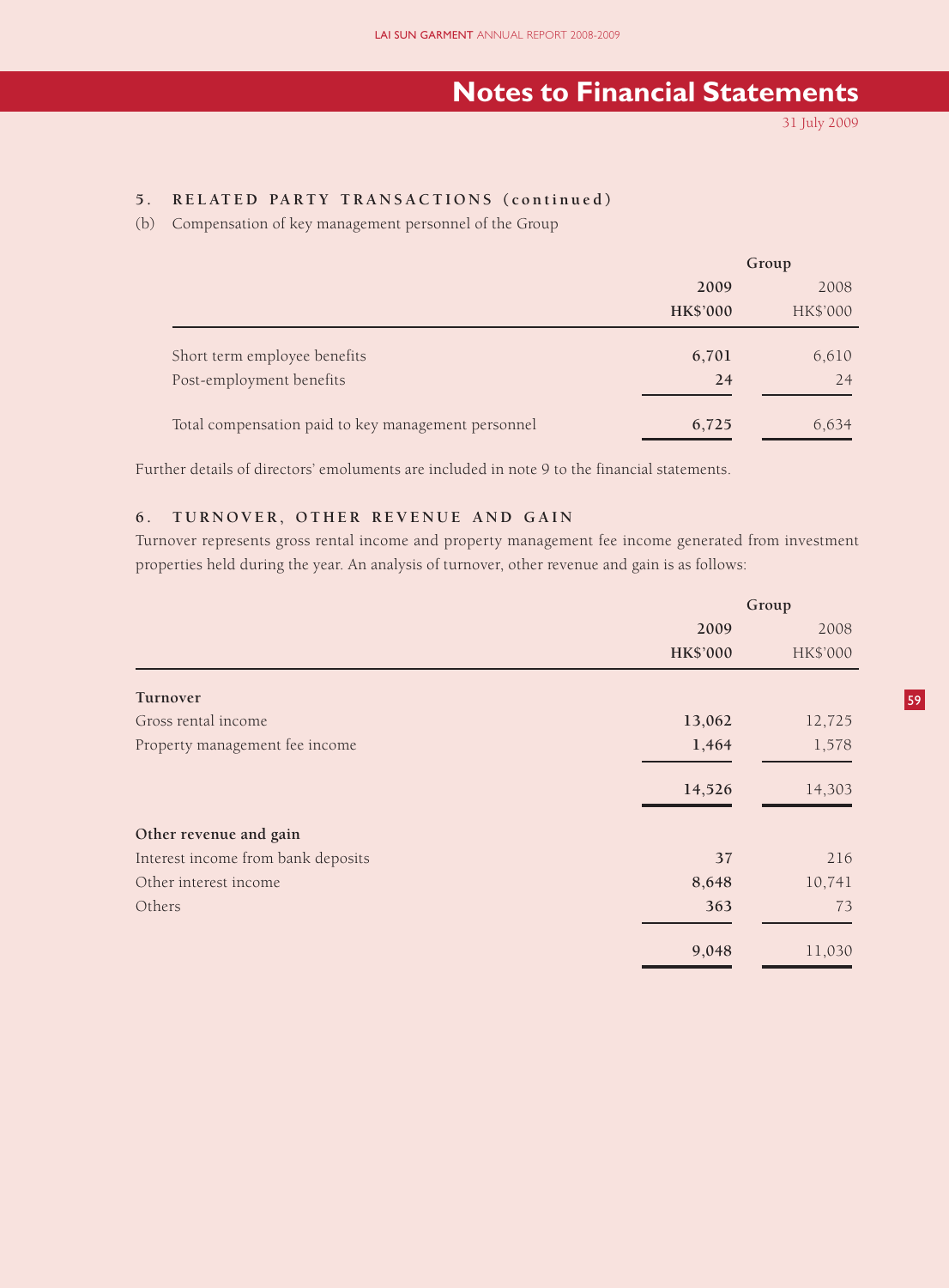31 July 2009

### **5. RELATED PARTY TRANSACTIONS (continued)**

(b) Compensation of key management personnel of the Group

|                                                     |                 | Group    |  |  |
|-----------------------------------------------------|-----------------|----------|--|--|
|                                                     | 2009            | 2008     |  |  |
|                                                     | <b>HK\$'000</b> | HK\$'000 |  |  |
| Short term employee benefits                        | 6,701           | 6,610    |  |  |
| Post-employment benefits                            | 24              | 24       |  |  |
| Total compensation paid to key management personnel | 6,725           | 6,634    |  |  |

Further details of directors' emoluments are included in note 9 to the financial statements.

### **6. TURNOVER, OTHER REVENUE AND GAIN**

Turnover represents gross rental income and property management fee income generated from investment properties held during the year. An analysis of turnover, other revenue and gain is as follows:

|                                    | Group           |          |  |
|------------------------------------|-----------------|----------|--|
|                                    | 2009            |          |  |
|                                    | <b>HK\$'000</b> | HK\$'000 |  |
| Turnover                           |                 |          |  |
| Gross rental income                | 13,062          | 12,725   |  |
| Property management fee income     | 1,464           | 1,578    |  |
|                                    | 14,526          | 14,303   |  |
| Other revenue and gain             |                 |          |  |
| Interest income from bank deposits | 37              | 216      |  |
| Other interest income              | 8,648           | 10,741   |  |
| Others                             | 363             | 73       |  |
|                                    | 9,048           | 11,030   |  |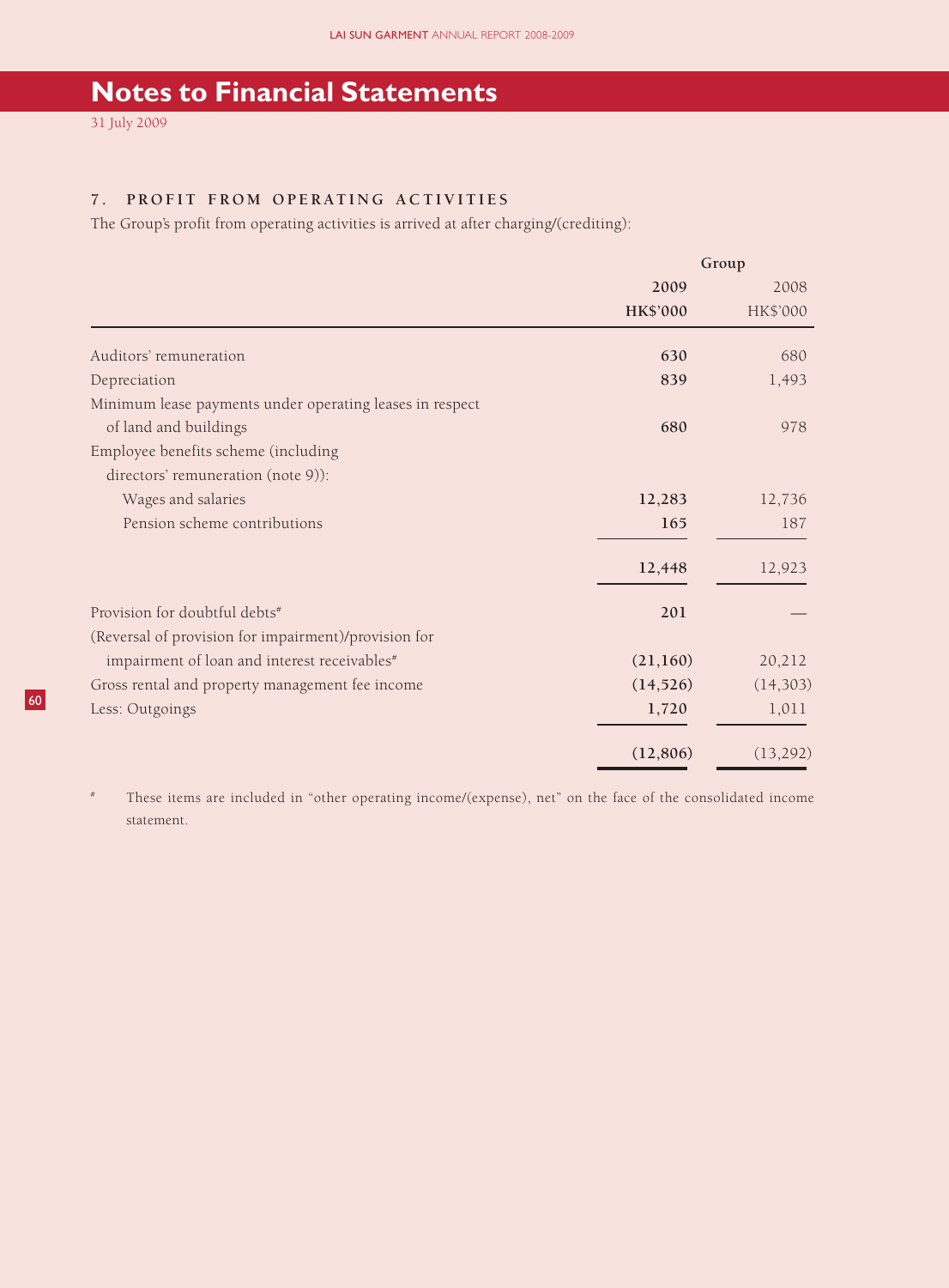31 July 2009

### **7. PROFIT FROM OPERATING ACTIVITIES**

The Group's profit from operating activities is arrived at after charging/(crediting):

|                                                          | Group           |          |
|----------------------------------------------------------|-----------------|----------|
|                                                          | 2009            | 2008     |
|                                                          | <b>HK\$'000</b> | HK\$'000 |
| Auditors' remuneration                                   | 630             | 680      |
| Depreciation                                             | 839             | 1,493    |
| Minimum lease payments under operating leases in respect |                 |          |
| of land and buildings                                    | 680             | 978      |
| Employee benefits scheme (including                      |                 |          |
| directors' remuneration (note 9)):                       |                 |          |
| Wages and salaries                                       | 12,283          | 12,736   |
| Pension scheme contributions                             | 165             | 187      |
|                                                          | 12,448          | 12,923   |
| Provision for doubtful debts#                            | 201             |          |
| (Reversal of provision for impairment)/provision for     |                 |          |
| impairment of loan and interest receivables#             | (21,160)        | 20,212   |
| Gross rental and property management fee income          | (14, 526)       | (14,303) |
| Less: Outgoings                                          | 1,720           | 1,011    |
|                                                          | (12, 806)       | (13,292) |

# These items are included in "other operating income/(expense), net" on the face of the consolidated income statement.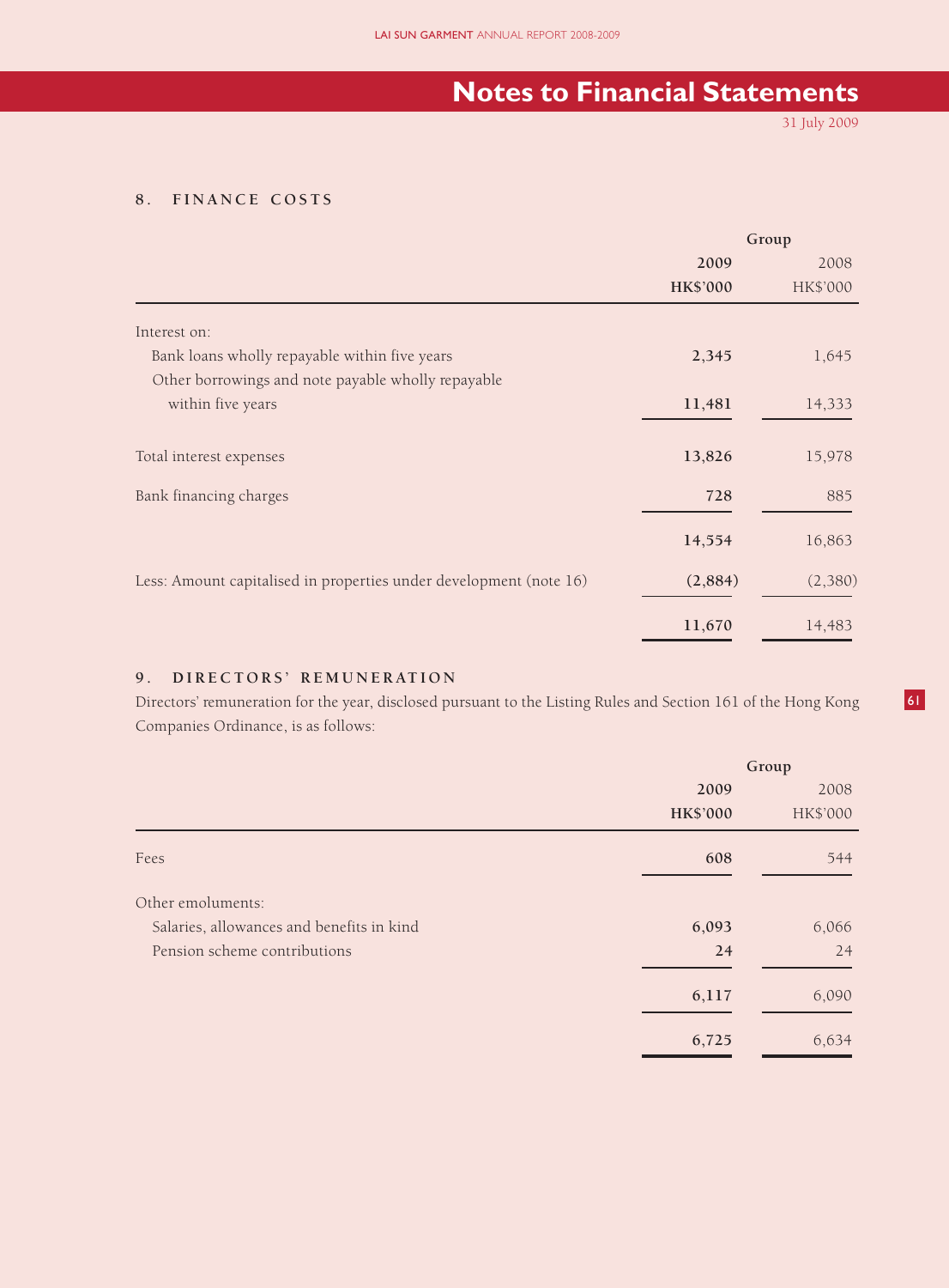31 July 2009

### **8. FINANCE COSTS**

|                                                                    | Group           |          |
|--------------------------------------------------------------------|-----------------|----------|
|                                                                    | 2009            | 2008     |
|                                                                    | <b>HK\$'000</b> | HK\$'000 |
| Interest on:                                                       |                 |          |
| Bank loans wholly repayable within five years                      | 2,345           | 1,645    |
| Other borrowings and note payable wholly repayable                 |                 |          |
| within five years                                                  | 11,481          | 14,333   |
|                                                                    |                 |          |
| Total interest expenses                                            | 13,826          | 15,978   |
| Bank financing charges                                             | 728             | 885      |
|                                                                    |                 |          |
|                                                                    | 14,554          | 16,863   |
| Less: Amount capitalised in properties under development (note 16) | (2,884)         | (2,380)  |
|                                                                    |                 |          |
|                                                                    | 11,670          | 14,483   |

### **9. DIRECTORS ' REMUNERATION**

Directors' remuneration for the year, disclosed pursuant to the Listing Rules and Section 161 of the Hong Kong Companies Ordinance, is as follows:

|                                           | Group           |          |
|-------------------------------------------|-----------------|----------|
|                                           | 2009            | 2008     |
|                                           | <b>HK\$'000</b> | HK\$'000 |
| Fees                                      | 608             | 544      |
| Other emoluments:                         |                 |          |
| Salaries, allowances and benefits in kind | 6,093           | 6,066    |
| Pension scheme contributions              | 24              | 24       |
|                                           | 6,117           | 6,090    |
|                                           | 6,725           | 6,634    |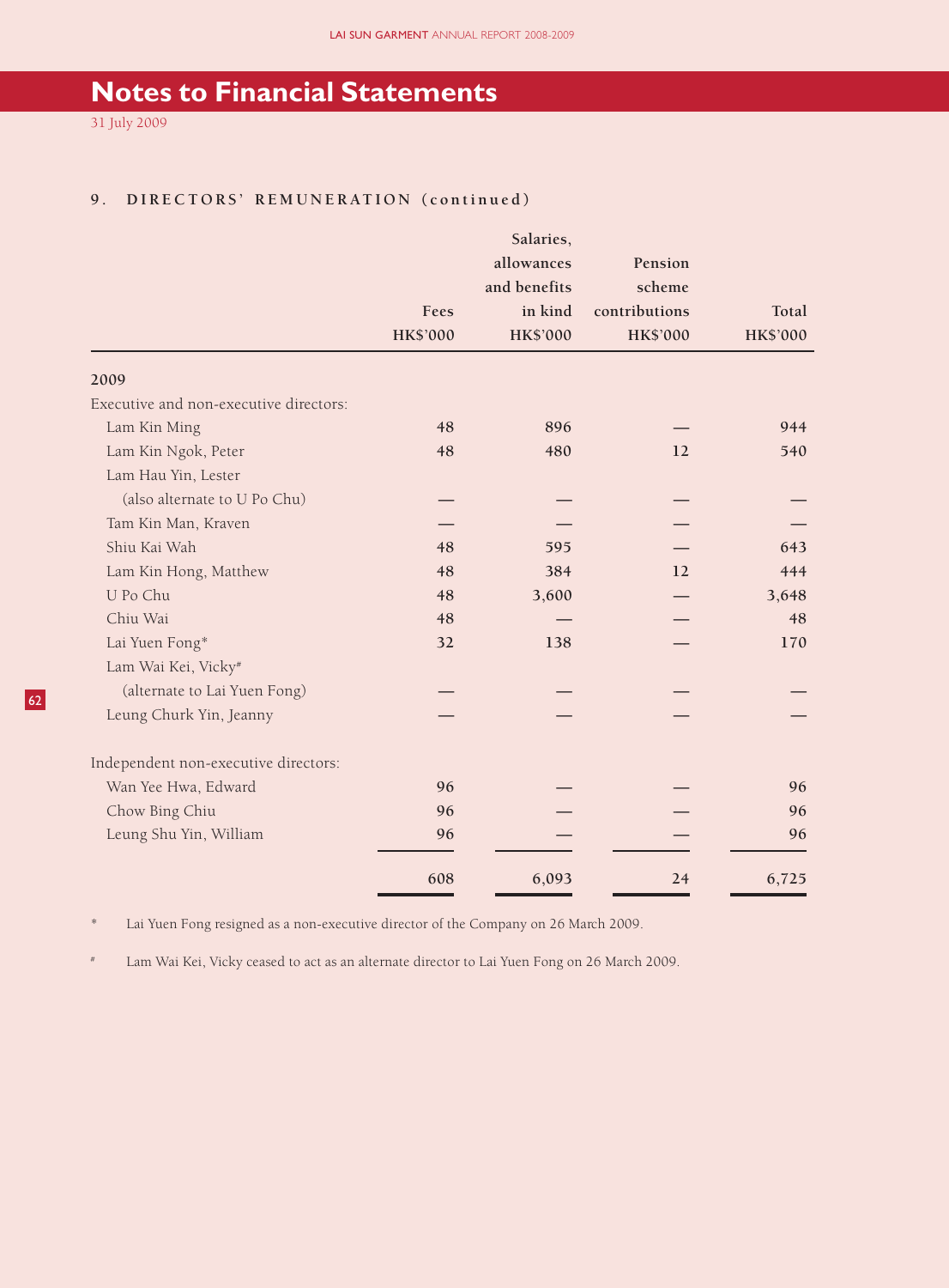31 July 2009

### **9. DIRECTORS ' REMUNERATION (continued)**

|                                        |                 | Salaries,       |                 |                 |
|----------------------------------------|-----------------|-----------------|-----------------|-----------------|
|                                        |                 | allowances      | Pension         |                 |
|                                        |                 | and benefits    | scheme          |                 |
|                                        | Fees            | in kind         | contributions   | Total           |
|                                        | <b>HK\$'000</b> | <b>HK\$'000</b> | <b>HK\$'000</b> | <b>HK\$'000</b> |
| 2009                                   |                 |                 |                 |                 |
| Executive and non-executive directors: |                 |                 |                 |                 |
| Lam Kin Ming                           | 48              | 896             |                 | 944             |
| Lam Kin Ngok, Peter                    | 48              | 480             | 12              | 540             |
| Lam Hau Yin, Lester                    |                 |                 |                 |                 |
| (also alternate to U Po Chu)           |                 |                 |                 |                 |
| Tam Kin Man, Kraven                    |                 |                 |                 |                 |
| Shiu Kai Wah                           | 48              | 595             |                 | 643             |
| Lam Kin Hong, Matthew                  | 48              | 384             | 12              | 444             |
| U Po Chu                               | 48              | 3,600           |                 | 3,648           |
| Chiu Wai                               | 48              |                 |                 | 48              |
| Lai Yuen Fong*                         | 32              | 138             |                 | 170             |
| Lam Wai Kei, Vicky#                    |                 |                 |                 |                 |
| (alternate to Lai Yuen Fong)           |                 |                 |                 |                 |
| Leung Churk Yin, Jeanny                |                 |                 |                 |                 |
| Independent non-executive directors:   |                 |                 |                 |                 |
| Wan Yee Hwa, Edward                    | 96              |                 |                 | 96              |
| Chow Bing Chiu                         | 96              |                 |                 | 96              |
| Leung Shu Yin, William                 | 96              |                 |                 | 96              |
|                                        | 608             | 6,093           | 24              | 6,725           |

\* Lai Yuen Fong resigned as a non-executive director of the Company on 26 March 2009.

# Lam Wai Kei, Vicky ceased to act as an alternate director to Lai Yuen Fong on 26 March 2009.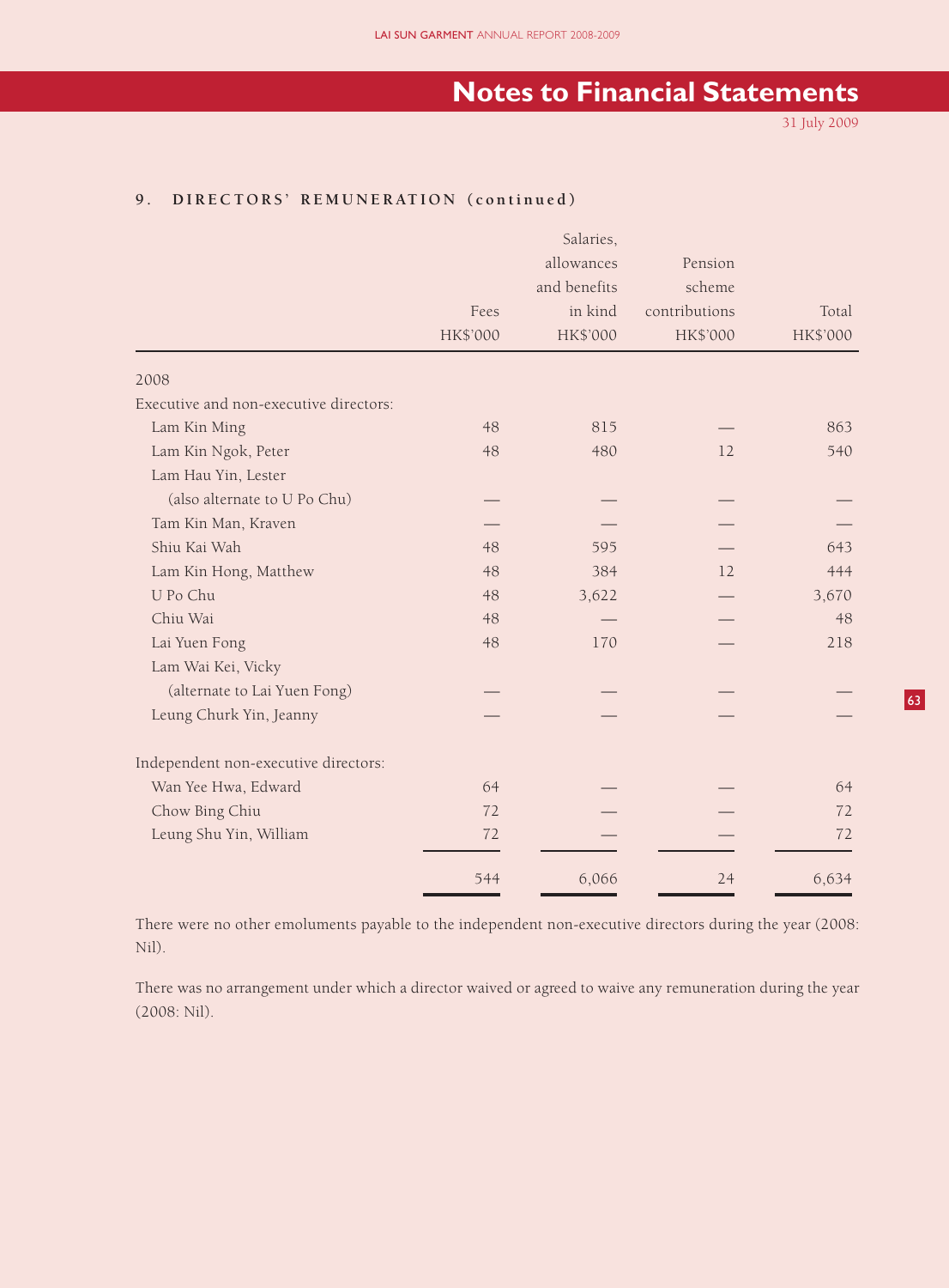31 July 2009

|                                        |          | Salaries,    |               |          |
|----------------------------------------|----------|--------------|---------------|----------|
|                                        |          | allowances   | Pension       |          |
|                                        |          | and benefits | scheme        |          |
|                                        | Fees     | in kind      | contributions | Total    |
|                                        | HK\$'000 | HK\$'000     | HK\$'000      | HK\$'000 |
| 2008                                   |          |              |               |          |
| Executive and non-executive directors: |          |              |               |          |
| Lam Kin Ming                           | 48       | 815          |               | 863      |
| Lam Kin Ngok, Peter                    | 48       | 480          | 12            | 540      |
| Lam Hau Yin, Lester                    |          |              |               |          |
| (also alternate to U Po Chu)           |          |              |               |          |
| Tam Kin Man, Kraven                    |          |              |               |          |
| Shiu Kai Wah                           | 48       | 595          |               | 643      |
| Lam Kin Hong, Matthew                  | 48       | 384          | 12            | 444      |
| U Po Chu                               | 48       | 3,622        |               | 3,670    |
| Chiu Wai                               | 48       |              |               | 48       |
| Lai Yuen Fong                          | 48       | 170          |               | 218      |
| Lam Wai Kei, Vicky                     |          |              |               |          |
| (alternate to Lai Yuen Fong)           |          |              |               |          |
| Leung Churk Yin, Jeanny                |          |              |               |          |
| Independent non-executive directors:   |          |              |               |          |
| Wan Yee Hwa, Edward                    | 64       |              |               | 64       |
| Chow Bing Chiu                         | 72       |              |               | 72       |
| Leung Shu Yin, William                 | 72       |              |               | 72       |
|                                        | 544      | 6,066        | 24            | 6,634    |

### **9. DIRECTORS ' REMUNERATION (continued)**

There were no other emoluments payable to the independent non-executive directors during the year (2008: Nil).

There was no arrangement under which a director waived or agreed to waive any remuneration during the year (2008: Nil).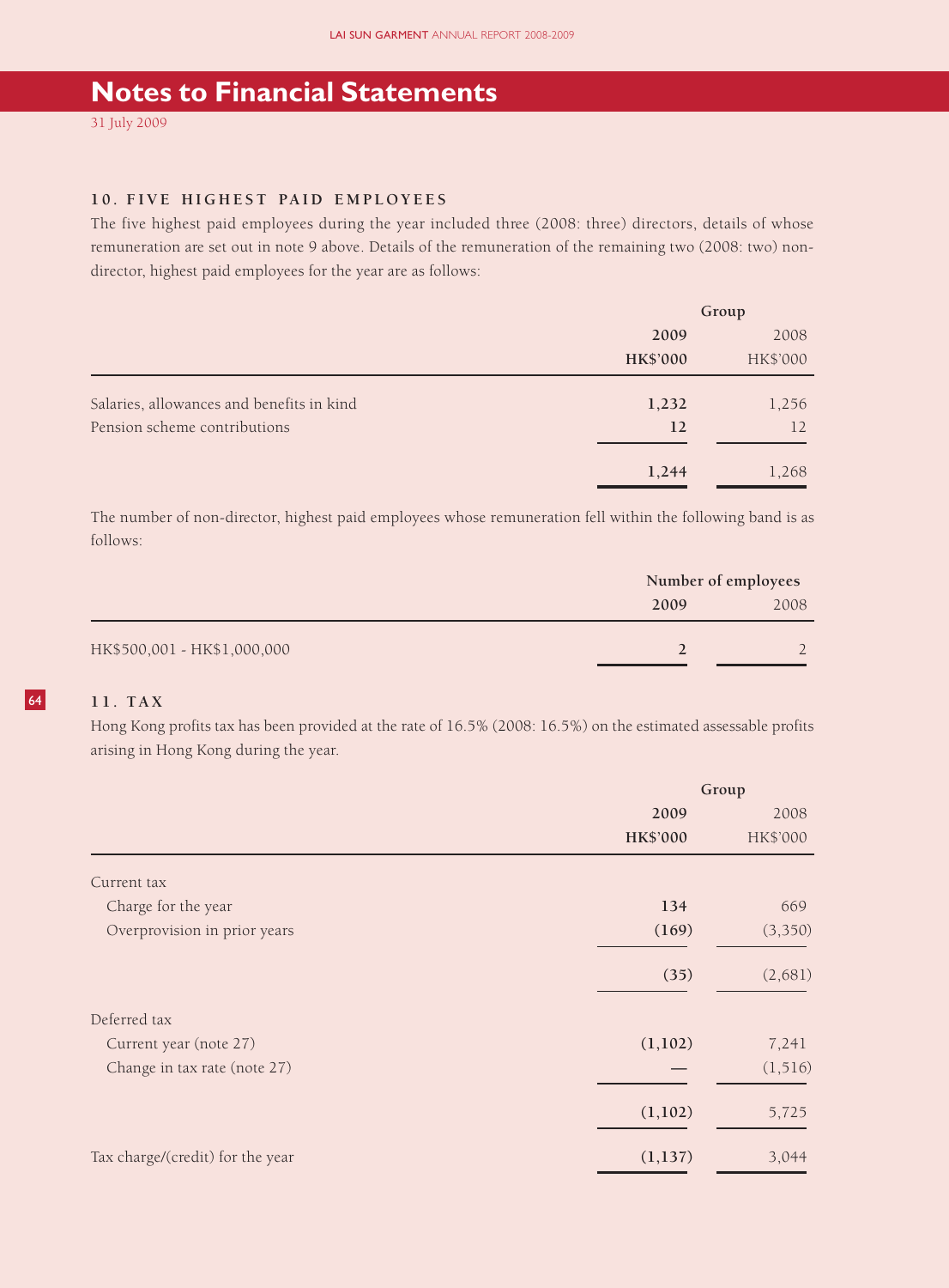31 July 2009

### **10. FIVE HIGHEST PAID EMPLOYEES**

The five highest paid employees during the year included three (2008: three) directors, details of whose remuneration are set out in note 9 above. Details of the remuneration of the remaining two (2008: two) nondirector, highest paid employees for the year are as follows:

|                                           |                 | Group    |  |
|-------------------------------------------|-----------------|----------|--|
|                                           | 2009            | 2008     |  |
|                                           | <b>HK\$'000</b> | HK\$'000 |  |
| Salaries, allowances and benefits in kind | 1,232           | 1,256    |  |
| Pension scheme contributions              | 12              | 12       |  |
|                                           |                 |          |  |
|                                           | 1,244           | 1,268    |  |

The number of non-director, highest paid employees whose remuneration fell within the following band is as follows:

|                             |      | Number of employees |
|-----------------------------|------|---------------------|
|                             | 2009 | 2008                |
| HK\$500,001 - HK\$1,000,000 |      |                     |

#### 64

### **11. TAX**

Hong Kong profits tax has been provided at the rate of 16.5% (2008: 16.5%) on the estimated assessable profits arising in Hong Kong during the year.

|                                  | Group           |          |
|----------------------------------|-----------------|----------|
|                                  | 2009            | 2008     |
|                                  | <b>HK\$'000</b> | HK\$'000 |
| Current tax                      |                 |          |
| Charge for the year              | 134             | 669      |
| Overprovision in prior years     | (169)           | (3,350)  |
|                                  | (35)            | (2,681)  |
| Deferred tax                     |                 |          |
| Current year (note 27)           | (1,102)         | 7,241    |
| Change in tax rate (note 27)     |                 | (1,516)  |
|                                  | (1,102)         | 5,725    |
| Tax charge/(credit) for the year | (1, 137)        | 3,044    |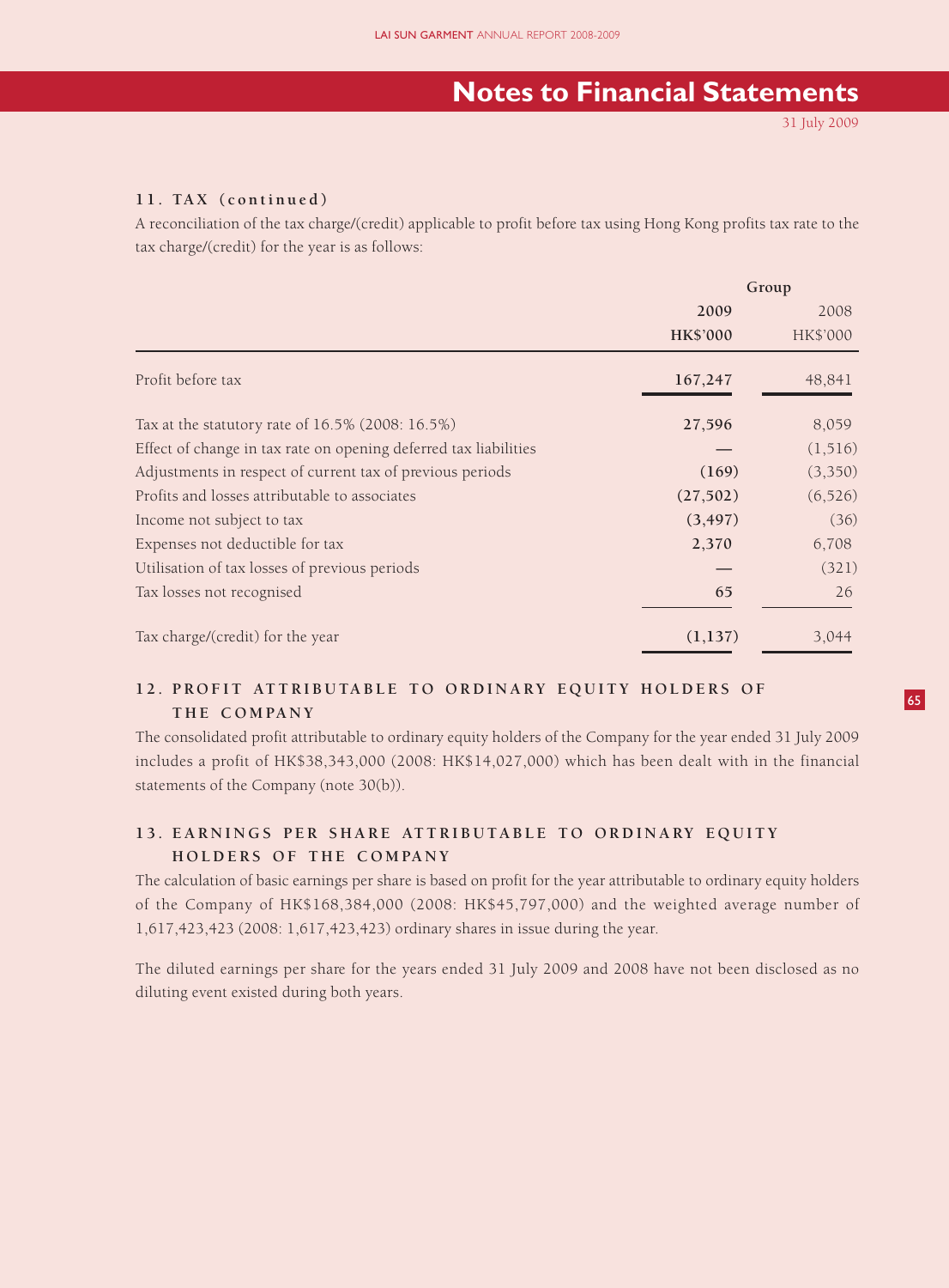31 July 2009

#### **11. TAX (continued)**

A reconciliation of the tax charge/(credit) applicable to profit before tax using Hong Kong profits tax rate to the tax charge/(credit) for the year is as follows:

|                                                                  | Group           |          |
|------------------------------------------------------------------|-----------------|----------|
|                                                                  | 2009            | 2008     |
|                                                                  | <b>HK\$'000</b> | HK\$'000 |
| Profit before tax                                                | 167,247         | 48,841   |
| Tax at the statutory rate of 16.5% (2008: 16.5%)                 | 27,596          | 8,059    |
| Effect of change in tax rate on opening deferred tax liabilities |                 | (1,516)  |
| Adjustments in respect of current tax of previous periods        | (169)           | (3,350)  |
| Profits and losses attributable to associates                    | (27,502)        | (6, 526) |
| Income not subject to tax                                        | (3, 497)        | (36)     |
| Expenses not deductible for tax                                  | 2,370           | 6,708    |
| Utilisation of tax losses of previous periods                    |                 | (321)    |
| Tax losses not recognised                                        | 65              | 26       |
| Tax charge/(credit) for the year                                 | (1,137)         | 3,044    |

### **12. PROFIT ATTRIBUTABLE TO ORDINARY EQUITY HOLDERS OF THE COMPANY**

The consolidated profit attributable to ordinary equity holders of the Company for the year ended 31 July 2009 includes a profit of HK\$38,343,000 (2008: HK\$14,027,000) which has been dealt with in the financial statements of the Company (note 30(b)).

### **13. EARNINGS PER SHARE ATTRIBUTABLE TO ORDINARY EQUITY HOLDERS OF THE COMPANY**

The calculation of basic earnings per share is based on profit for the year attributable to ordinary equity holders of the Company of HK\$168,384,000 (2008: HK\$45,797,000) and the weighted average number of 1,617,423,423 (2008: 1,617,423,423) ordinary shares in issue during the year.

The diluted earnings per share for the years ended 31 July 2009 and 2008 have not been disclosed as no diluting event existed during both years.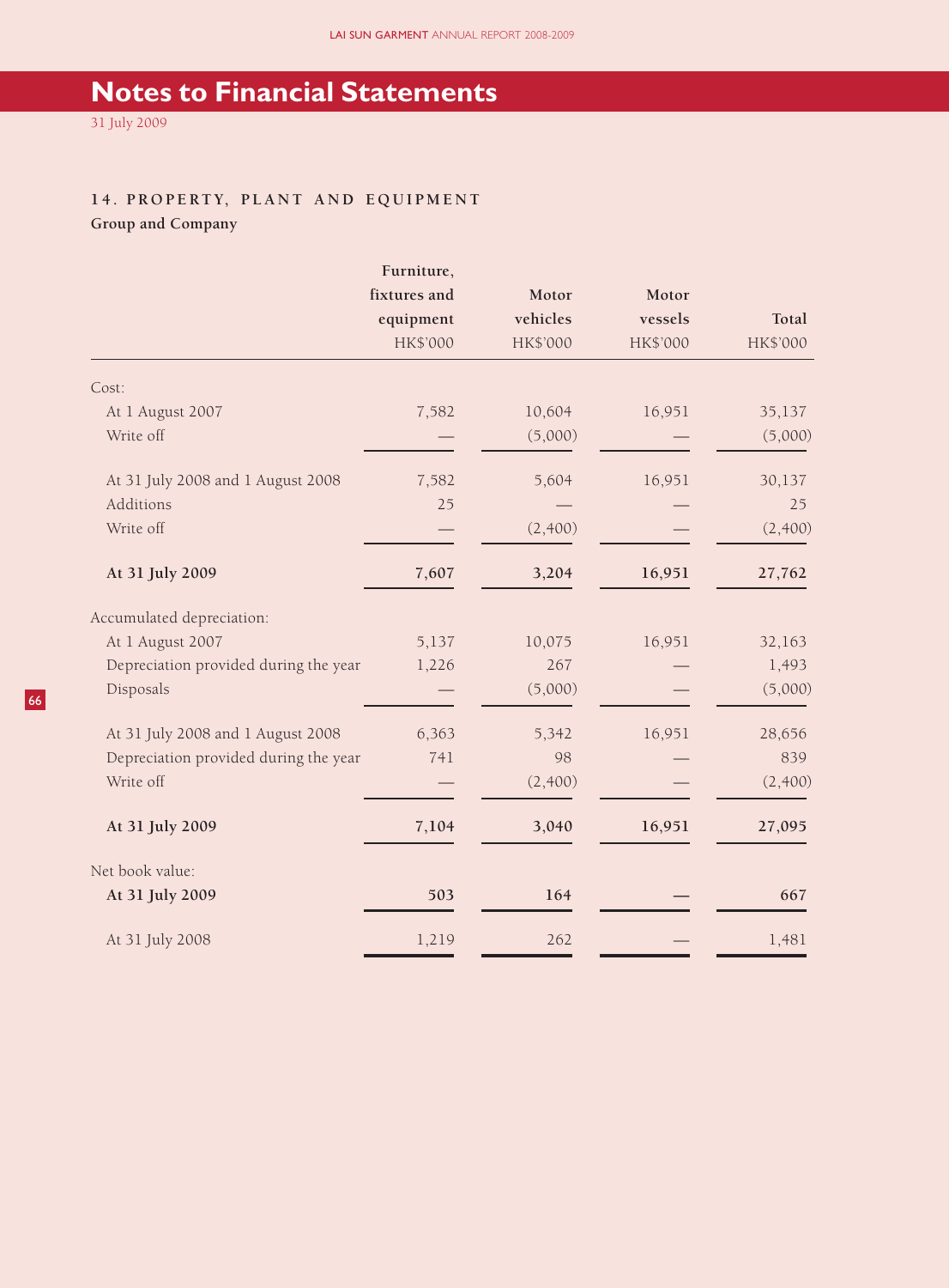31 July 2009

## **14. PROPERTY, PLANT AND EQUIPMENT**

**Group and Company**

|                                       | Furniture,   |          |          |          |
|---------------------------------------|--------------|----------|----------|----------|
|                                       | fixtures and | Motor    | Motor    |          |
|                                       | equipment    | vehicles | vessels  | Total    |
|                                       | HK\$'000     | HK\$'000 | HK\$'000 | HK\$'000 |
| Cost:                                 |              |          |          |          |
| At 1 August 2007                      | 7,582        | 10,604   | 16,951   | 35,137   |
| Write off                             |              | (5,000)  |          | (5,000)  |
| At 31 July 2008 and 1 August 2008     | 7,582        | 5,604    | 16,951   | 30,137   |
| Additions                             | 25           |          |          | 25       |
| Write off                             |              | (2,400)  |          | (2,400)  |
| At 31 July 2009                       | 7,607        | 3,204    | 16,951   | 27,762   |
| Accumulated depreciation:             |              |          |          |          |
| At 1 August 2007                      | 5,137        | 10,075   | 16,951   | 32,163   |
| Depreciation provided during the year | 1,226        | 267      |          | 1,493    |
| Disposals                             |              | (5,000)  |          | (5,000)  |
| At 31 July 2008 and 1 August 2008     | 6,363        | 5,342    | 16,951   | 28,656   |
| Depreciation provided during the year | 741          | 98       |          | 839      |
| Write off                             |              | (2,400)  |          | (2,400)  |
| At 31 July 2009                       | 7,104        | 3,040    | 16,951   | 27,095   |
| Net book value:                       |              |          |          |          |
| At 31 July 2009                       | 503          | 164      |          | 667      |
| At 31 July 2008                       | 1,219        | 262      |          | 1,481    |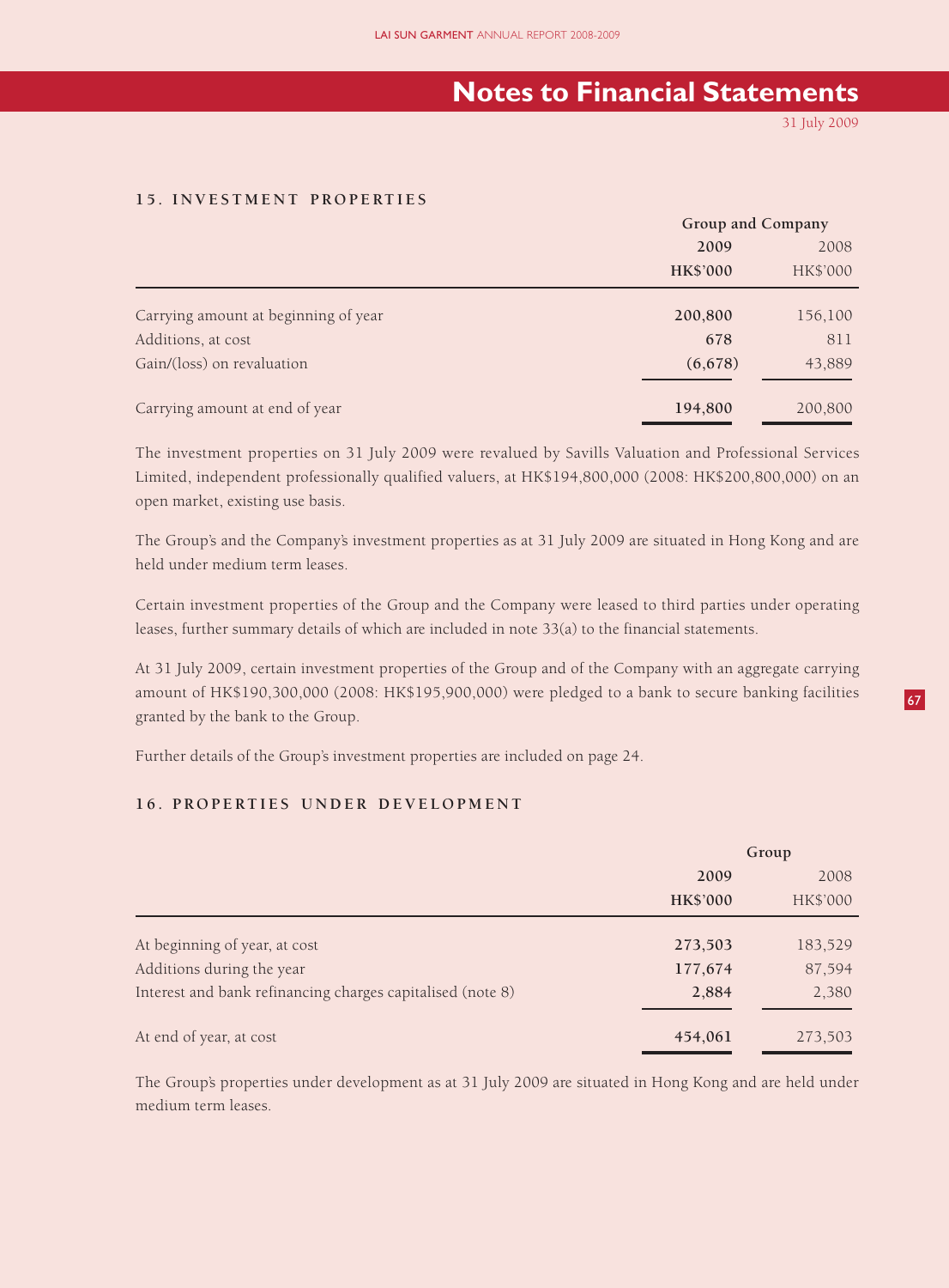31 July 2009

### **15. INVESTMENT PROPERTIES**

|                                      | <b>Group and Company</b> |          |
|--------------------------------------|--------------------------|----------|
|                                      | 2009                     | 2008     |
|                                      | <b>HK\$'000</b>          | HK\$'000 |
|                                      |                          |          |
| Carrying amount at beginning of year | 200,800                  | 156,100  |
| Additions, at cost                   | 678                      | 811      |
| Gain/(loss) on revaluation           | (6,678)                  | 43,889   |
|                                      |                          |          |
| Carrying amount at end of year       | 194,800                  | 200,800  |

The investment properties on 31 July 2009 were revalued by Savills Valuation and Professional Services Limited, independent professionally qualified valuers, at HK\$194,800,000 (2008: HK\$200,800,000) on an open market, existing use basis.

The Group's and the Company's investment properties as at 31 July 2009 are situated in Hong Kong and are held under medium term leases.

Certain investment properties of the Group and the Company were leased to third parties under operating leases, further summary details of which are included in note 33(a) to the financial statements.

At 31 July 2009, certain investment properties of the Group and of the Company with an aggregate carrying amount of HK\$190,300,000 (2008: HK\$195,900,000) were pledged to a bank to secure banking facilities granted by the bank to the Group.

Further details of the Group's investment properties are included on page 24.

### **16. PROPERTIES UNDER DEVELOPMENT**

|                                                            | Group           |          |
|------------------------------------------------------------|-----------------|----------|
|                                                            | 2009            | 2008     |
|                                                            | <b>HK\$'000</b> | HK\$'000 |
|                                                            |                 |          |
| At beginning of year, at cost                              | 273,503         | 183,529  |
| Additions during the year                                  | 177,674         | 87,594   |
| Interest and bank refinancing charges capitalised (note 8) | 2,884           | 2,380    |
|                                                            |                 |          |
| At end of year, at cost                                    | 454,061         | 273,503  |

The Group's properties under development as at 31 July 2009 are situated in Hong Kong and are held under medium term leases.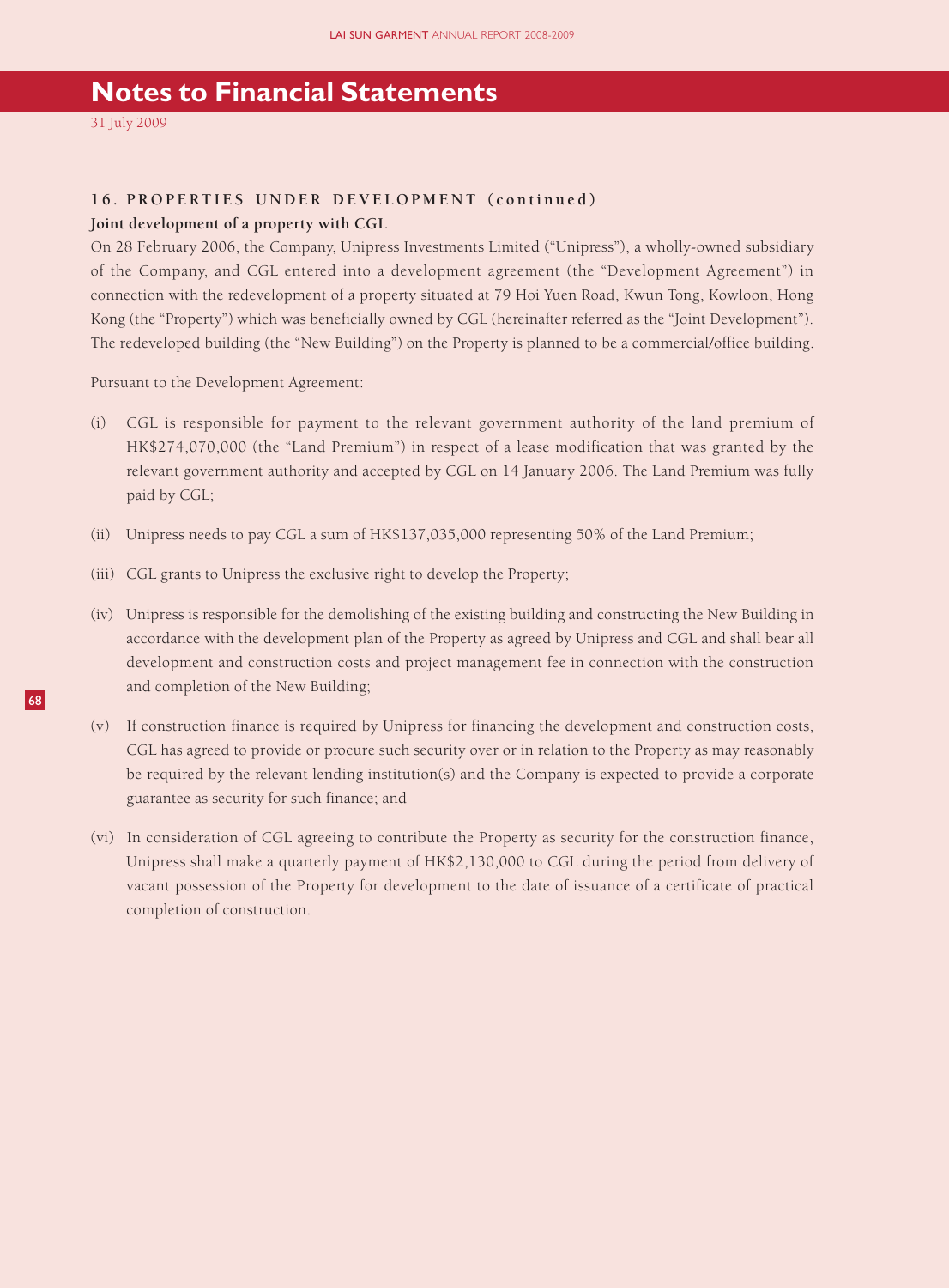31 July 2009

### **16. PROPERTIES UNDER DEVELOPMENT (continued) Joint development of a property with CGL**

On 28 February 2006, the Company, Unipress Investments Limited ("Unipress"), a wholly-owned subsidiary of the Company, and CGL entered into a development agreement (the "Development Agreement") in connection with the redevelopment of a property situated at 79 Hoi Yuen Road, Kwun Tong, Kowloon, Hong Kong (the "Property") which was beneficially owned by CGL (hereinafter referred as the "Joint Development"). The redeveloped building (the "New Building") on the Property is planned to be a commercial/office building.

Pursuant to the Development Agreement:

- (i) CGL is responsible for payment to the relevant government authority of the land premium of HK\$274,070,000 (the "Land Premium") in respect of a lease modification that was granted by the relevant government authority and accepted by CGL on 14 January 2006. The Land Premium was fully paid by CGL;
- (ii) Unipress needs to pay CGL a sum of HK\$137,035,000 representing 50% of the Land Premium;
- (iii) CGL grants to Unipress the exclusive right to develop the Property;
- (iv) Unipress is responsible for the demolishing of the existing building and constructing the New Building in accordance with the development plan of the Property as agreed by Unipress and CGL and shall bear all development and construction costs and project management fee in connection with the construction and completion of the New Building;
- (v) If construction finance is required by Unipress for financing the development and construction costs, CGL has agreed to provide or procure such security over or in relation to the Property as may reasonably be required by the relevant lending institution(s) and the Company is expected to provide a corporate guarantee as security for such finance; and
- (vi) In consideration of CGL agreeing to contribute the Property as security for the construction finance, Unipress shall make a quarterly payment of HK\$2,130,000 to CGL during the period from delivery of vacant possession of the Property for development to the date of issuance of a certificate of practical completion of construction.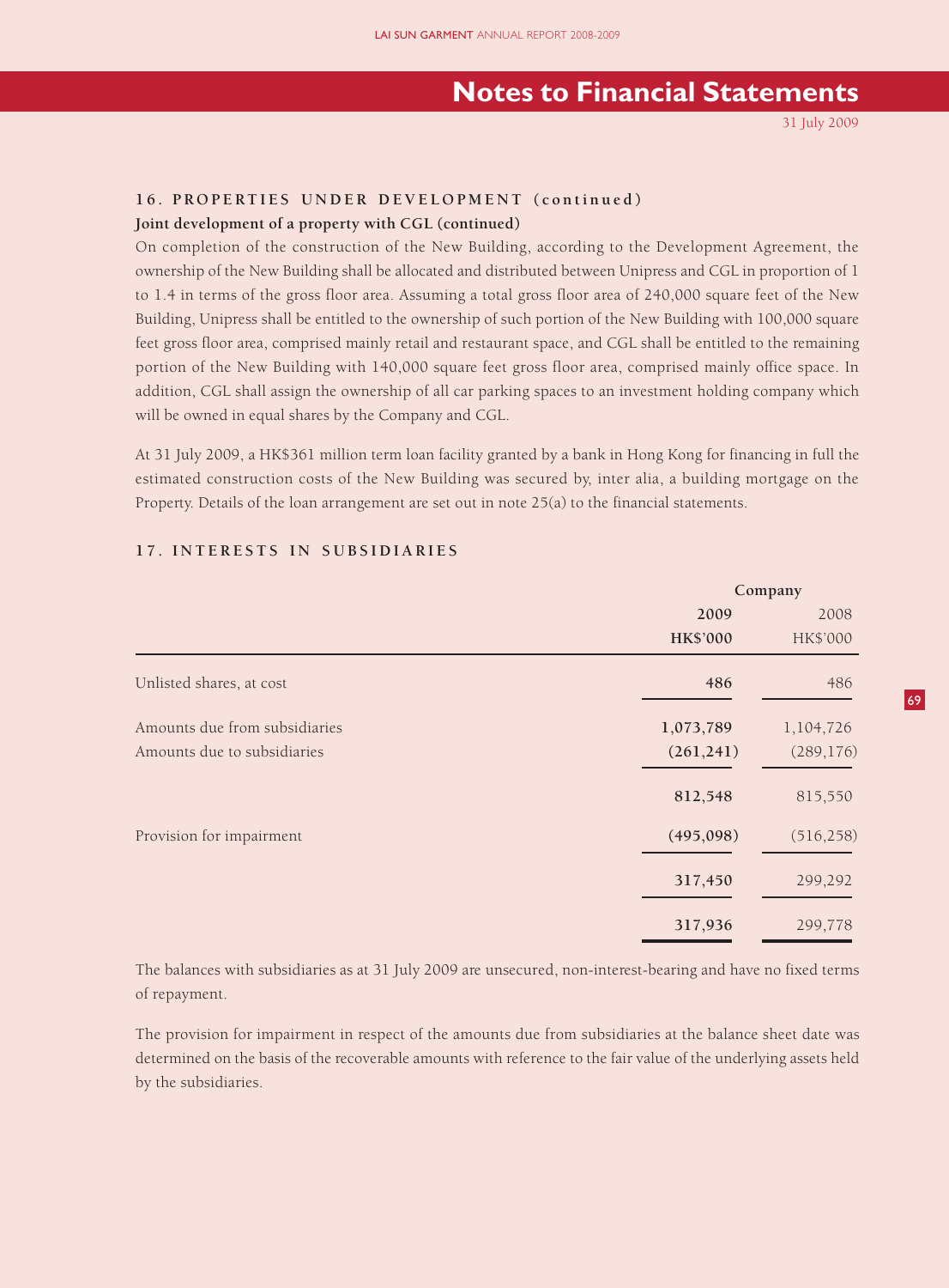31 July 2009

**Company**

### **16. PROPERTIES UNDER DEVELOPMENT (continued) Joint development of a property with CGL (continued)**

On completion of the construction of the New Building, according to the Development Agreement, the ownership of the New Building shall be allocated and distributed between Unipress and CGL in proportion of 1 to 1.4 in terms of the gross floor area. Assuming a total gross floor area of 240,000 square feet of the New Building, Unipress shall be entitled to the ownership of such portion of the New Building with 100,000 square feet gross floor area, comprised mainly retail and restaurant space, and CGL shall be entitled to the remaining portion of the New Building with 140,000 square feet gross floor area, comprised mainly office space. In addition, CGL shall assign the ownership of all car parking spaces to an investment holding company which will be owned in equal shares by the Company and CGL.

At 31 July 2009, a HK\$361 million term loan facility granted by a bank in Hong Kong for financing in full the estimated construction costs of the New Building was secured by, inter alia, a building mortgage on the Property. Details of the loan arrangement are set out in note 25(a) to the financial statements.

**17. INTERESTS IN SUBSIDIARIES**

|                               | 2009            | 2008       |
|-------------------------------|-----------------|------------|
|                               | <b>HK\$'000</b> | HK\$'000   |
| Unlisted shares, at cost      | 486             | 486        |
| Amounts due from subsidiaries | 1,073,789       | 1,104,726  |
| Amounts due to subsidiaries   | (261,241)       | (289, 176) |
|                               | 812,548         | 815,550    |
| Provision for impairment      | (495,098)       | (516, 258) |
|                               | 317,450         | 299,292    |
|                               | 317,936         | 299,778    |

The balances with subsidiaries as at 31 July 2009 are unsecured, non-interest-bearing and have no fixed terms of repayment.

The provision for impairment in respect of the amounts due from subsidiaries at the balance sheet date was determined on the basis of the recoverable amounts with reference to the fair value of the underlying assets held by the subsidiaries.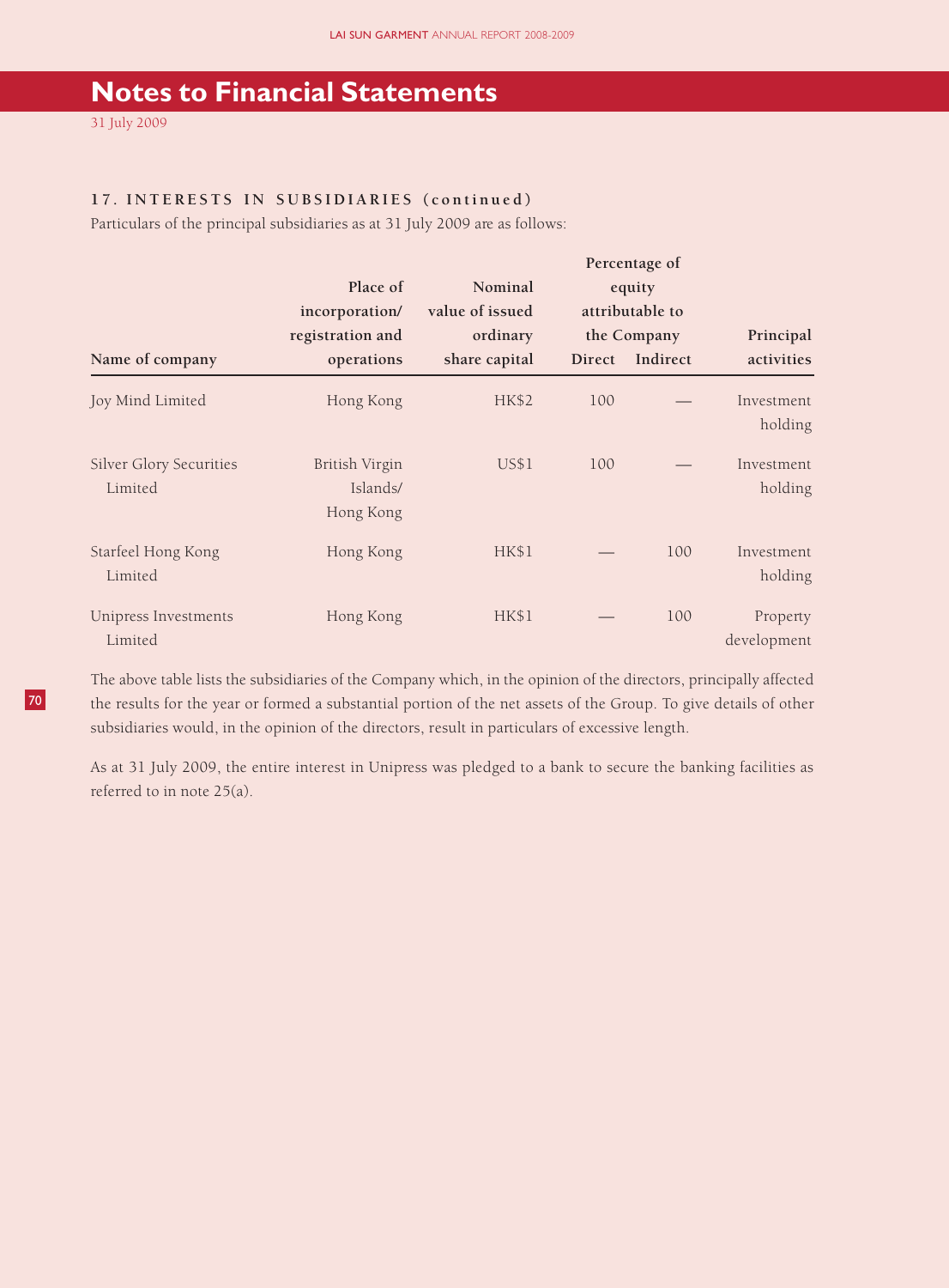31 July 2009

### **17. INTERESTS IN SUBSIDIARIES (continued)**

Particulars of the principal subsidiaries as at 31 July 2009 are as follows:

|                                    | Percentage of                           |                 |                 |             |                         |  |
|------------------------------------|-----------------------------------------|-----------------|-----------------|-------------|-------------------------|--|
|                                    | Place of                                | Nominal         |                 | equity      |                         |  |
|                                    | incorporation/                          | value of issued | attributable to |             |                         |  |
|                                    | registration and                        | ordinary        |                 | the Company | Principal               |  |
| Name of company                    | operations                              | share capital   | Direct          | Indirect    | activities              |  |
| Joy Mind Limited                   | Hong Kong                               | <b>HK\$2</b>    | 100             |             | Investment<br>holding   |  |
| Silver Glory Securities<br>Limited | British Virgin<br>Islands/<br>Hong Kong | US\$1           | 100             |             | Investment<br>holding   |  |
| Starfeel Hong Kong<br>Limited      | Hong Kong                               | HK\$1           |                 | 100         | Investment<br>holding   |  |
| Unipress Investments<br>Limited    | Hong Kong                               | HK\$1           |                 | 100         | Property<br>development |  |

The above table lists the subsidiaries of the Company which, in the opinion of the directors, principally affected the results for the year or formed a substantial portion of the net assets of the Group. To give details of other subsidiaries would, in the opinion of the directors, result in particulars of excessive length.

As at 31 July 2009, the entire interest in Unipress was pledged to a bank to secure the banking facilities as referred to in note 25(a).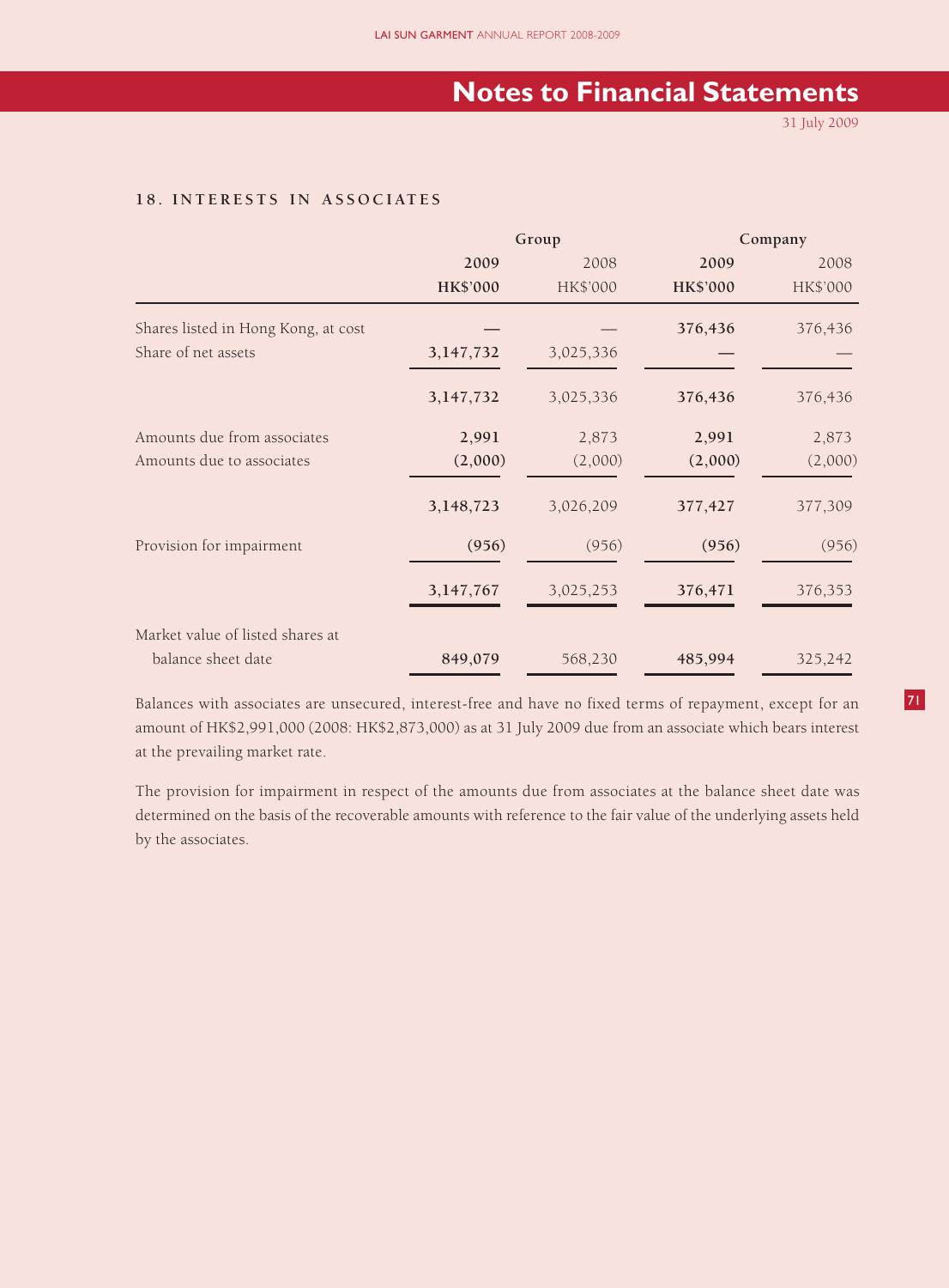31 July 2009

### **18. INTERESTS IN ASSOCIATES**

|                                     | Group           |           | Company         |          |
|-------------------------------------|-----------------|-----------|-----------------|----------|
|                                     | 2009            | 2008      | 2009            | 2008     |
|                                     | <b>HK\$'000</b> | HK\$'000  | <b>HK\$'000</b> | HK\$'000 |
| Shares listed in Hong Kong, at cost |                 |           | 376,436         | 376,436  |
| Share of net assets                 | 3,147,732       | 3,025,336 |                 |          |
|                                     | 3,147,732       | 3,025,336 | 376,436         | 376,436  |
| Amounts due from associates         | 2,991           | 2,873     | 2,991           | 2,873    |
| Amounts due to associates           | (2,000)         | (2,000)   | (2,000)         | (2,000)  |
|                                     | 3,148,723       | 3,026,209 | 377,427         | 377,309  |
| Provision for impairment            | (956)           | (956)     | (956)           | (956)    |
|                                     | 3,147,767       | 3,025,253 | 376,471         | 376,353  |
| Market value of listed shares at    |                 |           |                 |          |
| balance sheet date                  | 849,079         | 568,230   | 485,994         | 325,242  |

Balances with associates are unsecured, interest-free and have no fixed terms of repayment, except for an amount of HK\$2,991,000 (2008: HK\$2,873,000) as at 31 July 2009 due from an associate which bears interest at the prevailing market rate.

The provision for impairment in respect of the amounts due from associates at the balance sheet date was determined on the basis of the recoverable amounts with reference to the fair value of the underlying assets held by the associates.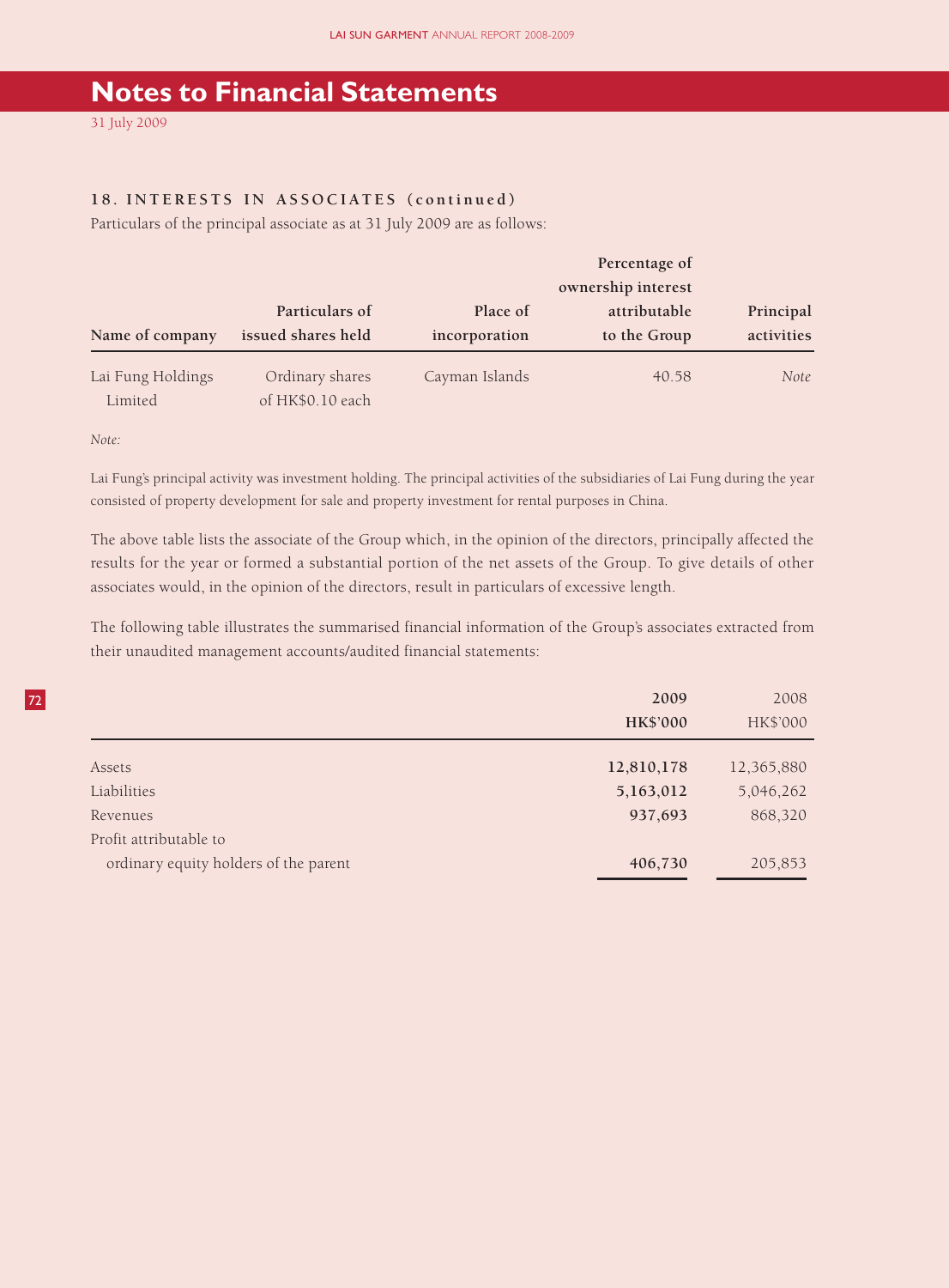31 July 2009

## **18. INTERESTS IN ASSOCIATES (continued)**

Particulars of the principal associate as at 31 July 2009 are as follows:

|                              |                                     | Percentage of  |                    |             |
|------------------------------|-------------------------------------|----------------|--------------------|-------------|
|                              |                                     |                | ownership interest |             |
|                              | Particulars of                      | Place of       | attributable       | Principal   |
| Name of company              | issued shares held                  | incorporation  | to the Group       | activities  |
| Lai Fung Holdings<br>Limited | Ordinary shares<br>of HK\$0.10 each | Cayman Islands | 40.58              | <b>Note</b> |

*Note:*

Lai Fung's principal activity was investment holding. The principal activities of the subsidiaries of Lai Fung during the year consisted of property development for sale and property investment for rental purposes in China.

The above table lists the associate of the Group which, in the opinion of the directors, principally affected the results for the year or formed a substantial portion of the net assets of the Group. To give details of other associates would, in the opinion of the directors, result in particulars of excessive length.

The following table illustrates the summarised financial information of the Group's associates extracted from their unaudited management accounts/audited financial statements:

|                                       | 2009            | 2008       |
|---------------------------------------|-----------------|------------|
|                                       | <b>HK\$'000</b> | HK\$'000   |
|                                       |                 |            |
| Assets                                | 12,810,178      | 12,365,880 |
| Liabilities                           | 5,163,012       | 5,046,262  |
| Revenues                              | 937,693         | 868,320    |
| Profit attributable to                |                 |            |
| ordinary equity holders of the parent | 406,730         | 205,853    |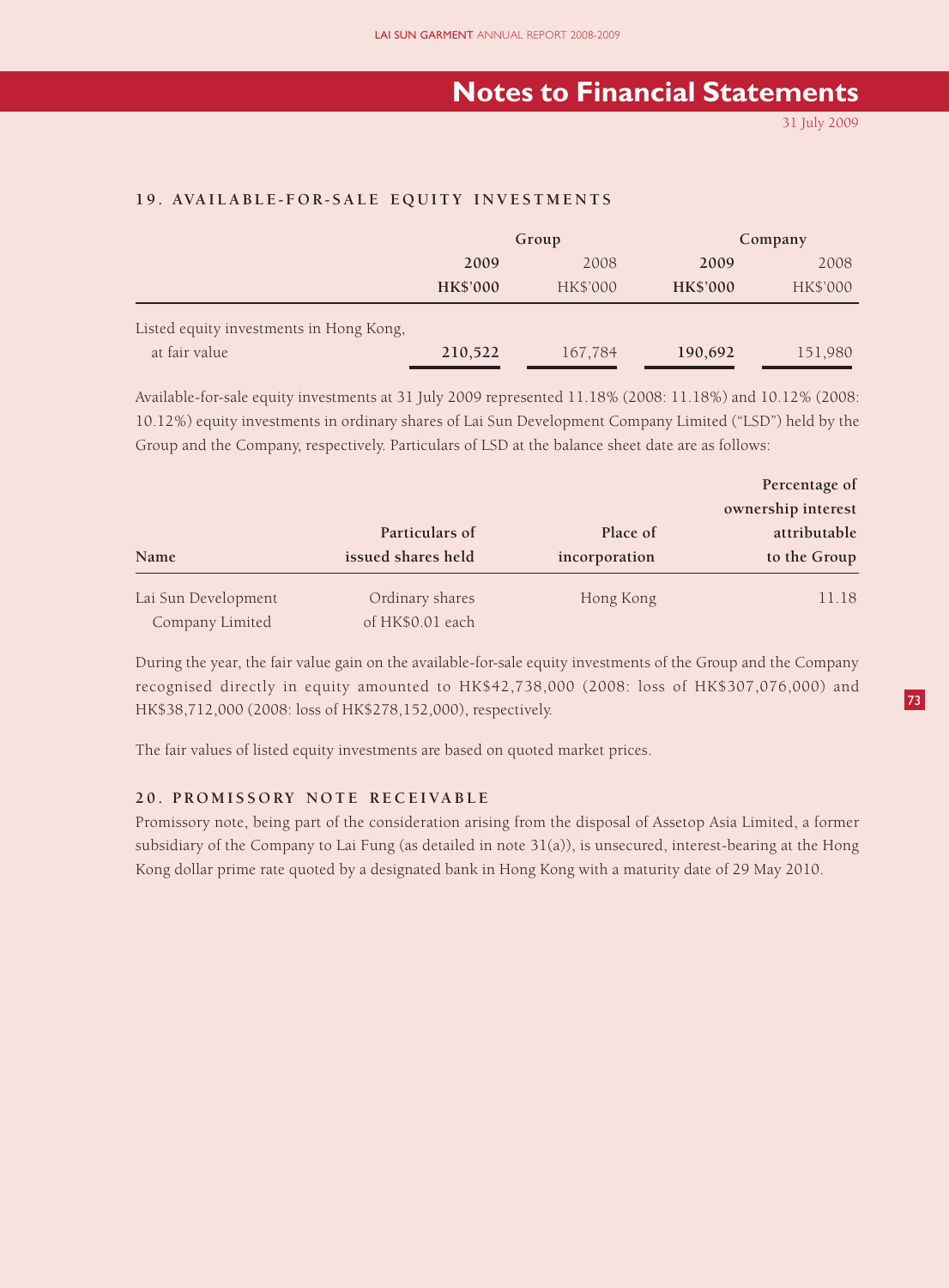31 July 2009

## 19. AVAILABLE-FOR-SALE EQUITY INVESTMENTS

|                                         | Group           |          | Company         |          |
|-----------------------------------------|-----------------|----------|-----------------|----------|
|                                         | 2009            | 2008     | 2009            | 2008     |
|                                         | <b>HK\$'000</b> | HK\$'000 | <b>HK\$'000</b> | HK\$'000 |
| Listed equity investments in Hong Kong, |                 |          |                 |          |
| at fair value                           | 210,522         | 167,784  | 190,692         | 151,980  |

Available-for-sale equity investments at 31 July 2009 represented 11.18% (2008: 11.18%) and 10.12% (2008: 10.12%) equity investments in ordinary shares of Lai Sun Development Company Limited ("LSD") held by the Group and the Company, respectively. Particulars of LSD at the balance sheet date are as follows:

|                                        |                                      |                           | Percentage of<br>ownership interest |
|----------------------------------------|--------------------------------------|---------------------------|-------------------------------------|
| Name                                   | Particulars of<br>issued shares held | Place of<br>incorporation | attributable<br>to the Group        |
| Lai Sun Development<br>Company Limited | Ordinary shares<br>of HK\$0.01 each  | Hong Kong                 | 11.18                               |

During the year, the fair value gain on the available-for-sale equity investments of the Group and the Company recognised directly in equity amounted to HK\$42,738,000 (2008: loss of HK\$307,076,000) and HK\$38,712,000 (2008: loss of HK\$278,152,000), respectively.

The fair values of listed equity investments are based on quoted market prices.

#### **20. PROMISSORY NOTE RECEIVABLE**

Promissory note, being part of the consideration arising from the disposal of Assetop Asia Limited, a former subsidiary of the Company to Lai Fung (as detailed in note 31(a)), is unsecured, interest-bearing at the Hong Kong dollar prime rate quoted by a designated bank in Hong Kong with a maturity date of 29 May 2010.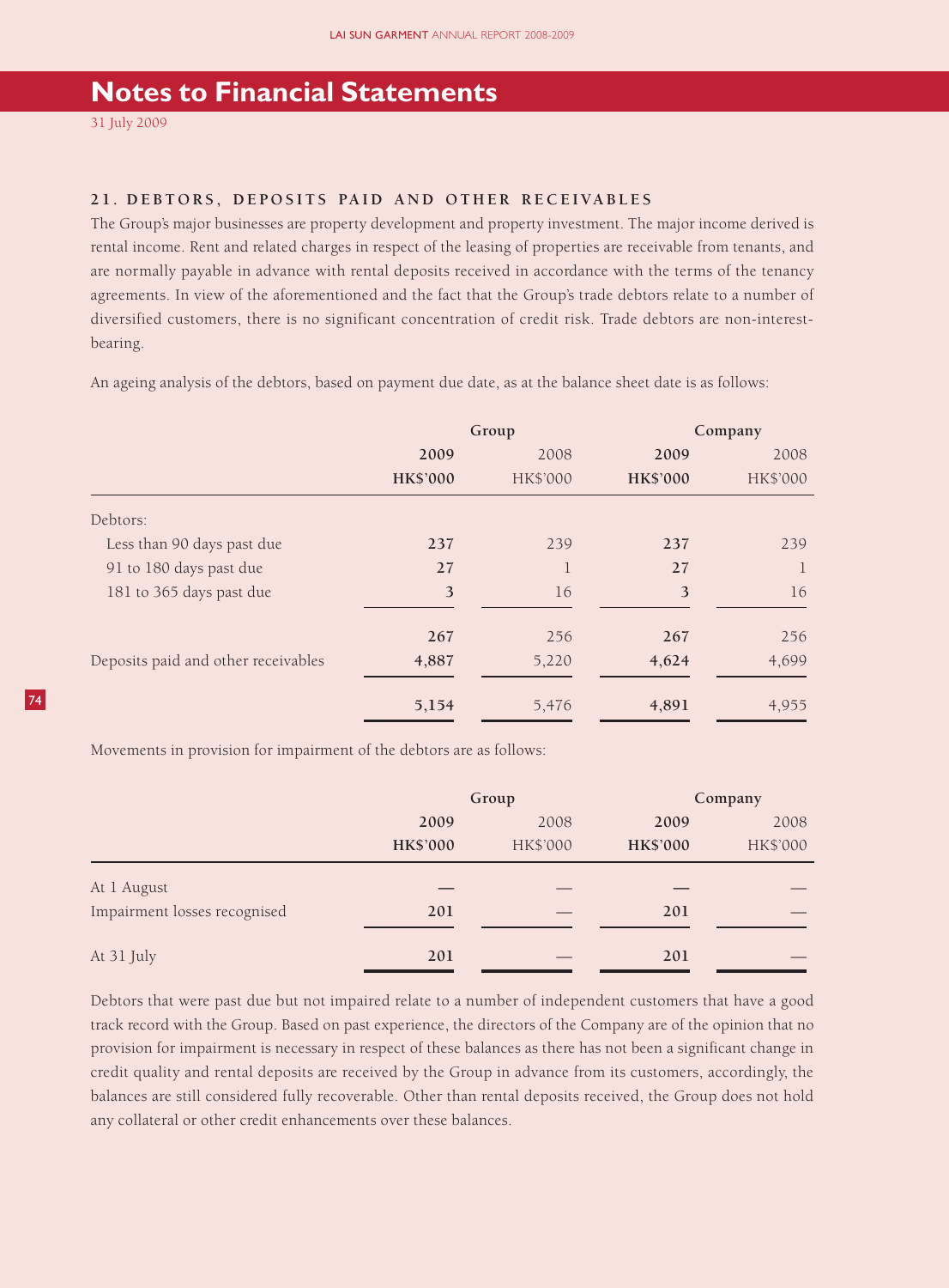31 July 2009

#### **21. DEBTORS, DEPOSITS PAID AND OTHER RECEIVABLES**

The Group's major businesses are property development and property investment. The major income derived is rental income. Rent and related charges in respect of the leasing of properties are receivable from tenants, and are normally payable in advance with rental deposits received in accordance with the terms of the tenancy agreements. In view of the aforementioned and the fact that the Group's trade debtors relate to a number of diversified customers, there is no significant concentration of credit risk. Trade debtors are non-interestbearing.

An ageing analysis of the debtors, based on payment due date, as at the balance sheet date is as follows:

|                                     | Group           |          |                 | Company  |
|-------------------------------------|-----------------|----------|-----------------|----------|
|                                     | 2009            | 2008     | 2009            | 2008     |
|                                     | <b>HK\$'000</b> | HK\$'000 | <b>HK\$'000</b> | HK\$'000 |
| Debtors:                            |                 |          |                 |          |
| Less than 90 days past due          | 237             | 239      | 237             | 239      |
| 91 to 180 days past due             | 27              |          | 27              |          |
| 181 to 365 days past due            | 3               | 16       | 3               | 16       |
|                                     |                 |          |                 |          |
|                                     | 267             | 256      | 267             | 256      |
| Deposits paid and other receivables | 4,887           | 5,220    | 4,624           | 4,699    |
|                                     | 5,154           | 5,476    | 4,891           | 4,955    |

74

Movements in provision for impairment of the debtors are as follows:

|                              |                 | Group    |                 | Company  |  |      |
|------------------------------|-----------------|----------|-----------------|----------|--|------|
|                              | 2009            | 2008     |                 | 2009     |  | 2008 |
|                              | <b>HK\$'000</b> | HK\$'000 | <b>HK\$'000</b> | HK\$'000 |  |      |
| At 1 August                  |                 |          |                 |          |  |      |
| Impairment losses recognised | 201             |          | 201             |          |  |      |
| At 31 July                   | 201             |          | 201             |          |  |      |

Debtors that were past due but not impaired relate to a number of independent customers that have a good track record with the Group. Based on past experience, the directors of the Company are of the opinion that no provision for impairment is necessary in respect of these balances as there has not been a significant change in credit quality and rental deposits are received by the Group in advance from its customers, accordingly, the balances are still considered fully recoverable. Other than rental deposits received, the Group does not hold any collateral or other credit enhancements over these balances.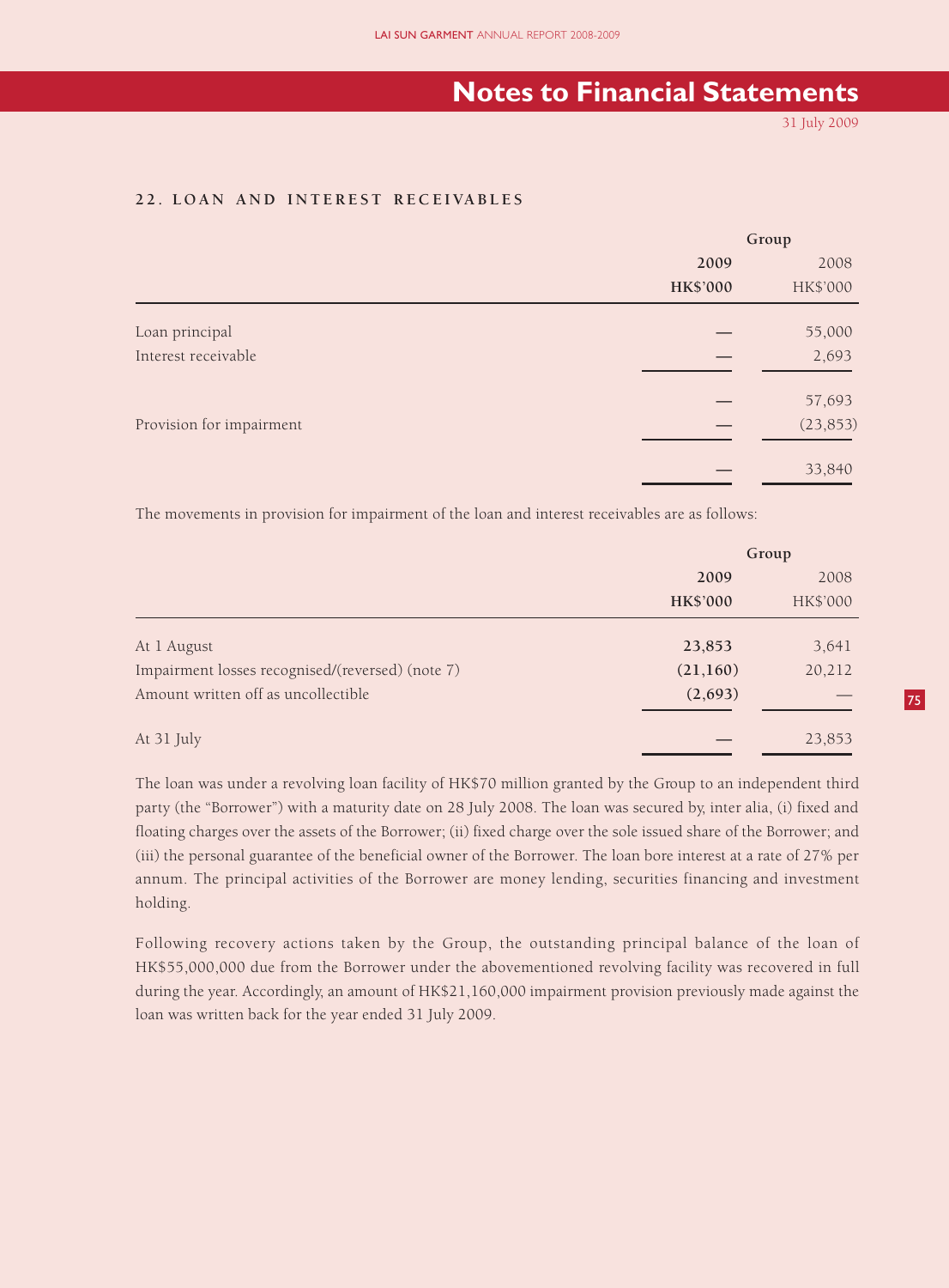31 July 2009

## 22. LOAN AND INTEREST RECEIVABLES

|                          | Group           |           |
|--------------------------|-----------------|-----------|
|                          | 2009            | 2008      |
|                          | <b>HK\$'000</b> | HK\$'000  |
|                          |                 |           |
| Loan principal           |                 | 55,000    |
| Interest receivable      |                 | 2,693     |
|                          |                 | 57,693    |
| Provision for impairment |                 | (23, 853) |
|                          |                 |           |
|                          |                 | 33,840    |

The movements in provision for impairment of the loan and interest receivables are as follows:

|                                                  | Group           |          |
|--------------------------------------------------|-----------------|----------|
|                                                  | 2009            |          |
|                                                  | <b>HK\$'000</b> | HK\$'000 |
|                                                  |                 |          |
| At 1 August                                      | 23,853          | 3,641    |
| Impairment losses recognised/(reversed) (note 7) | (21,160)        | 20,212   |
| Amount written off as uncollectible              | (2,693)         |          |
|                                                  |                 |          |
| At 31 July                                       |                 | 23,853   |

The loan was under a revolving loan facility of HK\$70 million granted by the Group to an independent third party (the "Borrower") with a maturity date on 28 July 2008. The loan was secured by, inter alia, (i) fixed and floating charges over the assets of the Borrower; (ii) fixed charge over the sole issued share of the Borrower; and (iii) the personal guarantee of the beneficial owner of the Borrower. The loan bore interest at a rate of 27% per annum. The principal activities of the Borrower are money lending, securities financing and investment holding.

Following recovery actions taken by the Group, the outstanding principal balance of the loan of HK\$55,000,000 due from the Borrower under the abovementioned revolving facility was recovered in full during the year. Accordingly, an amount of HK\$21,160,000 impairment provision previously made against the loan was written back for the year ended 31 July 2009.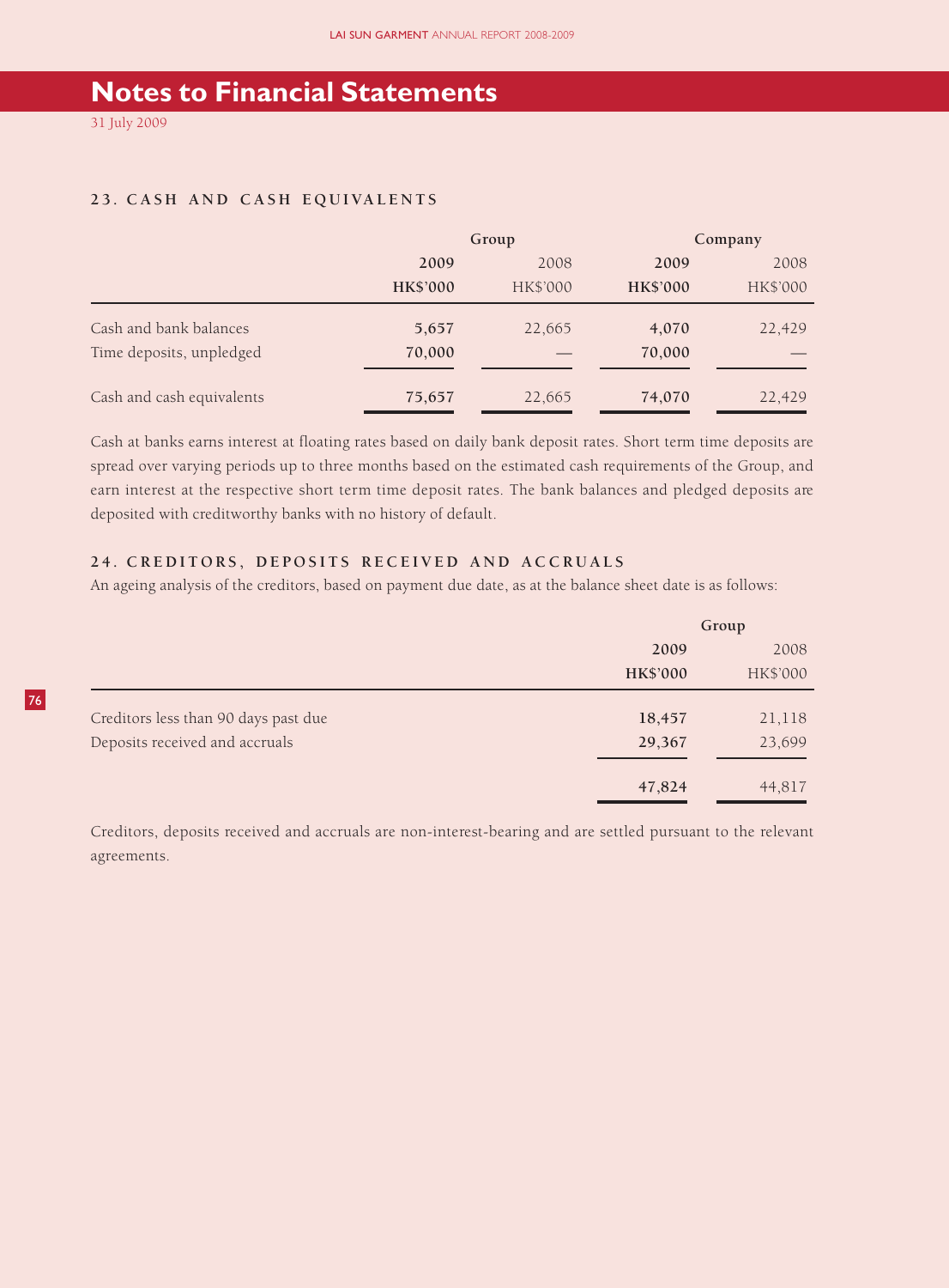31 July 2009

## **23. CASH AND CASH EQUIVALENTS**

|                           | Group           |          |                 | Company  |
|---------------------------|-----------------|----------|-----------------|----------|
|                           | 2009            | 2008     |                 | 2008     |
|                           | <b>HK\$'000</b> | HK\$'000 | <b>HK\$'000</b> | HK\$'000 |
| Cash and bank balances    | 5,657           | 22,665   | 4,070           | 22,429   |
| Time deposits, unpledged  | 70,000          |          | 70,000          |          |
| Cash and cash equivalents | 75,657          | 22,665   | 74,070          | 22,429   |

Cash at banks earns interest at floating rates based on daily bank deposit rates. Short term time deposits are spread over varying periods up to three months based on the estimated cash requirements of the Group, and earn interest at the respective short term time deposit rates. The bank balances and pledged deposits are deposited with creditworthy banks with no history of default.

## **24. CREDITORS, DEPOSITS RECEIVED AND ACCRUALS**

An ageing analysis of the creditors, based on payment due date, as at the balance sheet date is as follows:

|                                      |                 | Group    |  |
|--------------------------------------|-----------------|----------|--|
|                                      | 2009            | 2008     |  |
|                                      | <b>HK\$'000</b> | HK\$'000 |  |
| Creditors less than 90 days past due | 18,457          | 21,118   |  |
| Deposits received and accruals       | 29,367          | 23,699   |  |
|                                      | 47,824          | 44,817   |  |

Creditors, deposits received and accruals are non-interest-bearing and are settled pursuant to the relevant agreements.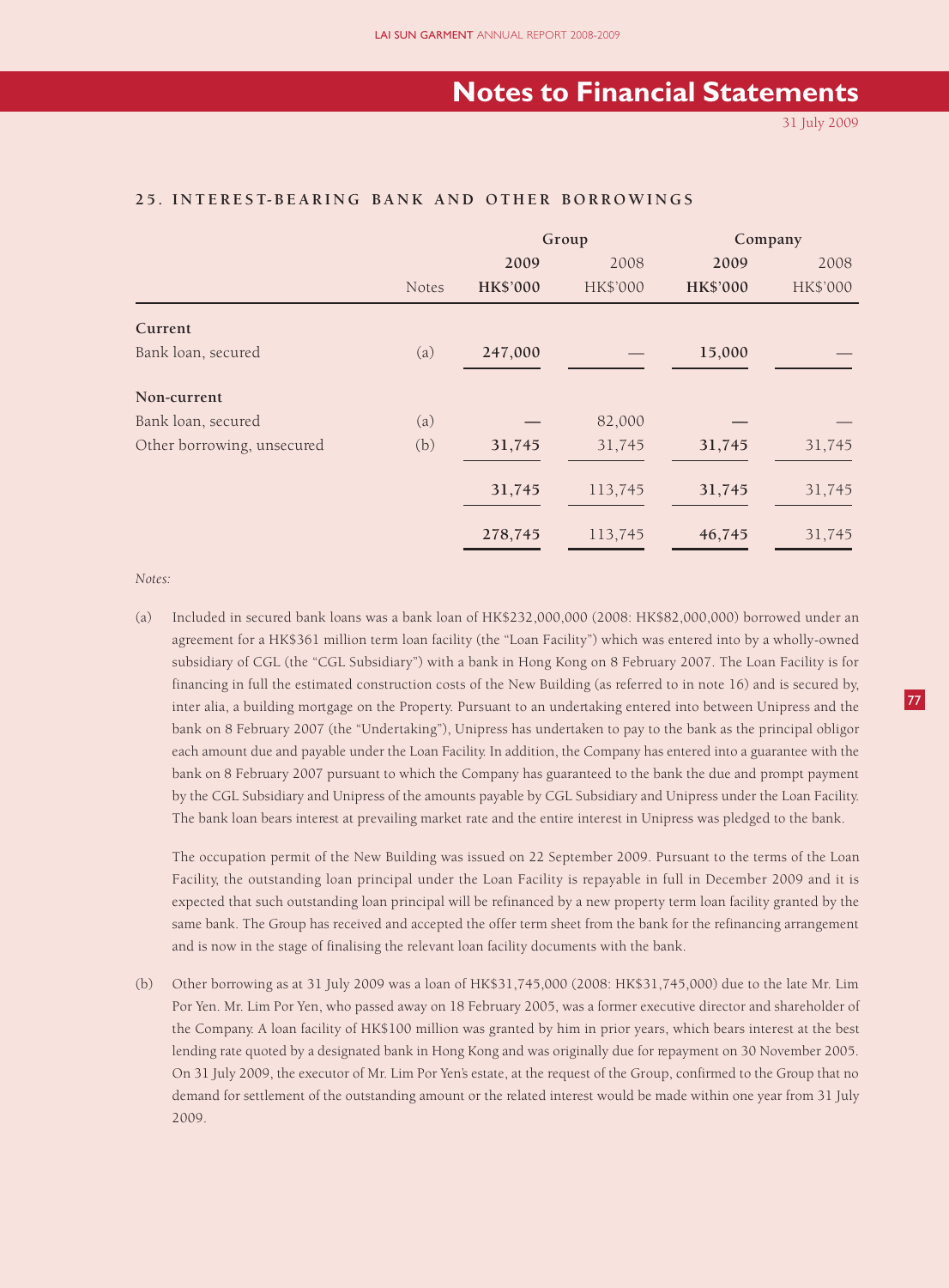31 July 2009

|                            |       | Group           |          |                 | Company  |
|----------------------------|-------|-----------------|----------|-----------------|----------|
|                            |       | 2009            | 2008     | 2009            | 2008     |
|                            | Notes | <b>HK\$'000</b> | HK\$'000 | <b>HK\$'000</b> | HK\$'000 |
| Current                    |       |                 |          |                 |          |
| Bank loan, secured         | (a)   | 247,000         |          | 15,000          |          |
| Non-current                |       |                 |          |                 |          |
| Bank loan, secured         | (a)   |                 | 82,000   |                 |          |
| Other borrowing, unsecured | (b)   | 31,745          | 31,745   | 31,745          | 31,745   |
|                            |       | 31,745          | 113,745  | 31,745          | 31,745   |
|                            |       | 278,745         | 113,745  | 46,745          | 31,745   |

#### **25. INTEREST-BEARING BANK AND OTHER BORROWINGS**

*Notes:*

(a) Included in secured bank loans was a bank loan of HK\$232,000,000 (2008: HK\$82,000,000) borrowed under an agreement for a HK\$361 million term loan facility (the "Loan Facility") which was entered into by a wholly-owned subsidiary of CGL (the "CGL Subsidiary") with a bank in Hong Kong on 8 February 2007. The Loan Facility is for financing in full the estimated construction costs of the New Building (as referred to in note 16) and is secured by, inter alia, a building mortgage on the Property. Pursuant to an undertaking entered into between Unipress and the bank on 8 February 2007 (the "Undertaking"), Unipress has undertaken to pay to the bank as the principal obligor each amount due and payable under the Loan Facility. In addition, the Company has entered into a guarantee with the bank on 8 February 2007 pursuant to which the Company has guaranteed to the bank the due and prompt payment by the CGL Subsidiary and Unipress of the amounts payable by CGL Subsidiary and Unipress under the Loan Facility. The bank loan bears interest at prevailing market rate and the entire interest in Unipress was pledged to the bank.

The occupation permit of the New Building was issued on 22 September 2009. Pursuant to the terms of the Loan Facility, the outstanding loan principal under the Loan Facility is repayable in full in December 2009 and it is expected that such outstanding loan principal will be refinanced by a new property term loan facility granted by the same bank. The Group has received and accepted the offer term sheet from the bank for the refinancing arrangement and is now in the stage of finalising the relevant loan facility documents with the bank.

(b) Other borrowing as at 31 July 2009 was a loan of HK\$31,745,000 (2008: HK\$31,745,000) due to the late Mr. Lim Por Yen. Mr. Lim Por Yen, who passed away on 18 February 2005, was a former executive director and shareholder of the Company. A loan facility of HK\$100 million was granted by him in prior years, which bears interest at the best lending rate quoted by a designated bank in Hong Kong and was originally due for repayment on 30 November 2005. On 31 July 2009, the executor of Mr. Lim Por Yen's estate, at the request of the Group, confirmed to the Group that no demand for settlement of the outstanding amount or the related interest would be made within one year from 31 July 2009.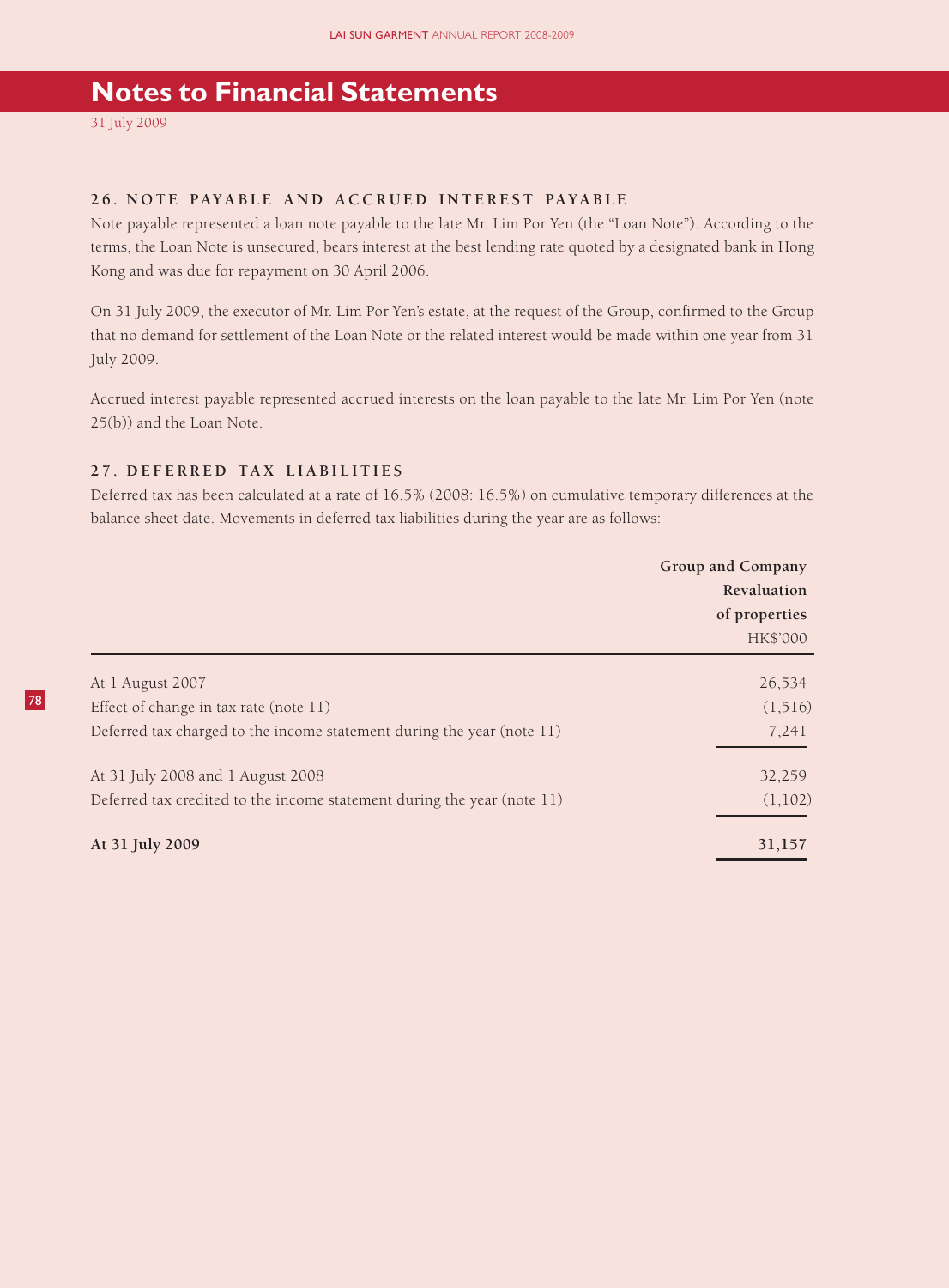31 July 2009

## **26. NOTE PAYABLE AND ACCRUED INTEREST PAYABLE**

Note payable represented a loan note payable to the late Mr. Lim Por Yen (the "Loan Note"). According to the terms, the Loan Note is unsecured, bears interest at the best lending rate quoted by a designated bank in Hong Kong and was due for repayment on 30 April 2006.

On 31 July 2009, the executor of Mr. Lim Por Yen's estate, at the request of the Group, confirmed to the Group that no demand for settlement of the Loan Note or the related interest would be made within one year from 31 July 2009.

Accrued interest payable represented accrued interests on the loan payable to the late Mr. Lim Por Yen (note 25(b)) and the Loan Note.

## **27. DEFERRED TAX LIABILITIES**

Deferred tax has been calculated at a rate of 16.5% (2008: 16.5%) on cumulative temporary differences at the balance sheet date. Movements in deferred tax liabilities during the year are as follows:

|                                                                         | <b>Group and Company</b> |
|-------------------------------------------------------------------------|--------------------------|
|                                                                         | Revaluation              |
|                                                                         | of properties            |
|                                                                         | HK\$'000                 |
| At 1 August 2007                                                        | 26,534                   |
| Effect of change in tax rate (note 11)                                  | (1,516)                  |
| Deferred tax charged to the income statement during the year (note 11)  | 7,241                    |
| At 31 July 2008 and 1 August 2008                                       | 32,259                   |
| Deferred tax credited to the income statement during the year (note 11) | (1,102)                  |
| At 31 July 2009                                                         | 31,157                   |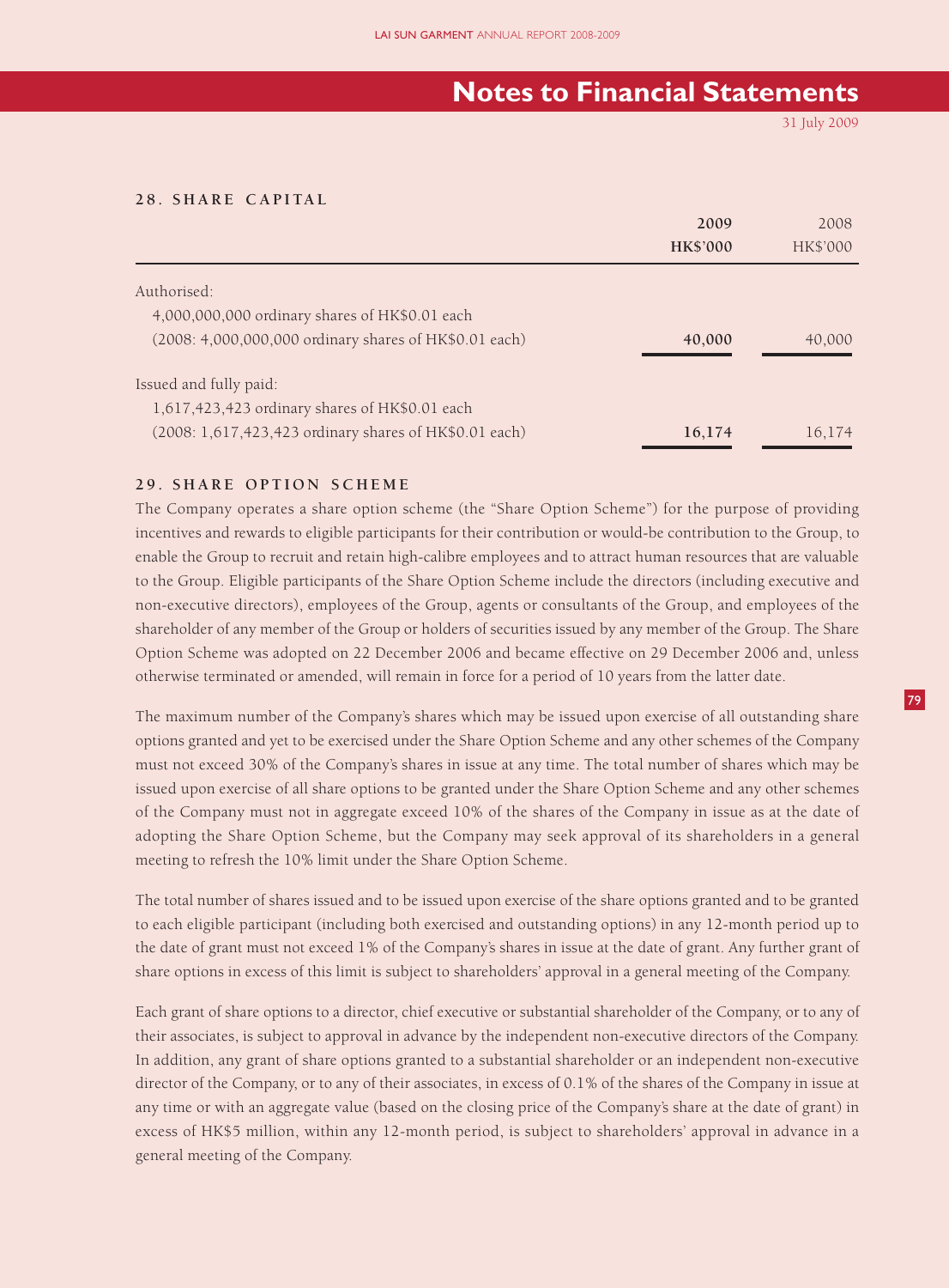31 July 2009

#### **28. SHARE CAPITAL**

|                                                        | 2009            | 2008     |
|--------------------------------------------------------|-----------------|----------|
|                                                        | <b>HK\$'000</b> | HK\$'000 |
| Authorised:                                            |                 |          |
| 4,000,000,000 ordinary shares of HK\$0.01 each         |                 |          |
| (2008: 4,000,000,000 ordinary shares of HK\$0.01 each) | 40,000          | 40,000   |
| Issued and fully paid:                                 |                 |          |
| 1,617,423,423 ordinary shares of HK\$0.01 each         |                 |          |
| (2008: 1,617,423,423 ordinary shares of HK\$0.01 each) | 16,174          | 16,174   |

#### **29. SHARE OPTION SCHEME**

The Company operates a share option scheme (the "Share Option Scheme") for the purpose of providing incentives and rewards to eligible participants for their contribution or would-be contribution to the Group, to enable the Group to recruit and retain high-calibre employees and to attract human resources that are valuable to the Group. Eligible participants of the Share Option Scheme include the directors (including executive and non-executive directors), employees of the Group, agents or consultants of the Group, and employees of the shareholder of any member of the Group or holders of securities issued by any member of the Group. The Share Option Scheme was adopted on 22 December 2006 and became effective on 29 December 2006 and, unless otherwise terminated or amended, will remain in force for a period of 10 years from the latter date.

The maximum number of the Company's shares which may be issued upon exercise of all outstanding share options granted and yet to be exercised under the Share Option Scheme and any other schemes of the Company must not exceed 30% of the Company's shares in issue at any time. The total number of shares which may be issued upon exercise of all share options to be granted under the Share Option Scheme and any other schemes of the Company must not in aggregate exceed 10% of the shares of the Company in issue as at the date of adopting the Share Option Scheme, but the Company may seek approval of its shareholders in a general meeting to refresh the 10% limit under the Share Option Scheme.

The total number of shares issued and to be issued upon exercise of the share options granted and to be granted to each eligible participant (including both exercised and outstanding options) in any 12-month period up to the date of grant must not exceed 1% of the Company's shares in issue at the date of grant. Any further grant of share options in excess of this limit is subject to shareholders' approval in a general meeting of the Company.

Each grant of share options to a director, chief executive or substantial shareholder of the Company, or to any of their associates, is subject to approval in advance by the independent non-executive directors of the Company. In addition, any grant of share options granted to a substantial shareholder or an independent non-executive director of the Company, or to any of their associates, in excess of 0.1% of the shares of the Company in issue at any time or with an aggregate value (based on the closing price of the Company's share at the date of grant) in excess of HK\$5 million, within any 12-month period, is subject to shareholders' approval in advance in a general meeting of the Company.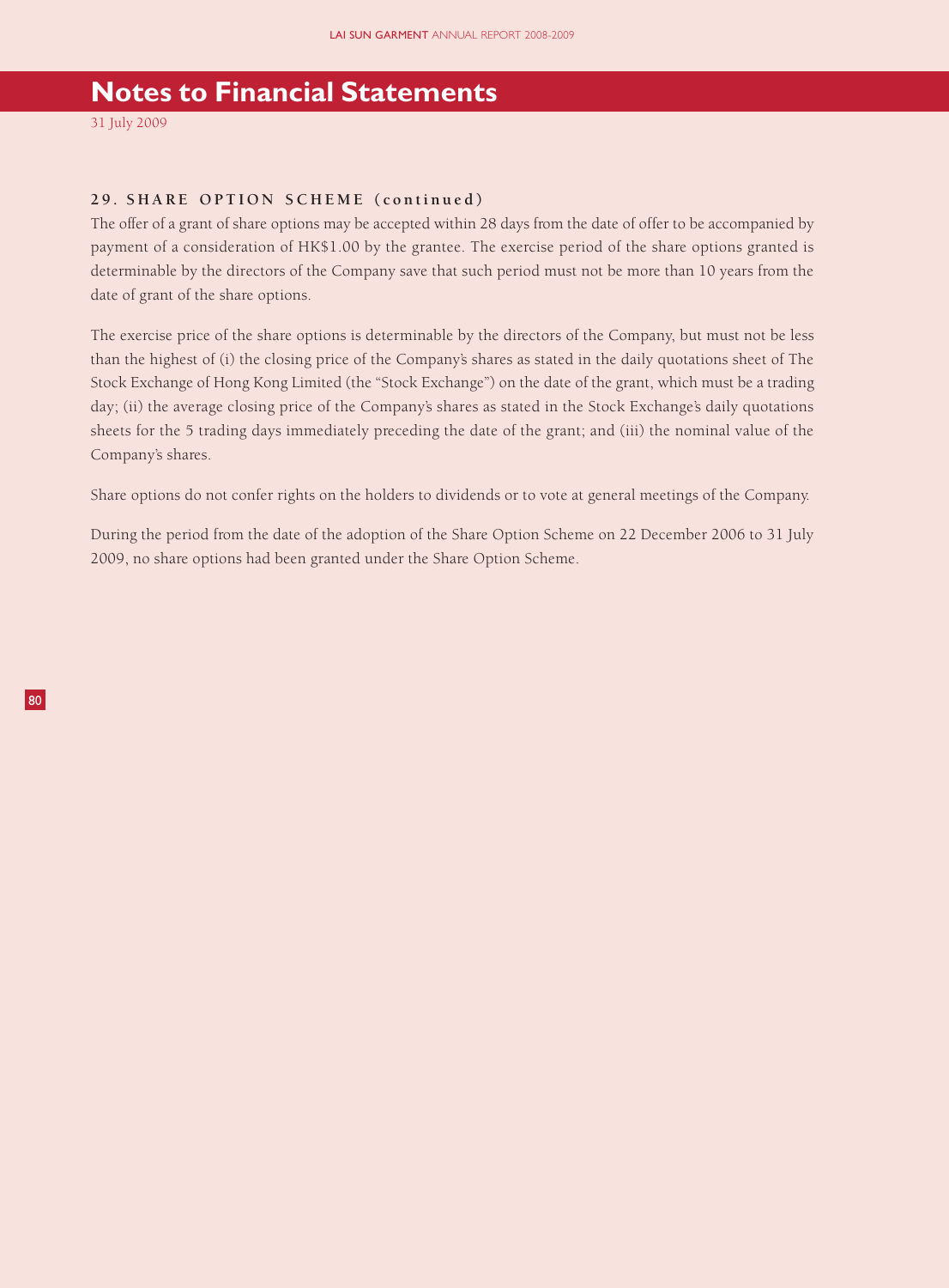31 July 2009

#### **29. SHARE OPTION SCHEME (continued)**

The offer of a grant of share options may be accepted within 28 days from the date of offer to be accompanied by payment of a consideration of HK\$1.00 by the grantee. The exercise period of the share options granted is determinable by the directors of the Company save that such period must not be more than 10 years from the date of grant of the share options.

The exercise price of the share options is determinable by the directors of the Company, but must not be less than the highest of (i) the closing price of the Company's shares as stated in the daily quotations sheet of The Stock Exchange of Hong Kong Limited (the "Stock Exchange") on the date of the grant, which must be a trading day; (ii) the average closing price of the Company's shares as stated in the Stock Exchange's daily quotations sheets for the 5 trading days immediately preceding the date of the grant; and (iii) the nominal value of the Company's shares.

Share options do not confer rights on the holders to dividends or to vote at general meetings of the Company.

During the period from the date of the adoption of the Share Option Scheme on 22 December 2006 to 31 July 2009, no share options had been granted under the Share Option Scheme.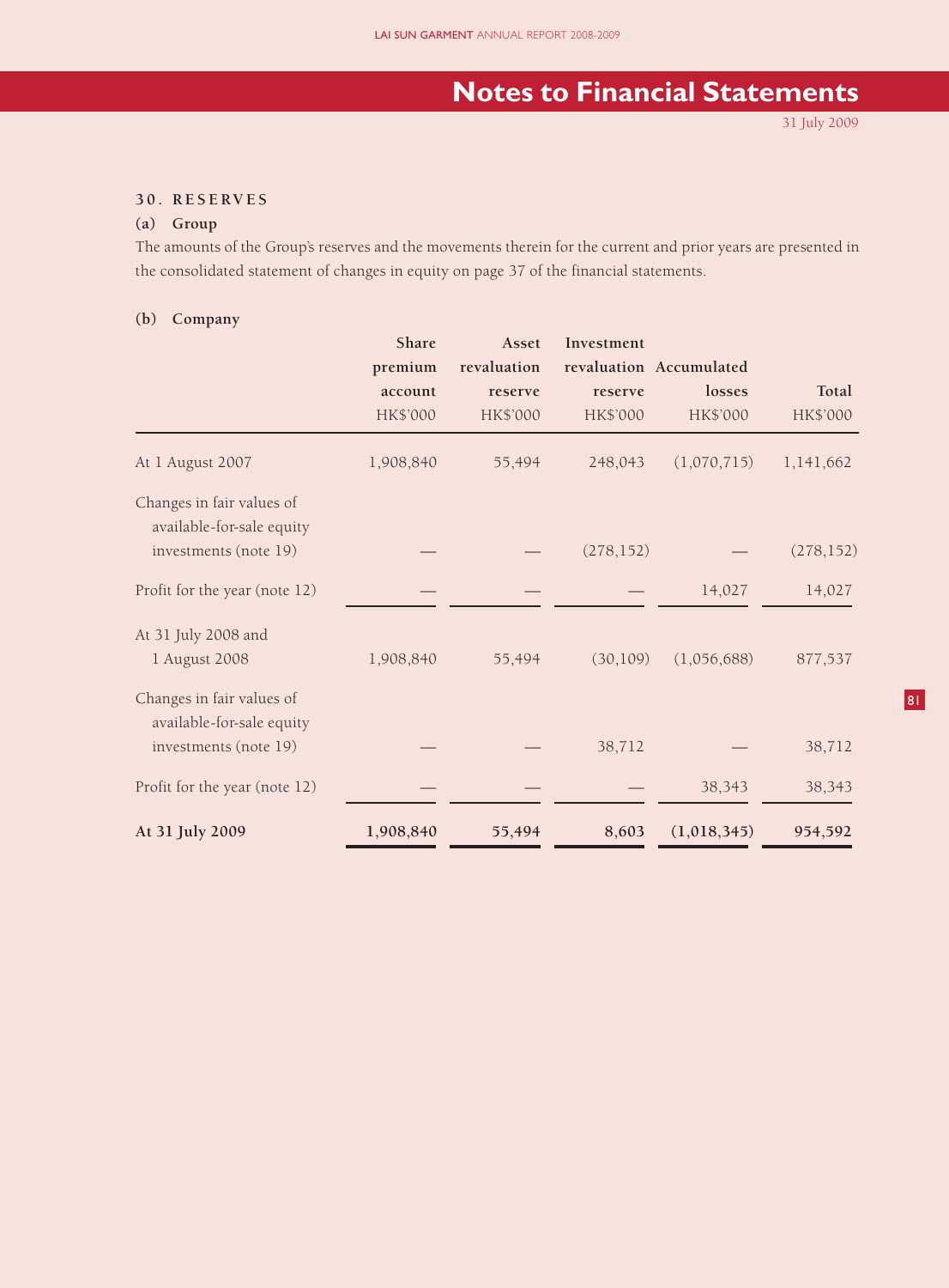31 July 2009

#### **30. RESERVES**

#### **(a) Group**

The amounts of the Group's reserves and the movements therein for the current and prior years are presented in the consolidated statement of changes in equity on page 37 of the financial statements.

### **(b) Company**

|                                                        | Share     | Asset       | Investment |                         |            |
|--------------------------------------------------------|-----------|-------------|------------|-------------------------|------------|
|                                                        | premium   | revaluation |            | revaluation Accumulated |            |
|                                                        | account   | reserve     | reserve    | losses                  | Total      |
|                                                        | HK\$'000  | HK\$'000    | HK\$'000   | HK\$'000                | HK\$'000   |
| At 1 August 2007                                       | 1,908,840 | 55,494      | 248,043    | (1,070,715)             | 1,141,662  |
| Changes in fair values of<br>available-for-sale equity |           |             |            |                         |            |
| investments (note 19)                                  |           |             | (278, 152) |                         | (278, 152) |
| Profit for the year (note 12)                          |           |             |            | 14,027                  | 14,027     |
| At 31 July 2008 and<br>1 August 2008                   | 1,908,840 | 55,494      | (30, 109)  | (1,056,688)             | 877,537    |
| Changes in fair values of<br>available-for-sale equity |           |             |            |                         |            |
| investments (note 19)                                  |           |             | 38,712     |                         | 38,712     |
| Profit for the year (note 12)                          |           |             |            | 38,343                  | 38,343     |
| At 31 July 2009                                        | 1,908,840 | 55,494      | 8,603      | (1,018,345)             | 954,592    |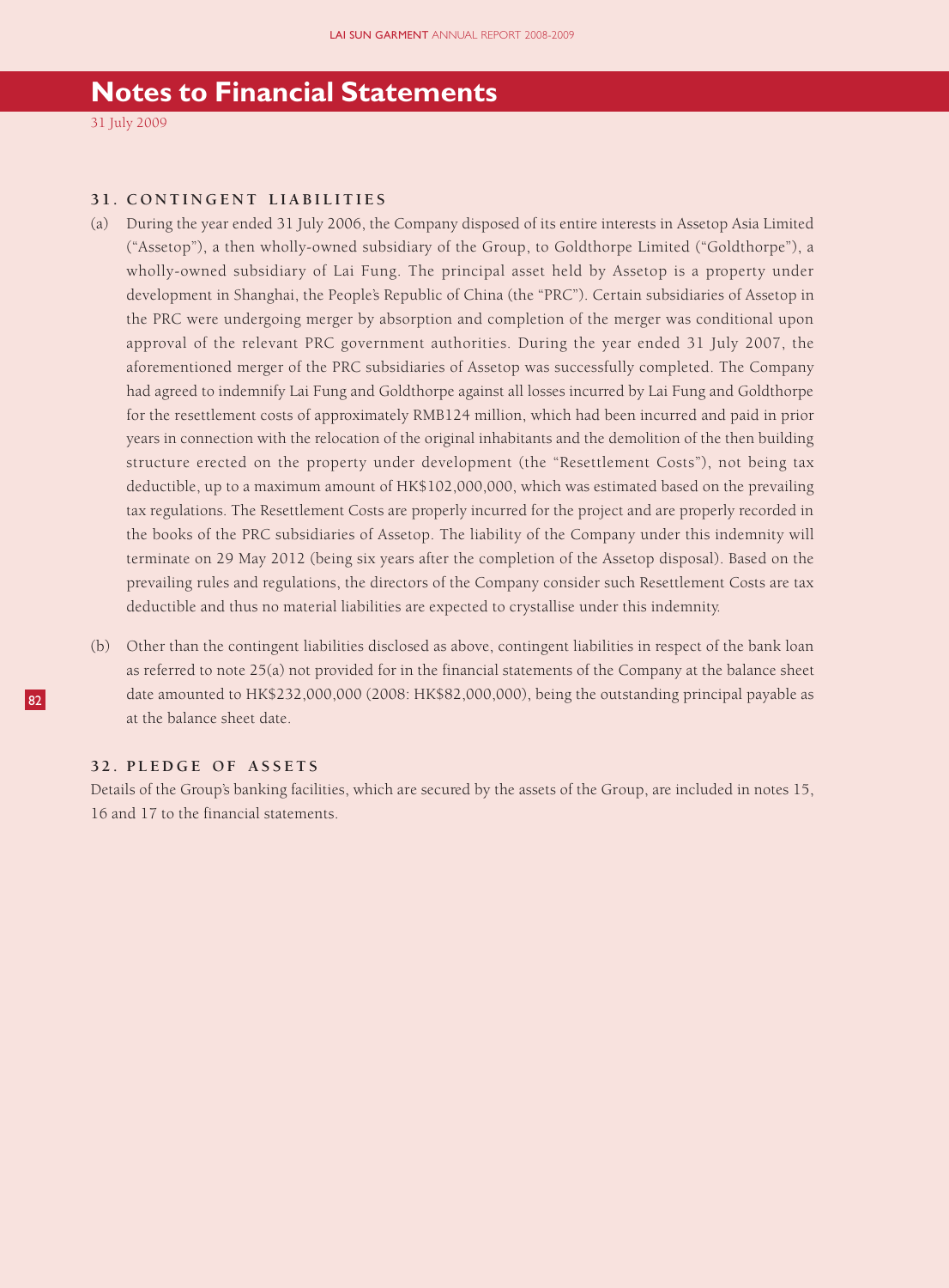31 July 2009

#### **31. CONTINGENT LIABILITIES**

- (a) During the year ended 31 July 2006, the Company disposed of its entire interests in Assetop Asia Limited ("Assetop"), a then wholly-owned subsidiary of the Group, to Goldthorpe Limited ("Goldthorpe"), a wholly-owned subsidiary of Lai Fung. The principal asset held by Assetop is a property under development in Shanghai, the People's Republic of China (the "PRC"). Certain subsidiaries of Assetop in the PRC were undergoing merger by absorption and completion of the merger was conditional upon approval of the relevant PRC government authorities. During the year ended 31 July 2007, the aforementioned merger of the PRC subsidiaries of Assetop was successfully completed. The Company had agreed to indemnify Lai Fung and Goldthorpe against all losses incurred by Lai Fung and Goldthorpe for the resettlement costs of approximately RMB124 million, which had been incurred and paid in prior years in connection with the relocation of the original inhabitants and the demolition of the then building structure erected on the property under development (the "Resettlement Costs"), not being tax deductible, up to a maximum amount of HK\$102,000,000, which was estimated based on the prevailing tax regulations. The Resettlement Costs are properly incurred for the project and are properly recorded in the books of the PRC subsidiaries of Assetop. The liability of the Company under this indemnity will terminate on 29 May 2012 (being six years after the completion of the Assetop disposal). Based on the prevailing rules and regulations, the directors of the Company consider such Resettlement Costs are tax deductible and thus no material liabilities are expected to crystallise under this indemnity.
- (b) Other than the contingent liabilities disclosed as above, contingent liabilities in respect of the bank loan as referred to note 25(a) not provided for in the financial statements of the Company at the balance sheet date amounted to HK\$232,000,000 (2008: HK\$82,000,000), being the outstanding principal payable as at the balance sheet date.

#### **32. PLEDGE OF ASSETS**

Details of the Group's banking facilities, which are secured by the assets of the Group, are included in notes 15, 16 and 17 to the financial statements.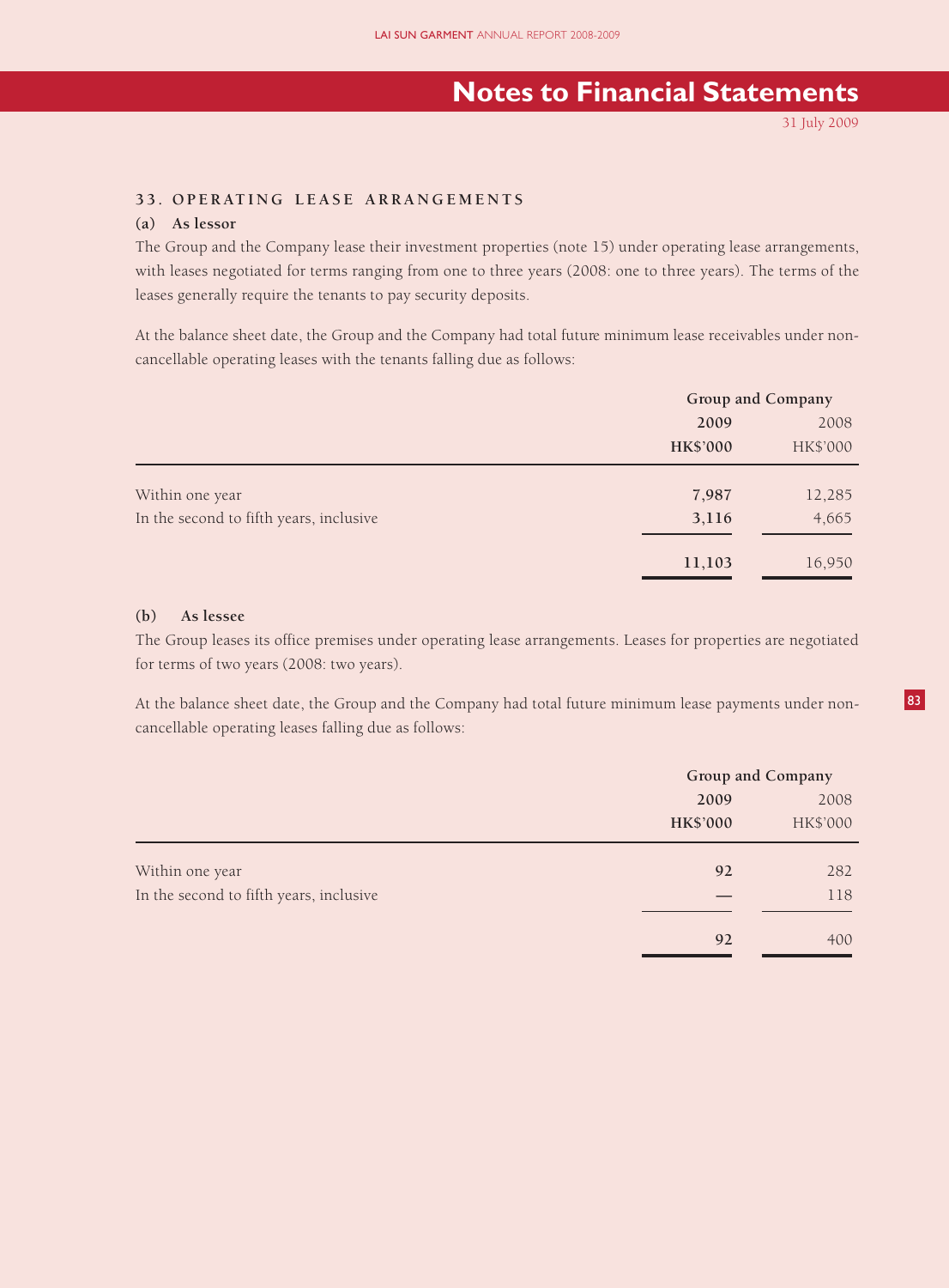31 July 2009

## **33. OPERATING LEASE ARRANGEMENTS**

#### **(a) As lessor**

The Group and the Company lease their investment properties (note 15) under operating lease arrangements, with leases negotiated for terms ranging from one to three years (2008: one to three years). The terms of the leases generally require the tenants to pay security deposits.

At the balance sheet date, the Group and the Company had total future minimum lease receivables under noncancellable operating leases with the tenants falling due as follows:

|                                         | Group and Company |          |  |
|-----------------------------------------|-------------------|----------|--|
|                                         | 2009              | 2008     |  |
|                                         | <b>HK\$'000</b>   | HK\$'000 |  |
|                                         |                   |          |  |
| Within one year                         | 7,987             | 12,285   |  |
| In the second to fifth years, inclusive | 3,116             | 4,665    |  |
|                                         | 11,103            | 16,950   |  |

## **(b) As lessee**

The Group leases its office premises under operating lease arrangements. Leases for properties are negotiated for terms of two years (2008: two years).

At the balance sheet date, the Group and the Company had total future minimum lease payments under noncancellable operating leases falling due as follows:

|                                         |                 | Group and Company |  |  |
|-----------------------------------------|-----------------|-------------------|--|--|
|                                         | 2009            | 2008              |  |  |
|                                         | <b>HK\$'000</b> | HK\$'000          |  |  |
| Within one year                         | 92              | 282               |  |  |
| In the second to fifth years, inclusive |                 | 118               |  |  |
|                                         |                 |                   |  |  |
|                                         | 92              | 400               |  |  |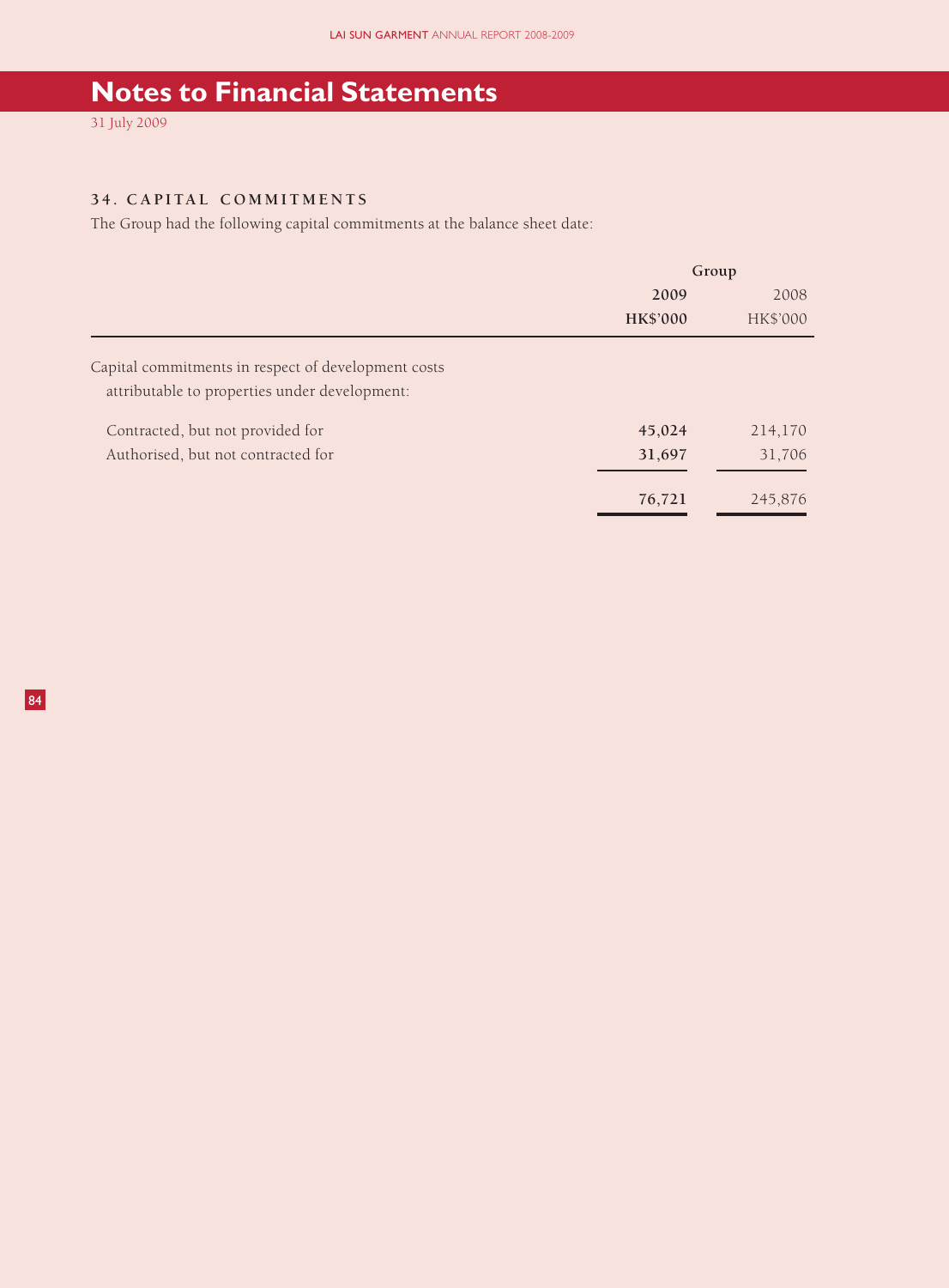31 July 2009

## **34. CAPITAL COMMITMENTS**

The Group had the following capital commitments at the balance sheet date:

|                                                     |                 | Group    |
|-----------------------------------------------------|-----------------|----------|
|                                                     | 2009            | 2008     |
|                                                     | <b>HK\$'000</b> | HK\$'000 |
| Capital commitments in respect of development costs |                 |          |
| attributable to properties under development:       |                 |          |
| Contracted, but not provided for                    | 45,024          | 214,170  |
| Authorised, but not contracted for                  | 31,697          | 31,706   |
|                                                     | 76,721          | 245,876  |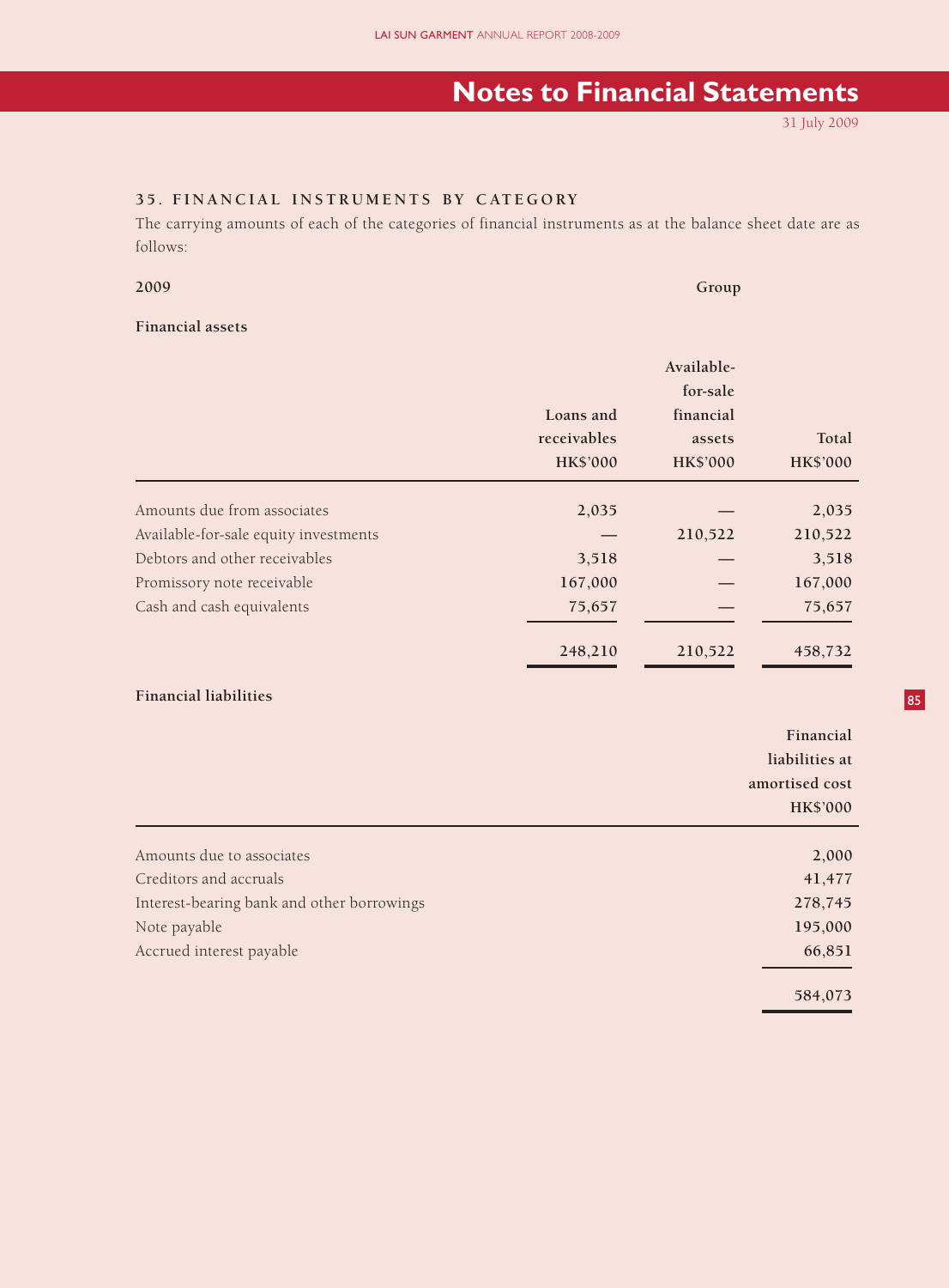31 July 2009

## **35. FINANCIAL INSTRUMENTS BY CATEGORY**

The carrying amounts of each of the categories of financial instruments as at the balance sheet date are as follows:

| 2009 | Group |
|------|-------|
|      |       |

#### **Financial assets**

|                                       |                 | Available-      |                 |
|---------------------------------------|-----------------|-----------------|-----------------|
|                                       |                 | for-sale        |                 |
|                                       | Loans and       | financial       |                 |
|                                       | receivables     | assets          | Total           |
|                                       | <b>HK\$'000</b> | <b>HK\$'000</b> | <b>HK\$'000</b> |
|                                       |                 |                 |                 |
| Amounts due from associates           | 2,035           |                 | 2,035           |
| Available-for-sale equity investments |                 | 210,522         | 210,522         |
| Debtors and other receivables         | 3,518           |                 | 3,518           |
| Promissory note receivable            | 167,000         |                 | 167,000         |
| Cash and cash equivalents             | 75,657          |                 | 75,657          |
|                                       |                 |                 |                 |
|                                       | 248,210         | 210,522         | 458,732         |

### **Financial liabilities**

|                                            | Financial       |
|--------------------------------------------|-----------------|
|                                            | liabilities at  |
|                                            | amortised cost  |
|                                            | <b>HK\$'000</b> |
|                                            |                 |
| Amounts due to associates                  | 2,000           |
| Creditors and accruals                     | 41,477          |
| Interest-bearing bank and other borrowings | 278,745         |
| Note payable                               | 195,000         |
| Accrued interest payable                   | 66,851          |
|                                            | 584,073         |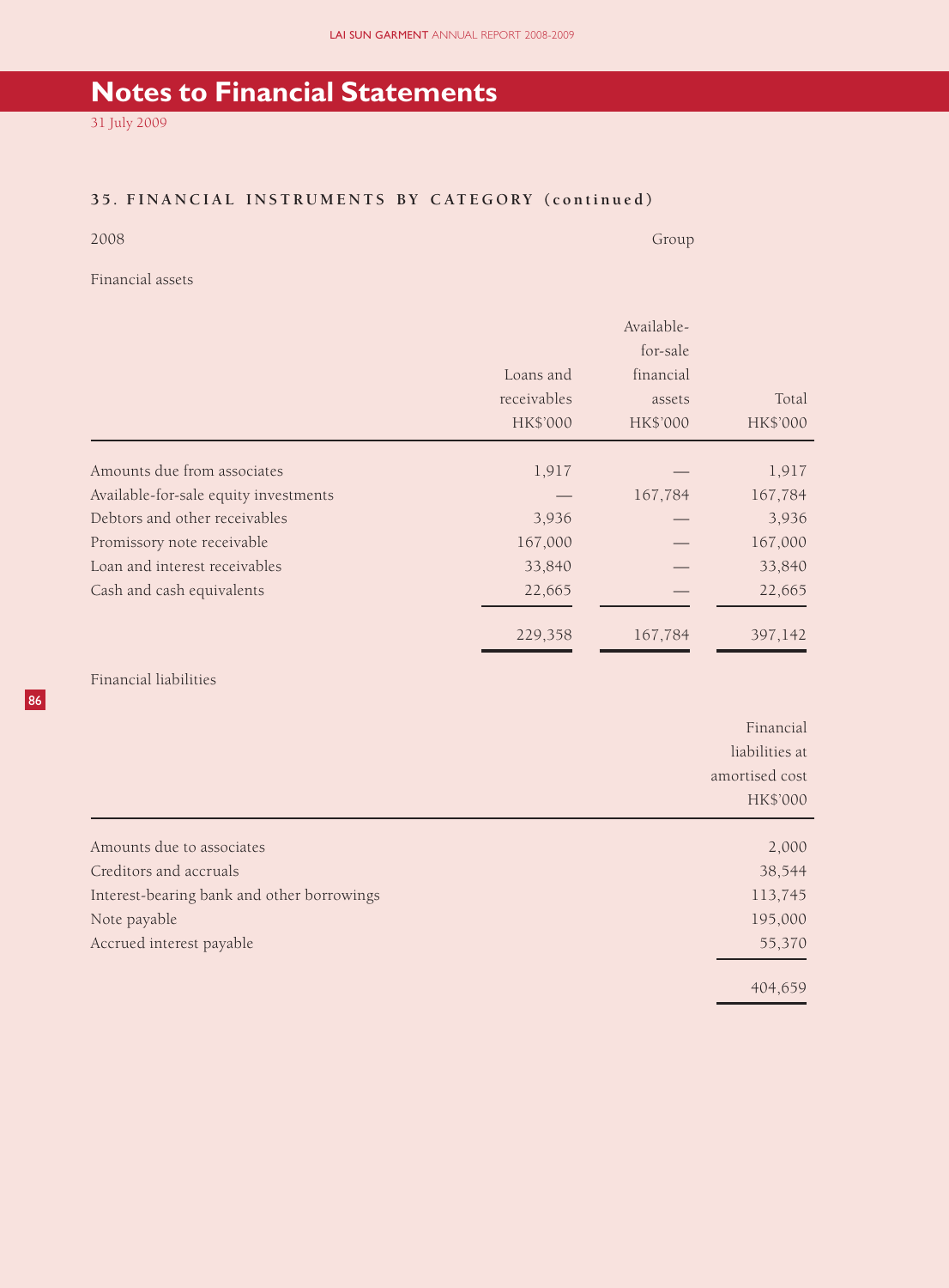31 July 2009

## **35. FINANCIAL INSTRUMENTS BY CATEGORY (continued)**

2008 Group

Financial assets

|                                       |             | Available- |          |
|---------------------------------------|-------------|------------|----------|
|                                       |             | for-sale   |          |
|                                       | Loans and   | financial  |          |
|                                       | receivables | assets     | Total    |
|                                       | HK\$'000    | HK\$'000   | HK\$'000 |
|                                       |             |            |          |
| Amounts due from associates           | 1,917       |            | 1,917    |
| Available-for-sale equity investments |             | 167,784    | 167,784  |
| Debtors and other receivables         | 3,936       |            | 3,936    |
| Promissory note receivable            | 167,000     |            | 167,000  |
| Loan and interest receivables         | 33,840      |            | 33,840   |
| Cash and cash equivalents             | 22,665      |            | 22,665   |
|                                       | 229,358     | 167,784    | 397,142  |

Financial liabilities

|                                            | Financial      |
|--------------------------------------------|----------------|
|                                            | liabilities at |
|                                            | amortised cost |
|                                            | HK\$'000       |
|                                            |                |
| Amounts due to associates                  | 2,000          |
| Creditors and accruals                     | 38,544         |
| Interest-bearing bank and other borrowings | 113,745        |
| Note payable                               | 195,000        |
| Accrued interest payable                   | 55,370         |
|                                            | 404,659        |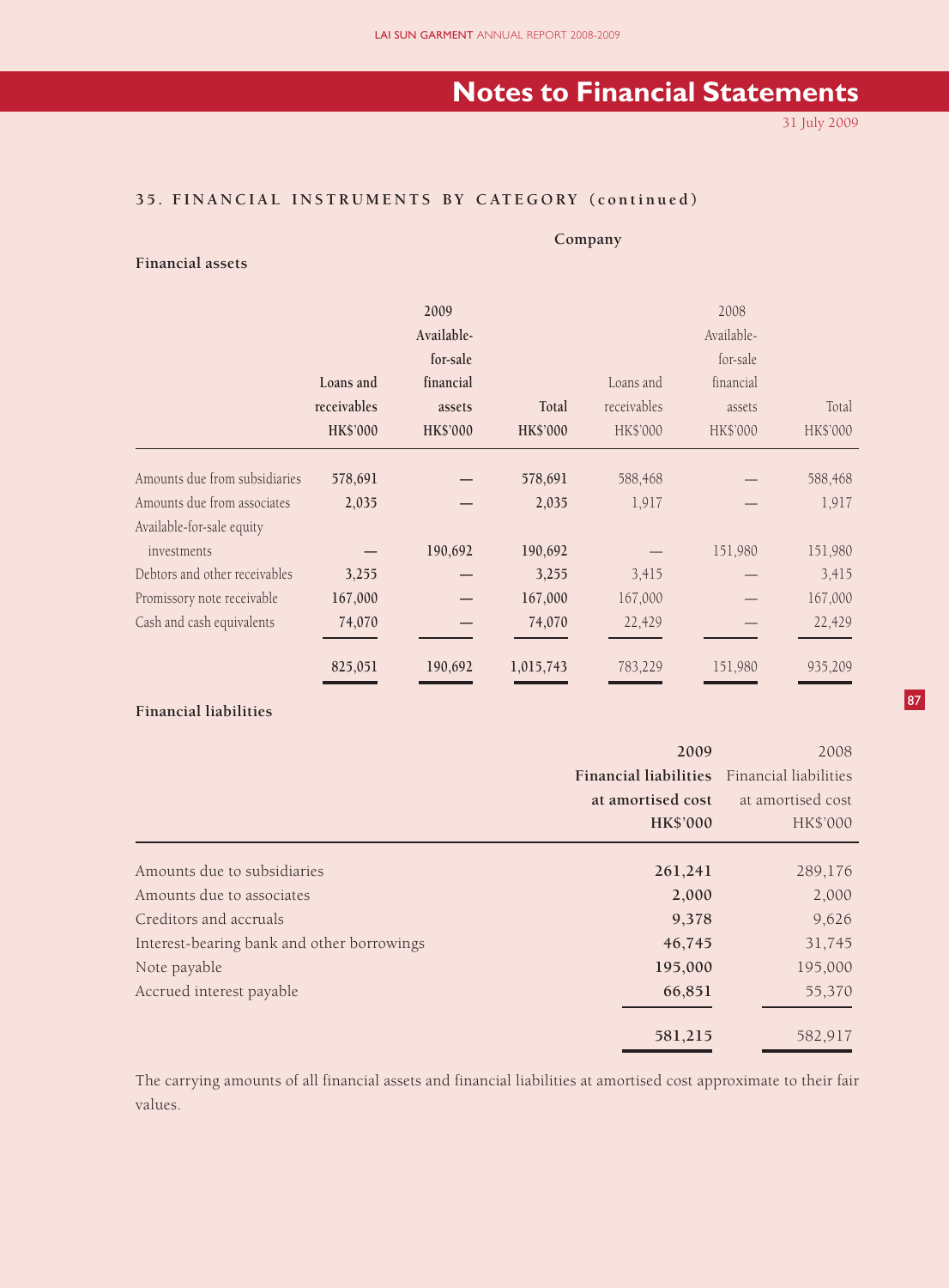31 July 2009

## **35. FINANCIAL INSTRUMENTS BY CATEGORY (continued)**

## **Company**

### **Financial assets**

|                               |                 | 2009            |                 |             | 2008       |          |
|-------------------------------|-----------------|-----------------|-----------------|-------------|------------|----------|
|                               |                 | Available-      |                 |             | Available- |          |
|                               |                 | for-sale        |                 |             | for-sale   |          |
|                               | Loans and       | financial       |                 | Loans and   | financial  |          |
|                               | receivables     | assets          | Total           | receivables | assets     | Total    |
|                               | <b>HK\$'000</b> | <b>HK\$'000</b> | <b>HK\$'000</b> | HK\$'000    | HK\$'000   | HK\$'000 |
|                               |                 |                 |                 |             |            |          |
| Amounts due from subsidiaries | 578,691         |                 | 578,691         | 588,468     |            | 588,468  |
| Amounts due from associates   | 2,035           |                 | 2,035           | 1,917       |            | 1,917    |
| Available-for-sale equity     |                 |                 |                 |             |            |          |
| investments                   |                 | 190,692         | 190,692         |             | 151,980    | 151,980  |
| Debtors and other receivables | 3,255           |                 | 3,255           | 3,415       |            | 3,415    |
| Promissory note receivable    | 167,000         |                 | 167,000         | 167,000     |            | 167,000  |
| Cash and cash equivalents     | 74,070          |                 | 74,070          | 22,429      |            | 22,429   |
|                               | 825,051         | 190,692         | 1,015,743       | 783,229     | 151,980    | 935,209  |

### **Financial liabilities**

|                                            | 2009                                        | 2008              |
|--------------------------------------------|---------------------------------------------|-------------------|
|                                            | Financial liabilities Financial liabilities |                   |
|                                            | at amortised cost                           | at amortised cost |
|                                            | <b>HK\$'000</b>                             | HK\$'000          |
|                                            |                                             |                   |
| Amounts due to subsidiaries                | 261,241                                     | 289,176           |
| Amounts due to associates                  | 2,000                                       | 2,000             |
| Creditors and accruals                     | 9,378                                       | 9,626             |
| Interest-bearing bank and other borrowings | 46,745                                      | 31,745            |
| Note payable                               | 195,000                                     | 195,000           |
| Accrued interest payable                   | 66,851                                      | 55,370            |
|                                            | 581,215                                     | 582,917           |

The carrying amounts of all financial assets and financial liabilities at amortised cost approximate to their fair values.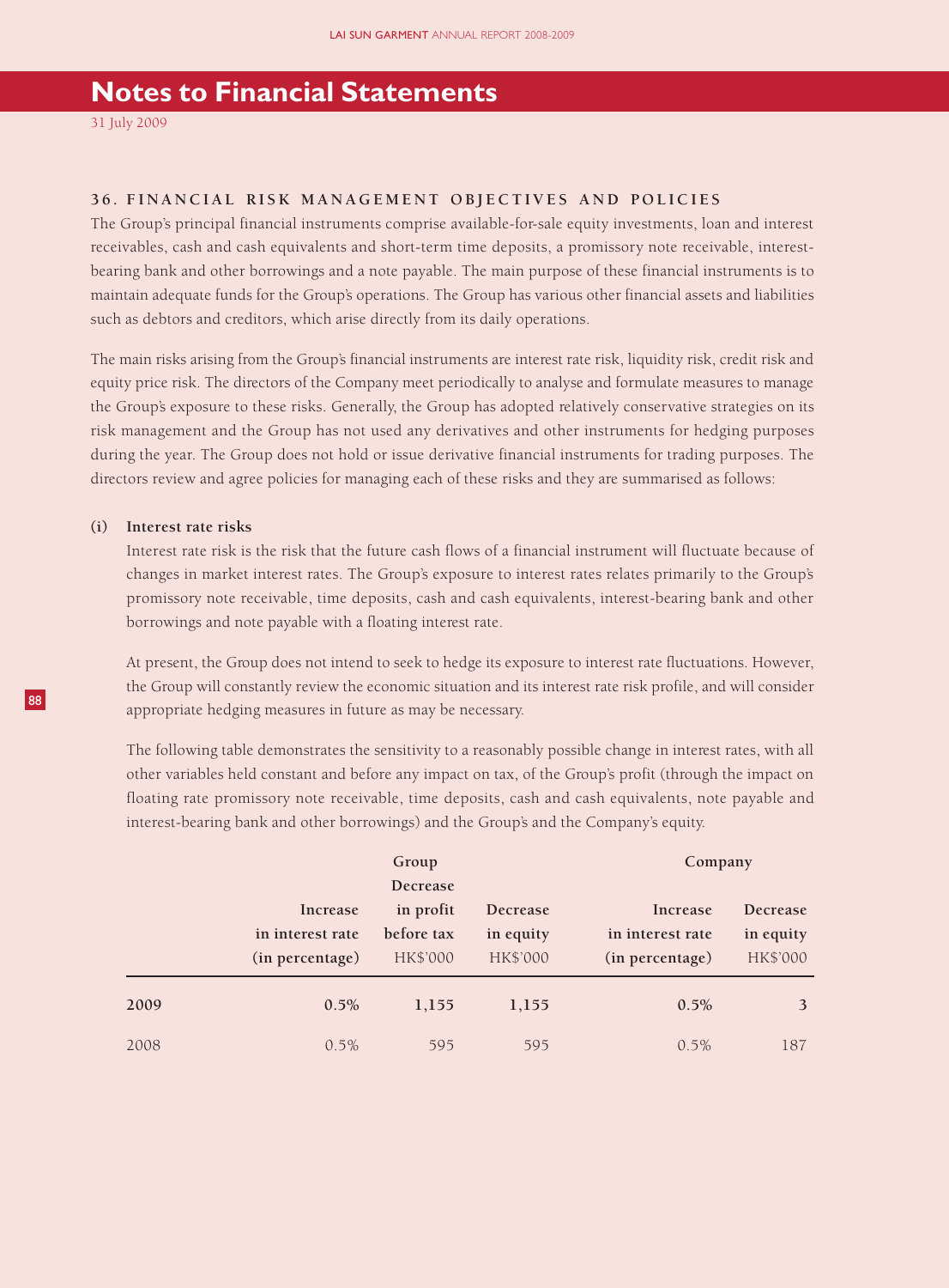31 July 2009

#### **36. FINANCIAL RISK MANAGEMENT OBJECTIVES AND POLICIES**

The Group's principal financial instruments comprise available-for-sale equity investments, loan and interest receivables, cash and cash equivalents and short-term time deposits, a promissory note receivable, interestbearing bank and other borrowings and a note payable. The main purpose of these financial instruments is to maintain adequate funds for the Group's operations. The Group has various other financial assets and liabilities such as debtors and creditors, which arise directly from its daily operations.

The main risks arising from the Group's financial instruments are interest rate risk, liquidity risk, credit risk and equity price risk. The directors of the Company meet periodically to analyse and formulate measures to manage the Group's exposure to these risks. Generally, the Group has adopted relatively conservative strategies on its risk management and the Group has not used any derivatives and other instruments for hedging purposes during the year. The Group does not hold or issue derivative financial instruments for trading purposes. The directors review and agree policies for managing each of these risks and they are summarised as follows:

#### **(i) Interest rate risks**

Interest rate risk is the risk that the future cash flows of a financial instrument will fluctuate because of changes in market interest rates. The Group's exposure to interest rates relates primarily to the Group's promissory note receivable, time deposits, cash and cash equivalents, interest-bearing bank and other borrowings and note payable with a floating interest rate.

At present, the Group does not intend to seek to hedge its exposure to interest rate fluctuations. However, the Group will constantly review the economic situation and its interest rate risk profile, and will consider appropriate hedging measures in future as may be necessary.

The following table demonstrates the sensitivity to a reasonably possible change in interest rates, with all other variables held constant and before any impact on tax, of the Group's profit (through the impact on floating rate promissory note receivable, time deposits, cash and cash equivalents, note payable and interest-bearing bank and other borrowings) and the Group's and the Company's equity.

|      | Group            |            |           | Company          |           |
|------|------------------|------------|-----------|------------------|-----------|
|      |                  | Decrease   |           |                  |           |
|      | Increase         | in profit  | Decrease  | Increase         | Decrease  |
|      | in interest rate | before tax | in equity | in interest rate | in equity |
|      | (in percentage)  | HK\$'000   | HK\$'000  | (in percentage)  | HK\$'000  |
| 2009 | $0.5\%$          | 1,155      | 1,155     | $0.5\%$          | 3         |
| 2008 | $0.5\%$          | 595        | 595       | $0.5\%$          | 187       |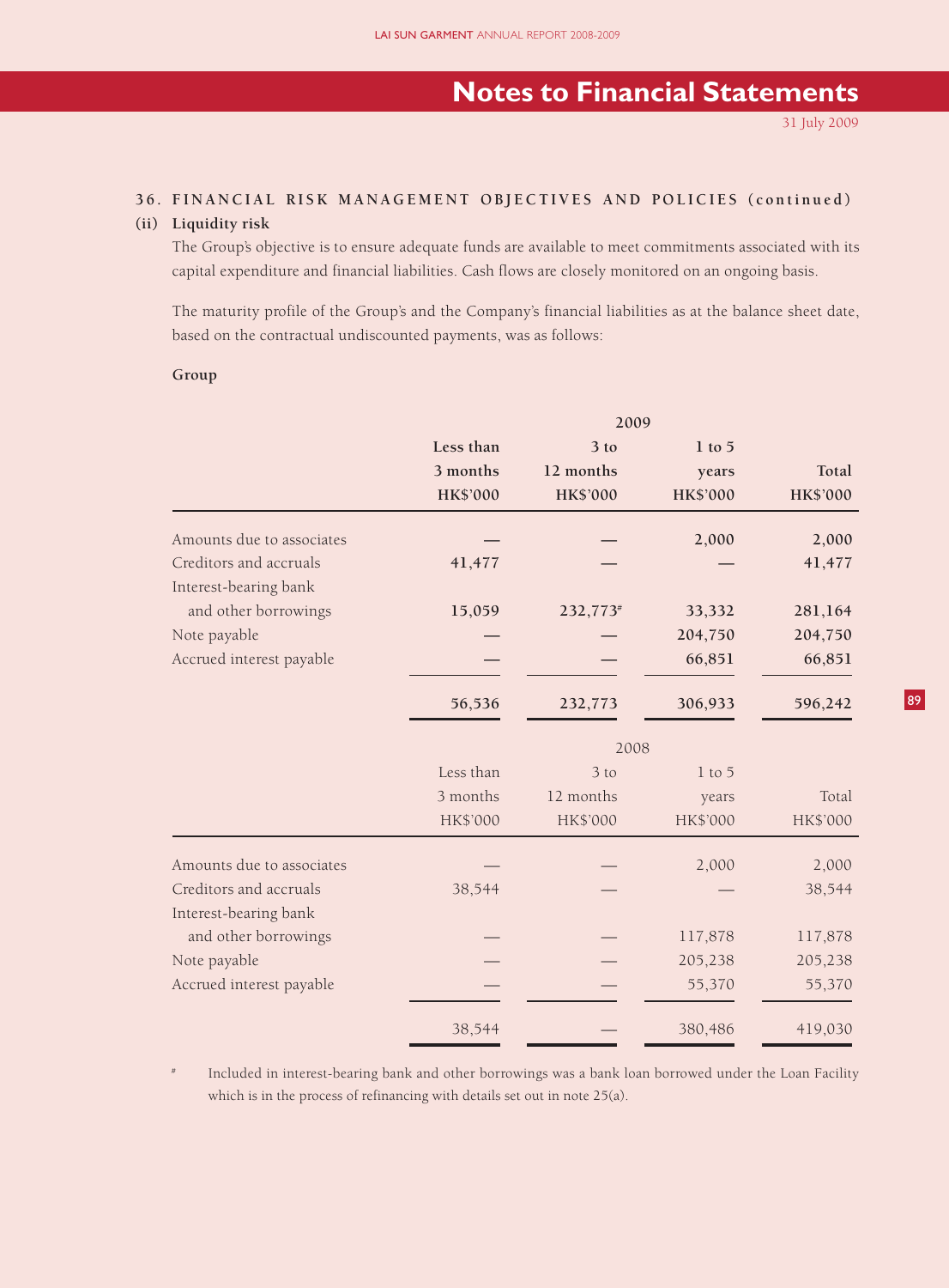31 July 2009

## **36. FINANCIAL RISK MANAGEMENT OBJECTIVES AND POLICIES (continued)**

## **(ii) Liquidity risk**

The Group's objective is to ensure adequate funds are available to meet commitments associated with its capital expenditure and financial liabilities. Cash flows are closely monitored on an ongoing basis.

The maturity profile of the Group's and the Company's financial liabilities as at the balance sheet date, based on the contractual undiscounted payments, was as follows:

#### **Group**

|                                                 | 2009            |                 |                 |                 |
|-------------------------------------------------|-----------------|-----------------|-----------------|-----------------|
|                                                 | Less than       | 3 to            | $1$ to 5        |                 |
|                                                 | 3 months        | 12 months       | years           | Total           |
|                                                 | <b>HK\$'000</b> | <b>HK\$'000</b> | <b>HK\$'000</b> | <b>HK\$'000</b> |
| Amounts due to associates                       |                 |                 | 2,000           | 2,000           |
| Creditors and accruals                          | 41,477          |                 |                 | 41,477          |
| Interest-bearing bank                           |                 |                 |                 |                 |
| and other borrowings                            | 15,059          | 232,773#        | 33,332          | 281,164         |
| Note payable                                    |                 |                 | 204,750         | 204,750         |
| Accrued interest payable                        |                 |                 | 66,851          | 66,851          |
|                                                 | 56,536          | 232,773         | 306,933         | 596,242         |
|                                                 |                 | 2008            |                 |                 |
|                                                 | Less than       | $3$ to          | $1$ to 5        |                 |
|                                                 | 3 months        | 12 months       | years           | Total           |
|                                                 | HK\$'000        | HK\$'000        | HK\$'000        | HK\$'000        |
|                                                 |                 |                 |                 |                 |
|                                                 |                 |                 |                 |                 |
| Amounts due to associates                       |                 |                 | 2,000           | 2,000           |
| Creditors and accruals<br>Interest-bearing bank | 38,544          |                 |                 | 38,544          |
| and other borrowings                            |                 |                 | 117,878         | 117,878         |
| Note payable                                    |                 |                 | 205,238         | 205,238         |
| Accrued interest payable                        |                 |                 | 55,370          | 55,370          |

Included in interest-bearing bank and other borrowings was a bank loan borrowed under the Loan Facility which is in the process of refinancing with details set out in note 25(a).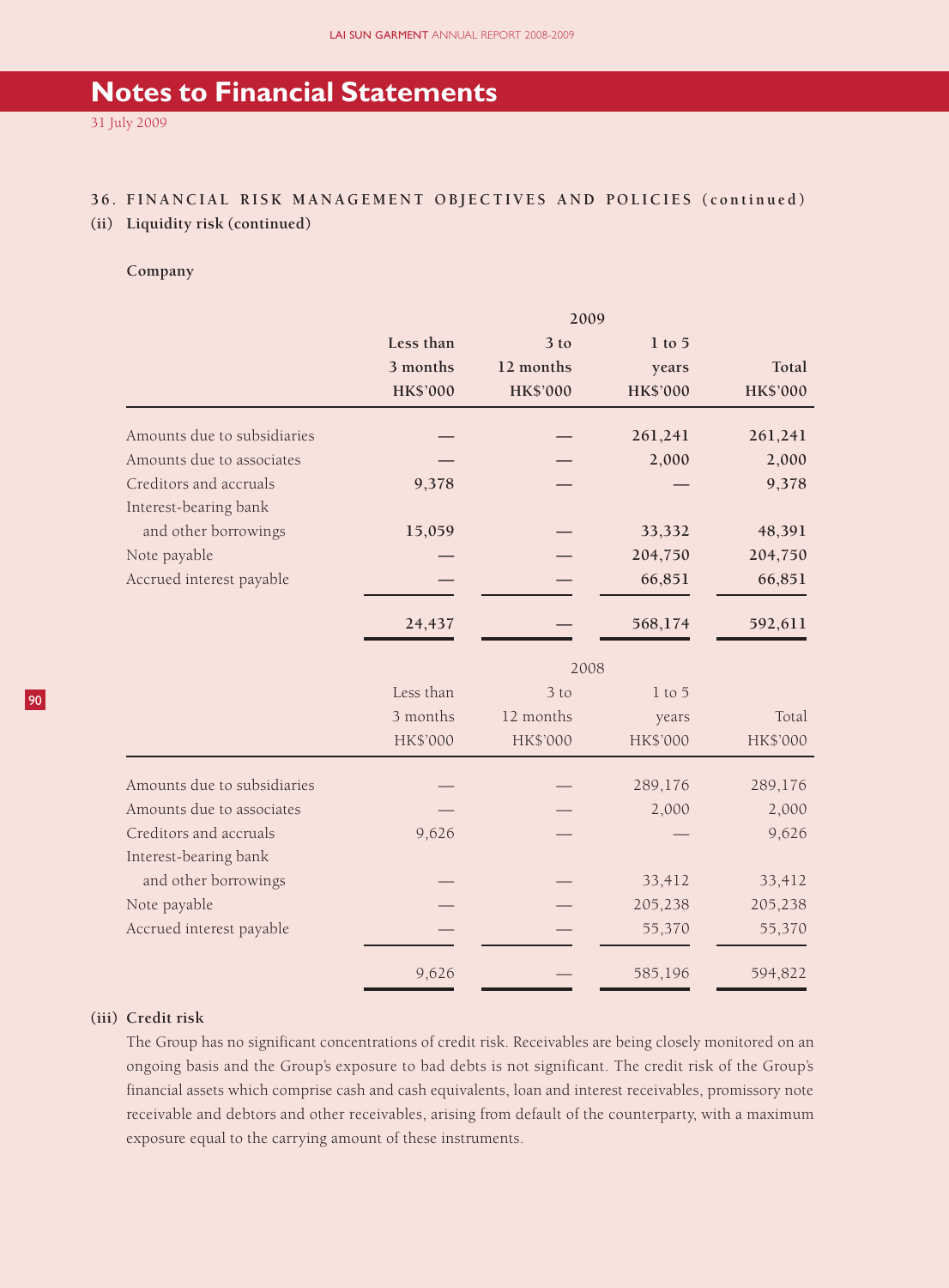31 July 2009

## **36. FINANCIAL RISK MANAGEMENT OBJECTIVES AND POLICIES (continued)**

#### **(ii) Liquidity risk (continued)**

#### **Company**

|                                               | 2009            |                 |                 |                 |
|-----------------------------------------------|-----------------|-----------------|-----------------|-----------------|
|                                               | Less than       | $3$ to          | $1$ to 5        |                 |
|                                               | 3 months        | 12 months       | years           | Total           |
|                                               | <b>HK\$'000</b> | <b>HK\$'000</b> | <b>HK\$'000</b> | <b>HK\$'000</b> |
| Amounts due to subsidiaries                   |                 |                 | 261,241         | 261,241         |
| Amounts due to associates                     |                 |                 | 2,000           | 2,000           |
| Creditors and accruals                        | 9,378           |                 |                 | 9,378           |
| Interest-bearing bank                         |                 |                 |                 |                 |
| and other borrowings                          | 15,059          |                 | 33,332          | 48,391          |
| Note payable                                  |                 |                 | 204,750         | 204,750         |
| Accrued interest payable                      |                 |                 | 66,851          | 66,851          |
|                                               | 24,437          |                 | 568,174         | 592,611         |
|                                               | 2008            |                 |                 |                 |
|                                               | Less than       | $3$ to          | $1$ to 5        |                 |
|                                               |                 |                 |                 |                 |
|                                               | 3 months        | 12 months       | years           | Total           |
|                                               | HK\$'000        | HK\$'000        | HK\$'000        | HK\$'000        |
|                                               |                 |                 |                 |                 |
| Amounts due to subsidiaries                   |                 |                 | 289,176         | 289,176         |
| Amounts due to associates                     |                 |                 | 2,000           | 2,000           |
| Creditors and accruals                        | 9,626           |                 |                 | 9,626           |
| Interest-bearing bank<br>and other borrowings |                 |                 | 33,412          | 33,412          |
| Note payable                                  |                 |                 | 205,238         | 205,238         |
| Accrued interest payable                      |                 |                 | 55,370          | 55,370          |

#### **(iii) Credit risk**

The Group has no significant concentrations of credit risk. Receivables are being closely monitored on an ongoing basis and the Group's exposure to bad debts is not significant. The credit risk of the Group's financial assets which comprise cash and cash equivalents, loan and interest receivables, promissory note receivable and debtors and other receivables, arising from default of the counterparty, with a maximum exposure equal to the carrying amount of these instruments.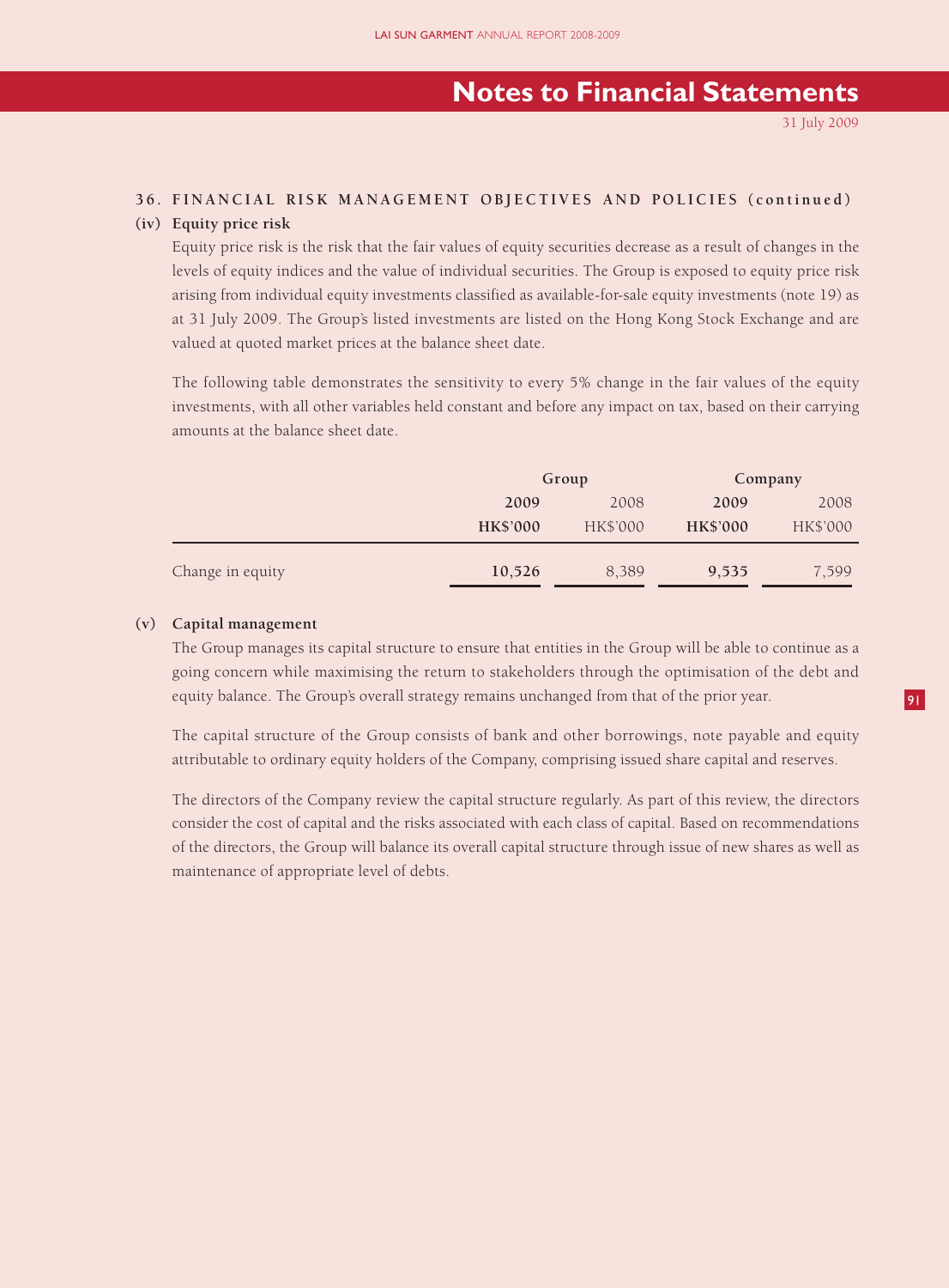31 July 2009

## **36. FINANCIAL RISK MANAGEMENT OBJECTIVES AND POLICIES (continued) (iv) Equity price risk**

Equity price risk is the risk that the fair values of equity securities decrease as a result of changes in the levels of equity indices and the value of individual securities. The Group is exposed to equity price risk arising from individual equity investments classified as available-for-sale equity investments (note 19) as at 31 July 2009. The Group's listed investments are listed on the Hong Kong Stock Exchange and are valued at quoted market prices at the balance sheet date.

The following table demonstrates the sensitivity to every 5% change in the fair values of the equity investments, with all other variables held constant and before any impact on tax, based on their carrying amounts at the balance sheet date.

|                  | Group           |          | Company         |          |
|------------------|-----------------|----------|-----------------|----------|
|                  | 2009            | 2008     | 2009            | 2008     |
|                  | <b>HK\$'000</b> | HK\$'000 | <b>HK\$'000</b> | HK\$'000 |
| Change in equity | 10,526          | 8,389    | 9,535           | 7,599    |

#### **(v) Capital management**

The Group manages its capital structure to ensure that entities in the Group will be able to continue as a going concern while maximising the return to stakeholders through the optimisation of the debt and equity balance. The Group's overall strategy remains unchanged from that of the prior year.

The capital structure of the Group consists of bank and other borrowings, note payable and equity attributable to ordinary equity holders of the Company, comprising issued share capital and reserves.

The directors of the Company review the capital structure regularly. As part of this review, the directors consider the cost of capital and the risks associated with each class of capital. Based on recommendations of the directors, the Group will balance its overall capital structure through issue of new shares as well as maintenance of appropriate level of debts.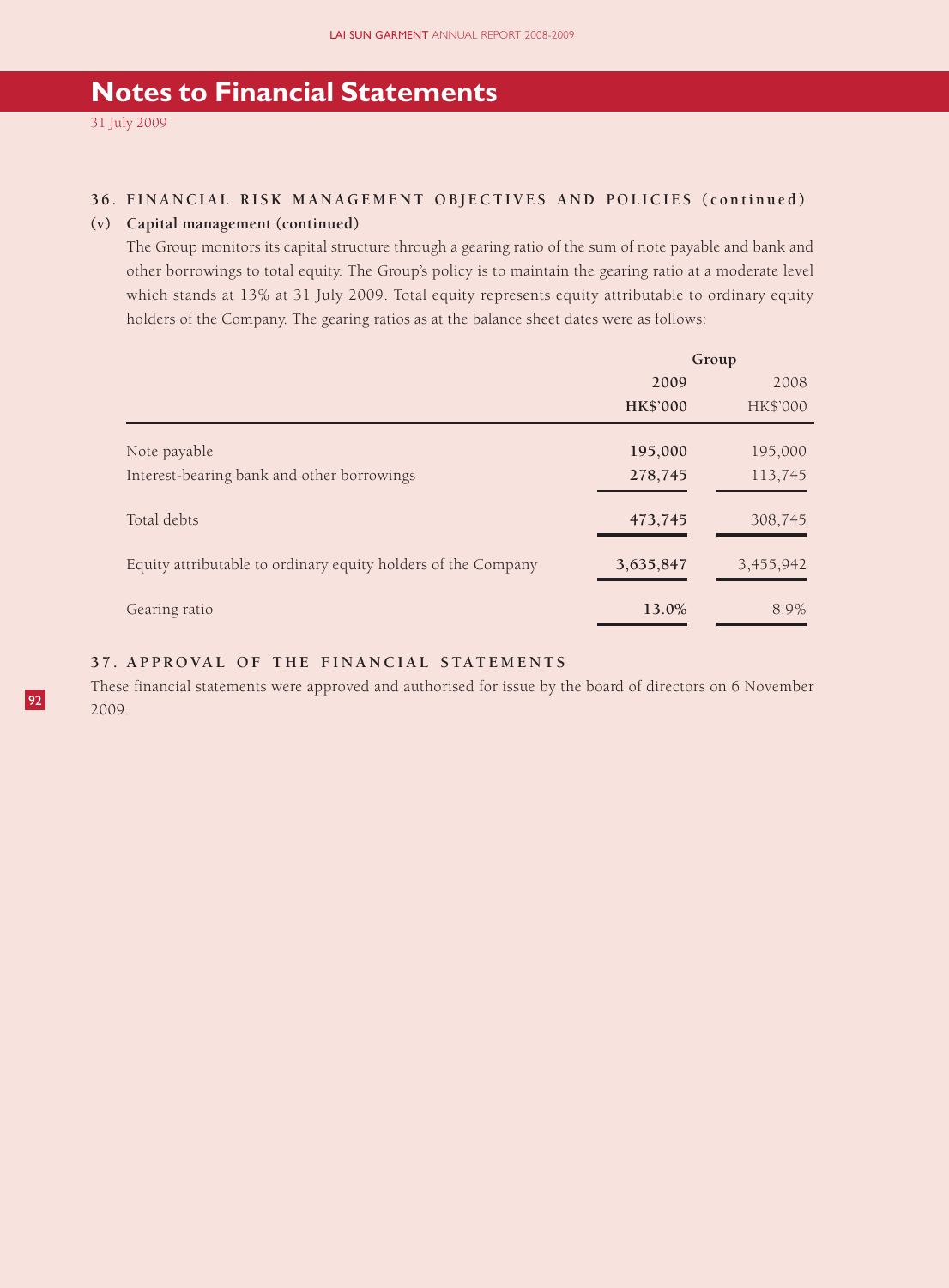31 July 2009

## **36. FINANCIAL RISK MANAGEMENT OBJECTIVES AND POLICIES (continued)**

#### **(v) Capital management (continued)**

The Group monitors its capital structure through a gearing ratio of the sum of note payable and bank and other borrowings to total equity. The Group's policy is to maintain the gearing ratio at a moderate level which stands at 13% at 31 July 2009. Total equity represents equity attributable to ordinary equity holders of the Company. The gearing ratios as at the balance sheet dates were as follows:

|                                                               | Group           |           |  |
|---------------------------------------------------------------|-----------------|-----------|--|
|                                                               | 2009            | 2008      |  |
|                                                               | <b>HK\$'000</b> | HK\$'000  |  |
|                                                               |                 |           |  |
| Note payable                                                  | 195,000         | 195,000   |  |
| Interest-bearing bank and other borrowings                    | 278,745         | 113,745   |  |
| Total debts                                                   | 473,745         | 308,745   |  |
| Equity attributable to ordinary equity holders of the Company | 3,635,847       | 3,455,942 |  |
| Gearing ratio                                                 | 13.0%           | 8.9%      |  |

### **37. APPROVAL OF THE FINANCIAL STATEMENTS**

These financial statements were approved and authorised for issue by the board of directors on 6 November 2009.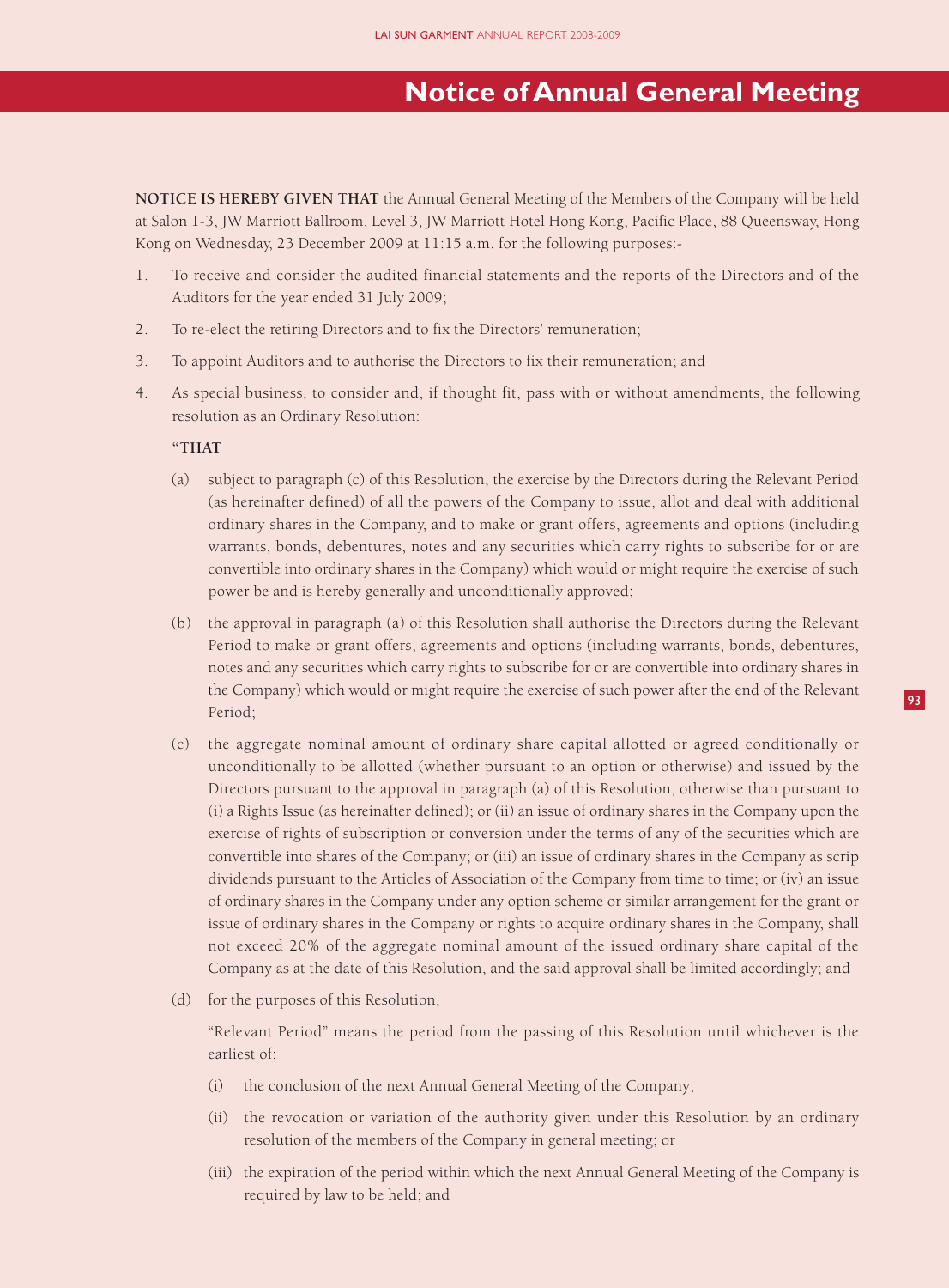# **Notice of Annual General Meeting**

**NOTICE IS HEREBY GIVEN THAT** the Annual General Meeting of the Members of the Company will be held at Salon 1-3, JW Marriott Ballroom, Level 3, JW Marriott Hotel Hong Kong, Pacific Place, 88 Queensway, Hong Kong on Wednesday, 23 December 2009 at 11:15 a.m. for the following purposes:-

- 1. To receive and consider the audited financial statements and the reports of the Directors and of the Auditors for the year ended 31 July 2009;
- 2. To re-elect the retiring Directors and to fix the Directors' remuneration;
- 3. To appoint Auditors and to authorise the Directors to fix their remuneration; and
- 4. As special business, to consider and, if thought fit, pass with or without amendments, the following resolution as an Ordinary Resolution:

#### **"THAT**

- (a) subject to paragraph (c) of this Resolution, the exercise by the Directors during the Relevant Period (as hereinafter defined) of all the powers of the Company to issue, allot and deal with additional ordinary shares in the Company, and to make or grant offers, agreements and options (including warrants, bonds, debentures, notes and any securities which carry rights to subscribe for or are convertible into ordinary shares in the Company) which would or might require the exercise of such power be and is hereby generally and unconditionally approved;
- (b) the approval in paragraph (a) of this Resolution shall authorise the Directors during the Relevant Period to make or grant offers, agreements and options (including warrants, bonds, debentures, notes and any securities which carry rights to subscribe for or are convertible into ordinary shares in the Company) which would or might require the exercise of such power after the end of the Relevant Period;
- (c) the aggregate nominal amount of ordinary share capital allotted or agreed conditionally or unconditionally to be allotted (whether pursuant to an option or otherwise) and issued by the Directors pursuant to the approval in paragraph (a) of this Resolution, otherwise than pursuant to (i) a Rights Issue (as hereinafter defined); or (ii) an issue of ordinary shares in the Company upon the exercise of rights of subscription or conversion under the terms of any of the securities which are convertible into shares of the Company; or (iii) an issue of ordinary shares in the Company as scrip dividends pursuant to the Articles of Association of the Company from time to time; or (iv) an issue of ordinary shares in the Company under any option scheme or similar arrangement for the grant or issue of ordinary shares in the Company or rights to acquire ordinary shares in the Company, shall not exceed 20% of the aggregate nominal amount of the issued ordinary share capital of the Company as at the date of this Resolution, and the said approval shall be limited accordingly; and
- (d) for the purposes of this Resolution,

"Relevant Period" means the period from the passing of this Resolution until whichever is the earliest of:

- (i) the conclusion of the next Annual General Meeting of the Company;
- (ii) the revocation or variation of the authority given under this Resolution by an ordinary resolution of the members of the Company in general meeting; or
- (iii) the expiration of the period within which the next Annual General Meeting of the Company is required by law to be held; and